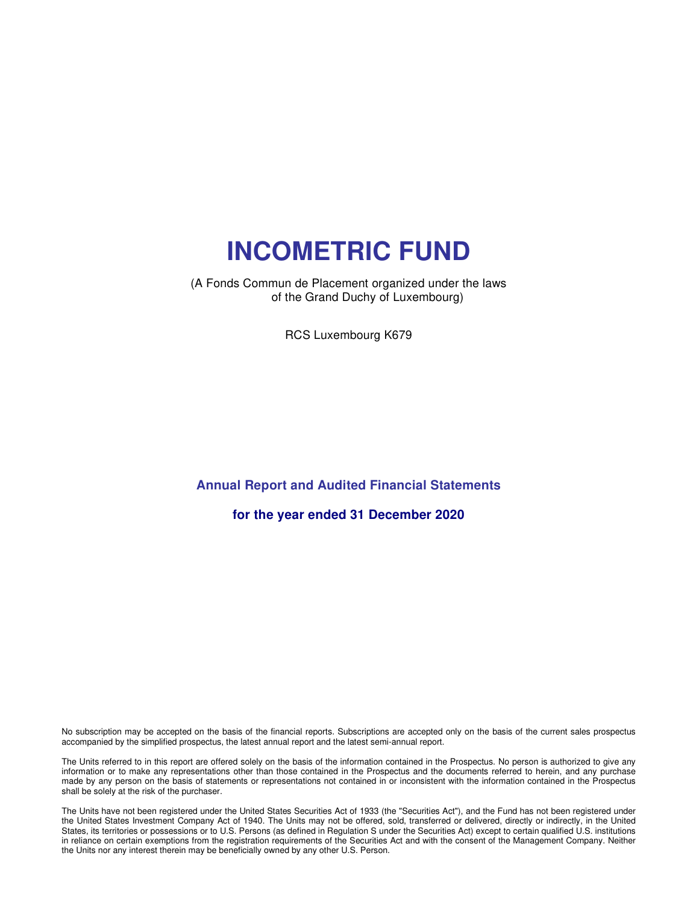(A Fonds Commun de Placement organized under the laws of the Grand Duchy of Luxembourg)

RCS Luxembourg K679

### **Annual Report and Audited Financial Statements**

**for the year ended 31 December 2020**

No subscription may be accepted on the basis of the financial reports. Subscriptions are accepted only on the basis of the current sales prospectus accompanied by the simplified prospectus, the latest annual report and the latest semi-annual report.

The Units referred to in this report are offered solely on the basis of the information contained in the Prospectus. No person is authorized to give any information or to make any representations other than those contained in the Prospectus and the documents referred to herein, and any purchase made by any person on the basis of statements or representations not contained in or inconsistent with the information contained in the Prospectus shall be solely at the risk of the purchaser.

The Units have not been registered under the United States Securities Act of 1933 (the "Securities Act"), and the Fund has not been registered under the United States Investment Company Act of 1940. The Units may not be offered, sold, transferred or delivered, directly or indirectly, in the United States, its territories or possessions or to U.S. Persons (as defined in Regulation S under the Securities Act) except to certain qualified U.S. institutions in reliance on certain exemptions from the registration requirements of the Securities Act and with the consent of the Management Company. Neither the Units nor any interest therein may be beneficially owned by any other U.S. Person.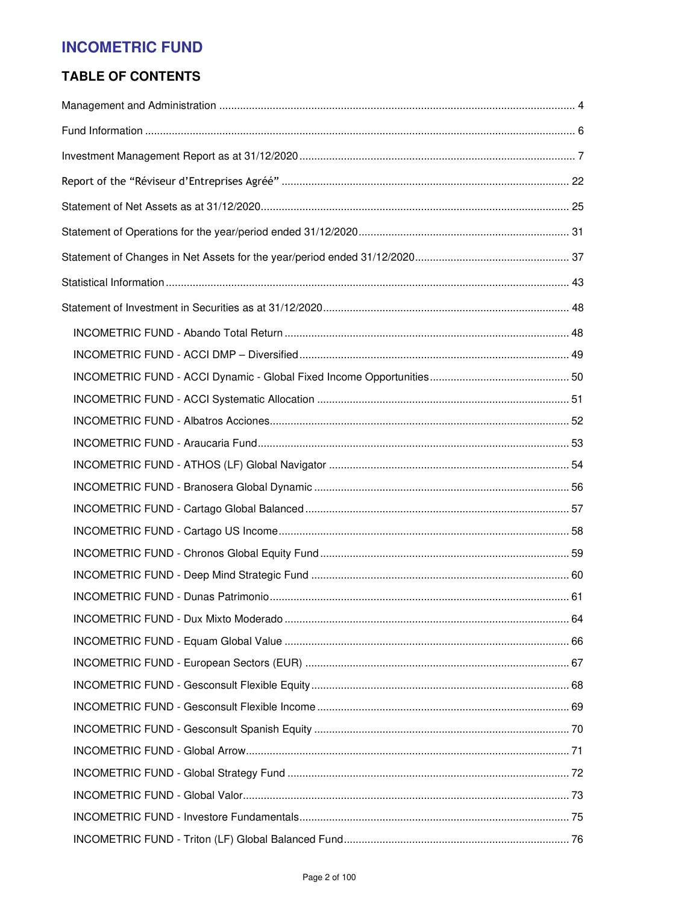### **TABLE OF CONTENTS**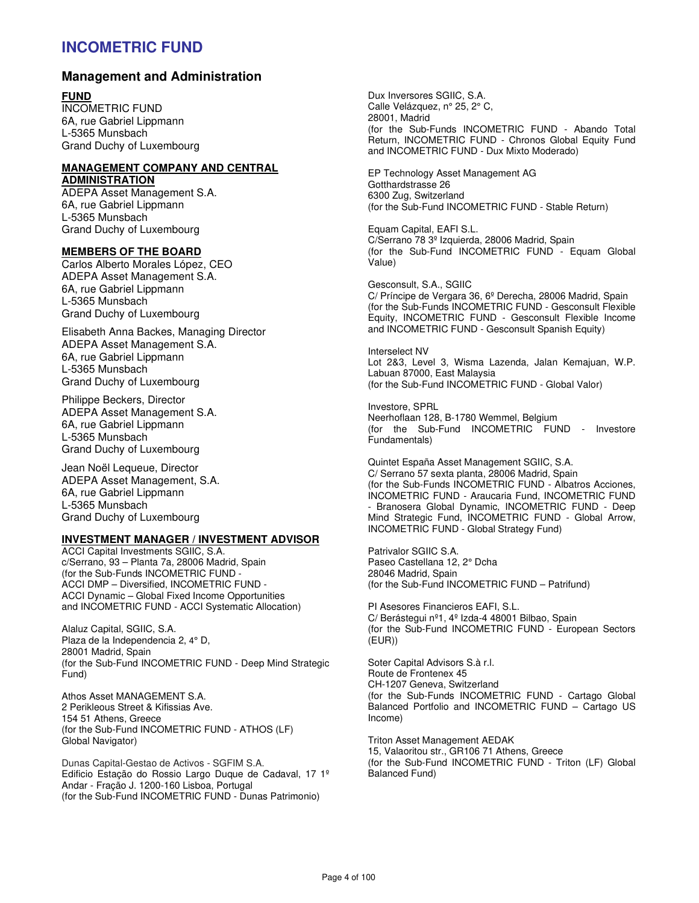### **Management and Administration**

#### **FUND**

INCOMETRIC FUND 6A, rue Gabriel Lippmann L-5365 Munsbach Grand Duchy of Luxembourg

#### **MANAGEMENT COMPANY AND CENTRAL ADMINISTRATION**

ADEPA Asset Management S.A. 6A, rue Gabriel Lippmann L-5365 Munsbach Grand Duchy of Luxembourg

#### **MEMBERS OF THE BOARD**

Carlos Alberto Morales López, CEO ADEPA Asset Management S.A. 6A, rue Gabriel Lippmann L-5365 Munsbach Grand Duchy of Luxembourg

Elisabeth Anna Backes, Managing Director ADEPA Asset Management S.A. 6A, rue Gabriel Lippmann L-5365 Munsbach Grand Duchy of Luxembourg

Philippe Beckers, Director ADEPA Asset Management S.A. 6A, rue Gabriel Lippmann L-5365 Munsbach Grand Duchy of Luxembourg

Jean Noël Lequeue, Director ADEPA Asset Management, S.A. 6A, rue Gabriel Lippmann L-5365 Munsbach Grand Duchy of Luxembourg

#### **INVESTMENT MANAGER / INVESTMENT ADVISOR**

ACCI Capital Investments SGIIC, S.A. c/Serrano, 93 – Planta 7a, 28006 Madrid, Spain (for the Sub-Funds INCOMETRIC FUND - ACCI DMP – Diversified, INCOMETRIC FUND - ACCI Dynamic – Global Fixed Income Opportunities and INCOMETRIC FUND - ACCI Systematic Allocation)

Alaluz Capital, SGIIC, S.A. Plaza de la Independencia 2, 4° D, 28001 Madrid, Spain (for the Sub-Fund INCOMETRIC FUND - Deep Mind Strategic Fund)

Athos Asset MANAGEMENT S.A. 2 Perikleous Street & Kifissias Ave. 154 51 Athens, Greece (for the Sub-Fund INCOMETRIC FUND - ATHOS (LF) Global Navigator)

Dunas Capital-Gestao de Activos - SGFIM S.A. Edificio Estação do Rossio Largo Duque de Cadaval, 17 1º Andar - Fração J. 1200-160 Lisboa, Portugal (for the Sub-Fund INCOMETRIC FUND - Dunas Patrimonio)

Dux Inversores SGIIC, S.A. Calle Velázquez, n° 25, 2° C, 28001, Madrid (for the Sub-Funds INCOMETRIC FUND - Abando Total Return, INCOMETRIC FUND - Chronos Global Equity Fund and INCOMETRIC FUND - Dux Mixto Moderado)

EP Technology Asset Management AG Gotthardstrasse 26 6300 Zug, Switzerland (for the Sub-Fund INCOMETRIC FUND - Stable Return)

Equam Capital, EAFI S.L. C/Serrano 78 3º Izquierda, 28006 Madrid, Spain (for the Sub-Fund INCOMETRIC FUND - Equam Global Value)

Gesconsult, S.A., SGIIC C/ Príncipe de Vergara 36, 6º Derecha, 28006 Madrid, Spain (for the Sub-Funds INCOMETRIC FUND - Gesconsult Flexible Equity, INCOMETRIC FUND - Gesconsult Flexible Income and INCOMETRIC FUND - Gesconsult Spanish Equity)

Interselect NV Lot 2&3, Level 3, Wisma Lazenda, Jalan Kemajuan, W.P. Labuan 87000, East Malaysia (for the Sub-Fund INCOMETRIC FUND - Global Valor)

Investore, SPRL Neerhoflaan 128, B-1780 Wemmel, Belgium (for the Sub-Fund INCOMETRIC FUND - Investore Fundamentals)

Quintet España Asset Management SGIIC, S.A. C/ Serrano 57 sexta planta, 28006 Madrid, Spain (for the Sub-Funds INCOMETRIC FUND - Albatros Acciones, INCOMETRIC FUND - Araucaria Fund, INCOMETRIC FUND Branosera Global Dynamic, INCOMETRIC FUND - Deep Mind Strategic Fund, INCOMETRIC FUND - Global Arrow, INCOMETRIC FUND - Global Strategy Fund)

Patrivalor SGIIC S.A. Paseo Castellana 12, 2° Dcha 28046 Madrid, Spain (for the Sub-Fund INCOMETRIC FUND – Patrifund)

PI Asesores Financieros EAFI, S.L. C/ Berástegui nº1, 4º Izda-4 48001 Bilbao, Spain (for the Sub-Fund INCOMETRIC FUND - European Sectors (EUR))

Soter Capital Advisors S.à r.l. Route de Frontenex 45 CH-1207 Geneva, Switzerland (for the Sub-Funds INCOMETRIC FUND - Cartago Global Balanced Portfolio and INCOMETRIC FUND – Cartago US Income)

Triton Asset Management AEDAK 15, Valaoritou str., GR106 71 Athens, Greece (for the Sub-Fund INCOMETRIC FUND - Triton (LF) Global Balanced Fund)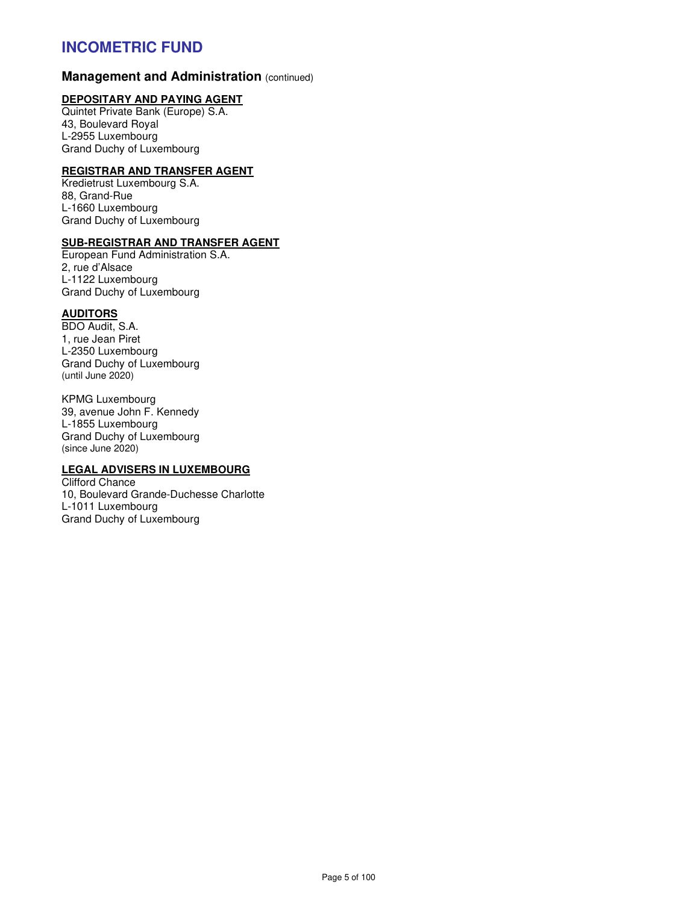### **Management and Administration (continued)**

#### **DEPOSITARY AND PAYING AGENT**

Quintet Private Bank (Europe) S.A. 43, Boulevard Royal L-2955 Luxembourg Grand Duchy of Luxembourg

### **REGISTRAR AND TRANSFER AGENT**

Kredietrust Luxembourg S.A. 88, Grand-Rue L-1660 Luxembourg Grand Duchy of Luxembourg

#### **SUB-REGISTRAR AND TRANSFER AGENT**

European Fund Administration S.A. 2, rue d'Alsace L-1122 Luxembourg Grand Duchy of Luxembourg

#### **AUDITORS**

BDO Audit, S.A. 1, rue Jean Piret L-2350 Luxembourg Grand Duchy of Luxembourg (until June 2020)

KPMG Luxembourg 39, avenue John F. Kennedy L-1855 Luxembourg Grand Duchy of Luxembourg (since June 2020)

### **LEGAL ADVISERS IN LUXEMBOURG**

Clifford Chance 10, Boulevard Grande-Duchesse Charlotte L-1011 Luxembourg Grand Duchy of Luxembourg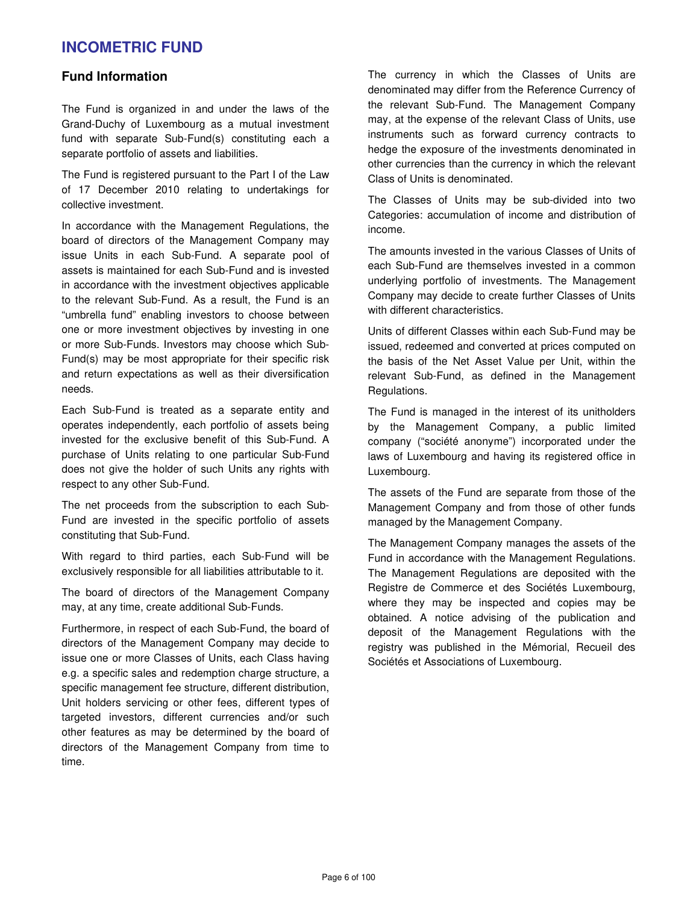### **Fund Information**

The Fund is organized in and under the laws of the Grand-Duchy of Luxembourg as a mutual investment fund with separate Sub-Fund(s) constituting each a separate portfolio of assets and liabilities.

The Fund is registered pursuant to the Part I of the Law of 17 December 2010 relating to undertakings for collective investment.

In accordance with the Management Regulations, the board of directors of the Management Company may issue Units in each Sub-Fund. A separate pool of assets is maintained for each Sub-Fund and is invested in accordance with the investment objectives applicable to the relevant Sub-Fund. As a result, the Fund is an "umbrella fund" enabling investors to choose between one or more investment objectives by investing in one or more Sub-Funds. Investors may choose which Sub-Fund(s) may be most appropriate for their specific risk and return expectations as well as their diversification needs.

Each Sub-Fund is treated as a separate entity and operates independently, each portfolio of assets being invested for the exclusive benefit of this Sub-Fund. A purchase of Units relating to one particular Sub-Fund does not give the holder of such Units any rights with respect to any other Sub-Fund.

The net proceeds from the subscription to each Sub-Fund are invested in the specific portfolio of assets constituting that Sub-Fund.

With regard to third parties, each Sub-Fund will be exclusively responsible for all liabilities attributable to it.

The board of directors of the Management Company may, at any time, create additional Sub-Funds.

Furthermore, in respect of each Sub-Fund, the board of directors of the Management Company may decide to issue one or more Classes of Units, each Class having e.g. a specific sales and redemption charge structure, a specific management fee structure, different distribution, Unit holders servicing or other fees, different types of targeted investors, different currencies and/or such other features as may be determined by the board of directors of the Management Company from time to time.

The currency in which the Classes of Units are denominated may differ from the Reference Currency of the relevant Sub-Fund. The Management Company may, at the expense of the relevant Class of Units, use instruments such as forward currency contracts to hedge the exposure of the investments denominated in other currencies than the currency in which the relevant Class of Units is denominated.

The Classes of Units may be sub-divided into two Categories: accumulation of income and distribution of income.

The amounts invested in the various Classes of Units of each Sub-Fund are themselves invested in a common underlying portfolio of investments. The Management Company may decide to create further Classes of Units with different characteristics.

Units of different Classes within each Sub-Fund may be issued, redeemed and converted at prices computed on the basis of the Net Asset Value per Unit, within the relevant Sub-Fund, as defined in the Management Regulations.

The Fund is managed in the interest of its unitholders by the Management Company, a public limited company ("société anonyme") incorporated under the laws of Luxembourg and having its registered office in Luxembourg.

The assets of the Fund are separate from those of the Management Company and from those of other funds managed by the Management Company.

The Management Company manages the assets of the Fund in accordance with the Management Regulations. The Management Regulations are deposited with the Registre de Commerce et des Sociétés Luxembourg, where they may be inspected and copies may be obtained. A notice advising of the publication and deposit of the Management Regulations with the registry was published in the Mémorial, Recueil des Sociétés et Associations of Luxembourg.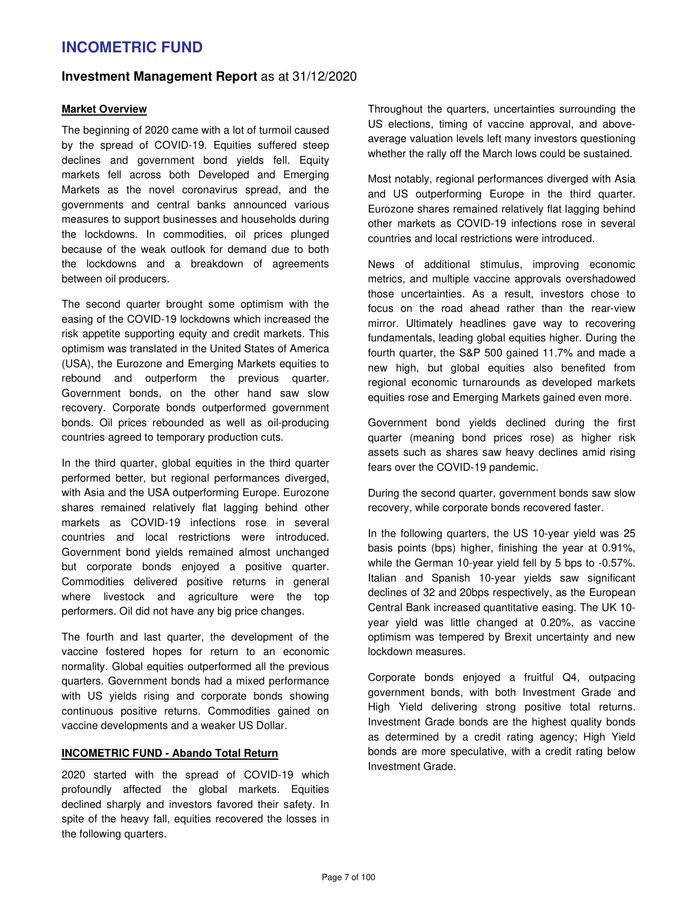### **Investment Management Report** as at 31/12/2020

#### **Market Overview**

The beginning of 2020 came with a lot of turmoil caused by the spread of COVID-19. Equities suffered steep declines and government bond yields fell. Equity markets fell across both Developed and Emerging Markets as the novel coronavirus spread, and the governments and central banks announced various measures to support businesses and households during the lockdowns. In commodities, oil prices plunged because of the weak outlook for demand due to both the lockdowns and a breakdown of agreements between oil producers.

The second quarter brought some optimism with the easing of the COVID-19 lockdowns which increased the risk appetite supporting equity and credit markets. This optimism was translated in the United States of America (USA), the Eurozone and Emerging Markets equities to rebound and outperform the previous quarter. Government bonds, on the other hand saw slow recovery. Corporate bonds outperformed government bonds. Oil prices rebounded as well as oil-producing countries agreed to temporary production cuts.

In the third quarter, global equities in the third quarter performed better, but regional performances diverged, with Asia and the USA outperforming Europe. Eurozone shares remained relatively flat lagging behind other markets as COVID-19 infections rose in several countries and local restrictions were introduced. Government bond yields remained almost unchanged but corporate bonds enjoyed a positive quarter. Commodities delivered positive returns in general where livestock and agriculture were the top performers. Oil did not have any big price changes.

The fourth and last quarter, the development of the vaccine fostered hopes for return to an economic normality. Global equities outperformed all the previous quarters. Government bonds had a mixed performance with US yields rising and corporate bonds showing continuous positive returns. Commodities gained on vaccine developments and a weaker US Dollar.

### **INCOMETRIC FUND - Abando Total Return**

2020 started with the spread of COVID-19 which profoundly affected the global markets. Equities declined sharply and investors favored their safety. In spite of the heavy fall, equities recovered the losses in the following quarters.

Throughout the quarters, uncertainties surrounding the US elections, timing of vaccine approval, and aboveaverage valuation levels left many investors questioning whether the rally off the March lows could be sustained.

Most notably, regional performances diverged with Asia and US outperforming Europe in the third quarter. Eurozone shares remained relatively flat lagging behind other markets as COVID-19 infections rose in several countries and local restrictions were introduced.

News of additional stimulus, improving economic metrics, and multiple vaccine approvals overshadowed those uncertainties. As a result, investors chose to focus on the road ahead rather than the rear-view mirror. Ultimately headlines gave way to recovering fundamentals, leading global equities higher. During the fourth quarter, the S&P 500 gained 11.7% and made a new high, but global equities also benefited from regional economic turnarounds as developed markets equities rose and Emerging Markets gained even more.

Government bond yields declined during the first quarter (meaning bond prices rose) as higher risk assets such as shares saw heavy declines amid rising fears over the COVID-19 pandemic.

During the second quarter, government bonds saw slow recovery, while corporate bonds recovered faster.

In the following quarters, the US 10-year yield was 25 basis points (bps) higher, finishing the year at 0.91%, while the German 10-year yield fell by 5 bps to -0.57%. Italian and Spanish 10-year yields saw significant declines of 32 and 20bps respectively, as the European Central Bank increased quantitative easing. The UK 10 year yield was little changed at 0.20%, as vaccine optimism was tempered by Brexit uncertainty and new lockdown measures.

Corporate bonds enjoyed a fruitful Q4, outpacing government bonds, with both Investment Grade and High Yield delivering strong positive total returns. Investment Grade bonds are the highest quality bonds as determined by a credit rating agency; High Yield bonds are more speculative, with a credit rating below Investment Grade.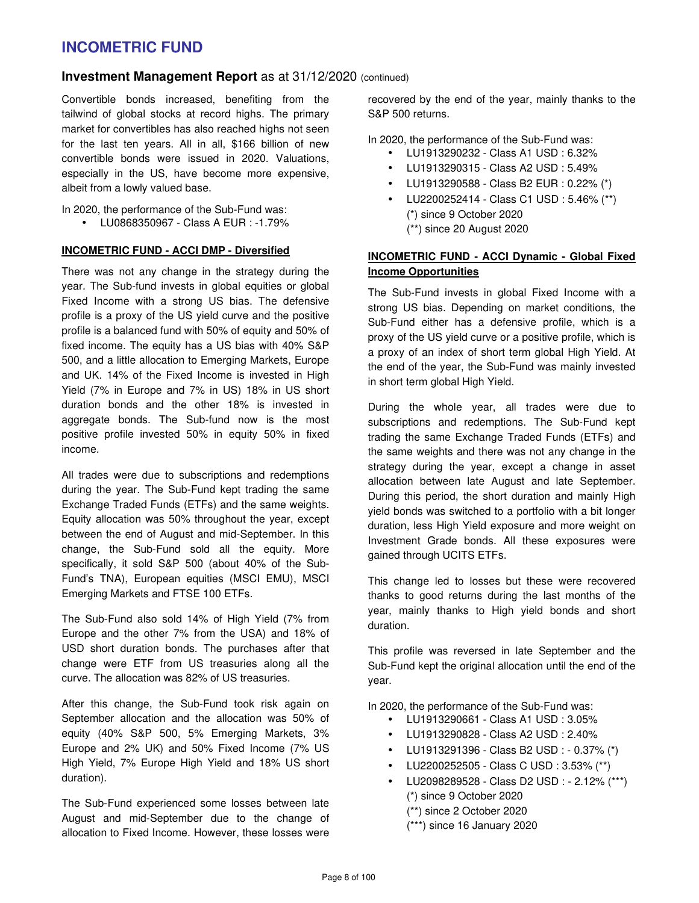### **Investment Management Report** as at 31/12/2020 (continued)

Convertible bonds increased, benefiting from the tailwind of global stocks at record highs. The primary market for convertibles has also reached highs not seen for the last ten years. All in all, \$166 billion of new convertible bonds were issued in 2020. Valuations, especially in the US, have become more expensive, albeit from a lowly valued base.

In 2020, the performance of the Sub-Fund was:

• LU0868350967 - Class A EUR : -1.79%

#### **INCOMETRIC FUND - ACCI DMP - Diversified**

There was not any change in the strategy during the year. The Sub-fund invests in global equities or global Fixed Income with a strong US bias. The defensive profile is a proxy of the US yield curve and the positive profile is a balanced fund with 50% of equity and 50% of fixed income. The equity has a US bias with 40% S&P 500, and a little allocation to Emerging Markets, Europe and UK. 14% of the Fixed Income is invested in High Yield (7% in Europe and 7% in US) 18% in US short duration bonds and the other 18% is invested in aggregate bonds. The Sub-fund now is the most positive profile invested 50% in equity 50% in fixed income.

All trades were due to subscriptions and redemptions during the year. The Sub-Fund kept trading the same Exchange Traded Funds (ETFs) and the same weights. Equity allocation was 50% throughout the year, except between the end of August and mid-September. In this change, the Sub-Fund sold all the equity. More specifically, it sold S&P 500 (about 40% of the Sub-Fund's TNA), European equities (MSCI EMU), MSCI Emerging Markets and FTSE 100 ETFs.

The Sub-Fund also sold 14% of High Yield (7% from Europe and the other 7% from the USA) and 18% of USD short duration bonds. The purchases after that change were ETF from US treasuries along all the curve. The allocation was 82% of US treasuries.

After this change, the Sub-Fund took risk again on September allocation and the allocation was 50% of equity (40% S&P 500, 5% Emerging Markets, 3% Europe and 2% UK) and 50% Fixed Income (7% US High Yield, 7% Europe High Yield and 18% US short duration).

The Sub-Fund experienced some losses between late August and mid-September due to the change of allocation to Fixed Income. However, these losses were recovered by the end of the year, mainly thanks to the S&P 500 returns.

In 2020, the performance of the Sub-Fund was:

- LU1913290232 Class A1 USD : 6.32%
- LU1913290315 Class A2 USD : 5.49%
- LU1913290588 Class B2 EUR : 0.22% (\*)
- LU2200252414 Class C1 USD : 5.46% (\*\*) (\*) since 9 October 2020 (\*\*) since 20 August 2020

### **INCOMETRIC FUND - ACCI Dynamic - Global Fixed Income Opportunities**

The Sub-Fund invests in global Fixed Income with a strong US bias. Depending on market conditions, the Sub-Fund either has a defensive profile, which is a proxy of the US yield curve or a positive profile, which is a proxy of an index of short term global High Yield. At the end of the year, the Sub-Fund was mainly invested in short term global High Yield.

During the whole year, all trades were due to subscriptions and redemptions. The Sub-Fund kept trading the same Exchange Traded Funds (ETFs) and the same weights and there was not any change in the strategy during the year, except a change in asset allocation between late August and late September. During this period, the short duration and mainly High yield bonds was switched to a portfolio with a bit longer duration, less High Yield exposure and more weight on Investment Grade bonds. All these exposures were gained through UCITS ETFs.

This change led to losses but these were recovered thanks to good returns during the last months of the year, mainly thanks to High yield bonds and short duration.

This profile was reversed in late September and the Sub-Fund kept the original allocation until the end of the year.

In 2020, the performance of the Sub-Fund was:

- LU1913290661 Class A1 USD : 3.05%
- LU1913290828 Class A2 USD : 2.40%
- LU1913291396 Class B2 USD : 0.37% (\*)
- LU2200252505 Class C USD : 3.53% (\*\*)
- LU2098289528 Class D2 USD : 2.12% (\*\*\*) (\*) since 9 October 2020 (\*\*) since 2 October 2020 (\*\*\*) since 16 January 2020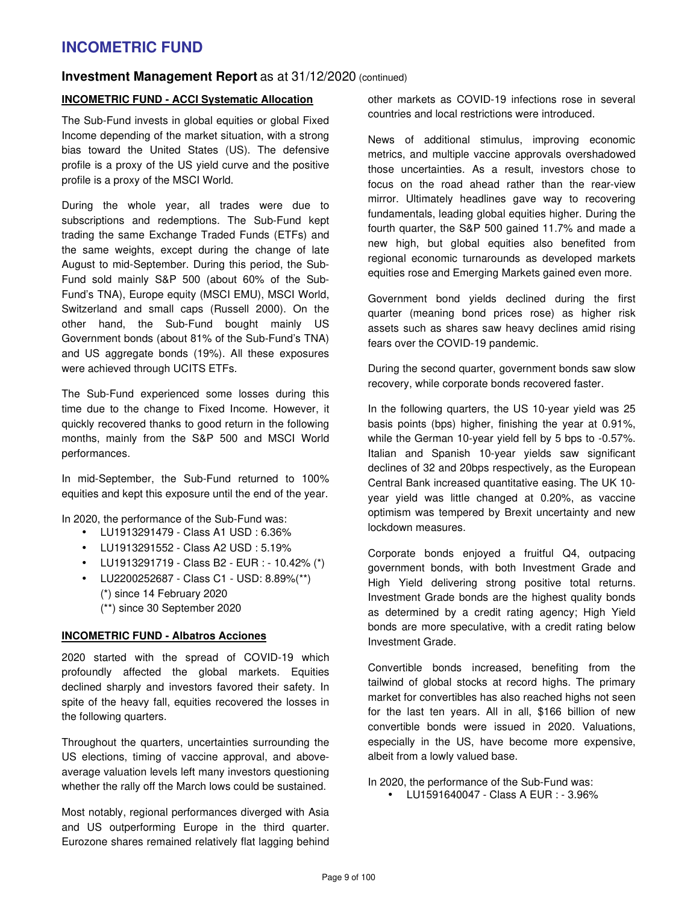### **Investment Management Report** as at 31/12/2020 (continued)

#### **INCOMETRIC FUND - ACCI Systematic Allocation**

The Sub-Fund invests in global equities or global Fixed Income depending of the market situation, with a strong bias toward the United States (US). The defensive profile is a proxy of the US yield curve and the positive profile is a proxy of the MSCI World.

During the whole year, all trades were due to subscriptions and redemptions. The Sub-Fund kept trading the same Exchange Traded Funds (ETFs) and the same weights, except during the change of late August to mid-September. During this period, the Sub-Fund sold mainly S&P 500 (about 60% of the Sub-Fund's TNA), Europe equity (MSCI EMU), MSCI World, Switzerland and small caps (Russell 2000). On the other hand, the Sub-Fund bought mainly US Government bonds (about 81% of the Sub-Fund's TNA) and US aggregate bonds (19%). All these exposures were achieved through UCITS ETFs.

The Sub-Fund experienced some losses during this time due to the change to Fixed Income. However, it quickly recovered thanks to good return in the following months, mainly from the S&P 500 and MSCI World performances.

In mid-September, the Sub-Fund returned to 100% equities and kept this exposure until the end of the year.

In 2020, the performance of the Sub-Fund was:

- LU1913291479 Class A1 USD : 6.36%
- LU1913291552 Class A2 USD : 5.19%
- LU1913291719 Class B2 EUR : 10.42% (\*)
- LU2200252687 Class C1 USD: 8.89%(\*\*) (\*) since 14 February 2020 (\*\*) since 30 September 2020

#### **INCOMETRIC FUND - Albatros Acciones**

2020 started with the spread of COVID-19 which profoundly affected the global markets. Equities declined sharply and investors favored their safety. In spite of the heavy fall, equities recovered the losses in the following quarters.

Throughout the quarters, uncertainties surrounding the US elections, timing of vaccine approval, and aboveaverage valuation levels left many investors questioning whether the rally off the March lows could be sustained.

Most notably, regional performances diverged with Asia and US outperforming Europe in the third quarter. Eurozone shares remained relatively flat lagging behind other markets as COVID-19 infections rose in several countries and local restrictions were introduced.

News of additional stimulus, improving economic metrics, and multiple vaccine approvals overshadowed those uncertainties. As a result, investors chose to focus on the road ahead rather than the rear-view mirror. Ultimately headlines gave way to recovering fundamentals, leading global equities higher. During the fourth quarter, the S&P 500 gained 11.7% and made a new high, but global equities also benefited from regional economic turnarounds as developed markets equities rose and Emerging Markets gained even more.

Government bond yields declined during the first quarter (meaning bond prices rose) as higher risk assets such as shares saw heavy declines amid rising fears over the COVID-19 pandemic.

During the second quarter, government bonds saw slow recovery, while corporate bonds recovered faster.

In the following quarters, the US 10-year yield was 25 basis points (bps) higher, finishing the year at 0.91%, while the German 10-year yield fell by 5 bps to -0.57%. Italian and Spanish 10-year yields saw significant declines of 32 and 20bps respectively, as the European Central Bank increased quantitative easing. The UK 10 year yield was little changed at 0.20%, as vaccine optimism was tempered by Brexit uncertainty and new lockdown measures.

Corporate bonds enjoyed a fruitful Q4, outpacing government bonds, with both Investment Grade and High Yield delivering strong positive total returns. Investment Grade bonds are the highest quality bonds as determined by a credit rating agency; High Yield bonds are more speculative, with a credit rating below Investment Grade.

Convertible bonds increased, benefiting from the tailwind of global stocks at record highs. The primary market for convertibles has also reached highs not seen for the last ten years. All in all, \$166 billion of new convertible bonds were issued in 2020. Valuations, especially in the US, have become more expensive, albeit from a lowly valued base.

In 2020, the performance of the Sub-Fund was:

• LU1591640047 - Class A EUR : - 3.96%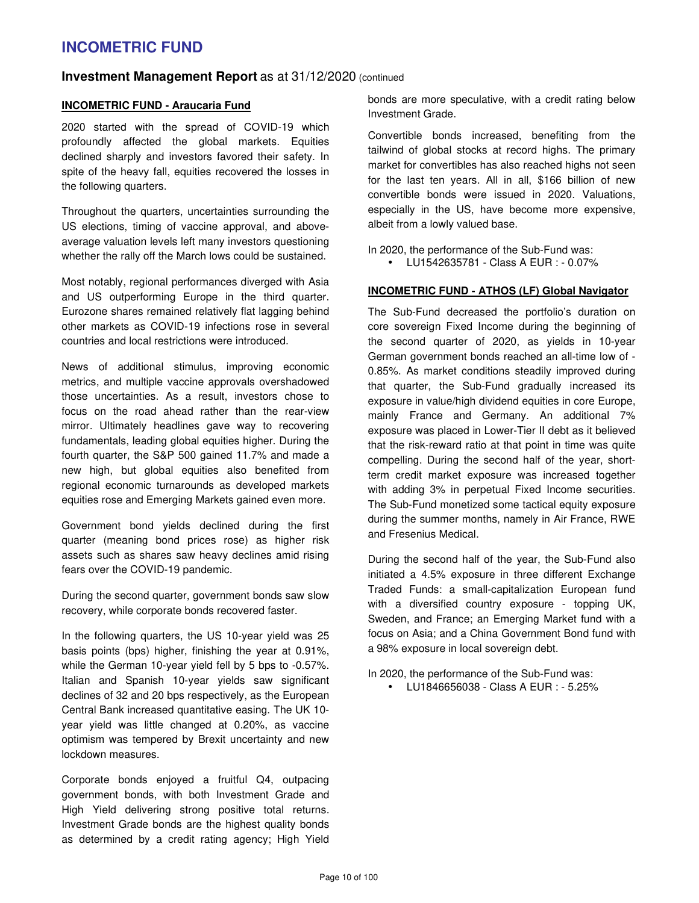### **Investment Management Report** as at 31/12/2020 (continued

#### **INCOMETRIC FUND - Araucaria Fund**

2020 started with the spread of COVID-19 which profoundly affected the global markets. Equities declined sharply and investors favored their safety. In spite of the heavy fall, equities recovered the losses in the following quarters.

Throughout the quarters, uncertainties surrounding the US elections, timing of vaccine approval, and aboveaverage valuation levels left many investors questioning whether the rally off the March lows could be sustained.

Most notably, regional performances diverged with Asia and US outperforming Europe in the third quarter. Eurozone shares remained relatively flat lagging behind other markets as COVID-19 infections rose in several countries and local restrictions were introduced.

News of additional stimulus, improving economic metrics, and multiple vaccine approvals overshadowed those uncertainties. As a result, investors chose to focus on the road ahead rather than the rear-view mirror. Ultimately headlines gave way to recovering fundamentals, leading global equities higher. During the fourth quarter, the S&P 500 gained 11.7% and made a new high, but global equities also benefited from regional economic turnarounds as developed markets equities rose and Emerging Markets gained even more.

Government bond yields declined during the first quarter (meaning bond prices rose) as higher risk assets such as shares saw heavy declines amid rising fears over the COVID-19 pandemic.

During the second quarter, government bonds saw slow recovery, while corporate bonds recovered faster.

In the following quarters, the US 10-year yield was 25 basis points (bps) higher, finishing the year at 0.91%, while the German 10-year yield fell by 5 bps to -0.57%. Italian and Spanish 10-year yields saw significant declines of 32 and 20 bps respectively, as the European Central Bank increased quantitative easing. The UK 10 year yield was little changed at 0.20%, as vaccine optimism was tempered by Brexit uncertainty and new lockdown measures.

Corporate bonds enjoyed a fruitful Q4, outpacing government bonds, with both Investment Grade and High Yield delivering strong positive total returns. Investment Grade bonds are the highest quality bonds as determined by a credit rating agency; High Yield bonds are more speculative, with a credit rating below Investment Grade.

Convertible bonds increased, benefiting from the tailwind of global stocks at record highs. The primary market for convertibles has also reached highs not seen for the last ten years. All in all, \$166 billion of new convertible bonds were issued in 2020. Valuations, especially in the US, have become more expensive, albeit from a lowly valued base.

In 2020, the performance of the Sub-Fund was:

• LU1542635781 - Class A EUR : - 0.07%

#### **INCOMETRIC FUND - ATHOS (LF) Global Navigator**

The Sub-Fund decreased the portfolio's duration on core sovereign Fixed Income during the beginning of the second quarter of 2020, as yields in 10-year German government bonds reached an all-time low of - 0.85%. As market conditions steadily improved during that quarter, the Sub-Fund gradually increased its exposure in value/high dividend equities in core Europe, mainly France and Germany. An additional 7% exposure was placed in Lower-Tier II debt as it believed that the risk-reward ratio at that point in time was quite compelling. During the second half of the year, shortterm credit market exposure was increased together with adding 3% in perpetual Fixed Income securities. The Sub-Fund monetized some tactical equity exposure during the summer months, namely in Air France, RWE and Fresenius Medical.

During the second half of the year, the Sub-Fund also initiated a 4.5% exposure in three different Exchange Traded Funds: a small-capitalization European fund with a diversified country exposure - topping UK, Sweden, and France; an Emerging Market fund with a focus on Asia; and a China Government Bond fund with a 98% exposure in local sovereign debt.

In 2020, the performance of the Sub-Fund was: • LU1846656038 - Class A EUR : - 5.25%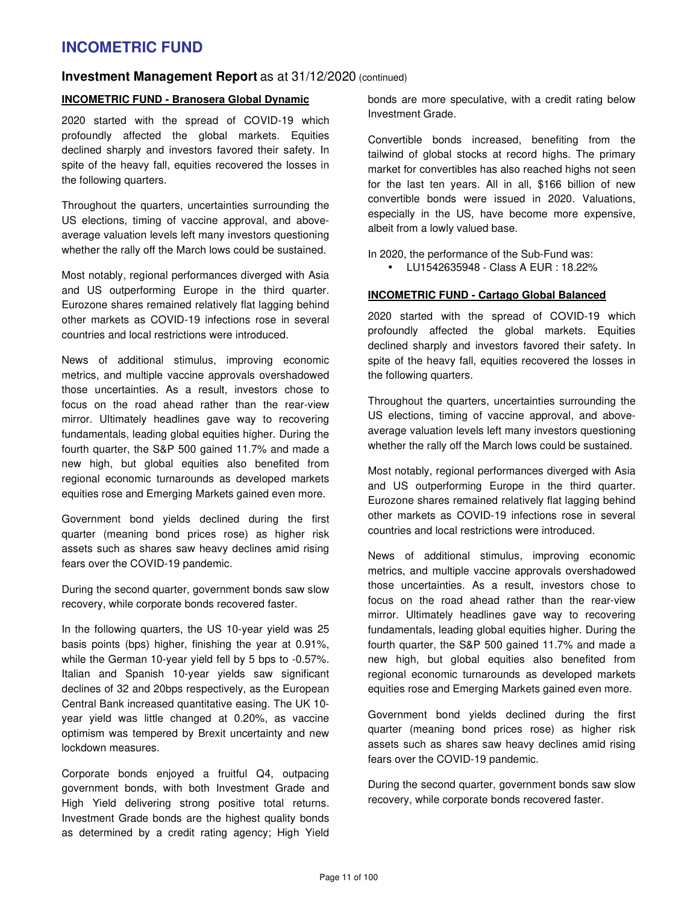### **Investment Management Report** as at 31/12/2020 (continued)

#### **INCOMETRIC FUND - Branosera Global Dynamic**

2020 started with the spread of COVID-19 which profoundly affected the global markets. Equities declined sharply and investors favored their safety. In spite of the heavy fall, equities recovered the losses in the following quarters.

Throughout the quarters, uncertainties surrounding the US elections, timing of vaccine approval, and aboveaverage valuation levels left many investors questioning whether the rally off the March lows could be sustained.

Most notably, regional performances diverged with Asia and US outperforming Europe in the third quarter. Eurozone shares remained relatively flat lagging behind other markets as COVID-19 infections rose in several countries and local restrictions were introduced.

News of additional stimulus, improving economic metrics, and multiple vaccine approvals overshadowed those uncertainties. As a result, investors chose to focus on the road ahead rather than the rear-view mirror. Ultimately headlines gave way to recovering fundamentals, leading global equities higher. During the fourth quarter, the S&P 500 gained 11.7% and made a new high, but global equities also benefited from regional economic turnarounds as developed markets equities rose and Emerging Markets gained even more.

Government bond yields declined during the first quarter (meaning bond prices rose) as higher risk assets such as shares saw heavy declines amid rising fears over the COVID-19 pandemic.

During the second quarter, government bonds saw slow recovery, while corporate bonds recovered faster.

In the following quarters, the US 10-year yield was 25 basis points (bps) higher, finishing the year at 0.91%, while the German 10-year yield fell by 5 bps to -0.57%. Italian and Spanish 10-year yields saw significant declines of 32 and 20bps respectively, as the European Central Bank increased quantitative easing. The UK 10 year yield was little changed at 0.20%, as vaccine optimism was tempered by Brexit uncertainty and new lockdown measures.

Corporate bonds enjoyed a fruitful Q4, outpacing government bonds, with both Investment Grade and High Yield delivering strong positive total returns. Investment Grade bonds are the highest quality bonds as determined by a credit rating agency; High Yield bonds are more speculative, with a credit rating below Investment Grade.

Convertible bonds increased, benefiting from the tailwind of global stocks at record highs. The primary market for convertibles has also reached highs not seen for the last ten years. All in all, \$166 billion of new convertible bonds were issued in 2020. Valuations, especially in the US, have become more expensive, albeit from a lowly valued base.

In 2020, the performance of the Sub-Fund was:

• LU1542635948 - Class A EUR : 18.22%

#### **INCOMETRIC FUND - Cartago Global Balanced**

2020 started with the spread of COVID-19 which profoundly affected the global markets. Equities declined sharply and investors favored their safety. In spite of the heavy fall, equities recovered the losses in the following quarters.

Throughout the quarters, uncertainties surrounding the US elections, timing of vaccine approval, and aboveaverage valuation levels left many investors questioning whether the rally off the March lows could be sustained.

Most notably, regional performances diverged with Asia and US outperforming Europe in the third quarter. Eurozone shares remained relatively flat lagging behind other markets as COVID-19 infections rose in several countries and local restrictions were introduced.

News of additional stimulus, improving economic metrics, and multiple vaccine approvals overshadowed those uncertainties. As a result, investors chose to focus on the road ahead rather than the rear-view mirror. Ultimately headlines gave way to recovering fundamentals, leading global equities higher. During the fourth quarter, the S&P 500 gained 11.7% and made a new high, but global equities also benefited from regional economic turnarounds as developed markets equities rose and Emerging Markets gained even more.

Government bond yields declined during the first quarter (meaning bond prices rose) as higher risk assets such as shares saw heavy declines amid rising fears over the COVID-19 pandemic.

During the second quarter, government bonds saw slow recovery, while corporate bonds recovered faster.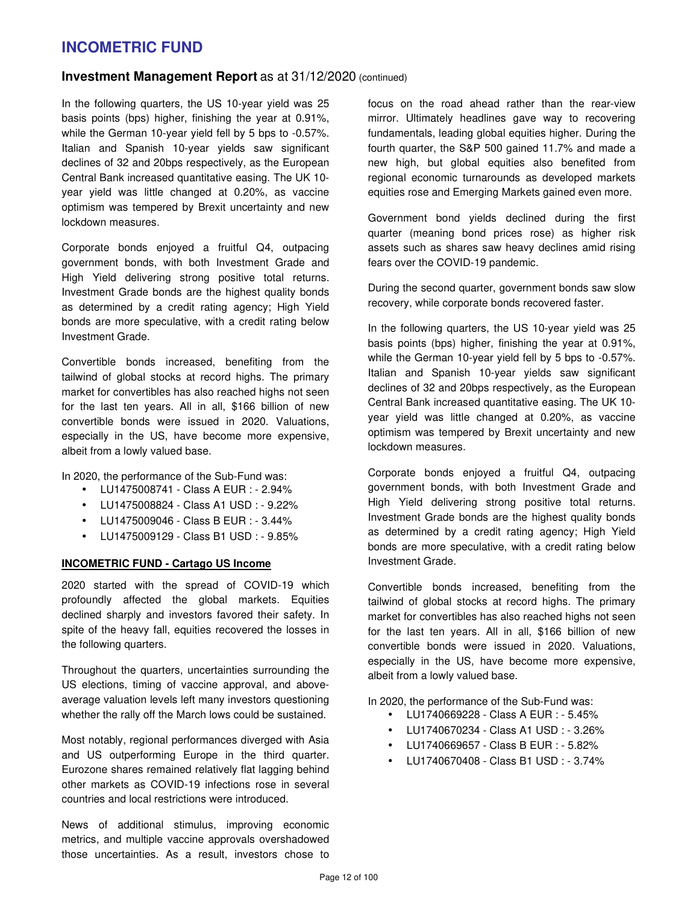### **Investment Management Report** as at 31/12/2020 (continued)

In the following quarters, the US 10-year yield was 25 basis points (bps) higher, finishing the year at 0.91%, while the German 10-year yield fell by 5 bps to -0.57%. Italian and Spanish 10-year yields saw significant declines of 32 and 20bps respectively, as the European Central Bank increased quantitative easing. The UK 10 year yield was little changed at 0.20%, as vaccine optimism was tempered by Brexit uncertainty and new lockdown measures.

Corporate bonds enjoyed a fruitful Q4, outpacing government bonds, with both Investment Grade and High Yield delivering strong positive total returns. Investment Grade bonds are the highest quality bonds as determined by a credit rating agency; High Yield bonds are more speculative, with a credit rating below Investment Grade.

Convertible bonds increased, benefiting from the tailwind of global stocks at record highs. The primary market for convertibles has also reached highs not seen for the last ten years. All in all, \$166 billion of new convertible bonds were issued in 2020. Valuations, especially in the US, have become more expensive, albeit from a lowly valued base.

In 2020, the performance of the Sub-Fund was:

- LU1475008741 Class A EUR : 2.94%
- LU1475008824 Class A1 USD : 9.22%
- LU1475009046 Class B EUR : 3.44%
- LU1475009129 Class B1 USD : 9.85%

#### **INCOMETRIC FUND - Cartago US Income**

2020 started with the spread of COVID-19 which profoundly affected the global markets. Equities declined sharply and investors favored their safety. In spite of the heavy fall, equities recovered the losses in the following quarters.

Throughout the quarters, uncertainties surrounding the US elections, timing of vaccine approval, and aboveaverage valuation levels left many investors questioning whether the rally off the March lows could be sustained.

Most notably, regional performances diverged with Asia and US outperforming Europe in the third quarter. Eurozone shares remained relatively flat lagging behind other markets as COVID-19 infections rose in several countries and local restrictions were introduced.

News of additional stimulus, improving economic metrics, and multiple vaccine approvals overshadowed those uncertainties. As a result, investors chose to focus on the road ahead rather than the rear-view mirror. Ultimately headlines gave way to recovering fundamentals, leading global equities higher. During the fourth quarter, the S&P 500 gained 11.7% and made a new high, but global equities also benefited from regional economic turnarounds as developed markets equities rose and Emerging Markets gained even more.

Government bond yields declined during the first quarter (meaning bond prices rose) as higher risk assets such as shares saw heavy declines amid rising fears over the COVID-19 pandemic.

During the second quarter, government bonds saw slow recovery, while corporate bonds recovered faster.

In the following quarters, the US 10-year yield was 25 basis points (bps) higher, finishing the year at 0.91%, while the German 10-year yield fell by 5 bps to -0.57%. Italian and Spanish 10-year yields saw significant declines of 32 and 20bps respectively, as the European Central Bank increased quantitative easing. The UK 10 year yield was little changed at 0.20%, as vaccine optimism was tempered by Brexit uncertainty and new lockdown measures.

Corporate bonds enjoyed a fruitful Q4, outpacing government bonds, with both Investment Grade and High Yield delivering strong positive total returns. Investment Grade bonds are the highest quality bonds as determined by a credit rating agency; High Yield bonds are more speculative, with a credit rating below Investment Grade.

Convertible bonds increased, benefiting from the tailwind of global stocks at record highs. The primary market for convertibles has also reached highs not seen for the last ten years. All in all, \$166 billion of new convertible bonds were issued in 2020. Valuations, especially in the US, have become more expensive, albeit from a lowly valued base.

In 2020, the performance of the Sub-Fund was:

- LU1740669228 Class A EUR : 5.45%
- LU1740670234 Class A1 USD : 3.26%
- LU1740669657 Class B EUR : 5.82%
- LU1740670408 Class B1 USD : 3.74%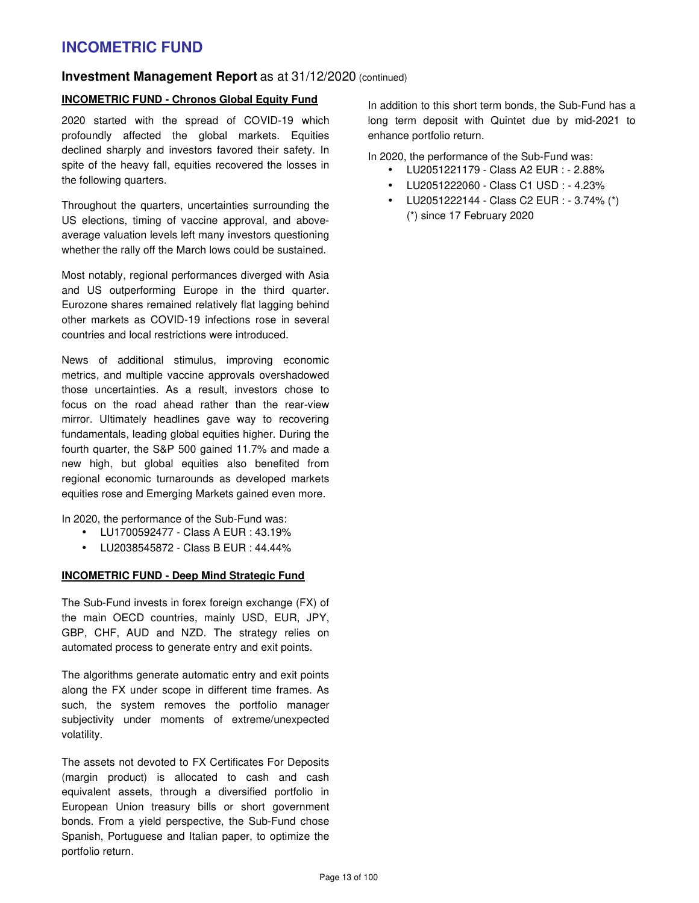### **Investment Management Report** as at 31/12/2020 (continued)

### **INCOMETRIC FUND - Chronos Global Equity Fund**

2020 started with the spread of COVID-19 which profoundly affected the global markets. Equities declined sharply and investors favored their safety. In spite of the heavy fall, equities recovered the losses in the following quarters.

Throughout the quarters, uncertainties surrounding the US elections, timing of vaccine approval, and aboveaverage valuation levels left many investors questioning whether the rally off the March lows could be sustained.

Most notably, regional performances diverged with Asia and US outperforming Europe in the third quarter. Eurozone shares remained relatively flat lagging behind other markets as COVID-19 infections rose in several countries and local restrictions were introduced.

News of additional stimulus, improving economic metrics, and multiple vaccine approvals overshadowed those uncertainties. As a result, investors chose to focus on the road ahead rather than the rear-view mirror. Ultimately headlines gave way to recovering fundamentals, leading global equities higher. During the fourth quarter, the S&P 500 gained 11.7% and made a new high, but global equities also benefited from regional economic turnarounds as developed markets equities rose and Emerging Markets gained even more.

In 2020, the performance of the Sub-Fund was:

- LU1700592477 Class A EUR : 43.19%
- LU2038545872 Class B EUR : 44.44%

#### **INCOMETRIC FUND - Deep Mind Strategic Fund**

The Sub-Fund invests in forex foreign exchange (FX) of the main OECD countries, mainly USD, EUR, JPY, GBP, CHF, AUD and NZD. The strategy relies on automated process to generate entry and exit points.

The algorithms generate automatic entry and exit points along the FX under scope in different time frames. As such, the system removes the portfolio manager subjectivity under moments of extreme/unexpected volatility.

The assets not devoted to FX Certificates For Deposits (margin product) is allocated to cash and cash equivalent assets, through a diversified portfolio in European Union treasury bills or short government bonds. From a yield perspective, the Sub-Fund chose Spanish, Portuguese and Italian paper, to optimize the portfolio return.

In addition to this short term bonds, the Sub-Fund has a long term deposit with Quintet due by mid-2021 to enhance portfolio return.

In 2020, the performance of the Sub-Fund was:

- LU2051221179 Class A2 EUR : 2.88%
- LU2051222060 Class C1 USD : 4.23%
- LU2051222144 Class C2 EUR : 3.74% (\*) (\*) since 17 February 2020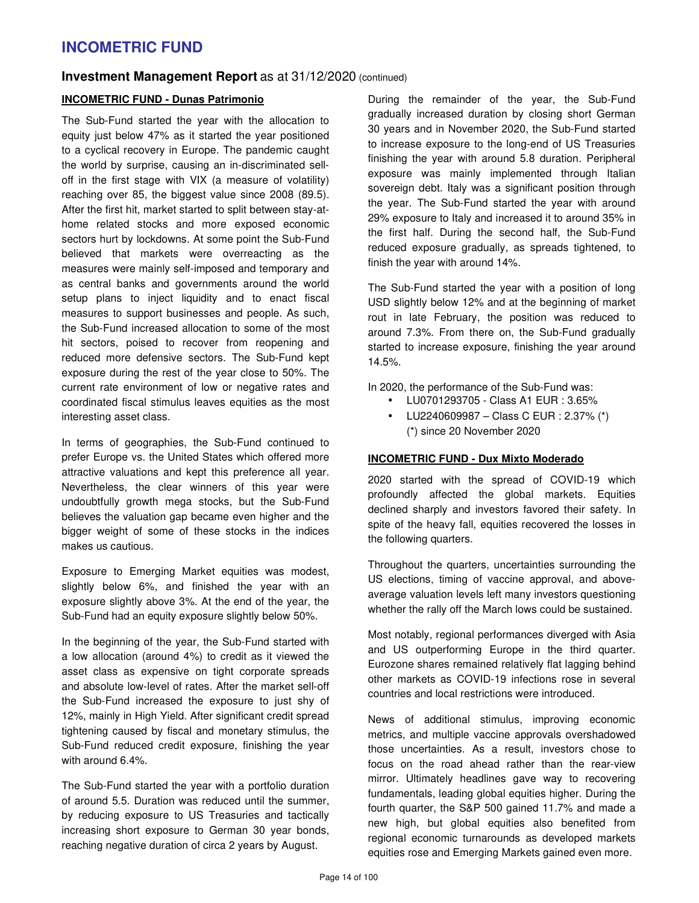### **Investment Management Report** as at 31/12/2020 (continued)

#### **INCOMETRIC FUND - Dunas Patrimonio**

The Sub-Fund started the year with the allocation to equity just below 47% as it started the year positioned to a cyclical recovery in Europe. The pandemic caught the world by surprise, causing an in-discriminated selloff in the first stage with VIX (a measure of volatility) reaching over 85, the biggest value since 2008 (89.5). After the first hit, market started to split between stay-athome related stocks and more exposed economic sectors hurt by lockdowns. At some point the Sub-Fund believed that markets were overreacting as the measures were mainly self-imposed and temporary and as central banks and governments around the world setup plans to inject liquidity and to enact fiscal measures to support businesses and people. As such, the Sub-Fund increased allocation to some of the most hit sectors, poised to recover from reopening and reduced more defensive sectors. The Sub-Fund kept exposure during the rest of the year close to 50%. The current rate environment of low or negative rates and coordinated fiscal stimulus leaves equities as the most interesting asset class.

In terms of geographies, the Sub-Fund continued to prefer Europe vs. the United States which offered more attractive valuations and kept this preference all year. Nevertheless, the clear winners of this year were undoubtfully growth mega stocks, but the Sub-Fund believes the valuation gap became even higher and the bigger weight of some of these stocks in the indices makes us cautious.

Exposure to Emerging Market equities was modest, slightly below 6%, and finished the year with an exposure slightly above 3%. At the end of the year, the Sub-Fund had an equity exposure slightly below 50%.

In the beginning of the year, the Sub-Fund started with a low allocation (around 4%) to credit as it viewed the asset class as expensive on tight corporate spreads and absolute low-level of rates. After the market sell-off the Sub-Fund increased the exposure to just shy of 12%, mainly in High Yield. After significant credit spread tightening caused by fiscal and monetary stimulus, the Sub-Fund reduced credit exposure, finishing the year with around 6.4%.

The Sub-Fund started the year with a portfolio duration of around 5.5. Duration was reduced until the summer, by reducing exposure to US Treasuries and tactically increasing short exposure to German 30 year bonds, reaching negative duration of circa 2 years by August.

During the remainder of the year, the Sub-Fund gradually increased duration by closing short German 30 years and in November 2020, the Sub-Fund started to increase exposure to the long-end of US Treasuries finishing the year with around 5.8 duration. Peripheral exposure was mainly implemented through Italian sovereign debt. Italy was a significant position through the year. The Sub-Fund started the year with around 29% exposure to Italy and increased it to around 35% in the first half. During the second half, the Sub-Fund reduced exposure gradually, as spreads tightened, to finish the year with around 14%.

The Sub-Fund started the year with a position of long USD slightly below 12% and at the beginning of market rout in late February, the position was reduced to around 7.3%. From there on, the Sub-Fund gradually started to increase exposure, finishing the year around 14.5%.

In 2020, the performance of the Sub-Fund was:

- LU0701293705 Class A1 EUR : 3.65%
- LU2240609987 Class C EUR : 2.37% (\*) (\*) since 20 November 2020

#### **INCOMETRIC FUND - Dux Mixto Moderado**

2020 started with the spread of COVID-19 which profoundly affected the global markets. Equities declined sharply and investors favored their safety. In spite of the heavy fall, equities recovered the losses in the following quarters.

Throughout the quarters, uncertainties surrounding the US elections, timing of vaccine approval, and aboveaverage valuation levels left many investors questioning whether the rally off the March lows could be sustained.

Most notably, regional performances diverged with Asia and US outperforming Europe in the third quarter. Eurozone shares remained relatively flat lagging behind other markets as COVID-19 infections rose in several countries and local restrictions were introduced.

News of additional stimulus, improving economic metrics, and multiple vaccine approvals overshadowed those uncertainties. As a result, investors chose to focus on the road ahead rather than the rear-view mirror. Ultimately headlines gave way to recovering fundamentals, leading global equities higher. During the fourth quarter, the S&P 500 gained 11.7% and made a new high, but global equities also benefited from regional economic turnarounds as developed markets equities rose and Emerging Markets gained even more.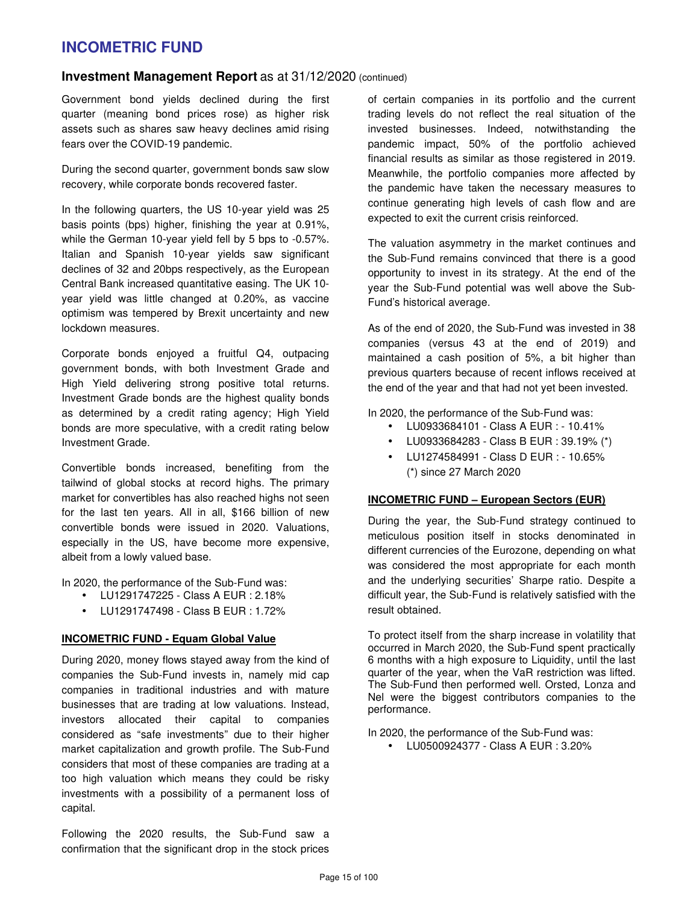#### **Investment Management Report** as at 31/12/2020 (continued)

Government bond yields declined during the first quarter (meaning bond prices rose) as higher risk assets such as shares saw heavy declines amid rising fears over the COVID-19 pandemic.

During the second quarter, government bonds saw slow recovery, while corporate bonds recovered faster.

In the following quarters, the US 10-year yield was 25 basis points (bps) higher, finishing the year at 0.91%, while the German 10-year yield fell by 5 bps to -0.57%. Italian and Spanish 10-year yields saw significant declines of 32 and 20bps respectively, as the European Central Bank increased quantitative easing. The UK 10 year yield was little changed at 0.20%, as vaccine optimism was tempered by Brexit uncertainty and new lockdown measures.

Corporate bonds enjoyed a fruitful Q4, outpacing government bonds, with both Investment Grade and High Yield delivering strong positive total returns. Investment Grade bonds are the highest quality bonds as determined by a credit rating agency; High Yield bonds are more speculative, with a credit rating below Investment Grade.

Convertible bonds increased, benefiting from the tailwind of global stocks at record highs. The primary market for convertibles has also reached highs not seen for the last ten years. All in all, \$166 billion of new convertible bonds were issued in 2020. Valuations, especially in the US, have become more expensive, albeit from a lowly valued base.

In 2020, the performance of the Sub-Fund was:

- LU1291747225 Class A EUR : 2.18%
- LU1291747498 Class B EUR : 1.72%

#### **INCOMETRIC FUND - Equam Global Value**

During 2020, money flows stayed away from the kind of companies the Sub-Fund invests in, namely mid cap companies in traditional industries and with mature businesses that are trading at low valuations. Instead, investors allocated their capital to companies considered as "safe investments" due to their higher market capitalization and growth profile. The Sub-Fund considers that most of these companies are trading at a too high valuation which means they could be risky investments with a possibility of a permanent loss of capital.

Following the 2020 results, the Sub-Fund saw a confirmation that the significant drop in the stock prices of certain companies in its portfolio and the current trading levels do not reflect the real situation of the invested businesses. Indeed, notwithstanding the pandemic impact, 50% of the portfolio achieved financial results as similar as those registered in 2019. Meanwhile, the portfolio companies more affected by the pandemic have taken the necessary measures to continue generating high levels of cash flow and are expected to exit the current crisis reinforced.

The valuation asymmetry in the market continues and the Sub-Fund remains convinced that there is a good opportunity to invest in its strategy. At the end of the year the Sub-Fund potential was well above the Sub-Fund's historical average.

As of the end of 2020, the Sub-Fund was invested in 38 companies (versus 43 at the end of 2019) and maintained a cash position of 5%, a bit higher than previous quarters because of recent inflows received at the end of the year and that had not yet been invested.

In 2020, the performance of the Sub-Fund was:

- LU0933684101 Class A EUR : 10.41%
- LU0933684283 Class B EUR : 39.19% (\*)
- LU1274584991 Class D EUR : 10.65% (\*) since 27 March 2020

#### **INCOMETRIC FUND – European Sectors (EUR)**

During the year, the Sub-Fund strategy continued to meticulous position itself in stocks denominated in different currencies of the Eurozone, depending on what was considered the most appropriate for each month and the underlying securities' Sharpe ratio. Despite a difficult year, the Sub-Fund is relatively satisfied with the result obtained.

To protect itself from the sharp increase in volatility that occurred in March 2020, the Sub-Fund spent practically 6 months with a high exposure to Liquidity, until the last quarter of the year, when the VaR restriction was lifted. The Sub-Fund then performed well. Orsted, Lonza and Nel were the biggest contributors companies to the performance.

In 2020, the performance of the Sub-Fund was:

• LU0500924377 - Class A EUR : 3.20%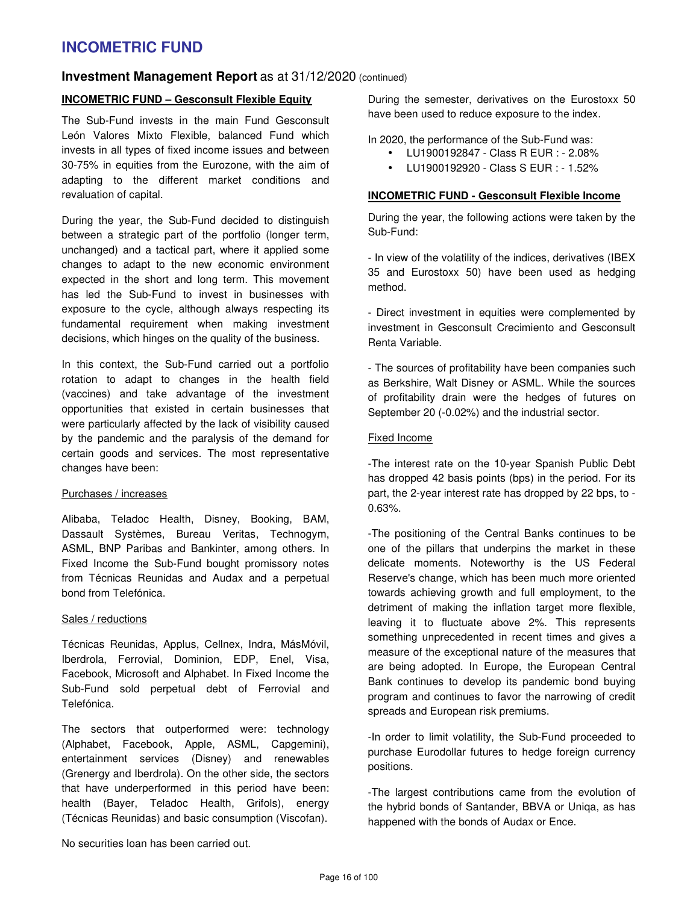### **Investment Management Report** as at 31/12/2020 (continued)

#### **INCOMETRIC FUND – Gesconsult Flexible Equity**

The Sub-Fund invests in the main Fund Gesconsult León Valores Mixto Flexible, balanced Fund which invests in all types of fixed income issues and between 30-75% in equities from the Eurozone, with the aim of adapting to the different market conditions and revaluation of capital.

During the year, the Sub-Fund decided to distinguish between a strategic part of the portfolio (longer term, unchanged) and a tactical part, where it applied some changes to adapt to the new economic environment expected in the short and long term. This movement has led the Sub-Fund to invest in businesses with exposure to the cycle, although always respecting its fundamental requirement when making investment decisions, which hinges on the quality of the business.

In this context, the Sub-Fund carried out a portfolio rotation to adapt to changes in the health field (vaccines) and take advantage of the investment opportunities that existed in certain businesses that were particularly affected by the lack of visibility caused by the pandemic and the paralysis of the demand for certain goods and services. The most representative changes have been:

#### Purchases / increases

Alibaba, Teladoc Health, Disney, Booking, BAM, Dassault Systèmes, Bureau Veritas, Technogym, ASML, BNP Paribas and Bankinter, among others. In Fixed Income the Sub-Fund bought promissory notes from Técnicas Reunidas and Audax and a perpetual bond from Telefónica.

#### Sales / reductions

Técnicas Reunidas, Applus, Cellnex, Indra, MásMóvil, Iberdrola, Ferrovial, Dominion, EDP, Enel, Visa, Facebook, Microsoft and Alphabet. In Fixed Income the Sub-Fund sold perpetual debt of Ferrovial and Telefónica.

The sectors that outperformed were: technology (Alphabet, Facebook, Apple, ASML, Capgemini), entertainment services (Disney) and renewables (Grenergy and Iberdrola). On the other side, the sectors that have underperformed in this period have been: health (Bayer, Teladoc Health, Grifols), energy (Técnicas Reunidas) and basic consumption (Viscofan).

During the semester, derivatives on the Eurostoxx 50 have been used to reduce exposure to the index.

In 2020, the performance of the Sub-Fund was:

- LU1900192847 Class R EUR : 2.08%
- LU1900192920 Class S EUR : 1.52%

#### **INCOMETRIC FUND - Gesconsult Flexible Income**

During the year, the following actions were taken by the Sub-Fund:

- In view of the volatility of the indices, derivatives (IBEX 35 and Eurostoxx 50) have been used as hedging method.

- Direct investment in equities were complemented by investment in Gesconsult Crecimiento and Gesconsult Renta Variable.

- The sources of profitability have been companies such as Berkshire, Walt Disney or ASML. While the sources of profitability drain were the hedges of futures on September 20 (-0.02%) and the industrial sector.

#### Fixed Income

-The interest rate on the 10-year Spanish Public Debt has dropped 42 basis points (bps) in the period. For its part, the 2-year interest rate has dropped by 22 bps, to - 0.63%.

-The positioning of the Central Banks continues to be one of the pillars that underpins the market in these delicate moments. Noteworthy is the US Federal Reserve's change, which has been much more oriented towards achieving growth and full employment, to the detriment of making the inflation target more flexible, leaving it to fluctuate above 2%. This represents something unprecedented in recent times and gives a measure of the exceptional nature of the measures that are being adopted. In Europe, the European Central Bank continues to develop its pandemic bond buying program and continues to favor the narrowing of credit spreads and European risk premiums.

-In order to limit volatility, the Sub-Fund proceeded to purchase Eurodollar futures to hedge foreign currency positions.

-The largest contributions came from the evolution of the hybrid bonds of Santander, BBVA or Uniqa, as has happened with the bonds of Audax or Ence.

No securities loan has been carried out.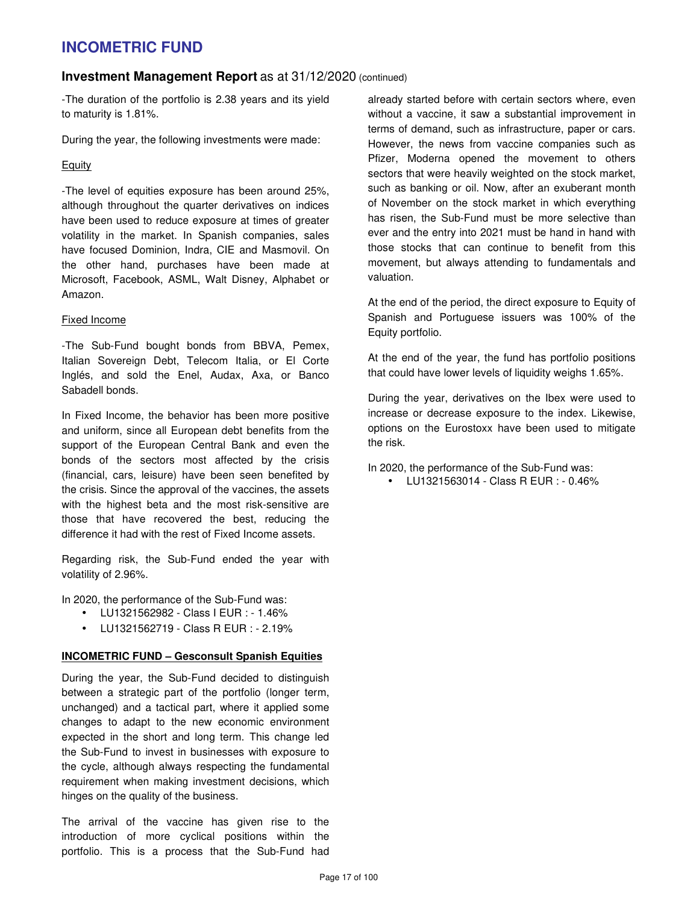### **Investment Management Report** as at 31/12/2020 (continued)

-The duration of the portfolio is 2.38 years and its yield to maturity is 1.81%.

During the year, the following investments were made:

### Equity

-The level of equities exposure has been around 25%, although throughout the quarter derivatives on indices have been used to reduce exposure at times of greater volatility in the market. In Spanish companies, sales have focused Dominion, Indra, CIE and Masmovil. On the other hand, purchases have been made at Microsoft, Facebook, ASML, Walt Disney, Alphabet or Amazon.

#### Fixed Income

-The Sub-Fund bought bonds from BBVA, Pemex, Italian Sovereign Debt, Telecom Italia, or El Corte Inglés, and sold the Enel, Audax, Axa, or Banco Sabadell bonds.

In Fixed Income, the behavior has been more positive and uniform, since all European debt benefits from the support of the European Central Bank and even the bonds of the sectors most affected by the crisis (financial, cars, leisure) have been seen benefited by the crisis. Since the approval of the vaccines, the assets with the highest beta and the most risk-sensitive are those that have recovered the best, reducing the difference it had with the rest of Fixed Income assets.

Regarding risk, the Sub-Fund ended the year with volatility of 2.96%.

In 2020, the performance of the Sub-Fund was:

- LU1321562982 Class I EUR : 1.46%
- LU1321562719 Class R EUR : 2.19%

#### **INCOMETRIC FUND – Gesconsult Spanish Equities**

During the year, the Sub-Fund decided to distinguish between a strategic part of the portfolio (longer term, unchanged) and a tactical part, where it applied some changes to adapt to the new economic environment expected in the short and long term. This change led the Sub-Fund to invest in businesses with exposure to the cycle, although always respecting the fundamental requirement when making investment decisions, which hinges on the quality of the business.

The arrival of the vaccine has given rise to the introduction of more cyclical positions within the portfolio. This is a process that the Sub-Fund had already started before with certain sectors where, even without a vaccine, it saw a substantial improvement in terms of demand, such as infrastructure, paper or cars. However, the news from vaccine companies such as Pfizer, Moderna opened the movement to others sectors that were heavily weighted on the stock market, such as banking or oil. Now, after an exuberant month of November on the stock market in which everything has risen, the Sub-Fund must be more selective than ever and the entry into 2021 must be hand in hand with those stocks that can continue to benefit from this movement, but always attending to fundamentals and valuation.

At the end of the period, the direct exposure to Equity of Spanish and Portuguese issuers was 100% of the Equity portfolio.

At the end of the year, the fund has portfolio positions that could have lower levels of liquidity weighs 1.65%.

During the year, derivatives on the Ibex were used to increase or decrease exposure to the index. Likewise, options on the Eurostoxx have been used to mitigate the risk.

In 2020, the performance of the Sub-Fund was:

• LU1321563014 - Class R EUR : - 0.46%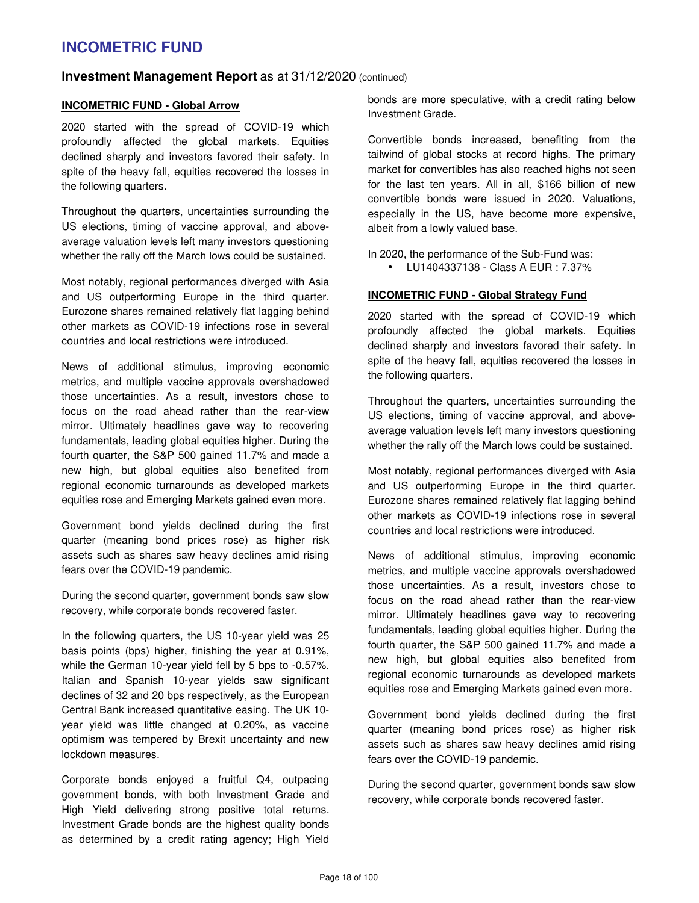### **Investment Management Report** as at 31/12/2020 (continued)

#### **INCOMETRIC FUND - Global Arrow**

2020 started with the spread of COVID-19 which profoundly affected the global markets. Equities declined sharply and investors favored their safety. In spite of the heavy fall, equities recovered the losses in the following quarters.

Throughout the quarters, uncertainties surrounding the US elections, timing of vaccine approval, and aboveaverage valuation levels left many investors questioning whether the rally off the March lows could be sustained.

Most notably, regional performances diverged with Asia and US outperforming Europe in the third quarter. Eurozone shares remained relatively flat lagging behind other markets as COVID-19 infections rose in several countries and local restrictions were introduced.

News of additional stimulus, improving economic metrics, and multiple vaccine approvals overshadowed those uncertainties. As a result, investors chose to focus on the road ahead rather than the rear-view mirror. Ultimately headlines gave way to recovering fundamentals, leading global equities higher. During the fourth quarter, the S&P 500 gained 11.7% and made a new high, but global equities also benefited from regional economic turnarounds as developed markets equities rose and Emerging Markets gained even more.

Government bond yields declined during the first quarter (meaning bond prices rose) as higher risk assets such as shares saw heavy declines amid rising fears over the COVID-19 pandemic.

During the second quarter, government bonds saw slow recovery, while corporate bonds recovered faster.

In the following quarters, the US 10-year yield was 25 basis points (bps) higher, finishing the year at 0.91%, while the German 10-year yield fell by 5 bps to -0.57%. Italian and Spanish 10-year yields saw significant declines of 32 and 20 bps respectively, as the European Central Bank increased quantitative easing. The UK 10 year yield was little changed at 0.20%, as vaccine optimism was tempered by Brexit uncertainty and new lockdown measures.

Corporate bonds enjoyed a fruitful Q4, outpacing government bonds, with both Investment Grade and High Yield delivering strong positive total returns. Investment Grade bonds are the highest quality bonds as determined by a credit rating agency; High Yield bonds are more speculative, with a credit rating below Investment Grade.

Convertible bonds increased, benefiting from the tailwind of global stocks at record highs. The primary market for convertibles has also reached highs not seen for the last ten years. All in all, \$166 billion of new convertible bonds were issued in 2020. Valuations, especially in the US, have become more expensive, albeit from a lowly valued base.

In 2020, the performance of the Sub-Fund was:

• LU1404337138 - Class A EUR : 7.37%

#### **INCOMETRIC FUND - Global Strategy Fund**

2020 started with the spread of COVID-19 which profoundly affected the global markets. Equities declined sharply and investors favored their safety. In spite of the heavy fall, equities recovered the losses in the following quarters.

Throughout the quarters, uncertainties surrounding the US elections, timing of vaccine approval, and aboveaverage valuation levels left many investors questioning whether the rally off the March lows could be sustained.

Most notably, regional performances diverged with Asia and US outperforming Europe in the third quarter. Eurozone shares remained relatively flat lagging behind other markets as COVID-19 infections rose in several countries and local restrictions were introduced.

News of additional stimulus, improving economic metrics, and multiple vaccine approvals overshadowed those uncertainties. As a result, investors chose to focus on the road ahead rather than the rear-view mirror. Ultimately headlines gave way to recovering fundamentals, leading global equities higher. During the fourth quarter, the S&P 500 gained 11.7% and made a new high, but global equities also benefited from regional economic turnarounds as developed markets equities rose and Emerging Markets gained even more.

Government bond yields declined during the first quarter (meaning bond prices rose) as higher risk assets such as shares saw heavy declines amid rising fears over the COVID-19 pandemic.

During the second quarter, government bonds saw slow recovery, while corporate bonds recovered faster.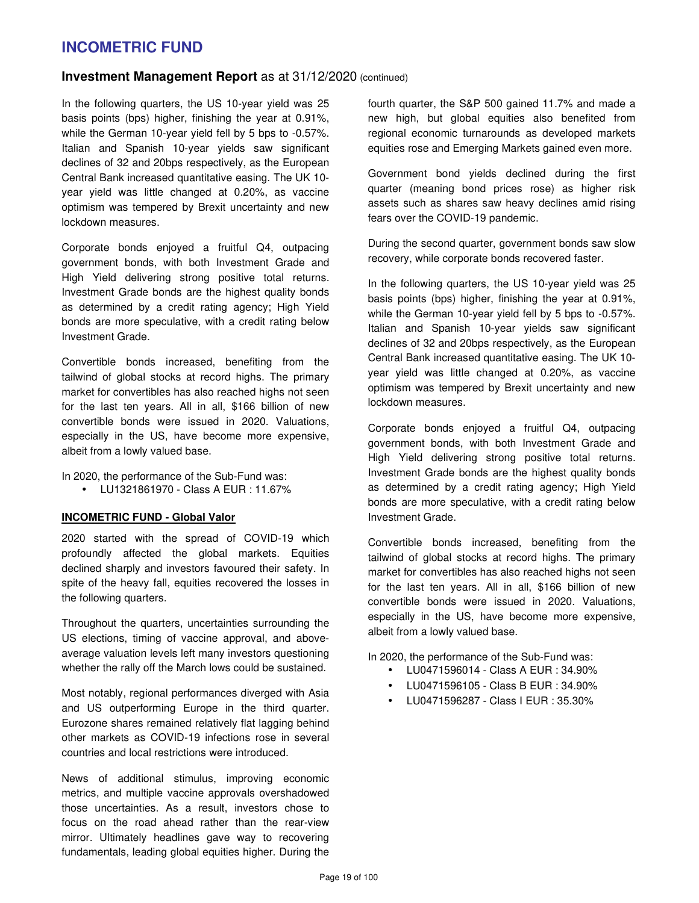### **Investment Management Report** as at 31/12/2020 (continued)

In the following quarters, the US 10-year yield was 25 basis points (bps) higher, finishing the year at 0.91%, while the German 10-year yield fell by 5 bps to -0.57%. Italian and Spanish 10-year yields saw significant declines of 32 and 20bps respectively, as the European Central Bank increased quantitative easing. The UK 10 year yield was little changed at 0.20%, as vaccine optimism was tempered by Brexit uncertainty and new lockdown measures.

Corporate bonds enjoyed a fruitful Q4, outpacing government bonds, with both Investment Grade and High Yield delivering strong positive total returns. Investment Grade bonds are the highest quality bonds as determined by a credit rating agency; High Yield bonds are more speculative, with a credit rating below Investment Grade.

Convertible bonds increased, benefiting from the tailwind of global stocks at record highs. The primary market for convertibles has also reached highs not seen for the last ten years. All in all, \$166 billion of new convertible bonds were issued in 2020. Valuations, especially in the US, have become more expensive, albeit from a lowly valued base.

In 2020, the performance of the Sub-Fund was:

• LU1321861970 - Class A EUR : 11.67%

#### **INCOMETRIC FUND - Global Valor**

2020 started with the spread of COVID-19 which profoundly affected the global markets. Equities declined sharply and investors favoured their safety. In spite of the heavy fall, equities recovered the losses in the following quarters.

Throughout the quarters, uncertainties surrounding the US elections, timing of vaccine approval, and aboveaverage valuation levels left many investors questioning whether the rally off the March lows could be sustained.

Most notably, regional performances diverged with Asia and US outperforming Europe in the third quarter. Eurozone shares remained relatively flat lagging behind other markets as COVID-19 infections rose in several countries and local restrictions were introduced.

News of additional stimulus, improving economic metrics, and multiple vaccine approvals overshadowed those uncertainties. As a result, investors chose to focus on the road ahead rather than the rear-view mirror. Ultimately headlines gave way to recovering fundamentals, leading global equities higher. During the fourth quarter, the S&P 500 gained 11.7% and made a new high, but global equities also benefited from regional economic turnarounds as developed markets equities rose and Emerging Markets gained even more.

Government bond yields declined during the first quarter (meaning bond prices rose) as higher risk assets such as shares saw heavy declines amid rising fears over the COVID-19 pandemic.

During the second quarter, government bonds saw slow recovery, while corporate bonds recovered faster.

In the following quarters, the US 10-year yield was 25 basis points (bps) higher, finishing the year at 0.91%, while the German 10-year yield fell by 5 bps to -0.57%. Italian and Spanish 10-year yields saw significant declines of 32 and 20bps respectively, as the European Central Bank increased quantitative easing. The UK 10 year yield was little changed at 0.20%, as vaccine optimism was tempered by Brexit uncertainty and new lockdown measures.

Corporate bonds enjoyed a fruitful Q4, outpacing government bonds, with both Investment Grade and High Yield delivering strong positive total returns. Investment Grade bonds are the highest quality bonds as determined by a credit rating agency; High Yield bonds are more speculative, with a credit rating below Investment Grade.

Convertible bonds increased, benefiting from the tailwind of global stocks at record highs. The primary market for convertibles has also reached highs not seen for the last ten years. All in all, \$166 billion of new convertible bonds were issued in 2020. Valuations, especially in the US, have become more expensive, albeit from a lowly valued base.

In 2020, the performance of the Sub-Fund was:

- LU0471596014 Class A EUR : 34.90%
	- LU0471596105 Class B EUR : 34.90%
- LU0471596287 Class I EUR : 35.30%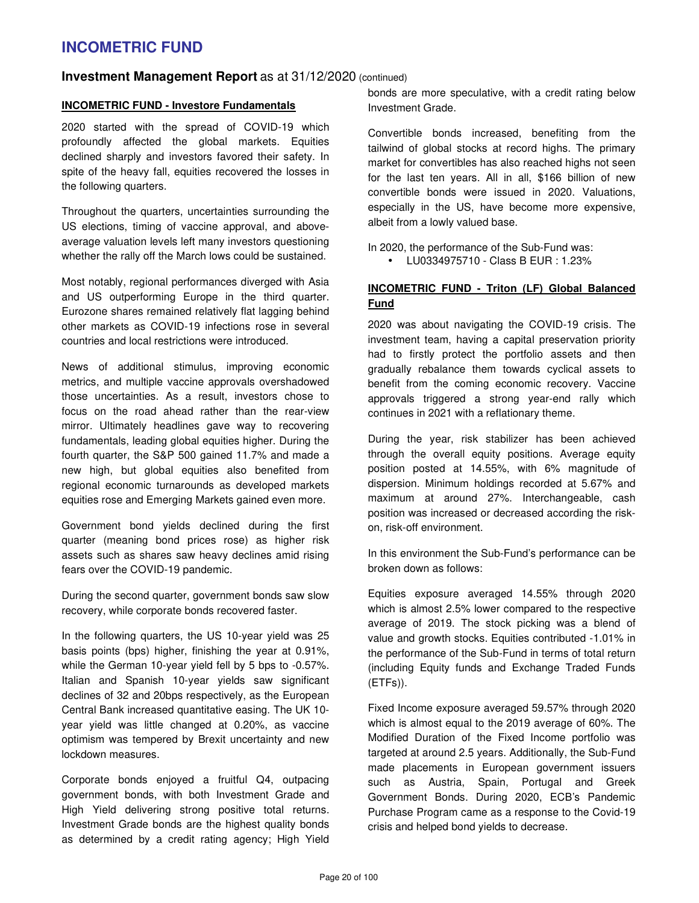### **Investment Management Report** as at 31/12/2020 (continued)

#### **INCOMETRIC FUND - Investore Fundamentals**

2020 started with the spread of COVID-19 which profoundly affected the global markets. Equities declined sharply and investors favored their safety. In spite of the heavy fall, equities recovered the losses in the following quarters.

Throughout the quarters, uncertainties surrounding the US elections, timing of vaccine approval, and aboveaverage valuation levels left many investors questioning whether the rally off the March lows could be sustained.

Most notably, regional performances diverged with Asia and US outperforming Europe in the third quarter. Eurozone shares remained relatively flat lagging behind other markets as COVID-19 infections rose in several countries and local restrictions were introduced.

News of additional stimulus, improving economic metrics, and multiple vaccine approvals overshadowed those uncertainties. As a result, investors chose to focus on the road ahead rather than the rear-view mirror. Ultimately headlines gave way to recovering fundamentals, leading global equities higher. During the fourth quarter, the S&P 500 gained 11.7% and made a new high, but global equities also benefited from regional economic turnarounds as developed markets equities rose and Emerging Markets gained even more.

Government bond yields declined during the first quarter (meaning bond prices rose) as higher risk assets such as shares saw heavy declines amid rising fears over the COVID-19 pandemic.

During the second quarter, government bonds saw slow recovery, while corporate bonds recovered faster.

In the following quarters, the US 10-year yield was 25 basis points (bps) higher, finishing the year at 0.91%, while the German 10-year yield fell by 5 bps to -0.57%. Italian and Spanish 10-year yields saw significant declines of 32 and 20bps respectively, as the European Central Bank increased quantitative easing. The UK 10 year yield was little changed at 0.20%, as vaccine optimism was tempered by Brexit uncertainty and new lockdown measures.

Corporate bonds enjoyed a fruitful Q4, outpacing government bonds, with both Investment Grade and High Yield delivering strong positive total returns. Investment Grade bonds are the highest quality bonds as determined by a credit rating agency; High Yield bonds are more speculative, with a credit rating below Investment Grade.

Convertible bonds increased, benefiting from the tailwind of global stocks at record highs. The primary market for convertibles has also reached highs not seen for the last ten years. All in all, \$166 billion of new convertible bonds were issued in 2020. Valuations, especially in the US, have become more expensive, albeit from a lowly valued base.

In 2020, the performance of the Sub-Fund was: • LU0334975710 - Class B EUR : 1.23%

### **INCOMETRIC FUND - Triton (LF) Global Balanced Fund**

2020 was about navigating the COVID-19 crisis. The investment team, having a capital preservation priority had to firstly protect the portfolio assets and then gradually rebalance them towards cyclical assets to benefit from the coming economic recovery. Vaccine approvals triggered a strong year-end rally which continues in 2021 with a reflationary theme.

During the year, risk stabilizer has been achieved through the overall equity positions. Average equity position posted at 14.55%, with 6% magnitude of dispersion. Minimum holdings recorded at 5.67% and maximum at around 27%. Interchangeable, cash position was increased or decreased according the riskon, risk-off environment.

In this environment the Sub-Fund's performance can be broken down as follows:

Equities exposure averaged 14.55% through 2020 which is almost 2.5% lower compared to the respective average of 2019. The stock picking was a blend of value and growth stocks. Equities contributed -1.01% in the performance of the Sub-Fund in terms of total return (including Equity funds and Exchange Traded Funds (ETFs)).

Fixed Income exposure averaged 59.57% through 2020 which is almost equal to the 2019 average of 60%. The Modified Duration of the Fixed Income portfolio was targeted at around 2.5 years. Additionally, the Sub-Fund made placements in European government issuers such as Austria, Spain, Portugal and Greek Government Bonds. During 2020, ECB's Pandemic Purchase Program came as a response to the Covid-19 crisis and helped bond yields to decrease.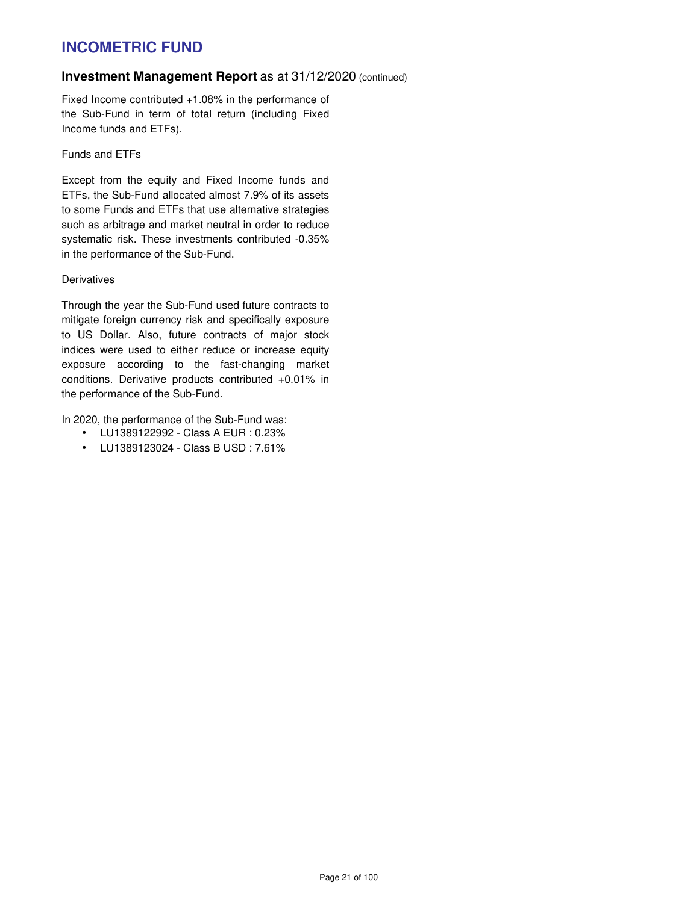### **Investment Management Report** as at 31/12/2020 (continued)

Fixed Income contributed +1.08% in the performance of the Sub-Fund in term of total return (including Fixed Income funds and ETFs).

#### Funds and ETFs

Except from the equity and Fixed Income funds and ETFs, the Sub-Fund allocated almost 7.9% of its assets to some Funds and ETFs that use alternative strategies such as arbitrage and market neutral in order to reduce systematic risk. These investments contributed -0.35% in the performance of the Sub-Fund.

#### **Derivatives**

Through the year the Sub-Fund used future contracts to mitigate foreign currency risk and specifically exposure to US Dollar. Also, future contracts of major stock indices were used to either reduce or increase equity exposure according to the fast-changing market conditions. Derivative products contributed +0.01% in the performance of the Sub-Fund.

In 2020, the performance of the Sub-Fund was:

- LU1389122992 Class A EUR : 0.23%
- LU1389123024 Class B USD : 7.61%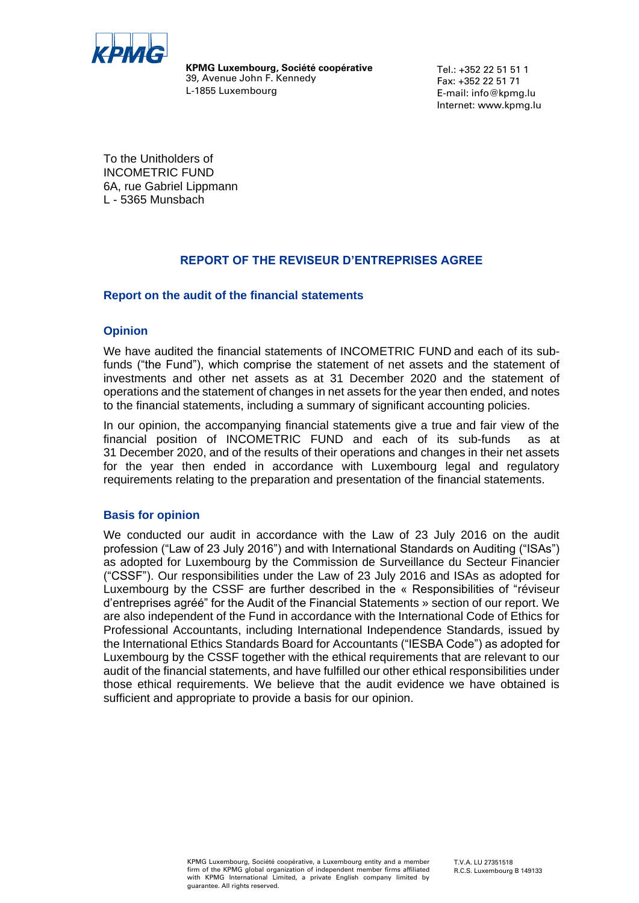

**KPMG Luxembourg, Société coopérative** 39, Avenue John F. Kennedy L-1855 Luxembourg

Tel.: +352 22 51 51 1 Fax: +352 22 51 71 E-mail: info@kpmg.lu Internet: www.kpmg.lu

To the Unitholders of INCOMETRIC FUND 6A, rue Gabriel Lippmann L - 5365 Munsbach

### **REPORT OF THE REVISEUR D'ENTREPRISES AGREE**

### **Report on the audit of the financial statements**

### **Opinion**

We have audited the financial statements of INCOMETRIC FUND and each of its subfunds ("the Fund"), which comprise the statement of net assets and the statement of investments and other net assets as at 31 December 2020 and the statement of operations and the statement of changes in net assets for the year then ended, and notes to the financial statements, including a summary of significant accounting policies.

In our opinion, the accompanying financial statements give a true and fair view of the financial position of INCOMETRIC FUND and each of its sub-funds as at 31 December 2020, and of the results of their operations and changes in their net assets for the year then ended in accordance with Luxembourg legal and regulatory requirements relating to the preparation and presentation of the financial statements.

### **Basis for opinion**

We conducted our audit in accordance with the Law of 23 July 2016 on the audit profession ("Law of 23 July 2016") and with International Standards on Auditing ("ISAs") as adopted for Luxembourg by the Commission de Surveillance du Secteur Financier ("CSSF"). Our responsibilities under the Law of 23 July 2016 and ISAs as adopted for Luxembourg by the CSSF are further described in the « Responsibilities of "réviseur d'entreprises agréé" for the Audit of the Financial Statements » section of our report. We are also independent of the Fund in accordance with the International Code of Ethics for Professional Accountants, including International Independence Standards, issued by the International Ethics Standards Board for Accountants ("IESBA Code") as adopted for Luxembourg by the CSSF together with the ethical requirements that are relevant to our audit of the financial statements, and have fulfilled our other ethical responsibilities under those ethical requirements. We believe that the audit evidence we have obtained is sufficient and appropriate to provide a basis for our opinion.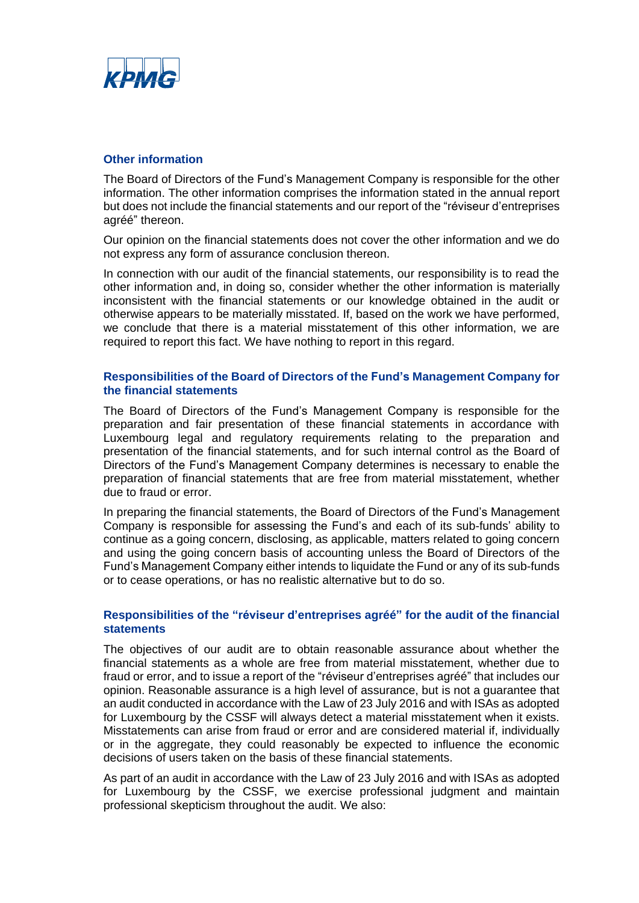

### **Other information**

The Board of Directors of the Fund's Management Company is responsible for the other information. The other information comprises the information stated in the annual report but does not include the financial statements and our report of the "réviseur d'entreprises agréé" thereon.

Our opinion on the financial statements does not cover the other information and we do not express any form of assurance conclusion thereon.

In connection with our audit of the financial statements, our responsibility is to read the other information and, in doing so, consider whether the other information is materially inconsistent with the financial statements or our knowledge obtained in the audit or otherwise appears to be materially misstated. If, based on the work we have performed, we conclude that there is a material misstatement of this other information, we are required to report this fact. We have nothing to report in this regard.

### **Responsibilities of the Board of Directors of the Fund's Management Company for the financial statements**

The Board of Directors of the Fund's Management Company is responsible for the preparation and fair presentation of these financial statements in accordance with Luxembourg legal and regulatory requirements relating to the preparation and presentation of the financial statements, and for such internal control as the Board of Directors of the Fund's Management Company determines is necessary to enable the preparation of financial statements that are free from material misstatement, whether due to fraud or error.

In preparing the financial statements, the Board of Directors of the Fund's Management Company is responsible for assessing the Fund's and each of its sub-funds' ability to continue as a going concern, disclosing, as applicable, matters related to going concern and using the going concern basis of accounting unless the Board of Directors of the Fund's Management Company either intends to liquidate the Fund or any of its sub-funds or to cease operations, or has no realistic alternative but to do so.

### **Responsibilities of the "réviseur d'entreprises agréé" for the audit of the financial statements**

The objectives of our audit are to obtain reasonable assurance about whether the financial statements as a whole are free from material misstatement, whether due to fraud or error, and to issue a report of the "réviseur d'entreprises agréé" that includes our opinion. Reasonable assurance is a high level of assurance, but is not a guarantee that an audit conducted in accordance with the Law of 23 July 2016 and with ISAs as adopted for Luxembourg by the CSSF will always detect a material misstatement when it exists. Misstatements can arise from fraud or error and are considered material if, individually or in the aggregate, they could reasonably be expected to influence the economic decisions of users taken on the basis of these financial statements.

As part of an audit in accordance with the Law of 23 July 2016 and with ISAs as adopted for Luxembourg by the CSSF, we exercise professional judgment and maintain professional skepticism throughout the audit. We also: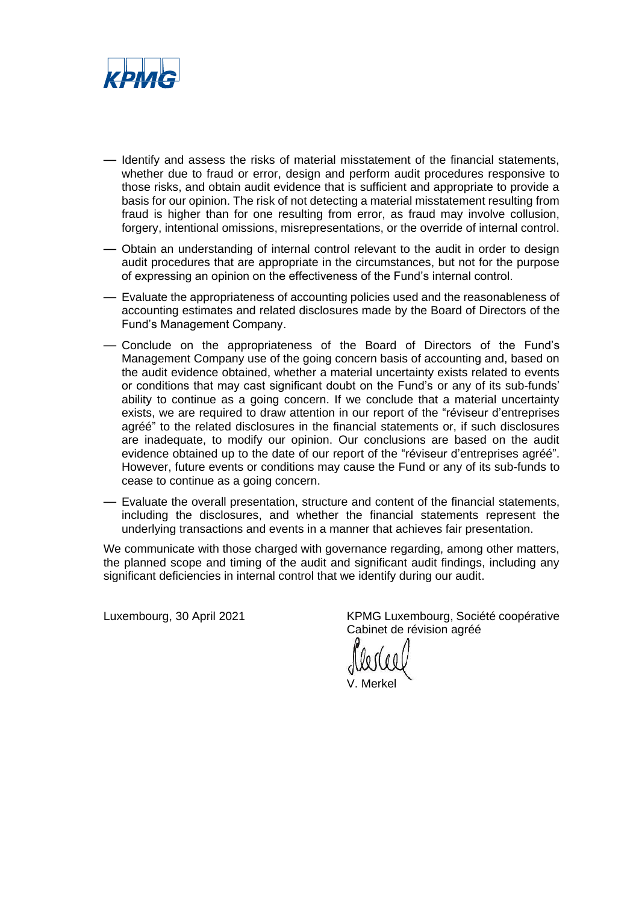

- Identify and assess the risks of material misstatement of the financial statements, whether due to fraud or error, design and perform audit procedures responsive to those risks, and obtain audit evidence that is sufficient and appropriate to provide a basis for our opinion. The risk of not detecting a material misstatement resulting from fraud is higher than for one resulting from error, as fraud may involve collusion, forgery, intentional omissions, misrepresentations, or the override of internal control.
- Obtain an understanding of internal control relevant to the audit in order to design audit procedures that are appropriate in the circumstances, but not for the purpose of expressing an opinion on the effectiveness of the Fund's internal control.
- Evaluate the appropriateness of accounting policies used and the reasonableness of accounting estimates and related disclosures made by the Board of Directors of the Fund's Management Company.
- Conclude on the appropriateness of the Board of Directors of the Fund's Management Company use of the going concern basis of accounting and, based on the audit evidence obtained, whether a material uncertainty exists related to events or conditions that may cast significant doubt on the Fund's or any of its sub-funds' ability to continue as a going concern. If we conclude that a material uncertainty exists, we are required to draw attention in our report of the "réviseur d'entreprises agréé" to the related disclosures in the financial statements or, if such disclosures are inadequate, to modify our opinion. Our conclusions are based on the audit evidence obtained up to the date of our report of the "réviseur d'entreprises agréé". However, future events or conditions may cause the Fund or any of its sub-funds to cease to continue as a going concern.
- Evaluate the overall presentation, structure and content of the financial statements, including the disclosures, and whether the financial statements represent the underlying transactions and events in a manner that achieves fair presentation.

We communicate with those charged with governance regarding, among other matters, the planned scope and timing of the audit and significant audit findings, including any significant deficiencies in internal control that we identify during our audit.

Luxembourg, 30 April 2021 KPMG Luxembourg, Société coopérative Cabinet de révision agréé

V. Merkel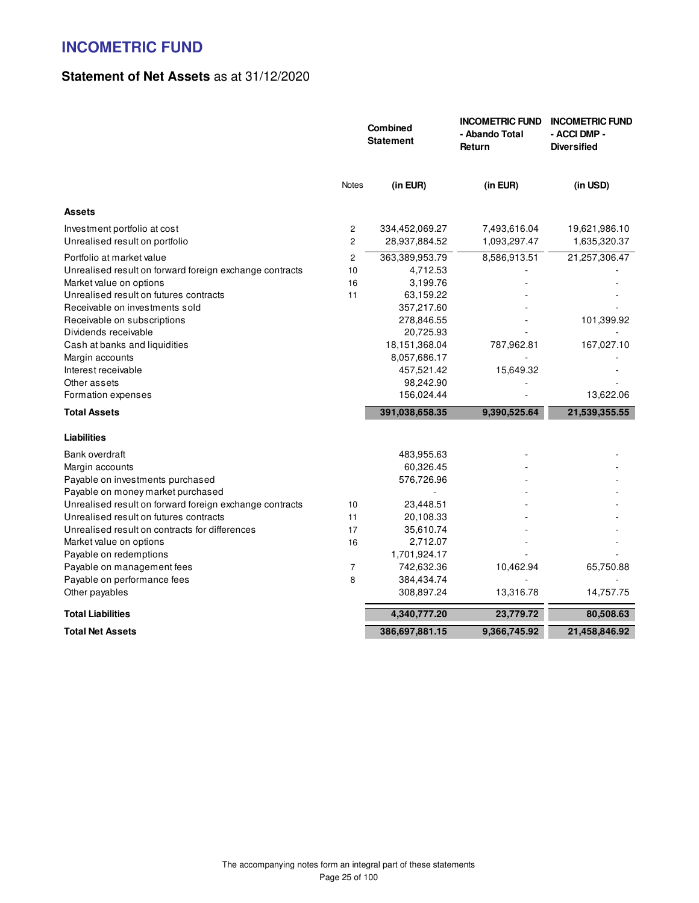### **Statement of Net Assets** as at 31/12/2020

|                                                                | Combined<br><b>Statement</b> |                                 | <b>INCOMETRIC FUND</b><br>- Abando Total<br>Return | <b>INCOMETRIC FUND</b><br>- ACCI DMP -<br><b>Diversified</b> |
|----------------------------------------------------------------|------------------------------|---------------------------------|----------------------------------------------------|--------------------------------------------------------------|
|                                                                | <b>Notes</b>                 | (in EUR)                        | (in EUR)                                           | (in USD)                                                     |
| <b>Assets</b>                                                  |                              |                                 |                                                    |                                                              |
| Investment portfolio at cost<br>Unrealised result on portfolio | 2<br>$\overline{c}$          | 334,452,069.27<br>28,937,884.52 | 7,493,616.04<br>1,093,297.47                       | 19,621,986.10<br>1,635,320.37                                |
| Portfolio at market value                                      | 2                            | 363,389,953.79                  | 8,586,913.51                                       | 21,257,306.47                                                |
| Unrealised result on forward foreign exchange contracts        | 10                           | 4,712.53                        |                                                    |                                                              |
| Market value on options                                        | 16                           | 3,199.76                        |                                                    |                                                              |
| Unrealised result on futures contracts                         | 11                           | 63,159.22                       |                                                    |                                                              |
| Receivable on investments sold                                 |                              | 357,217.60                      |                                                    |                                                              |
| Receivable on subscriptions                                    |                              | 278,846.55                      |                                                    | 101,399.92                                                   |
| Dividends receivable                                           |                              | 20,725.93                       |                                                    |                                                              |
| Cash at banks and liquidities                                  |                              | 18,151,368.04                   | 787,962.81                                         | 167,027.10                                                   |
| Margin accounts                                                |                              | 8,057,686.17                    |                                                    |                                                              |
| Interest receivable                                            |                              | 457,521.42                      | 15,649.32                                          |                                                              |
| Other assets                                                   |                              | 98,242.90                       |                                                    |                                                              |
| Formation expenses                                             |                              | 156,024.44                      |                                                    | 13,622.06                                                    |
| <b>Total Assets</b>                                            |                              | 391,038,658.35                  | 9,390,525.64                                       | 21,539,355.55                                                |
| <b>Liabilities</b>                                             |                              |                                 |                                                    |                                                              |
| <b>Bank overdraft</b>                                          |                              | 483,955.63                      |                                                    |                                                              |
| Margin accounts                                                |                              | 60,326.45                       |                                                    |                                                              |
| Payable on investments purchased                               |                              | 576,726.96                      |                                                    |                                                              |
| Payable on money market purchased                              |                              |                                 |                                                    |                                                              |
| Unrealised result on forward foreign exchange contracts        | 10                           | 23,448.51                       |                                                    |                                                              |
| Unrealised result on futures contracts                         | 11                           | 20,108.33                       |                                                    |                                                              |
| Unrealised result on contracts for differences                 | 17                           | 35,610.74                       |                                                    |                                                              |
| Market value on options                                        | 16                           | 2,712.07                        |                                                    |                                                              |
| Payable on redemptions                                         |                              | 1,701,924.17                    |                                                    |                                                              |
| Payable on management fees                                     | $\overline{7}$               | 742,632.36                      | 10,462.94                                          | 65,750.88                                                    |
| Payable on performance fees                                    | 8                            | 384,434.74                      |                                                    |                                                              |
| Other payables                                                 |                              | 308,897.24                      | 13,316.78                                          | 14,757.75                                                    |
| <b>Total Liabilities</b>                                       |                              | 4,340,777.20                    | 23,779.72                                          | 80,508.63                                                    |
| <b>Total Net Assets</b>                                        |                              | 386,697,881.15                  | 9,366,745.92                                       | 21,458,846.92                                                |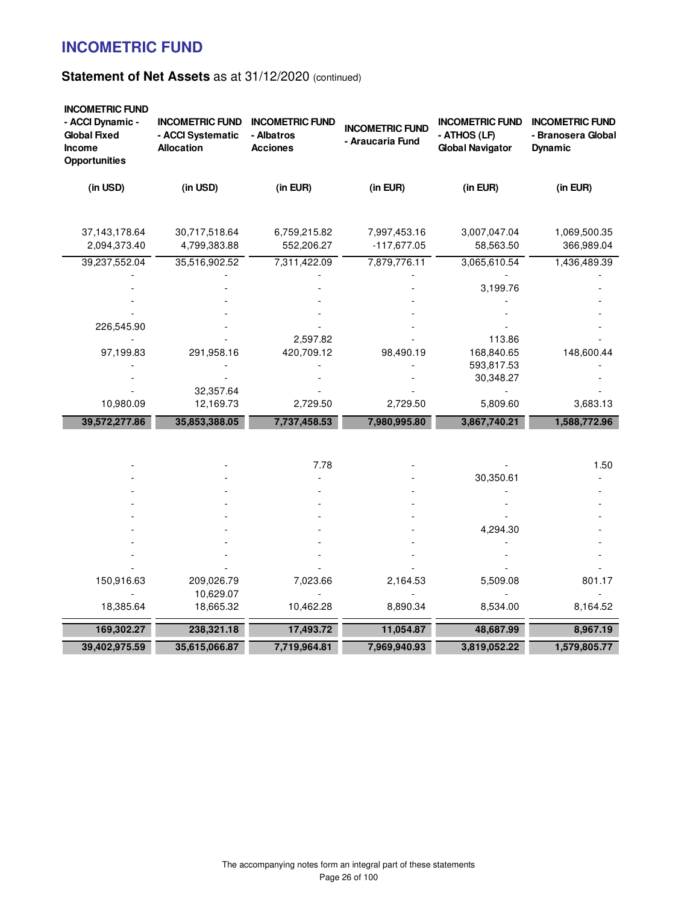| <b>INCOMETRIC FUND</b><br>- ACCI Dynamic -<br><b>Global Fixed</b><br><b>Income</b><br><b>Opportunities</b> | <b>INCOMETRIC FUND</b><br>- ACCI Systematic<br><b>Allocation</b> | <b>INCOMETRIC FUND</b><br>- Albatros<br><b>Acciones</b> | <b>INCOMETRIC FUND</b><br>- Araucaria Fund | <b>INCOMETRIC FUND</b><br>- ATHOS (LF)<br><b>Global Navigator</b> | <b>INCOMETRIC FUND</b><br>- Branosera Global<br><b>Dynamic</b> |
|------------------------------------------------------------------------------------------------------------|------------------------------------------------------------------|---------------------------------------------------------|--------------------------------------------|-------------------------------------------------------------------|----------------------------------------------------------------|
| (in USD)                                                                                                   | (in USD)                                                         | (in EUR)                                                | (in EUR)                                   | (in EUR)                                                          | (in EUR)                                                       |
| 37,143,178.64<br>2,094,373.40                                                                              | 30,717,518.64<br>4,799,383.88                                    | 6,759,215.82<br>552,206.27                              | 7,997,453.16<br>$-117,677.05$              | 3,007,047.04<br>58,563.50                                         | 1,069,500.35<br>366,989.04                                     |
| 39,237,552.04                                                                                              | 35,516,902.52                                                    | 7,311,422.09                                            | 7,879,776.11                               | 3,065,610.54                                                      | 1,436,489.39                                                   |
|                                                                                                            |                                                                  |                                                         |                                            | 3,199.76                                                          |                                                                |
|                                                                                                            |                                                                  |                                                         |                                            |                                                                   |                                                                |
| 226,545.90                                                                                                 |                                                                  |                                                         |                                            |                                                                   |                                                                |
|                                                                                                            |                                                                  | 2,597.82                                                |                                            | 113.86<br>168,840.65                                              |                                                                |
| 97,199.83                                                                                                  | 291,958.16                                                       | 420,709.12                                              | 98,490.19                                  | 593,817.53                                                        | 148,600.44                                                     |
|                                                                                                            |                                                                  |                                                         |                                            | 30,348.27                                                         |                                                                |
|                                                                                                            | 32,357.64                                                        |                                                         |                                            |                                                                   |                                                                |
| 10,980.09                                                                                                  | 12,169.73                                                        | 2,729.50                                                | 2,729.50                                   | 5,809.60                                                          | 3,683.13                                                       |
| 39,572,277.86                                                                                              | 35,853,388.05                                                    | 7,737,458.53                                            | 7,980,995.80                               | 3,867,740.21                                                      | 1,588,772.96                                                   |
|                                                                                                            |                                                                  |                                                         |                                            |                                                                   |                                                                |
|                                                                                                            |                                                                  | 7.78                                                    |                                            |                                                                   | 1.50                                                           |
|                                                                                                            |                                                                  |                                                         |                                            | 30,350.61                                                         |                                                                |
|                                                                                                            |                                                                  |                                                         |                                            |                                                                   |                                                                |
|                                                                                                            |                                                                  |                                                         |                                            |                                                                   |                                                                |
|                                                                                                            |                                                                  |                                                         |                                            | 4,294.30                                                          |                                                                |
|                                                                                                            |                                                                  |                                                         |                                            |                                                                   |                                                                |
|                                                                                                            |                                                                  |                                                         |                                            |                                                                   |                                                                |
|                                                                                                            |                                                                  |                                                         |                                            |                                                                   |                                                                |
| 150,916.63                                                                                                 | 209,026.79                                                       | 7,023.66                                                | 2,164.53                                   | 5,509.08                                                          | 801.17                                                         |
|                                                                                                            | 10,629.07                                                        |                                                         |                                            |                                                                   |                                                                |
| 18,385.64                                                                                                  | 18,665.32                                                        | 10,462.28                                               | 8,890.34                                   | 8,534.00                                                          | 8,164.52                                                       |
| 169,302.27                                                                                                 | 238,321.18                                                       | 17,493.72                                               | 11,054.87                                  | 48,687.99                                                         | 8,967.19                                                       |
| 39,402,975.59                                                                                              | 35,615,066.87                                                    | 7,719,964.81                                            | 7,969,940.93                               | 3,819,052.22                                                      | 1,579,805.77                                                   |
|                                                                                                            |                                                                  |                                                         |                                            |                                                                   |                                                                |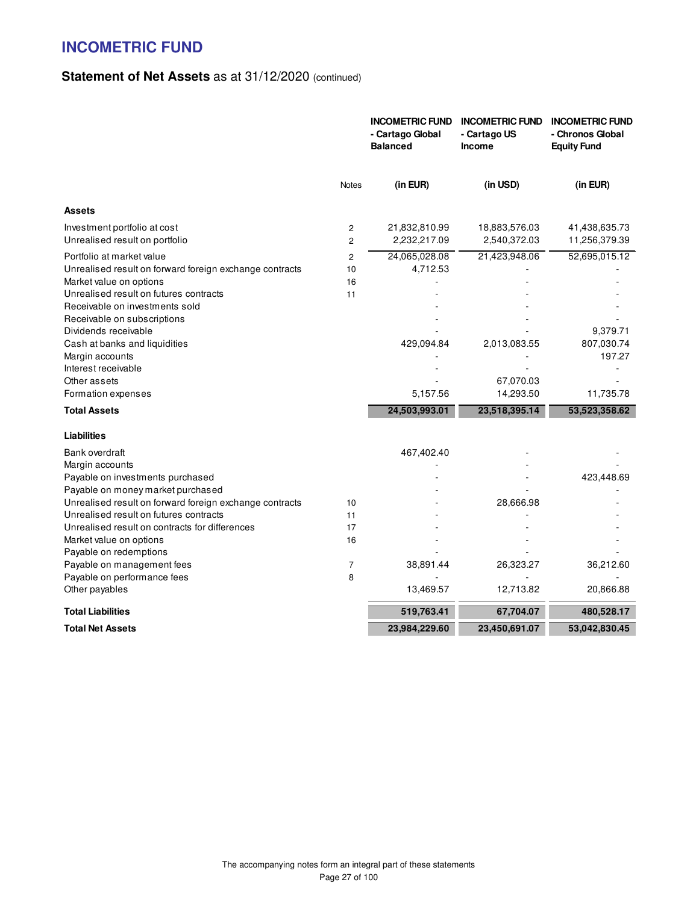|                                                                                                                                                                                                                                                                                                                                                                                                                             |                                  | <b>INCOMETRIC FUND</b><br>- Cartago Global<br><b>Balanced</b> | <b>INCOMETRIC FUND</b><br>- Cartago US<br>Income        | <b>INCOMETRIC FUND</b><br>- Chronos Global<br><b>Equity Fund</b> |
|-----------------------------------------------------------------------------------------------------------------------------------------------------------------------------------------------------------------------------------------------------------------------------------------------------------------------------------------------------------------------------------------------------------------------------|----------------------------------|---------------------------------------------------------------|---------------------------------------------------------|------------------------------------------------------------------|
|                                                                                                                                                                                                                                                                                                                                                                                                                             | <b>Notes</b>                     | (in EUR)                                                      | (in USD)                                                | (in EUR)                                                         |
| <b>Assets</b>                                                                                                                                                                                                                                                                                                                                                                                                               |                                  |                                                               |                                                         |                                                                  |
| Investment portfolio at cost<br>Unrealised result on portfolio                                                                                                                                                                                                                                                                                                                                                              | 2<br>$\overline{2}$              | 21,832,810.99<br>2,232,217.09                                 | 18,883,576.03<br>2,540,372.03                           | 41,438,635.73<br>11,256,379.39                                   |
| Portfolio at market value<br>Unrealised result on forward foreign exchange contracts<br>Market value on options<br>Unrealised result on futures contracts<br>Receivable on investments sold<br>Receivable on subscriptions<br>Dividends receivable<br>Cash at banks and liquidities<br>Margin accounts<br>Interest receivable<br>Other assets<br>Formation expenses                                                         | $\overline{c}$<br>10<br>16<br>11 | 24,065,028.08<br>4,712.53<br>429,094.84<br>5,157.56           | 21,423,948.06<br>2,013,083.55<br>67,070.03<br>14,293.50 | 52,695,015.12<br>9,379.71<br>807,030.74<br>197.27<br>11,735.78   |
| <b>Total Assets</b>                                                                                                                                                                                                                                                                                                                                                                                                         |                                  | 24,503,993.01                                                 | 23,518,395.14                                           | 53,523,358.62                                                    |
| <b>Liabilities</b><br>Bank overdraft<br>Margin accounts<br>Payable on investments purchased<br>Payable on money market purchased<br>Unrealised result on forward foreign exchange contracts<br>Unrealised result on futures contracts<br>Unrealised result on contracts for differences<br>Market value on options<br>Payable on redemptions<br>Payable on management fees<br>Payable on performance fees<br>Other payables | 10<br>11<br>17<br>16<br>7<br>8   | 467,402.40<br>38,891.44<br>13,469.57                          | 28,666.98<br>26,323.27<br>12,713.82                     | 423,448.69<br>36,212.60<br>20,866.88                             |
| <b>Total Liabilities</b>                                                                                                                                                                                                                                                                                                                                                                                                    |                                  | 519,763.41                                                    | 67,704.07                                               | 480,528.17                                                       |
| <b>Total Net Assets</b>                                                                                                                                                                                                                                                                                                                                                                                                     |                                  | 23,984,229.60                                                 | 23,450,691.07                                           | 53,042,830.45                                                    |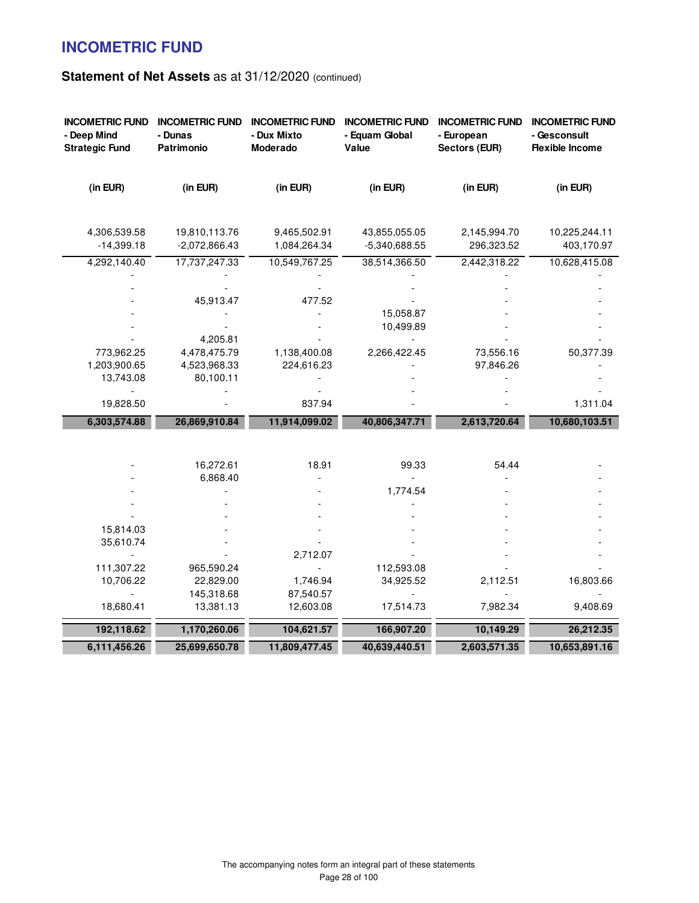| <b>INCOMETRIC FUND</b><br>- Deep Mind<br><b>Strategic Fund</b> | <b>INCOMETRIC FUND</b><br>- Dunas<br>Patrimonio | <b>INCOMETRIC FUND</b><br>- Dux Mixto<br>Moderado | <b>INCOMETRIC FUND</b><br>- Equam Global<br>Value | <b>INCOMETRIC FUND</b><br>- European<br><b>Sectors (EUR)</b> | <b>INCOMETRIC FUND</b><br>- Gesconsult<br><b>Flexible Income</b> |
|----------------------------------------------------------------|-------------------------------------------------|---------------------------------------------------|---------------------------------------------------|--------------------------------------------------------------|------------------------------------------------------------------|
| (in EUR)                                                       | (in EUR)                                        | (in EUR)                                          | (in EUR)                                          | (in EUR)                                                     | (in EUR)                                                         |
| 4,306,539.58<br>$-14,399.18$                                   | 19,810,113.76<br>$-2,072,866.43$                | 9,465,502.91<br>1,084,264.34                      | 43,855,055.05<br>-5,340,688.55                    | 2,145,994.70<br>296,323.52                                   | 10,225,244.11<br>403,170.97                                      |
| 4,292,140.40                                                   | 17,737,247.33                                   | 10,549,767.25                                     | 38,514,366.50                                     | 2,442,318.22                                                 | 10,628,415.08                                                    |
|                                                                |                                                 |                                                   |                                                   |                                                              |                                                                  |
|                                                                | 45,913.47                                       | 477.52                                            |                                                   |                                                              |                                                                  |
|                                                                |                                                 |                                                   | 15,058.87                                         |                                                              |                                                                  |
|                                                                |                                                 |                                                   | 10,499.89                                         |                                                              |                                                                  |
|                                                                | 4,205.81                                        |                                                   |                                                   |                                                              |                                                                  |
| 773,962.25                                                     | 4,478,475.79                                    | 1,138,400.08                                      | 2,266,422.45                                      | 73,556.16                                                    | 50,377.39                                                        |
| 1,203,900.65                                                   | 4,523,968.33                                    | 224,616.23                                        |                                                   | 97,846.26                                                    |                                                                  |
| 13,743.08                                                      | 80,100.11                                       |                                                   |                                                   |                                                              |                                                                  |
| 19,828.50                                                      |                                                 | 837.94                                            |                                                   |                                                              | 1,311.04                                                         |
| 6,303,574.88                                                   | 26,869,910.84                                   | 11,914,099.02                                     | 40,806,347.71                                     | 2,613,720.64                                                 | 10,680,103.51                                                    |
|                                                                |                                                 |                                                   |                                                   |                                                              |                                                                  |
|                                                                |                                                 |                                                   |                                                   |                                                              |                                                                  |
|                                                                | 16,272.61                                       | 18.91                                             | 99.33                                             | 54.44                                                        |                                                                  |
|                                                                | 6,868.40                                        |                                                   | 1,774.54                                          |                                                              |                                                                  |
|                                                                |                                                 |                                                   |                                                   |                                                              |                                                                  |
|                                                                |                                                 |                                                   |                                                   |                                                              |                                                                  |
| 15,814.03                                                      |                                                 |                                                   |                                                   |                                                              |                                                                  |
| 35,610.74                                                      |                                                 |                                                   |                                                   |                                                              |                                                                  |
|                                                                |                                                 | 2,712.07                                          |                                                   |                                                              |                                                                  |
| 111,307.22                                                     | 965,590.24                                      |                                                   | 112,593.08                                        |                                                              |                                                                  |
| 10,706.22                                                      | 22,829.00                                       | 1,746.94                                          | 34,925.52                                         | 2,112.51                                                     | 16,803.66                                                        |
|                                                                | 145,318.68                                      | 87,540.57                                         |                                                   |                                                              |                                                                  |
| 18,680.41                                                      | 13,381.13                                       | 12,603.08                                         | 17,514.73                                         | 7,982.34                                                     | 9,408.69                                                         |
| 192,118.62                                                     | 1,170,260.06                                    | 104,621.57                                        | 166,907.20                                        | 10,149.29                                                    | 26,212.35                                                        |
| 6,111,456.26                                                   | 25,699,650.78                                   | 11,809,477.45                                     | 40,639,440.51                                     | 2,603,571.35                                                 | 10,653,891.16                                                    |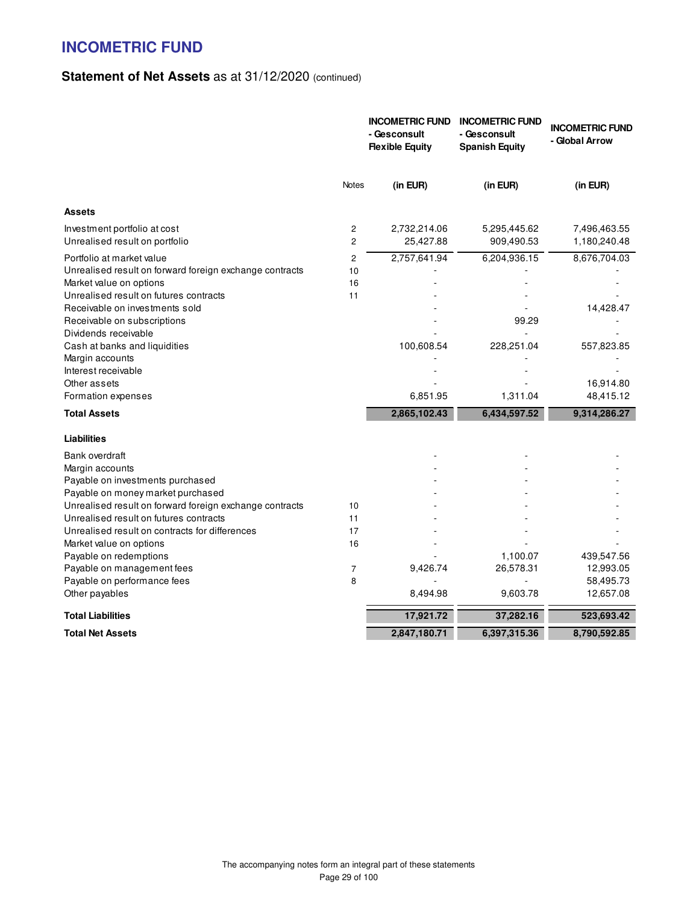|                                                                                                                                                                                                                                                    |                     | <b>INCOMETRIC FUND</b><br>- Gesconsult<br><b>Flexible Equity</b> | <b>INCOMETRIC FUND</b><br>- Gesconsult<br><b>Spanish Equity</b> | <b>INCOMETRIC FUND</b><br>- Global Arrow          |
|----------------------------------------------------------------------------------------------------------------------------------------------------------------------------------------------------------------------------------------------------|---------------------|------------------------------------------------------------------|-----------------------------------------------------------------|---------------------------------------------------|
|                                                                                                                                                                                                                                                    | <b>Notes</b>        | (in EUR)                                                         | (in EUR)                                                        | (in EUR)                                          |
| <b>Assets</b>                                                                                                                                                                                                                                      |                     |                                                                  |                                                                 |                                                   |
| Investment portfolio at cost<br>Unrealised result on portfolio                                                                                                                                                                                     | 2<br>2              | 2,732,214.06<br>25,427.88                                        | 5,295,445.62<br>909,490.53                                      | 7,496,463.55<br>1,180,240.48                      |
| Portfolio at market value<br>Unrealised result on forward foreign exchange contracts<br>Market value on options<br>Unrealised result on futures contracts<br>Receivable on investments sold<br>Receivable on subscriptions<br>Dividends receivable | 2<br>10<br>16<br>11 | 2,757,641.94                                                     | 6,204,936.15<br>99.29                                           | 8,676,704.03<br>14,428.47                         |
| Cash at banks and liquidities<br>Margin accounts<br>Interest receivable<br>Other assets<br>Formation expenses                                                                                                                                      |                     | 100,608.54<br>6,851.95                                           | 228,251.04<br>1,311.04                                          | 557,823.85<br>16,914.80<br>48,415.12              |
| <b>Total Assets</b>                                                                                                                                                                                                                                |                     | 2,865,102.43                                                     | 6,434,597.52                                                    | 9,314,286.27                                      |
| <b>Liabilities</b>                                                                                                                                                                                                                                 |                     |                                                                  |                                                                 |                                                   |
| Bank overdraft<br>Margin accounts<br>Payable on investments purchased<br>Payable on money market purchased<br>Unrealised result on forward foreign exchange contracts<br>Unrealised result on futures contracts                                    | 10<br>11            |                                                                  |                                                                 |                                                   |
| Unrealised result on contracts for differences<br>Market value on options                                                                                                                                                                          | 17<br>16            |                                                                  |                                                                 |                                                   |
| Payable on redemptions<br>Payable on management fees<br>Payable on performance fees<br>Other payables                                                                                                                                              | 7<br>8              | 9,426.74<br>8,494.98                                             | 1,100.07<br>26,578.31<br>9,603.78                               | 439,547.56<br>12,993.05<br>58,495.73<br>12,657.08 |
| <b>Total Liabilities</b>                                                                                                                                                                                                                           |                     | 17,921.72                                                        | 37,282.16                                                       | 523,693.42                                        |
| <b>Total Net Assets</b>                                                                                                                                                                                                                            |                     | 2,847,180.71                                                     | 6,397,315.36                                                    | 8,790,592.85                                      |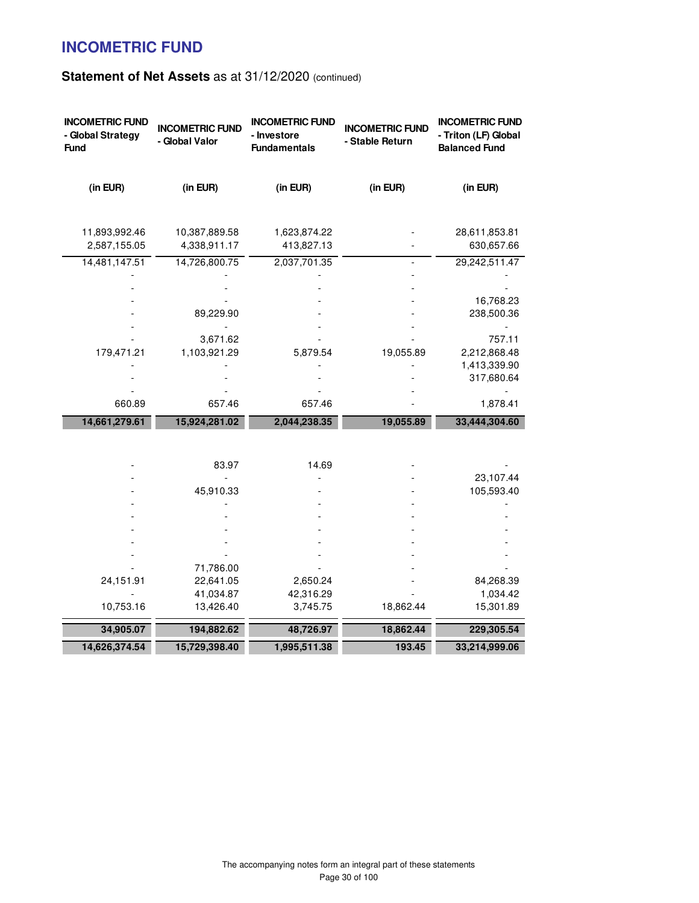| <b>INCOMETRIC FUND</b><br>- Global Strategy<br><b>Fund</b> | <b>INCOMETRIC FUND</b><br>- Global Valor | <b>INCOMETRIC FUND</b><br>- Investore<br><b>Fundamentals</b> | <b>INCOMETRIC FUND</b><br>- Stable Return | <b>INCOMETRIC FUND</b><br>- Triton (LF) Global<br><b>Balanced Fund</b> |
|------------------------------------------------------------|------------------------------------------|--------------------------------------------------------------|-------------------------------------------|------------------------------------------------------------------------|
| (in EUR)                                                   | (in EUR)                                 | (in EUR)                                                     | (in EUR)                                  | (in EUR)                                                               |
| 11,893,992.46<br>2,587,155.05                              | 10,387,889.58<br>4,338,911.17            | 1,623,874.22<br>413,827.13                                   |                                           | 28,611,853.81<br>630,657.66                                            |
| 14,481,147.51                                              | 14,726,800.75                            | 2,037,701.35                                                 | $\overline{\phantom{a}}$                  | 29,242,511.47                                                          |
|                                                            |                                          |                                                              |                                           |                                                                        |
|                                                            |                                          |                                                              |                                           |                                                                        |
|                                                            |                                          |                                                              |                                           | 16,768.23                                                              |
|                                                            | 89,229.90                                |                                                              |                                           | 238,500.36                                                             |
|                                                            | 3,671.62                                 |                                                              |                                           | 757.11                                                                 |
| 179,471.21                                                 | 1,103,921.29                             | 5,879.54                                                     | 19,055.89                                 | 2,212,868.48                                                           |
|                                                            |                                          |                                                              |                                           | 1,413,339.90                                                           |
|                                                            |                                          |                                                              |                                           | 317,680.64                                                             |
|                                                            |                                          |                                                              |                                           |                                                                        |
| 660.89                                                     | 657.46                                   | 657.46                                                       |                                           | 1,878.41                                                               |
| 14,661,279.61                                              | 15,924,281.02                            | 2,044,238.35                                                 | 19,055.89                                 | 33,444,304.60                                                          |
|                                                            |                                          |                                                              |                                           |                                                                        |
|                                                            |                                          |                                                              |                                           |                                                                        |
|                                                            | 83.97                                    | 14.69                                                        |                                           |                                                                        |
|                                                            |                                          |                                                              |                                           | 23,107.44                                                              |
|                                                            | 45,910.33                                |                                                              |                                           | 105,593.40                                                             |
|                                                            |                                          |                                                              |                                           |                                                                        |
|                                                            |                                          |                                                              |                                           |                                                                        |
|                                                            |                                          |                                                              |                                           |                                                                        |
|                                                            |                                          |                                                              |                                           |                                                                        |
|                                                            |                                          |                                                              |                                           |                                                                        |
|                                                            | 71,786.00                                |                                                              |                                           |                                                                        |
| 24,151.91                                                  | 22,641.05<br>41,034.87                   | 2,650.24<br>42,316.29                                        |                                           | 84,268.39<br>1,034.42                                                  |
| 10,753.16                                                  | 13,426.40                                | 3,745.75                                                     | 18,862.44                                 | 15,301.89                                                              |
|                                                            |                                          |                                                              |                                           |                                                                        |
| 34,905.07                                                  | 194,882.62                               | 48,726.97                                                    | 18,862.44                                 | 229,305.54                                                             |
| 14,626,374.54                                              | 15,729,398.40                            | 1,995,511.38                                                 | 193.45                                    | 33,214,999.06                                                          |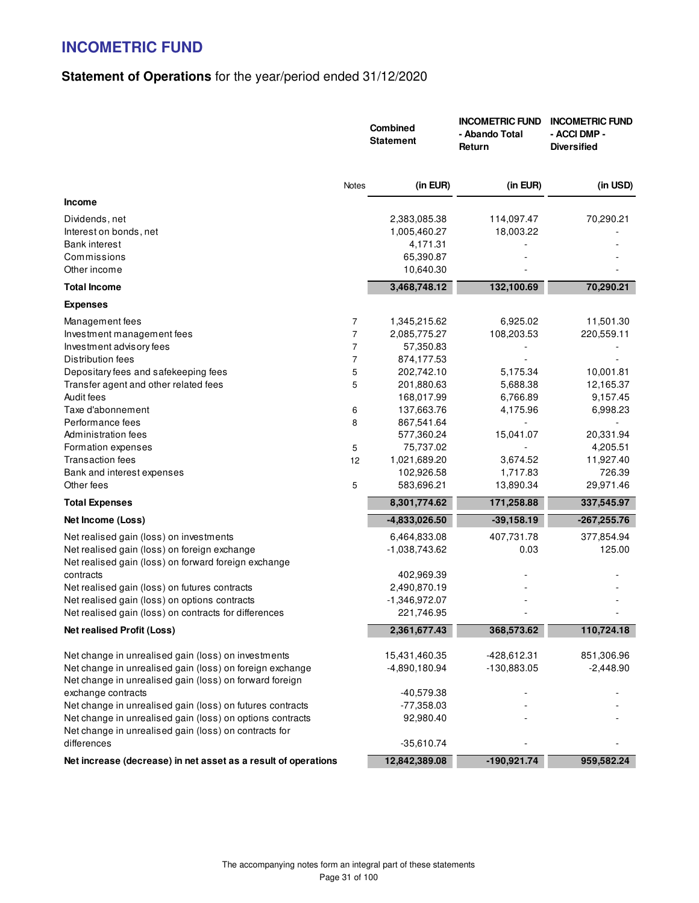# **Statement of Operations** for the year/period ended 31/12/2020

|                                                                      |                | Combined<br><b>Statement</b> | <b>INCOMETRIC FUND</b><br>- Abando Total<br>Return | <b>INCOMETRIC FUND</b><br>- ACCI DMP -<br><b>Diversified</b> |
|----------------------------------------------------------------------|----------------|------------------------------|----------------------------------------------------|--------------------------------------------------------------|
|                                                                      | Notes          | (in EUR)                     | (in EUR)                                           | (in USD)                                                     |
| <b>Income</b>                                                        |                |                              |                                                    |                                                              |
| Dividends, net                                                       |                | 2,383,085.38                 | 114,097.47                                         | 70,290.21                                                    |
| Interest on bonds, net                                               |                | 1,005,460.27                 | 18,003.22                                          |                                                              |
| <b>Bank interest</b>                                                 |                | 4,171.31                     |                                                    |                                                              |
| Commissions                                                          |                | 65,390.87                    |                                                    |                                                              |
| Other income                                                         |                | 10,640.30                    |                                                    |                                                              |
| <b>Total Income</b>                                                  |                | 3,468,748.12                 | 132,100.69                                         | 70,290.21                                                    |
| <b>Expenses</b>                                                      |                |                              |                                                    |                                                              |
| Management fees                                                      | 7              | 1,345,215.62                 | 6,925.02                                           | 11,501.30                                                    |
| Investment management fees                                           | $\overline{7}$ | 2,085,775.27                 | 108,203.53                                         | 220,559.11                                                   |
| Investment advisory fees                                             | $\overline{7}$ | 57,350.83                    |                                                    |                                                              |
| Distribution fees                                                    | $\overline{7}$ | 874,177.53                   |                                                    |                                                              |
| Depositary fees and safekeeping fees                                 | 5              | 202,742.10                   | 5,175.34                                           | 10,001.81                                                    |
| Transfer agent and other related fees                                | 5              | 201,880.63                   | 5,688.38                                           | 12,165.37                                                    |
| Audit fees                                                           |                | 168,017.99                   | 6,766.89                                           | 9,157.45                                                     |
| Taxe d'abonnement                                                    | 6              | 137,663.76                   | 4,175.96                                           | 6,998.23                                                     |
| Performance fees<br>Administration fees                              | 8              | 867,541.64<br>577,360.24     | 15,041.07                                          | 20,331.94                                                    |
| Formation expenses                                                   | 5              | 75,737.02                    |                                                    | 4,205.51                                                     |
| <b>Transaction fees</b>                                              | 12             | 1,021,689.20                 | 3,674.52                                           | 11,927.40                                                    |
| Bank and interest expenses                                           |                | 102,926.58                   | 1,717.83                                           | 726.39                                                       |
| Other fees                                                           | 5              | 583,696.21                   | 13,890.34                                          | 29,971.46                                                    |
| <b>Total Expenses</b>                                                |                | 8,301,774.62                 | 171,258.88                                         | 337,545.97                                                   |
| Net Income (Loss)                                                    |                | -4,833,026.50                | $-39,158.19$                                       | $-267,255.76$                                                |
| Net realised gain (loss) on investments                              |                | 6,464,833.08                 | 407,731.78                                         | 377,854.94                                                   |
| Net realised gain (loss) on foreign exchange                         |                | -1,038,743.62                | 0.03                                               | 125.00                                                       |
| Net realised gain (loss) on forward foreign exchange                 |                |                              |                                                    |                                                              |
| contracts                                                            |                | 402,969.39                   |                                                    |                                                              |
| Net realised gain (loss) on futures contracts                        |                | 2,490,870.19                 |                                                    |                                                              |
| Net realised gain (loss) on options contracts                        |                | $-1,346,972.07$              |                                                    |                                                              |
| Net realised gain (loss) on contracts for differences                |                | 221,746.95                   |                                                    |                                                              |
| <b>Net realised Profit (Loss)</b>                                    |                | 2,361,677.43                 | 368,573.62                                         | 110,724.18                                                   |
| Net change in unrealised gain (loss) on investments                  |                | 15,431,460.35                | -428,612.31                                        | 851,306.96                                                   |
| Net change in unrealised gain (loss) on foreign exchange             |                | -4,890,180.94                | $-130,883.05$                                      | $-2,448.90$                                                  |
| Net change in unrealised gain (loss) on forward foreign              |                |                              |                                                    |                                                              |
| exchange contracts                                                   |                | $-40,579.38$                 |                                                    |                                                              |
| Net change in unrealised gain (loss) on futures contracts            |                | $-77,358.03$                 |                                                    |                                                              |
| Net change in unrealised gain (loss) on options contracts            |                | 92,980.40                    |                                                    |                                                              |
| Net change in unrealised gain (loss) on contracts for<br>differences |                | $-35,610.74$                 |                                                    |                                                              |
| Net increase (decrease) in net asset as a result of operations       |                | 12,842,389.08                | $-190,921.74$                                      | 959,582.24                                                   |
|                                                                      |                |                              |                                                    |                                                              |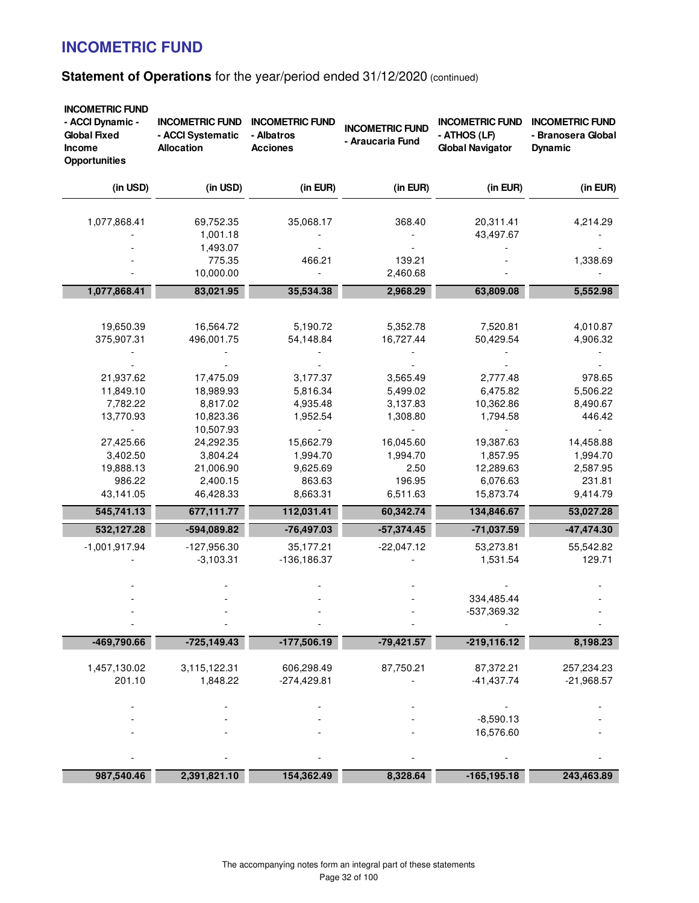| - ACCI Dynamic -<br><b>Global Fixed</b><br>Income<br><b>Opportunities</b> | <b>INCOMETRIC FUND</b><br>- ACCI Systematic<br><b>Allocation</b> | <b>INCOMETRIC FUND</b><br>- Albatros<br><b>Acciones</b> | <b>INCOMETRIC FUND</b><br>- Araucaria Fund          | <b>INCOMETRIC FUND</b><br>- ATHOS (LF)<br><b>Global Navigator</b>  | <b>INCOMETRIC FUND</b><br>- Branosera Global<br><b>Dynamic</b> |
|---------------------------------------------------------------------------|------------------------------------------------------------------|---------------------------------------------------------|-----------------------------------------------------|--------------------------------------------------------------------|----------------------------------------------------------------|
| (in USD)                                                                  | (in USD)                                                         | (in EUR)                                                | (in EUR)                                            | (in EUR)                                                           | (in EUR)                                                       |
| 1,077,868.41                                                              | 69,752.35<br>1,001.18<br>1,493.07                                | 35,068.17                                               | 368.40                                              | 20,311.41<br>43,497.67                                             | 4,214.29                                                       |
|                                                                           | 775.35<br>10,000.00                                              | 466.21                                                  | 139.21<br>2,460.68                                  |                                                                    | 1,338.69                                                       |
| 1,077,868.41                                                              | 83,021.95                                                        | 35,534.38                                               | 2,968.29                                            | 63,809.08                                                          | 5,552.98                                                       |
| 19,650.39<br>375,907.31                                                   | 16,564.72<br>496,001.75                                          | 5,190.72<br>54,148.84                                   | 5,352.78<br>16,727.44                               | 7,520.81<br>50,429.54                                              | 4,010.87<br>4,906.32                                           |
| 21,937.62<br>11,849.10<br>7,782.22<br>13,770.93                           | 17,475.09<br>18,989.93<br>8,817.02<br>10,823.36<br>10,507.93     | 3,177.37<br>5,816.34<br>4,935.48<br>1,952.54            | 3,565.49<br>5,499.02<br>3,137.83<br>1,308.80        | 2,777.48<br>6,475.82<br>10,362.86<br>1,794.58                      | 978.65<br>5,506.22<br>8,490.67<br>446.42                       |
| 27,425.66<br>3,402.50<br>19,888.13<br>986.22<br>43,141.05                 | 24,292.35<br>3,804.24<br>21,006.90<br>2,400.15<br>46,428.33      | 15,662.79<br>1,994.70<br>9,625.69<br>863.63<br>8,663.31 | 16,045.60<br>1,994.70<br>2.50<br>196.95<br>6,511.63 | 19,387.63<br>1,857.95<br>12,289.63<br>6,076.63<br>15,873.74        | 14,458.88<br>1,994.70<br>2,587.95<br>231.81<br>9,414.79        |
| 545,741.13                                                                | 677,111.77                                                       | 112,031.41                                              | 60,342.74                                           | 134,846.67                                                         | 53,027.28                                                      |
| 532,127.28<br>$-1,001,917.94$                                             | $-594,089.82$<br>$-127,956.30$<br>$-3,103.31$                    | $-76,497.03$<br>35,177.21<br>$-136, 186.37$             | $-57,374.45$<br>$-22,047.12$                        | $-71,037.59$<br>53,273.81<br>1,531.54<br>334,485.44<br>-537,369.32 | $-47,474.30$<br>55,542.82<br>129.71                            |
| -469,790.66                                                               | $-725,149.43$                                                    | $-177,506.19$                                           | $-79,421.57$                                        | $-219,116.12$                                                      | 8,198.23                                                       |
| 1,457,130.02<br>201.10                                                    | 3,115,122.31<br>1,848.22                                         | 606,298.49<br>$-274,429.81$                             | 87,750.21                                           | 87,372.21<br>$-41,437.74$                                          | 257,234.23<br>$-21,968.57$                                     |
|                                                                           |                                                                  |                                                         |                                                     | $-8,590.13$<br>16,576.60                                           |                                                                |
| 987,540.46                                                                | 2,391,821.10                                                     | 154,362.49                                              | 8,328.64                                            | $-165, 195.18$                                                     | 243,463.89                                                     |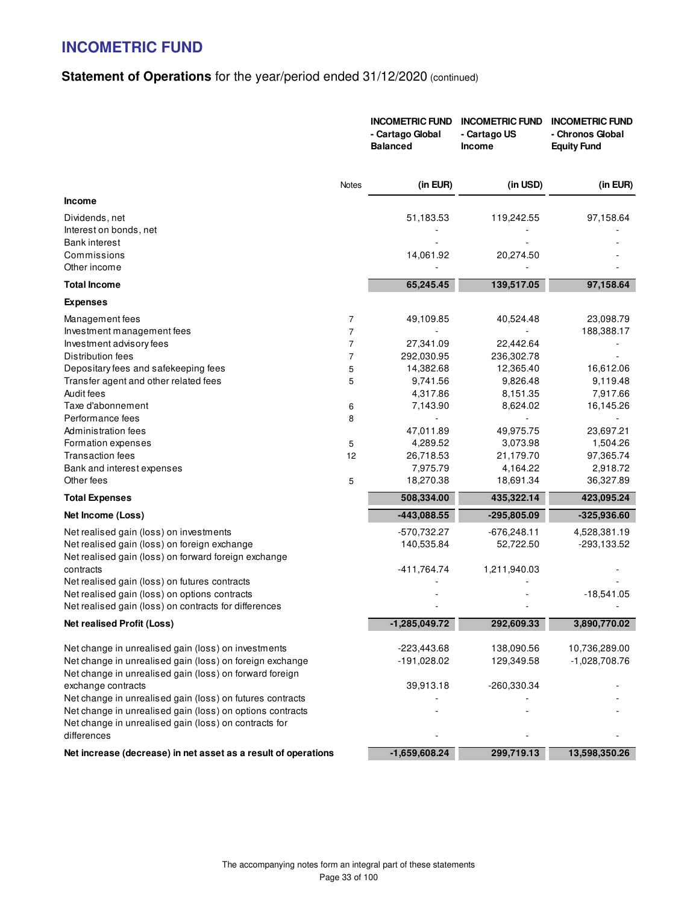|                                                                |                | <b>INCOMETRIC FUND</b><br>- Cartago Global<br><b>Balanced</b> | <b>INCOMETRIC FUND</b><br>- Cartago US<br><b>Income</b> | <b>INCOMETRIC FUND</b><br>- Chronos Global<br><b>Equity Fund</b> |
|----------------------------------------------------------------|----------------|---------------------------------------------------------------|---------------------------------------------------------|------------------------------------------------------------------|
|                                                                | Notes          | (in EUR)                                                      | (in USD)                                                | (in EUR)                                                         |
| <b>Income</b>                                                  |                |                                                               |                                                         |                                                                  |
| Dividends, net                                                 |                | 51,183.53                                                     | 119,242.55                                              | 97,158.64                                                        |
| Interest on bonds, net                                         |                |                                                               |                                                         |                                                                  |
| Bank interest                                                  |                |                                                               |                                                         |                                                                  |
| Commissions                                                    |                | 14,061.92                                                     | 20,274.50                                               |                                                                  |
| Other income                                                   |                |                                                               |                                                         |                                                                  |
| <b>Total Income</b>                                            |                | 65,245.45                                                     | 139,517.05                                              | 97,158.64                                                        |
| <b>Expenses</b>                                                |                |                                                               |                                                         |                                                                  |
| Management fees                                                | 7              | 49,109.85                                                     | 40,524.48                                               | 23,098.79                                                        |
| Investment management fees                                     | 7              |                                                               | $\sim$                                                  | 188,388.17                                                       |
| Investment advisory fees                                       | $\overline{7}$ | 27,341.09                                                     | 22,442.64                                               |                                                                  |
| Distribution fees                                              | $\overline{7}$ | 292,030.95                                                    | 236,302.78                                              |                                                                  |
| Depositary fees and safekeeping fees                           | 5              | 14,382.68                                                     | 12,365.40                                               | 16,612.06                                                        |
| Transfer agent and other related fees                          | 5              | 9,741.56                                                      | 9,826.48                                                | 9,119.48                                                         |
| Audit fees                                                     |                | 4,317.86                                                      | 8,151.35                                                | 7,917.66                                                         |
| Taxe d'abonnement                                              | 6              | 7,143.90                                                      | 8,624.02                                                | 16,145.26                                                        |
| Performance fees                                               | 8              |                                                               |                                                         | ÷,                                                               |
| Administration fees                                            |                | 47,011.89                                                     | 49,975.75                                               | 23,697.21                                                        |
| Formation expenses                                             | 5              | 4,289.52                                                      | 3,073.98                                                | 1,504.26                                                         |
| <b>Transaction fees</b>                                        | 12             | 26,718.53                                                     | 21,179.70                                               | 97,365.74                                                        |
| Bank and interest expenses                                     |                | 7,975.79                                                      | 4,164.22                                                | 2,918.72                                                         |
| Other fees                                                     | 5              | 18,270.38                                                     | 18,691.34                                               | 36,327.89                                                        |
| <b>Total Expenses</b>                                          |                | 508,334.00                                                    | 435,322.14                                              | 423,095.24                                                       |
| Net Income (Loss)                                              |                | $-443,088.55$                                                 | $-295,805.09$                                           | $-325,936.60$                                                    |
| Net realised gain (loss) on investments                        |                | -570,732.27                                                   | $-676,248.11$                                           | 4,528,381.19                                                     |
| Net realised gain (loss) on foreign exchange                   |                | 140,535.84                                                    | 52,722.50                                               | -293,133.52                                                      |
| Net realised gain (loss) on forward foreign exchange           |                |                                                               |                                                         |                                                                  |
| contracts                                                      |                | $-411,764.74$                                                 | 1,211,940.03                                            |                                                                  |
| Net realised gain (loss) on futures contracts                  |                |                                                               |                                                         |                                                                  |
| Net realised gain (loss) on options contracts                  |                |                                                               |                                                         | $-18,541.05$                                                     |
| Net realised gain (loss) on contracts for differences          |                |                                                               |                                                         |                                                                  |
| <b>Net realised Profit (Loss)</b>                              |                | $-1,285,049.72$                                               | 292,609.33                                              | 3,890,770.02                                                     |
| Net change in unrealised gain (loss) on investments            |                | $-223,443.68$                                                 | 138,090.56                                              | 10,736,289.00                                                    |
| Net change in unrealised gain (loss) on foreign exchange       |                | -191,028.02                                                   | 129,349.58                                              | $-1,028,708.76$                                                  |
| Net change in unrealised gain (loss) on forward foreign        |                |                                                               |                                                         |                                                                  |
| exchange contracts                                             |                | 39,913.18                                                     | -260,330.34                                             |                                                                  |
| Net change in unrealised gain (loss) on futures contracts      |                |                                                               |                                                         |                                                                  |
| Net change in unrealised gain (loss) on options contracts      |                |                                                               |                                                         |                                                                  |
| Net change in unrealised gain (loss) on contracts for          |                |                                                               |                                                         |                                                                  |
| differences                                                    |                |                                                               |                                                         |                                                                  |
| Net increase (decrease) in net asset as a result of operations |                | $-1,659,608.24$                                               | 299,719.13                                              | 13,598,350.26                                                    |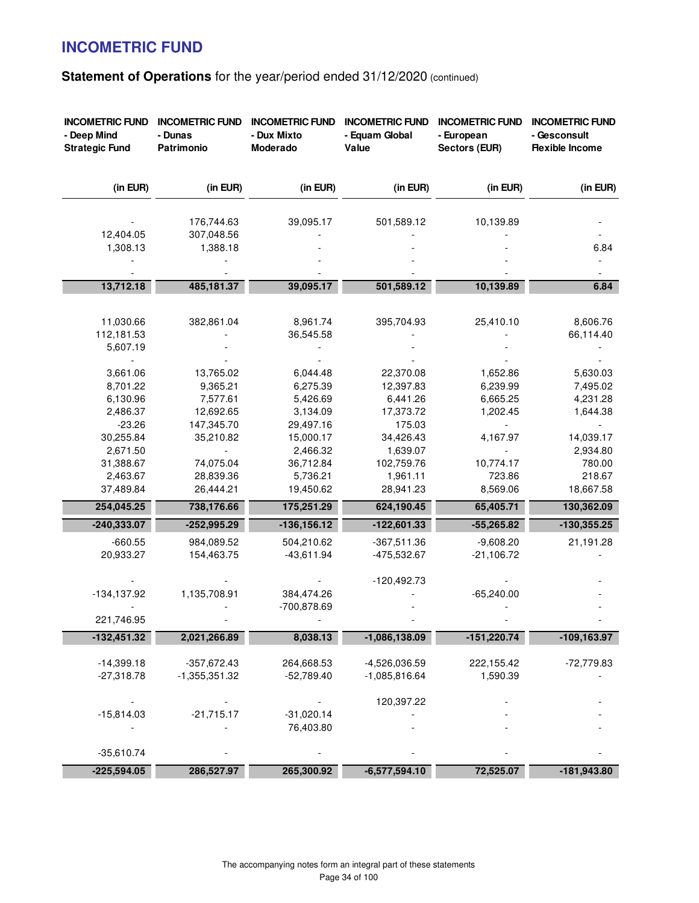| <b>INCOMETRIC FUND</b><br>- Deep Mind<br><b>Strategic Fund</b> | <b>INCOMETRIC FUND</b><br>- Dunas<br>Patrimonio | <b>INCOMETRIC FUND</b><br>- Dux Mixto<br>Moderado | <b>INCOMETRIC FUND</b><br>- Equam Global<br>Value | <b>INCOMETRIC FUND</b><br>- European<br>Sectors (EUR) | <b>INCOMETRIC FUND</b><br>- Gesconsult<br><b>Flexible Income</b> |
|----------------------------------------------------------------|-------------------------------------------------|---------------------------------------------------|---------------------------------------------------|-------------------------------------------------------|------------------------------------------------------------------|
| (in EUR)                                                       | (in EUR)                                        | (in EUR)                                          | (in EUR)                                          | (in EUR)                                              | (in EUR)                                                         |
|                                                                | 176,744.63                                      | 39,095.17                                         | 501,589.12                                        | 10,139.89                                             |                                                                  |
| 12,404.05                                                      | 307,048.56                                      |                                                   |                                                   |                                                       |                                                                  |
| 1,308.13                                                       | 1,388.18                                        |                                                   |                                                   |                                                       | 6.84                                                             |
|                                                                |                                                 |                                                   |                                                   |                                                       |                                                                  |
|                                                                |                                                 |                                                   |                                                   |                                                       |                                                                  |
| 13,712.18                                                      | 485,181.37                                      | 39,095.17                                         | 501,589.12                                        | 10,139.89                                             | 6.84                                                             |
|                                                                |                                                 |                                                   |                                                   |                                                       |                                                                  |
| 11,030.66                                                      | 382,861.04                                      | 8,961.74                                          | 395,704.93                                        | 25,410.10                                             | 8,606.76                                                         |
| 112,181.53                                                     |                                                 | 36,545.58                                         |                                                   |                                                       | 66,114.40                                                        |
| 5,607.19                                                       |                                                 |                                                   |                                                   |                                                       |                                                                  |
|                                                                |                                                 |                                                   |                                                   |                                                       |                                                                  |
| 3,661.06                                                       | 13,765.02                                       | 6,044.48                                          | 22,370.08                                         | 1,652.86                                              | 5,630.03                                                         |
| 8,701.22                                                       | 9,365.21                                        | 6,275.39                                          | 12,397.83                                         | 6,239.99                                              | 7,495.02                                                         |
| 6,130.96                                                       | 7,577.61                                        | 5,426.69                                          | 6,441.26                                          | 6,665.25                                              | 4,231.28                                                         |
| 2,486.37                                                       | 12,692.65                                       | 3,134.09                                          | 17,373.72                                         | 1,202.45                                              | 1,644.38                                                         |
| $-23.26$                                                       | 147,345.70                                      | 29,497.16                                         | 175.03                                            |                                                       |                                                                  |
| 30,255.84                                                      | 35,210.82                                       | 15,000.17                                         | 34,426.43                                         | 4,167.97                                              | 14,039.17                                                        |
| 2,671.50                                                       |                                                 | 2,466.32                                          | 1,639.07                                          |                                                       | 2,934.80                                                         |
| 31,388.67                                                      | 74,075.04                                       | 36,712.84                                         | 102,759.76                                        | 10,774.17                                             | 780.00                                                           |
| 2,463.67                                                       | 28,839.36                                       | 5,736.21                                          | 1,961.11                                          | 723.86                                                | 218.67                                                           |
| 37,489.84                                                      | 26,444.21                                       | 19,450.62                                         | 28,941.23                                         | 8,569.06                                              | 18,667.58                                                        |
| 254,045.25                                                     | 738,176.66                                      | 175,251.29                                        | 624,190.45                                        | 65,405.71                                             | 130,362.09                                                       |
| -240,333.07                                                    | $-252,995.29$                                   | $-136, 156.12$                                    | $-122,601.33$                                     | $-55,265.82$                                          | $-130,355.25$                                                    |
| $-660.55$                                                      | 984,089.52                                      | 504,210.62                                        | $-367,511.36$                                     | $-9,608.20$                                           | 21,191.28                                                        |
| 20,933.27                                                      | 154,463.75                                      | $-43,611.94$                                      | -475,532.67                                       | $-21,106.72$                                          |                                                                  |
|                                                                |                                                 |                                                   |                                                   |                                                       |                                                                  |
|                                                                |                                                 |                                                   | $-120,492.73$                                     |                                                       |                                                                  |
| $-134,137.92$                                                  | 1,135,708.91                                    | 384,474.26                                        |                                                   | $-65,240.00$                                          |                                                                  |
|                                                                |                                                 | -700,878.69                                       |                                                   |                                                       |                                                                  |
| 221,746.95                                                     |                                                 |                                                   |                                                   |                                                       |                                                                  |
| $-132,451.32$                                                  | 2,021,266.89                                    | 8,038.13                                          | $-1,086,138.09$                                   | $-151,220.74$                                         | $-109, 163.97$                                                   |
|                                                                |                                                 |                                                   |                                                   |                                                       |                                                                  |
| $-14,399.18$                                                   | $-357,672.43$                                   | 264,668.53                                        | -4,526,036.59                                     | 222,155.42                                            | $-72,779.83$                                                     |
| $-27,318.78$                                                   | $-1,355,351.32$                                 | $-52,789.40$                                      | $-1,085,816.64$                                   | 1,590.39                                              |                                                                  |
|                                                                |                                                 |                                                   |                                                   |                                                       |                                                                  |
| $-15,814.03$                                                   | $-21,715.17$                                    | $-31,020.14$                                      | 120,397.22                                        |                                                       |                                                                  |
|                                                                |                                                 | 76,403.80                                         |                                                   |                                                       |                                                                  |
|                                                                |                                                 |                                                   |                                                   |                                                       |                                                                  |
| $-35,610.74$                                                   |                                                 |                                                   |                                                   |                                                       |                                                                  |
| $-225,594.05$                                                  | 286,527.97                                      | 265,300.92                                        | $-6,577,594.10$                                   | 72,525.07                                             | -181,943.80                                                      |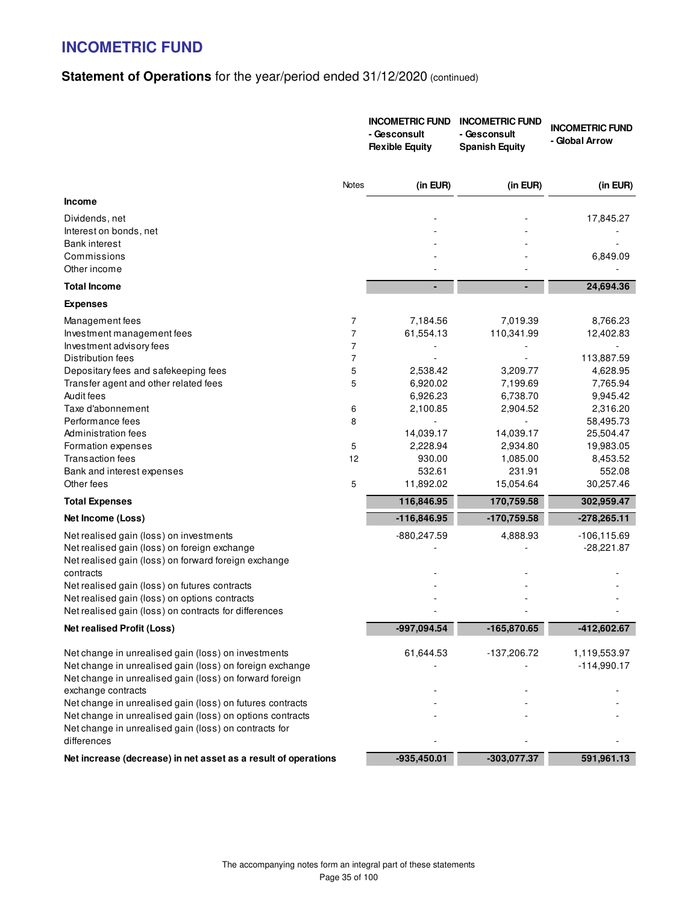|                                                                |                | <b>INCOMETRIC FUND</b><br>- Gesconsult<br><b>Flexible Equity</b> | <b>INCOMETRIC FUND</b><br>- Gesconsult<br><b>Spanish Equity</b> | <b>INCOMETRIC FUND</b><br>- Global Arrow |
|----------------------------------------------------------------|----------------|------------------------------------------------------------------|-----------------------------------------------------------------|------------------------------------------|
|                                                                | Notes          | (in EUR)                                                         | (in EUR)                                                        | (in EUR)                                 |
| <b>Income</b>                                                  |                |                                                                  |                                                                 |                                          |
| Dividends, net                                                 |                |                                                                  |                                                                 | 17,845.27                                |
| Interest on bonds, net                                         |                |                                                                  |                                                                 |                                          |
| <b>Bank interest</b>                                           |                |                                                                  |                                                                 |                                          |
| Commissions                                                    |                |                                                                  |                                                                 | 6,849.09                                 |
| Other income                                                   |                |                                                                  |                                                                 |                                          |
| <b>Total Income</b>                                            |                |                                                                  | ٠                                                               | 24,694.36                                |
| <b>Expenses</b>                                                |                |                                                                  |                                                                 |                                          |
| Management fees                                                | 7              | 7,184.56                                                         | 7,019.39                                                        | 8,766.23                                 |
| Investment management fees                                     | $\overline{7}$ | 61,554.13                                                        | 110,341.99                                                      | 12,402.83                                |
| Investment advisory fees                                       | $\overline{7}$ |                                                                  |                                                                 |                                          |
| Distribution fees                                              | $\overline{7}$ |                                                                  |                                                                 | 113,887.59                               |
| Depositary fees and safekeeping fees                           | 5              | 2,538.42                                                         | 3,209.77                                                        | 4,628.95                                 |
| Transfer agent and other related fees                          | 5              | 6,920.02                                                         | 7,199.69                                                        | 7,765.94                                 |
| Audit fees<br>Taxe d'abonnement                                |                | 6,926.23                                                         | 6,738.70                                                        | 9,945.42<br>2,316.20                     |
| Performance fees                                               | 6<br>8         | 2,100.85<br>L.                                                   | 2,904.52                                                        | 58,495.73                                |
| Administration fees                                            |                | 14,039.17                                                        | 14,039.17                                                       | 25,504.47                                |
| Formation expenses                                             | 5              | 2,228.94                                                         | 2,934.80                                                        | 19,983.05                                |
| Transaction fees                                               | 12             | 930.00                                                           | 1,085.00                                                        | 8,453.52                                 |
| Bank and interest expenses                                     |                | 532.61                                                           | 231.91                                                          | 552.08                                   |
| Other fees                                                     | 5              | 11,892.02                                                        | 15,054.64                                                       | 30,257.46                                |
| <b>Total Expenses</b>                                          |                | 116,846.95                                                       | 170,759.58                                                      | 302,959.47                               |
| Net Income (Loss)                                              |                | $-116,846.95$                                                    | -170,759.58                                                     | $-278,265.11$                            |
| Net realised gain (loss) on investments                        |                | -880,247.59                                                      | 4,888.93                                                        | $-106, 115.69$                           |
| Net realised gain (loss) on foreign exchange                   |                |                                                                  |                                                                 | $-28,221.87$                             |
| Net realised gain (loss) on forward foreign exchange           |                |                                                                  |                                                                 |                                          |
| contracts                                                      |                |                                                                  |                                                                 |                                          |
| Net realised gain (loss) on futures contracts                  |                |                                                                  |                                                                 |                                          |
| Net realised gain (loss) on options contracts                  |                |                                                                  |                                                                 |                                          |
| Net realised gain (loss) on contracts for differences          |                |                                                                  |                                                                 |                                          |
| <b>Net realised Profit (Loss)</b>                              |                | -997,094.54                                                      | -165,870.65                                                     | -412,602.67                              |
| Net change in unrealised gain (loss) on investments            |                | 61,644.53                                                        | -137,206.72                                                     | 1,119,553.97                             |
| Net change in unrealised gain (loss) on foreign exchange       |                |                                                                  |                                                                 | $-114,990.17$                            |
| Net change in unrealised gain (loss) on forward foreign        |                |                                                                  |                                                                 |                                          |
| exchange contracts                                             |                |                                                                  |                                                                 |                                          |
| Net change in unrealised gain (loss) on futures contracts      |                |                                                                  |                                                                 |                                          |
| Net change in unrealised gain (loss) on options contracts      |                |                                                                  |                                                                 |                                          |
| Net change in unrealised gain (loss) on contracts for          |                |                                                                  |                                                                 |                                          |
| differences                                                    |                |                                                                  |                                                                 |                                          |
| Net increase (decrease) in net asset as a result of operations |                | $-935,450.01$                                                    | -303,077.37                                                     | 591,961.13                               |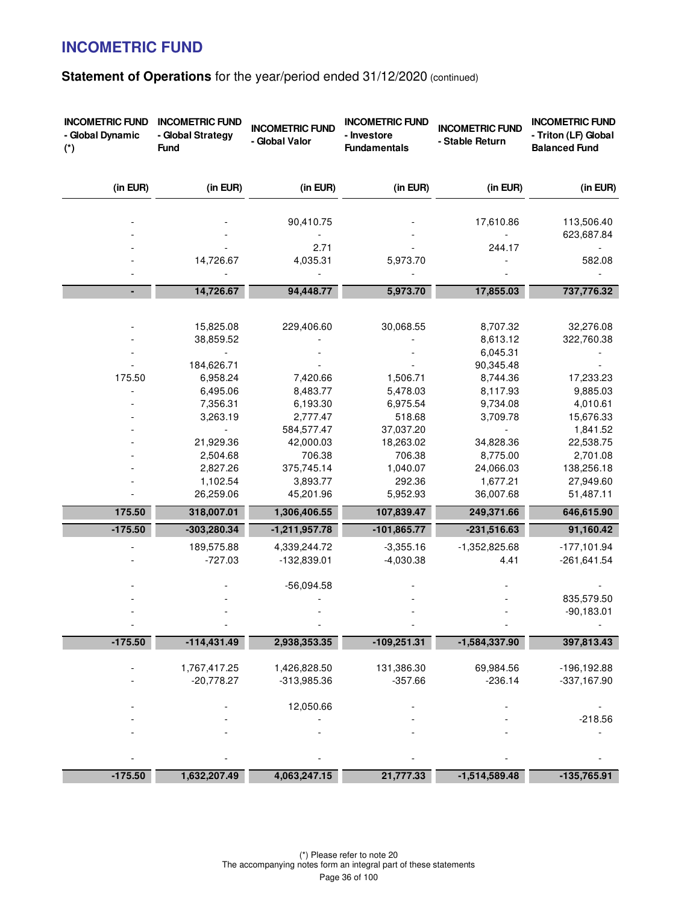| <b>INCOMETRIC FUND</b><br>- Global Dynamic<br>$(*)$ | <b>INCOMETRIC FUND</b><br>- Global Strategy<br><b>Fund</b> | <b>INCOMETRIC FUND</b><br>- Global Valor | <b>INCOMETRIC FUND</b><br>- Investore<br><b>Fundamentals</b> | <b>INCOMETRIC FUND</b><br>- Stable Return | <b>INCOMETRIC FUND</b><br>- Triton (LF) Global<br><b>Balanced Fund</b> |
|-----------------------------------------------------|------------------------------------------------------------|------------------------------------------|--------------------------------------------------------------|-------------------------------------------|------------------------------------------------------------------------|
| (in EUR)                                            | (in EUR)                                                   | (in EUR)                                 | (in EUR)                                                     | (in EUR)                                  | (in EUR)                                                               |
|                                                     |                                                            | 90,410.75                                |                                                              | 17,610.86                                 | 113,506.40                                                             |
|                                                     |                                                            |                                          |                                                              |                                           | 623,687.84                                                             |
|                                                     |                                                            | 2.71                                     |                                                              | 244.17                                    |                                                                        |
|                                                     | 14,726.67                                                  | 4,035.31                                 | 5,973.70                                                     |                                           | 582.08                                                                 |
|                                                     | 14,726.67                                                  | 94,448.77                                | 5,973.70                                                     | 17,855.03                                 | 737,776.32                                                             |
|                                                     |                                                            |                                          |                                                              |                                           |                                                                        |
|                                                     | 15,825.08                                                  | 229,406.60                               | 30,068.55                                                    | 8,707.32                                  | 32,276.08                                                              |
|                                                     | 38,859.52                                                  |                                          |                                                              | 8,613.12                                  | 322,760.38                                                             |
|                                                     |                                                            |                                          |                                                              | 6,045.31                                  |                                                                        |
|                                                     | 184,626.71                                                 |                                          |                                                              | 90,345.48                                 |                                                                        |
| 175.50                                              | 6,958.24                                                   | 7,420.66                                 | 1,506.71                                                     | 8,744.36                                  | 17,233.23                                                              |
|                                                     | 6,495.06                                                   | 8,483.77                                 | 5,478.03                                                     | 8,117.93                                  | 9,885.03                                                               |
|                                                     | 7,356.31                                                   | 6,193.30                                 | 6,975.54                                                     | 9,734.08                                  | 4,010.61                                                               |
|                                                     | 3,263.19                                                   | 2,777.47                                 | 518.68                                                       | 3,709.78                                  | 15,676.33                                                              |
|                                                     |                                                            | 584,577.47                               | 37,037.20                                                    |                                           | 1,841.52                                                               |
|                                                     | 21,929.36                                                  | 42,000.03                                | 18,263.02                                                    | 34,828.36                                 | 22,538.75                                                              |
|                                                     | 2,504.68                                                   | 706.38                                   | 706.38                                                       | 8,775.00                                  | 2,701.08                                                               |
|                                                     | 2,827.26                                                   | 375,745.14                               | 1,040.07                                                     | 24,066.03                                 | 138,256.18                                                             |
|                                                     | 1,102.54                                                   | 3,893.77                                 | 292.36                                                       | 1,677.21                                  | 27,949.60                                                              |
|                                                     | 26,259.06                                                  | 45,201.96                                | 5,952.93                                                     | 36,007.68                                 | 51,487.11                                                              |
| 175.50                                              | 318,007.01                                                 | 1,306,406.55                             | 107,839.47                                                   | 249,371.66                                | 646,615.90                                                             |
| $-175.50$                                           | -303,280.34                                                | $-1,211,957.78$                          | $-101,865.77$                                                | $-231,516.63$                             | 91,160.42                                                              |
|                                                     | 189,575.88                                                 | 4,339,244.72                             | $-3,355.16$                                                  | $-1,352,825.68$                           | $-177,101.94$                                                          |
|                                                     | $-727.03$                                                  | $-132,839.01$                            | $-4,030.38$                                                  | 4.41                                      | $-261,641.54$                                                          |
|                                                     |                                                            | $-56,094.58$                             |                                                              |                                           |                                                                        |
|                                                     |                                                            |                                          |                                                              |                                           | 835,579.50                                                             |
|                                                     |                                                            |                                          |                                                              |                                           | $-90,183.01$                                                           |
|                                                     |                                                            |                                          |                                                              |                                           |                                                                        |
| $-175.50$                                           | $-114,431.49$                                              | 2,938,353.35                             | $-109,251.31$                                                | -1,584,337.90                             | 397,813.43                                                             |
|                                                     | 1,767,417.25                                               | 1,426,828.50                             | 131,386.30                                                   | 69,984.56                                 | -196,192.88                                                            |
|                                                     | $-20,778.27$                                               | $-313,985.36$                            | $-357.66$                                                    | $-236.14$                                 | $-337,167.90$                                                          |
|                                                     |                                                            |                                          |                                                              |                                           |                                                                        |
|                                                     |                                                            | 12,050.66                                |                                                              |                                           |                                                                        |
|                                                     |                                                            |                                          |                                                              |                                           | $-218.56$                                                              |
|                                                     |                                                            |                                          |                                                              |                                           |                                                                        |
|                                                     |                                                            |                                          |                                                              |                                           |                                                                        |
|                                                     |                                                            |                                          |                                                              |                                           |                                                                        |
| $-175.50$                                           | 1,632,207.49                                               | 4,063,247.15                             | 21,777.33                                                    | $-1,514,589.48$                           | $-135,765.91$                                                          |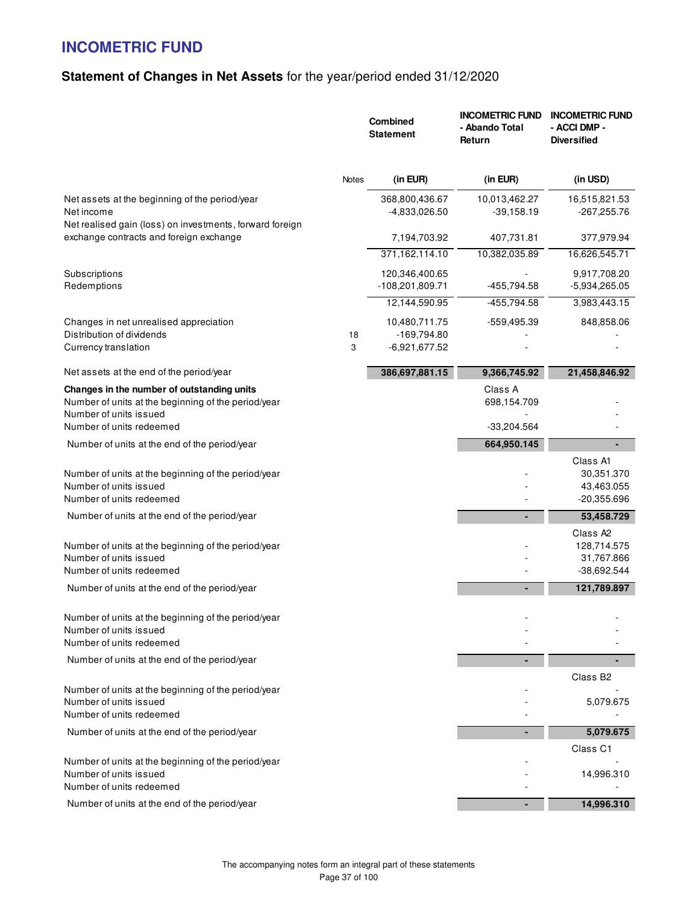## **Statement of Changes in Net Assets** for the year/period ended 31/12/2020

|                                                                                                                             |         | Combined<br><b>Statement</b>                      | <b>INCOMETRIC FUND</b><br>- Abando Total<br>Return | <b>INCOMETRIC FUND</b><br>- ACCI DMP -<br><b>Diversified</b>     |
|-----------------------------------------------------------------------------------------------------------------------------|---------|---------------------------------------------------|----------------------------------------------------|------------------------------------------------------------------|
|                                                                                                                             | Notes   | (in EUR)                                          | (in EUR)                                           | (in USD)                                                         |
| Net assets at the beginning of the period/year<br>Net income<br>Net realised gain (loss) on investments, forward foreign    |         | 368,800,436.67<br>-4,833,026.50                   | 10,013,462.27<br>$-39,158.19$                      | 16,515,821.53<br>$-267,255.76$                                   |
| exchange contracts and foreign exchange                                                                                     |         | 7,194,703.92                                      | 407,731.81                                         | 377,979.94                                                       |
|                                                                                                                             |         | 371,162,114.10                                    | 10,382,035.89                                      | 16,626,545.71                                                    |
| Subscriptions<br>Redemptions                                                                                                |         | 120,346,400.65<br>-108,201,809.71                 | -455,794.58                                        | 9,917,708.20<br>-5,934,265.05                                    |
|                                                                                                                             |         | 12,144,590.95                                     | $-455,794.58$                                      | 3,983,443.15                                                     |
| Changes in net unrealised appreciation<br>Distribution of dividends<br>Currency translation                                 | 18<br>3 | 10,480,711.75<br>$-169,794.80$<br>$-6,921,677.52$ | -559,495.39                                        | 848,858.06                                                       |
| Net assets at the end of the period/year                                                                                    |         | 386,697,881.15                                    | 9,366,745.92                                       | 21,458,846.92                                                    |
| Changes in the number of outstanding units<br>Number of units at the beginning of the period/year<br>Number of units issued |         |                                                   | Class A<br>698,154.709                             |                                                                  |
| Number of units redeemed                                                                                                    |         |                                                   | $-33,204.564$                                      |                                                                  |
| Number of units at the end of the period/year                                                                               |         |                                                   | 664,950.145                                        |                                                                  |
| Number of units at the beginning of the period/year<br>Number of units issued<br>Number of units redeemed                   |         |                                                   |                                                    | Class A1<br>30,351.370<br>43,463.055<br>$-20,355.696$            |
| Number of units at the end of the period/year                                                                               |         |                                                   |                                                    | 53,458.729                                                       |
| Number of units at the beginning of the period/year<br>Number of units issued<br>Number of units redeemed                   |         |                                                   |                                                    | Class A <sub>2</sub><br>128,714.575<br>31,767.866<br>-38,692.544 |
| Number of units at the end of the period/year                                                                               |         |                                                   |                                                    | 121,789.897                                                      |
| Number of units at the beginning of the period/year<br>Number of units issued<br>Number of units redeemed                   |         |                                                   |                                                    |                                                                  |
| Number of units at the end of the period/year                                                                               |         |                                                   |                                                    |                                                                  |
| Number of units at the beginning of the period/year<br>Number of units issued<br>Number of units redeemed                   |         |                                                   |                                                    | Class B <sub>2</sub><br>5,079.675                                |
| Number of units at the end of the period/year                                                                               |         |                                                   |                                                    | 5,079.675                                                        |
|                                                                                                                             |         |                                                   |                                                    | Class C1                                                         |
| Number of units at the beginning of the period/year<br>Number of units issued<br>Number of units redeemed                   |         |                                                   |                                                    | 14,996.310                                                       |
| Number of units at the end of the period/year                                                                               |         |                                                   |                                                    | 14,996.310                                                       |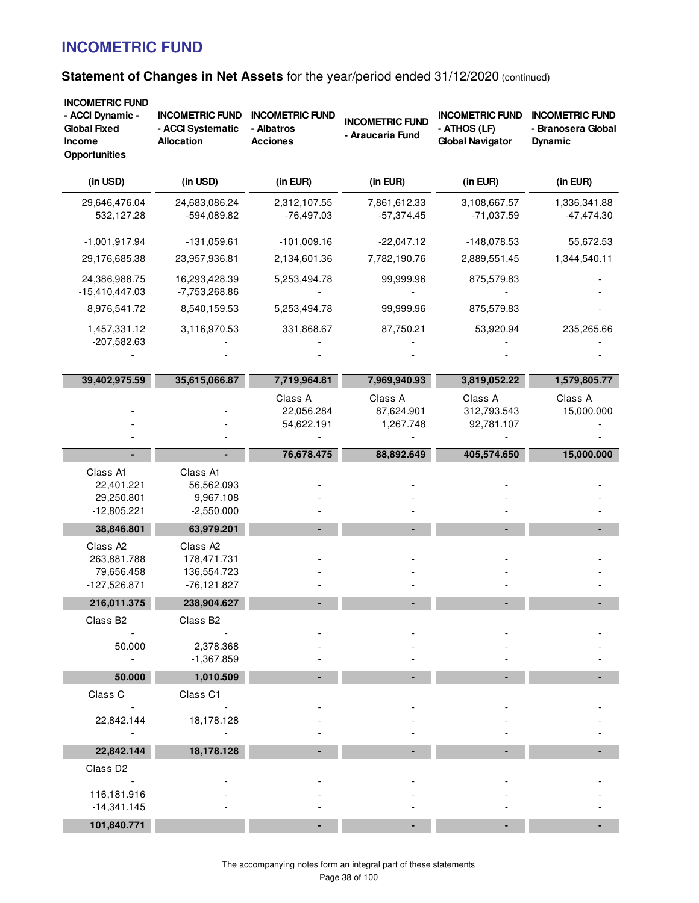| <b>INCOMETRIC FUND</b><br>- ACCI Dynamic -<br><b>Global Fixed</b><br><b>Income</b><br><b>Opportunities</b> | <b>INCOMETRIC FUND</b><br>- ACCI Systematic<br><b>Allocation</b>    | <b>INCOMETRIC FUND</b><br>- Albatros<br><b>Acciones</b> | <b>INCOMETRIC FUND</b><br>- Araucaria Fund | <b>INCOMETRIC FUND</b><br>- ATHOS (LF)<br><b>Global Navigator</b> | <b>INCOMETRIC FUND</b><br>- Branosera Global<br><b>Dynamic</b> |
|------------------------------------------------------------------------------------------------------------|---------------------------------------------------------------------|---------------------------------------------------------|--------------------------------------------|-------------------------------------------------------------------|----------------------------------------------------------------|
| (in USD)                                                                                                   | (in USD)                                                            | (in EUR)                                                | (in EUR)                                   | (in EUR)                                                          | (in EUR)                                                       |
| 29,646,476.04<br>532,127.28                                                                                | 24,683,086.24<br>-594,089.82                                        | 2,312,107.55<br>$-76,497.03$                            | 7,861,612.33<br>$-57,374.45$               | 3,108,667.57<br>$-71,037.59$                                      | 1,336,341.88<br>$-47,474.30$                                   |
| $-1,001,917.94$                                                                                            | $-131,059.61$                                                       | $-101,009.16$                                           | $-22,047.12$                               | $-148,078.53$                                                     | 55,672.53                                                      |
| 29,176,685.38                                                                                              | 23,957,936.81                                                       | 2,134,601.36                                            | 7,782,190.76                               | 2,889,551.45                                                      | 1,344,540.11                                                   |
| 24,386,988.75<br>$-15,410,447.03$                                                                          | 16,293,428.39<br>-7,753,268.86                                      | 5,253,494.78                                            | 99,999.96                                  | 875,579.83                                                        |                                                                |
| 8,976,541.72                                                                                               | 8,540,159.53                                                        | 5,253,494.78                                            | 99,999.96                                  | 875,579.83                                                        |                                                                |
| 1,457,331.12<br>-207,582.63                                                                                | 3,116,970.53                                                        | 331,868.67                                              | 87,750.21                                  | 53,920.94                                                         | 235,265.66                                                     |
|                                                                                                            |                                                                     |                                                         |                                            |                                                                   |                                                                |
| 39,402,975.59                                                                                              | 35,615,066.87                                                       | 7,719,964.81                                            | 7,969,940.93                               | 3,819,052.22                                                      | 1,579,805.77                                                   |
|                                                                                                            |                                                                     | Class A<br>22,056.284<br>54,622.191                     | Class A<br>87,624.901<br>1,267.748         | Class A<br>312,793.543<br>92,781.107                              | Class A<br>15,000.000                                          |
|                                                                                                            |                                                                     | 76,678.475                                              | 88,892.649                                 | 405,574.650                                                       | 15,000.000                                                     |
| Class A1<br>22,401.221<br>29,250.801<br>$-12,805.221$                                                      | Class A1<br>56,562.093<br>9,967.108<br>$-2,550.000$                 |                                                         |                                            |                                                                   |                                                                |
| 38,846.801                                                                                                 | 63,979.201                                                          |                                                         |                                            |                                                                   |                                                                |
| Class A <sub>2</sub><br>263,881.788<br>79,656.458<br>$-127,526.871$                                        | Class A <sub>2</sub><br>178,471.731<br>136,554.723<br>$-76,121.827$ |                                                         |                                            |                                                                   |                                                                |
| 216,011.375                                                                                                | 238,904.627                                                         |                                                         |                                            |                                                                   |                                                                |
| Class B <sub>2</sub>                                                                                       | Class B2                                                            |                                                         |                                            |                                                                   |                                                                |
| 50.000<br>$\blacksquare$                                                                                   | 2,378.368<br>$-1,367.859$                                           |                                                         |                                            |                                                                   |                                                                |
| 50.000                                                                                                     | 1,010.509                                                           |                                                         |                                            |                                                                   |                                                                |
| Class C                                                                                                    | Class C1                                                            |                                                         |                                            |                                                                   |                                                                |
| 22,842.144                                                                                                 | 18,178.128                                                          |                                                         |                                            |                                                                   |                                                                |
| 22,842.144                                                                                                 | 18,178.128                                                          |                                                         |                                            |                                                                   |                                                                |
| Class D2<br>116,181.916                                                                                    |                                                                     |                                                         |                                            |                                                                   |                                                                |
| $-14,341.145$                                                                                              |                                                                     |                                                         |                                            |                                                                   |                                                                |
| 101,840.771                                                                                                |                                                                     |                                                         |                                            |                                                                   |                                                                |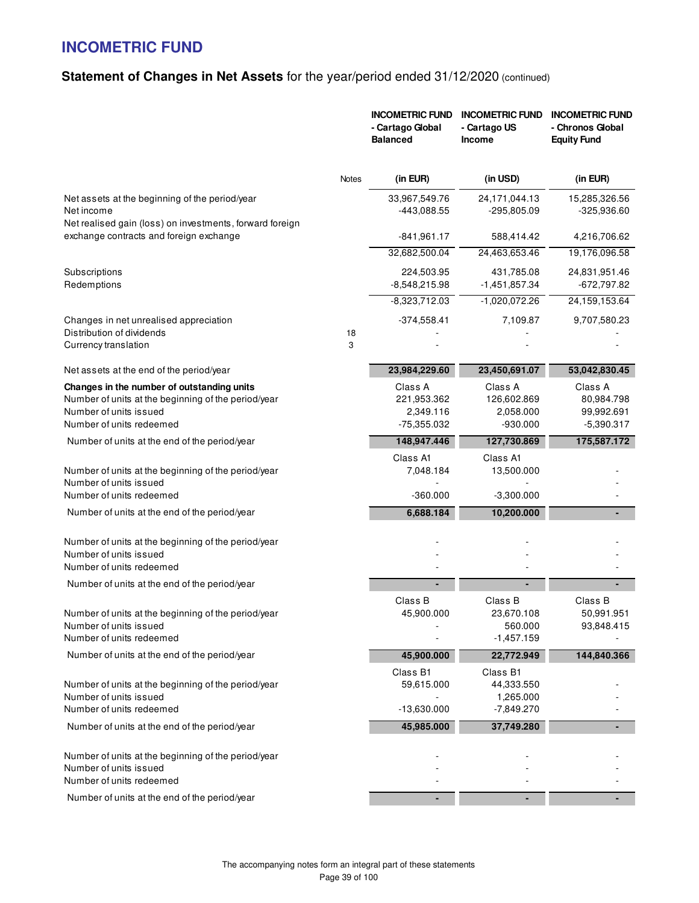|                                                                                                                                                         |              | <b>INCOMETRIC FUND</b><br>- Cartago Global<br><b>Balanced</b> | <b>INCOMETRIC FUND</b><br>- Cartago US<br><b>Income</b> | <b>INCOMETRIC FUND</b><br>- Chronos Global<br><b>Equity Fund</b> |
|---------------------------------------------------------------------------------------------------------------------------------------------------------|--------------|---------------------------------------------------------------|---------------------------------------------------------|------------------------------------------------------------------|
|                                                                                                                                                         | <b>Notes</b> | (in EUR)                                                      | (in USD)                                                | (in EUR)                                                         |
| Net assets at the beginning of the period/year<br>Net income<br>Net realised gain (loss) on investments, forward foreign                                |              | 33,967,549.76<br>-443,088.55                                  | 24, 171, 044. 13<br>$-295,805.09$                       | 15,285,326.56<br>$-325,936.60$                                   |
| exchange contracts and foreign exchange                                                                                                                 |              | $-841,961.17$                                                 | 588,414.42                                              | 4,216,706.62                                                     |
|                                                                                                                                                         |              | 32,682,500.04                                                 | 24,463,653.46                                           | 19,176,096.58                                                    |
| Subscriptions<br>Redemptions                                                                                                                            |              | 224,503.95<br>$-8,548,215.98$                                 | 431,785.08<br>-1,451,857.34                             | 24,831,951.46<br>$-672,797.82$                                   |
|                                                                                                                                                         |              | $-8,323,712.03$                                               | $-1,020,072.26$                                         | 24,159,153.64                                                    |
| Changes in net unrealised appreciation<br>Distribution of dividends                                                                                     | 18           | $-374,558.41$                                                 | 7,109.87                                                | 9,707,580.23                                                     |
| Currency translation                                                                                                                                    | 3            |                                                               |                                                         |                                                                  |
| Net assets at the end of the period/year                                                                                                                |              | 23,984,229.60                                                 | 23,450,691.07                                           | 53,042,830.45                                                    |
| Changes in the number of outstanding units<br>Number of units at the beginning of the period/year<br>Number of units issued<br>Number of units redeemed |              | Class A<br>221,953.362<br>2,349.116<br>-75,355.032            | Class A<br>126,602.869<br>2,058.000<br>$-930.000$       | Class A<br>80,984.798<br>99,992.691<br>$-5,390.317$              |
| Number of units at the end of the period/year                                                                                                           |              | 148,947.446                                                   | 127,730.869                                             | 175,587.172                                                      |
| Number of units at the beginning of the period/year<br>Number of units issued                                                                           |              | Class A1<br>7,048.184                                         | Class A1<br>13,500.000                                  |                                                                  |
| Number of units redeemed                                                                                                                                |              | $-360.000$                                                    | $-3,300.000$                                            |                                                                  |
| Number of units at the end of the period/year                                                                                                           |              | 6,688.184                                                     | 10,200.000                                              |                                                                  |
| Number of units at the beginning of the period/year<br>Number of units issued<br>Number of units redeemed                                               |              |                                                               |                                                         |                                                                  |
| Number of units at the end of the period/year                                                                                                           |              |                                                               |                                                         |                                                                  |
| Number of units at the beginning of the period/year<br>Number of units issued<br>Number of units redeemed                                               |              | Class B<br>45,900.000                                         | Class B<br>23,670.108<br>560.000<br>$-1,457.159$        | Class B<br>50,991.951<br>93,848.415                              |
| Number of units at the end of the period/year                                                                                                           |              | 45,900.000                                                    | 22,772.949                                              | 144,840.366                                                      |
| Number of units at the beginning of the period/year<br>Number of units issued<br>Number of units redeemed                                               |              | Class B1<br>59,615.000<br>$-13,630.000$                       | Class B1<br>44,333.550<br>1,265.000<br>$-7,849.270$     |                                                                  |
| Number of units at the end of the period/year                                                                                                           |              | 45,985.000                                                    | 37,749.280                                              |                                                                  |
| Number of units at the beginning of the period/year<br>Number of units issued<br>Number of units redeemed                                               |              |                                                               |                                                         |                                                                  |
| Number of units at the end of the period/year                                                                                                           |              |                                                               |                                                         |                                                                  |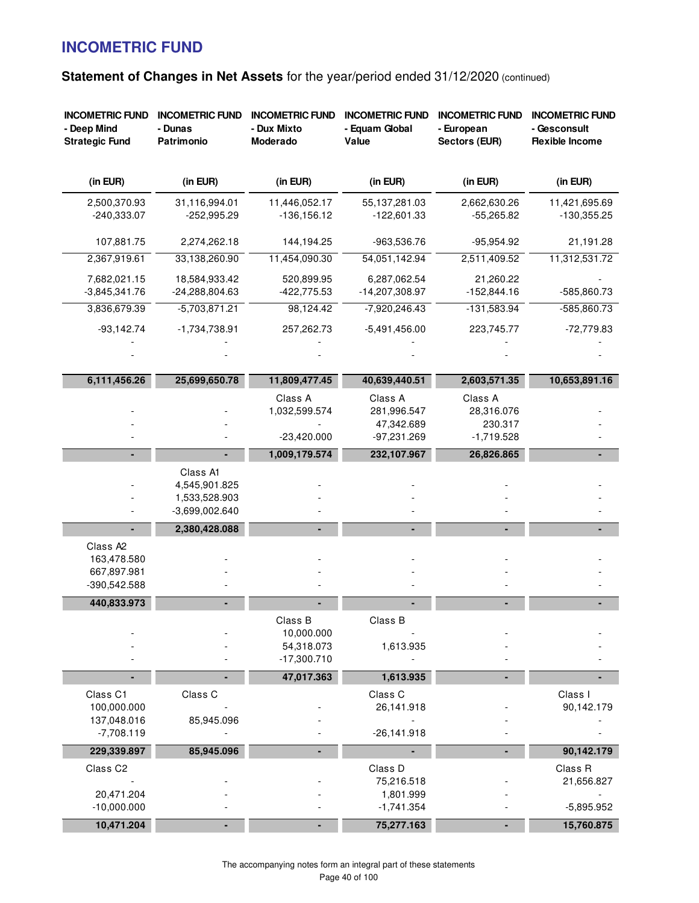| <b>INCOMETRIC FUND</b><br>- Deep Mind<br><b>Strategic Fund</b>     | <b>INCOMETRIC FUND</b><br>- Dunas<br>Patrimonio                | <b>INCOMETRIC FUND</b><br>- Dux Mixto<br>Moderado    | <b>INCOMETRIC FUND</b><br>- Equam Global<br>Value   | <b>INCOMETRIC FUND</b><br>- European<br>Sectors (EUR) | <b>INCOMETRIC FUND</b><br>- Gesconsult<br><b>Flexible Income</b> |
|--------------------------------------------------------------------|----------------------------------------------------------------|------------------------------------------------------|-----------------------------------------------------|-------------------------------------------------------|------------------------------------------------------------------|
| (in EUR)                                                           | (in EUR)                                                       | (in EUR)                                             | (in EUR)                                            | (in EUR)                                              | (in EUR)                                                         |
| 2,500,370.93<br>$-240,333.07$                                      | 31,116,994.01<br>$-252,995.29$                                 | 11,446,052.17<br>$-136, 156.12$                      | 55,137,281.03<br>$-122,601.33$                      | 2,662,630.26<br>$-55,265.82$                          | 11,421,695.69<br>$-130,355.25$                                   |
| 107,881.75                                                         | 2,274,262.18                                                   | 144,194.25                                           | -963,536.76                                         | -95,954.92                                            | 21,191.28                                                        |
| 2,367,919.61                                                       | 33,138,260.90                                                  | 11,454,090.30                                        | 54,051,142.94                                       | 2,511,409.52                                          | 11,312,531.72                                                    |
| 7,682,021.15                                                       | 18,584,933.42                                                  | 520,899.95                                           | 6,287,062.54                                        | 21,260.22                                             |                                                                  |
| $-3,845,341.76$                                                    | -24,288,804.63                                                 | $-422,775.53$                                        | -14,207,308.97                                      | $-152,844.16$                                         | -585,860.73                                                      |
| 3,836,679.39                                                       | $-5,703,871.21$                                                | 98,124.42                                            | $-7,920,246.43$                                     | $-131,583.94$                                         | $-585,860.73$                                                    |
| $-93,142.74$                                                       | $-1,734,738.91$                                                | 257,262.73                                           | $-5,491,456.00$                                     | 223,745.77                                            | $-72,779.83$                                                     |
|                                                                    |                                                                |                                                      |                                                     |                                                       |                                                                  |
| 6,111,456.26                                                       | 25,699,650.78                                                  | 11,809,477.45                                        | 40,639,440.51                                       | 2,603,571.35                                          | 10,653,891.16                                                    |
|                                                                    |                                                                | Class A<br>1,032,599.574<br>$-23,420.000$            | Class A<br>281,996.547<br>47,342.689<br>-97,231.269 | Class A<br>28,316.076<br>230.317<br>$-1,719.528$      |                                                                  |
|                                                                    |                                                                | 1,009,179.574                                        | 232,107.967                                         | 26,826.865                                            |                                                                  |
|                                                                    | Class A1<br>4,545,901.825<br>1,533,528.903<br>$-3,699,002.640$ |                                                      |                                                     |                                                       |                                                                  |
|                                                                    | 2,380,428.088                                                  |                                                      |                                                     |                                                       |                                                                  |
| Class A <sub>2</sub><br>163,478.580<br>667,897.981<br>-390,542.588 |                                                                |                                                      |                                                     |                                                       |                                                                  |
| 440,833.973                                                        |                                                                |                                                      |                                                     |                                                       |                                                                  |
|                                                                    |                                                                | Class B<br>10,000.000<br>54,318.073<br>$-17,300.710$ | Class B<br>1,613.935                                |                                                       |                                                                  |
|                                                                    | ۰                                                              | 47,017.363                                           | 1,613.935                                           |                                                       |                                                                  |
| Class C1<br>100,000.000<br>137,048.016<br>$-7,708.119$             | Class C<br>85,945.096                                          |                                                      | Class C<br>26,141.918<br>$-26,141.918$              |                                                       | Class I<br>90,142.179                                            |
| 229,339.897                                                        | 85,945.096                                                     |                                                      |                                                     |                                                       | 90,142.179                                                       |
| Class C2<br>20,471.204<br>$-10,000.000$                            |                                                                |                                                      | Class D<br>75,216.518<br>1,801.999<br>$-1,741.354$  |                                                       | Class R<br>21,656.827<br>$-5,895.952$                            |
| 10,471.204                                                         |                                                                |                                                      | 75,277.163                                          |                                                       | 15,760.875                                                       |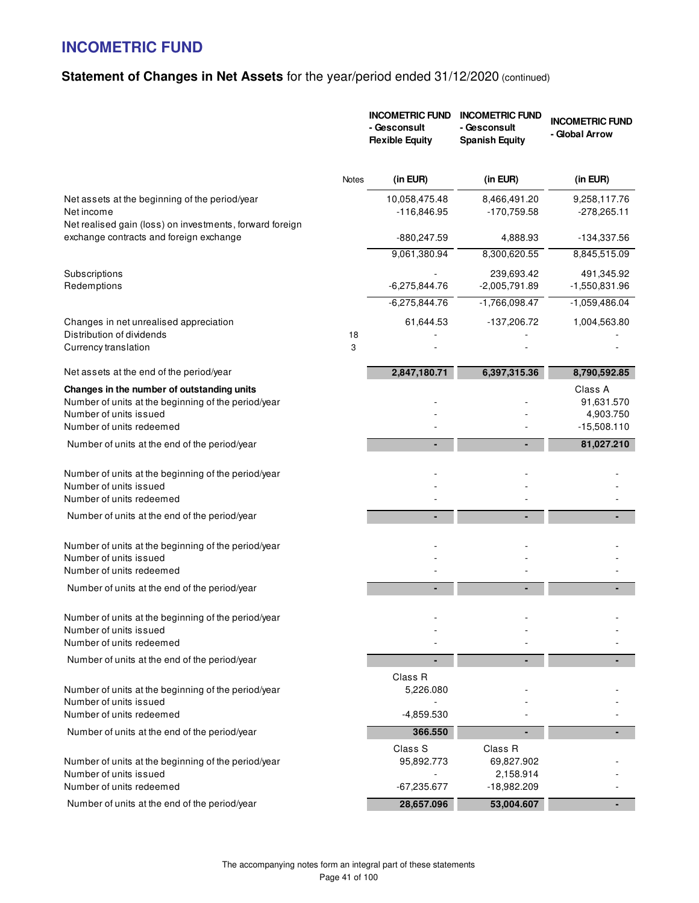|                                                                                                                                                         |         | <b>INCOMETRIC FUND</b><br>- Gesconsult<br><b>Flexible Equity</b> | <b>INCOMETRIC FUND</b><br>- Gesconsult<br><b>Spanish Equity</b> | <b>INCOMETRIC FUND</b><br>- Global Arrow            |
|---------------------------------------------------------------------------------------------------------------------------------------------------------|---------|------------------------------------------------------------------|-----------------------------------------------------------------|-----------------------------------------------------|
|                                                                                                                                                         | Notes   | (in EUR)                                                         | (in EUR)                                                        | (in EUR)                                            |
| Net assets at the beginning of the period/year<br>Net income<br>Net realised gain (loss) on investments, forward foreign                                |         | 10,058,475.48<br>$-116,846.95$                                   | 8,466,491.20<br>$-170,759.58$                                   | 9,258,117.76<br>$-278,265.11$                       |
| exchange contracts and foreign exchange                                                                                                                 |         | -880,247.59                                                      | 4,888.93                                                        | -134,337.56                                         |
|                                                                                                                                                         |         | 9,061,380.94                                                     | 8,300,620.55                                                    | 8,845,515.09                                        |
| Subscriptions<br>Redemptions                                                                                                                            |         | $-6,275,844.76$                                                  | 239,693.42<br>$-2,005,791.89$                                   | 491,345.92<br>-1,550,831.96                         |
|                                                                                                                                                         |         | $-6,275,844.76$                                                  | $-1,766,098.47$                                                 | $-1,059,486.04$                                     |
| Changes in net unrealised appreciation                                                                                                                  |         | 61,644.53                                                        | -137,206.72                                                     | 1,004,563.80                                        |
| Distribution of dividends<br>Currency translation                                                                                                       | 18<br>3 |                                                                  |                                                                 |                                                     |
| Net assets at the end of the period/year                                                                                                                |         | 2,847,180.71                                                     | 6,397,315.36                                                    | 8,790,592.85                                        |
| Changes in the number of outstanding units<br>Number of units at the beginning of the period/year<br>Number of units issued<br>Number of units redeemed |         |                                                                  |                                                                 | Class A<br>91,631.570<br>4,903.750<br>$-15,508.110$ |
| Number of units at the end of the period/year                                                                                                           |         |                                                                  |                                                                 | 81,027.210                                          |
| Number of units at the beginning of the period/year<br>Number of units issued<br>Number of units redeemed                                               |         |                                                                  |                                                                 |                                                     |
| Number of units at the end of the period/year                                                                                                           |         |                                                                  |                                                                 |                                                     |
| Number of units at the beginning of the period/year<br>Number of units issued<br>Number of units redeemed                                               |         |                                                                  |                                                                 |                                                     |
| Number of units at the end of the period/year                                                                                                           |         |                                                                  |                                                                 |                                                     |
| Number of units at the beginning of the period/year<br>Number of units issued<br>Number of units redeemed                                               |         |                                                                  |                                                                 |                                                     |
| Number of units at the end of the period/year                                                                                                           |         |                                                                  |                                                                 |                                                     |
| Number of units at the beginning of the period/year<br>Number of units issued<br>Number of units redeemed                                               |         | Class R<br>5,226.080<br>$-4,859.530$                             |                                                                 |                                                     |
| Number of units at the end of the period/year                                                                                                           |         | 366.550                                                          |                                                                 |                                                     |
| Number of units at the beginning of the period/year<br>Number of units issued<br>Number of units redeemed                                               |         | Class S<br>95,892.773<br>$-67,235.677$                           | Class <sub>R</sub><br>69,827.902<br>2,158.914<br>$-18,982.209$  |                                                     |
| Number of units at the end of the period/year                                                                                                           |         | 28,657.096                                                       | 53,004.607                                                      |                                                     |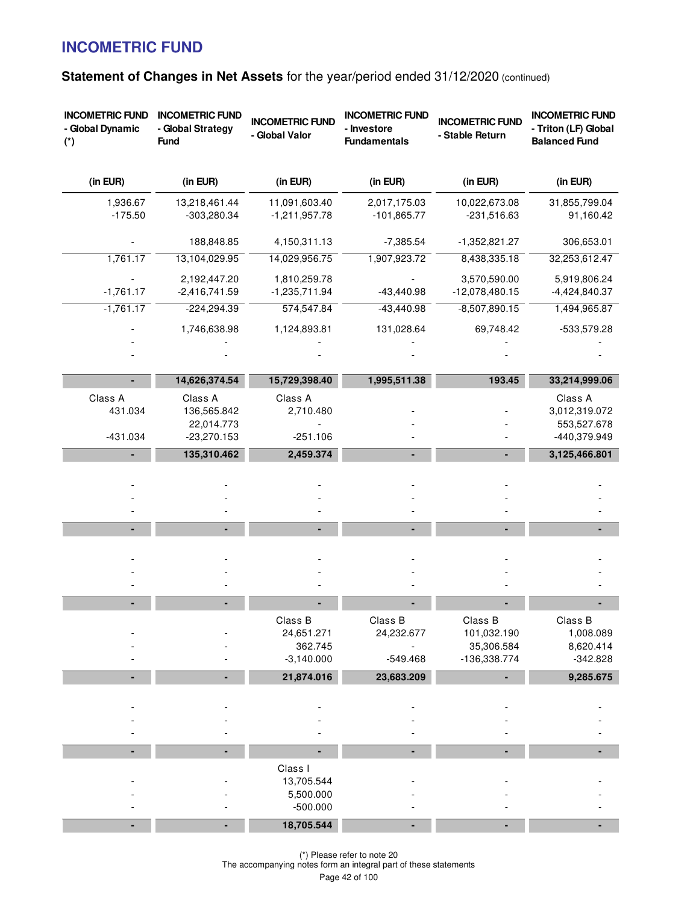| Statement of Changes in Net Assets for the year/period ended 31/12/2020 (continued) |  |
|-------------------------------------------------------------------------------------|--|
|-------------------------------------------------------------------------------------|--|

| <b>INCOMETRIC FUND</b><br>- Global Dynamic<br>$(*)$ | <b>INCOMETRIC FUND</b><br>- Global Strategy<br><b>Fund</b> | <b>INCOMETRIC FUND</b><br>- Global Valor                       | <b>INCOMETRIC FUND</b><br>- Investore<br><b>Fundamentals</b> | <b>INCOMETRIC FUND</b><br>- Stable Return            | <b>INCOMETRIC FUND</b><br>- Triton (LF) Global<br><b>Balanced Fund</b> |
|-----------------------------------------------------|------------------------------------------------------------|----------------------------------------------------------------|--------------------------------------------------------------|------------------------------------------------------|------------------------------------------------------------------------|
| (in EUR)                                            | (in EUR)                                                   | (in EUR)                                                       | (in EUR)                                                     | (in EUR)                                             | (in EUR)                                                               |
| 1,936.67<br>$-175.50$                               | 13,218,461.44<br>-303,280.34                               | 11,091,603.40<br>$-1,211,957.78$                               | 2,017,175.03<br>$-101,865.77$                                | 10,022,673.08<br>$-231,516.63$                       | 31,855,799.04<br>91,160.42                                             |
|                                                     | 188,848.85                                                 | 4,150,311.13                                                   | $-7,385.54$                                                  | $-1,352,821.27$                                      | 306,653.01                                                             |
| 1,761.17                                            | 13,104,029.95                                              | 14,029,956.75                                                  | 1,907,923.72                                                 | 8,438,335.18                                         | 32,253,612.47                                                          |
| $-1,761.17$                                         | 2,192,447.20<br>$-2,416,741.59$                            | 1,810,259.78<br>$-1,235,711.94$                                | $-43,440.98$                                                 | 3,570,590.00<br>$-12,078,480.15$                     | 5,919,806.24<br>$-4,424,840.37$                                        |
| $-1,761.17$                                         | $-224,294.39$                                              | 574,547.84                                                     | $-43,440.98$                                                 | $-8,507,890.15$                                      | 1,494,965.87                                                           |
|                                                     | 1,746,638.98                                               | 1,124,893.81                                                   | 131,028.64                                                   | 69,748.42                                            | -533,579.28                                                            |
|                                                     |                                                            |                                                                |                                                              |                                                      |                                                                        |
|                                                     | 14,626,374.54                                              | 15,729,398.40                                                  | 1,995,511.38                                                 | 193.45                                               | 33,214,999.06                                                          |
| Class A<br>431.034<br>$-431.034$                    | Class A<br>136,565.842<br>22,014.773<br>$-23,270.153$      | Class A<br>2,710.480<br>$-251.106$                             |                                                              |                                                      | Class A<br>3,012,319.072<br>553,527.678<br>-440,379.949                |
|                                                     | 135,310.462                                                | 2,459.374                                                      |                                                              |                                                      | 3,125,466.801                                                          |
|                                                     |                                                            |                                                                |                                                              |                                                      |                                                                        |
|                                                     |                                                            |                                                                |                                                              |                                                      |                                                                        |
|                                                     |                                                            |                                                                |                                                              |                                                      |                                                                        |
|                                                     |                                                            |                                                                |                                                              |                                                      |                                                                        |
|                                                     |                                                            |                                                                |                                                              |                                                      |                                                                        |
|                                                     |                                                            | Class B<br>24,651.271<br>362.745<br>$-3,140.000$               | Class B<br>24,232.677<br>$-549.468$                          | Class B<br>101,032.190<br>35,306.584<br>-136,338.774 | Class B<br>1,008.089<br>8,620.414<br>$-342.828$                        |
|                                                     | ٠                                                          | 21,874.016                                                     | 23,683.209                                                   | ٠                                                    | 9,285.675                                                              |
|                                                     |                                                            |                                                                |                                                              |                                                      |                                                                        |
|                                                     | ٠                                                          |                                                                |                                                              |                                                      |                                                                        |
|                                                     |                                                            | Class I<br>13,705.544<br>5,500.000<br>$-500.000$<br>18,705.544 |                                                              |                                                      |                                                                        |

(\*) Please refer to note 20 The accompanying notes form an integral part of these statements Page 42 of 100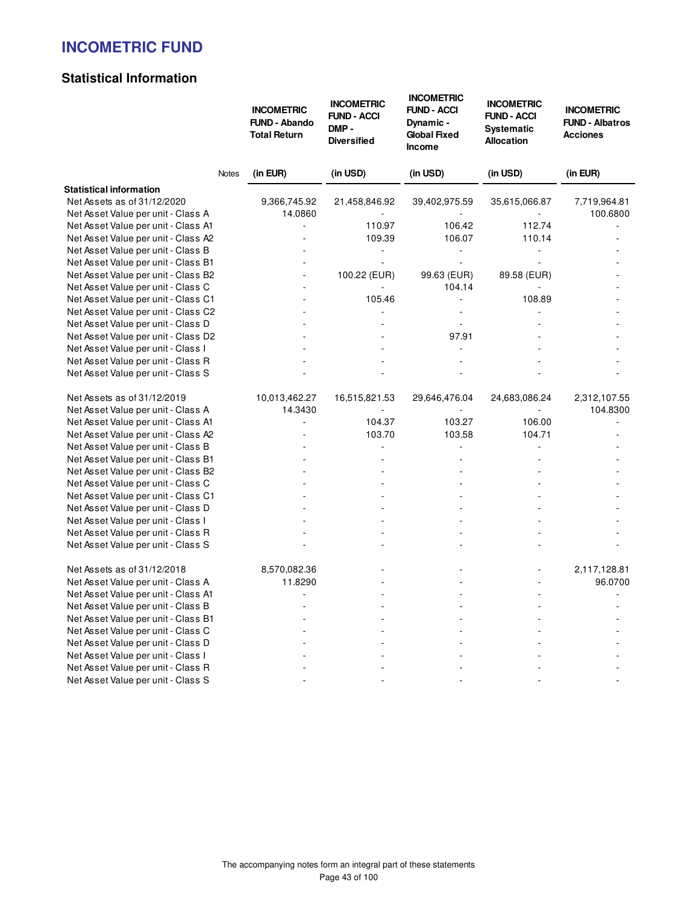# **Statistical Information**

|                                                                   | <b>INCOMETRIC</b><br><b>FUND - Abando</b><br><b>Total Return</b> | <b>INCOMETRIC</b><br><b>FUND - ACCI</b><br>DMP-<br><b>Diversified</b> | <b>INCOMETRIC</b><br><b>FUND - ACCI</b><br>Dynamic -<br><b>Global Fixed</b><br><b>Income</b> | <b>INCOMETRIC</b><br><b>FUND - ACCI</b><br><b>Systematic</b><br><b>Allocation</b> | <b>INCOMETRIC</b><br><b>FUND - Albatros</b><br><b>Acciones</b> |
|-------------------------------------------------------------------|------------------------------------------------------------------|-----------------------------------------------------------------------|----------------------------------------------------------------------------------------------|-----------------------------------------------------------------------------------|----------------------------------------------------------------|
|                                                                   | (in EUR)<br>Notes                                                | (in USD)                                                              | (in USD)                                                                                     | (in USD)                                                                          | (in EUR)                                                       |
| <b>Statistical information</b>                                    |                                                                  |                                                                       |                                                                                              |                                                                                   |                                                                |
| Net Assets as of 31/12/2020<br>Net Asset Value per unit - Class A | 9,366,745.92<br>14.0860                                          | 21,458,846.92                                                         | 39,402,975.59                                                                                | 35,615,066.87                                                                     | 7,719,964.81<br>100.6800                                       |
| Net Asset Value per unit - Class A1                               | $\blacksquare$                                                   | 110.97                                                                | 106.42                                                                                       | 112.74                                                                            |                                                                |
| Net Asset Value per unit - Class A2                               |                                                                  | 109.39                                                                | 106.07                                                                                       | 110.14                                                                            |                                                                |
| Net Asset Value per unit - Class B                                |                                                                  | $\blacksquare$                                                        | $\blacksquare$                                                                               |                                                                                   |                                                                |
| Net Asset Value per unit - Class B1                               |                                                                  |                                                                       |                                                                                              |                                                                                   |                                                                |
| Net Asset Value per unit - Class B2                               | $\overline{a}$                                                   | 100.22 (EUR)                                                          | 99.63 (EUR)                                                                                  | 89.58 (EUR)                                                                       |                                                                |
| Net Asset Value per unit - Class C                                |                                                                  |                                                                       | 104.14                                                                                       |                                                                                   |                                                                |
| Net Asset Value per unit - Class C1                               |                                                                  | 105.46                                                                |                                                                                              | 108.89                                                                            |                                                                |
| Net Asset Value per unit - Class C2                               |                                                                  |                                                                       |                                                                                              |                                                                                   |                                                                |
| Net Asset Value per unit - Class D                                |                                                                  |                                                                       | $\sim$                                                                                       |                                                                                   |                                                                |
| Net Asset Value per unit - Class D2                               |                                                                  |                                                                       | 97.91                                                                                        |                                                                                   |                                                                |
| Net Asset Value per unit - Class I                                |                                                                  |                                                                       |                                                                                              |                                                                                   |                                                                |
| Net Asset Value per unit - Class R                                |                                                                  |                                                                       |                                                                                              |                                                                                   |                                                                |
| Net Asset Value per unit - Class S                                |                                                                  |                                                                       |                                                                                              |                                                                                   |                                                                |
| Net Assets as of 31/12/2019                                       | 10,013,462.27                                                    | 16,515,821.53                                                         | 29,646,476.04                                                                                | 24,683,086.24                                                                     | 2,312,107.55                                                   |
| Net Asset Value per unit - Class A                                | 14.3430                                                          |                                                                       |                                                                                              |                                                                                   | 104.8300                                                       |
| Net Asset Value per unit - Class A1                               |                                                                  | 104.37                                                                | 103.27                                                                                       | 106.00                                                                            |                                                                |
| Net Asset Value per unit - Class A2                               |                                                                  | 103.70                                                                | 103.58                                                                                       | 104.71                                                                            |                                                                |
| Net Asset Value per unit - Class B                                |                                                                  | L.                                                                    | L.                                                                                           | L.                                                                                |                                                                |
| Net Asset Value per unit - Class B1                               |                                                                  |                                                                       |                                                                                              |                                                                                   |                                                                |
| Net Asset Value per unit - Class B2                               |                                                                  |                                                                       |                                                                                              |                                                                                   |                                                                |
| Net Asset Value per unit - Class C                                |                                                                  |                                                                       |                                                                                              |                                                                                   |                                                                |
| Net Asset Value per unit - Class C1                               |                                                                  |                                                                       |                                                                                              |                                                                                   |                                                                |
| Net Asset Value per unit - Class D                                |                                                                  |                                                                       |                                                                                              |                                                                                   |                                                                |
| Net Asset Value per unit - Class I                                |                                                                  |                                                                       |                                                                                              |                                                                                   |                                                                |
| Net Asset Value per unit - Class R                                |                                                                  |                                                                       |                                                                                              |                                                                                   |                                                                |
| Net Asset Value per unit - Class S                                |                                                                  |                                                                       |                                                                                              |                                                                                   |                                                                |
| Net Assets as of 31/12/2018                                       | 8,570,082.36                                                     |                                                                       |                                                                                              |                                                                                   | 2,117,128.81                                                   |
| Net Asset Value per unit - Class A                                | 11.8290                                                          |                                                                       |                                                                                              |                                                                                   | 96.0700                                                        |
| Net Asset Value per unit - Class A1                               | ÷.                                                               |                                                                       |                                                                                              |                                                                                   |                                                                |
| Net Asset Value per unit - Class B                                |                                                                  |                                                                       |                                                                                              |                                                                                   |                                                                |
| Net Asset Value per unit - Class B1                               |                                                                  |                                                                       |                                                                                              |                                                                                   |                                                                |
| Net Asset Value per unit - Class C                                |                                                                  |                                                                       |                                                                                              |                                                                                   |                                                                |
| Net Asset Value per unit - Class D                                |                                                                  |                                                                       |                                                                                              |                                                                                   |                                                                |
| Net Asset Value per unit - Class I                                |                                                                  |                                                                       |                                                                                              |                                                                                   |                                                                |
| Net Asset Value per unit - Class R                                |                                                                  |                                                                       |                                                                                              |                                                                                   |                                                                |
| Net Asset Value per unit - Class S                                |                                                                  |                                                                       |                                                                                              |                                                                                   |                                                                |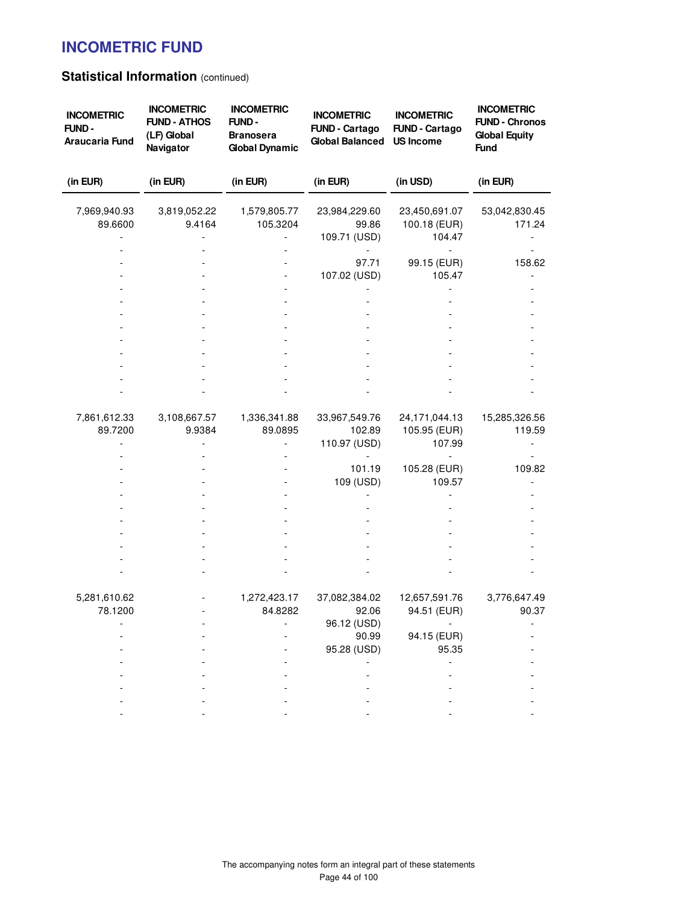# **Statistical Information (continued)**

| <b>INCOMETRIC</b><br>FUND-<br>Araucaria Fund | <b>INCOMETRIC</b><br><b>FUND - ATHOS</b><br>(LF) Global<br>Navigator | <b>INCOMETRIC</b><br>FUND-<br><b>Branosera</b><br><b>Global Dynamic</b> | <b>INCOMETRIC</b><br><b>FUND - Cartago</b><br><b>Global Balanced</b> | <b>INCOMETRIC</b><br><b>FUND - Cartago</b><br><b>US Income</b> | <b>INCOMETRIC</b><br><b>FUND - Chronos</b><br><b>Global Equity</b><br><b>Fund</b> |
|----------------------------------------------|----------------------------------------------------------------------|-------------------------------------------------------------------------|----------------------------------------------------------------------|----------------------------------------------------------------|-----------------------------------------------------------------------------------|
| (in EUR)                                     | (in EUR)                                                             | (in EUR)                                                                | (in EUR)                                                             | (in USD)                                                       | (in EUR)                                                                          |
| 7,969,940.93<br>89.6600                      | 3,819,052.22<br>9.4164                                               | 1,579,805.77<br>105.3204                                                | 23,984,229.60<br>99.86<br>109.71 (USD)                               | 23,450,691.07<br>100.18 (EUR)<br>104.47                        | 53,042,830.45<br>171.24                                                           |
|                                              |                                                                      |                                                                         | 97.71<br>107.02 (USD)                                                | 99.15 (EUR)<br>105.47                                          | 158.62                                                                            |
|                                              |                                                                      |                                                                         |                                                                      |                                                                |                                                                                   |
|                                              |                                                                      |                                                                         |                                                                      |                                                                |                                                                                   |
|                                              |                                                                      |                                                                         |                                                                      |                                                                |                                                                                   |
| 7,861,612.33<br>89.7200                      | 3,108,667.57<br>9.9384                                               | 1,336,341.88<br>89.0895                                                 | 33,967,549.76<br>102.89<br>110.97 (USD)                              | 24,171,044.13<br>105.95 (EUR)<br>107.99                        | 15,285,326.56<br>119.59                                                           |
|                                              |                                                                      |                                                                         | 101.19<br>109 (USD)                                                  | 105.28 (EUR)<br>109.57                                         | 109.82                                                                            |
|                                              |                                                                      |                                                                         |                                                                      |                                                                |                                                                                   |
|                                              |                                                                      |                                                                         |                                                                      |                                                                |                                                                                   |
| 5,281,610.62<br>78.1200                      |                                                                      | 1,272,423.17<br>84.8282                                                 | 37,082,384.02<br>92.06                                               | 12,657,591.76<br>94.51 (EUR)                                   | 3,776,647.49<br>90.37                                                             |
|                                              |                                                                      |                                                                         | 96.12 (USD)<br>90.99<br>95.28 (USD)                                  | 94.15 (EUR)<br>95.35                                           |                                                                                   |
|                                              |                                                                      |                                                                         |                                                                      |                                                                |                                                                                   |
|                                              |                                                                      |                                                                         |                                                                      |                                                                |                                                                                   |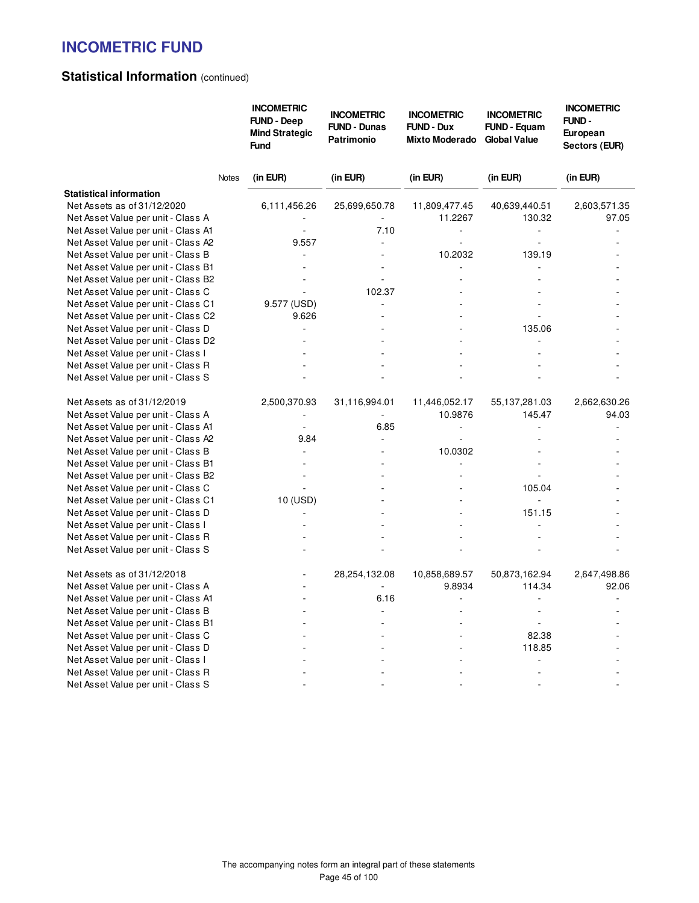# **Statistical Information (continued)**

|                                                                           |              | <b>INCOMETRIC</b><br><b>FUND - Deep</b><br><b>Mind Strategic</b><br><b>Fund</b> | <b>INCOMETRIC</b><br><b>FUND - Dunas</b><br><b>Patrimonio</b> | <b>INCOMETRIC</b><br><b>FUND - Dux</b><br><b>Mixto Moderado</b> | <b>INCOMETRIC</b><br><b>FUND - Equam</b><br><b>Global Value</b> | <b>INCOMETRIC</b><br>FUND -<br>European<br>Sectors (EUR) |
|---------------------------------------------------------------------------|--------------|---------------------------------------------------------------------------------|---------------------------------------------------------------|-----------------------------------------------------------------|-----------------------------------------------------------------|----------------------------------------------------------|
|                                                                           | <b>Notes</b> | (in EUR)                                                                        | (in EUR)                                                      | (in EUR)                                                        | (in EUR)                                                        | (in EUR)                                                 |
| <b>Statistical information</b>                                            |              |                                                                                 |                                                               |                                                                 |                                                                 |                                                          |
| Net Assets as of 31/12/2020                                               |              | 6,111,456.26                                                                    | 25,699,650.78                                                 | 11,809,477.45                                                   | 40,639,440.51                                                   | 2,603,571.35                                             |
| Net Asset Value per unit - Class A                                        |              |                                                                                 |                                                               | 11.2267                                                         | 130.32                                                          | 97.05                                                    |
| Net Asset Value per unit - Class A1                                       |              |                                                                                 | 7.10                                                          | ÷.                                                              | $\blacksquare$                                                  |                                                          |
| Net Asset Value per unit - Class A2                                       |              | 9.557                                                                           |                                                               |                                                                 |                                                                 |                                                          |
| Net Asset Value per unit - Class B                                        |              |                                                                                 |                                                               | 10.2032                                                         | 139.19                                                          |                                                          |
| Net Asset Value per unit - Class B1                                       |              |                                                                                 |                                                               |                                                                 |                                                                 |                                                          |
| Net Asset Value per unit - Class B2                                       |              | ٠                                                                               | $\overline{a}$                                                |                                                                 |                                                                 |                                                          |
| Net Asset Value per unit - Class C                                        |              |                                                                                 | 102.37                                                        |                                                                 |                                                                 |                                                          |
| Net Asset Value per unit - Class C1                                       |              | 9.577 (USD)                                                                     |                                                               |                                                                 |                                                                 |                                                          |
| Net Asset Value per unit - Class C2                                       |              | 9.626<br>÷,                                                                     |                                                               |                                                                 | 135.06                                                          |                                                          |
| Net Asset Value per unit - Class D<br>Net Asset Value per unit - Class D2 |              |                                                                                 |                                                               |                                                                 |                                                                 |                                                          |
| Net Asset Value per unit - Class I                                        |              |                                                                                 |                                                               |                                                                 |                                                                 |                                                          |
| Net Asset Value per unit - Class R                                        |              |                                                                                 |                                                               |                                                                 |                                                                 |                                                          |
| Net Asset Value per unit - Class S                                        |              |                                                                                 |                                                               |                                                                 |                                                                 |                                                          |
| Net Assets as of 31/12/2019                                               |              | 2,500,370.93                                                                    | 31,116,994.01                                                 | 11,446,052.17                                                   | 55,137,281.03                                                   | 2,662,630.26                                             |
| Net Asset Value per unit - Class A                                        |              |                                                                                 |                                                               | 10.9876                                                         | 145.47                                                          | 94.03                                                    |
| Net Asset Value per unit - Class A1                                       |              | $\overline{\phantom{a}}$                                                        | 6.85                                                          | ÷,                                                              |                                                                 |                                                          |
| Net Asset Value per unit - Class A2                                       |              | 9.84                                                                            |                                                               | ÷,                                                              |                                                                 |                                                          |
| Net Asset Value per unit - Class B                                        |              | $\overline{\phantom{a}}$                                                        |                                                               | 10.0302                                                         |                                                                 |                                                          |
| Net Asset Value per unit - Class B1                                       |              |                                                                                 |                                                               |                                                                 |                                                                 |                                                          |
| Net Asset Value per unit - Class B2                                       |              | $\overline{\phantom{a}}$                                                        |                                                               |                                                                 |                                                                 |                                                          |
| Net Asset Value per unit - Class C                                        |              |                                                                                 |                                                               |                                                                 | 105.04                                                          |                                                          |
| Net Asset Value per unit - Class C1                                       |              | 10 (USD)                                                                        |                                                               |                                                                 | ÷,                                                              |                                                          |
| Net Asset Value per unit - Class D                                        |              | ä,                                                                              |                                                               |                                                                 | 151.15                                                          |                                                          |
| Net Asset Value per unit - Class I                                        |              |                                                                                 |                                                               |                                                                 |                                                                 |                                                          |
| Net Asset Value per unit - Class R                                        |              |                                                                                 |                                                               |                                                                 |                                                                 |                                                          |
| Net Asset Value per unit - Class S                                        |              |                                                                                 |                                                               |                                                                 |                                                                 |                                                          |
| Net Assets as of 31/12/2018                                               |              |                                                                                 | 28,254,132.08                                                 | 10,858,689.57                                                   | 50,873,162.94                                                   | 2,647,498.86                                             |
| Net Asset Value per unit - Class A                                        |              | ÷                                                                               |                                                               | 9.8934                                                          | 114.34                                                          | 92.06                                                    |
| Net Asset Value per unit - Class A1                                       |              |                                                                                 | 6.16                                                          |                                                                 |                                                                 |                                                          |
| Net Asset Value per unit - Class B                                        |              |                                                                                 | ÷.                                                            |                                                                 | $\sim$                                                          |                                                          |
| Net Asset Value per unit - Class B1                                       |              |                                                                                 |                                                               |                                                                 | ÷,                                                              |                                                          |
| Net Asset Value per unit - Class C                                        |              |                                                                                 |                                                               |                                                                 | 82.38                                                           |                                                          |
| Net Asset Value per unit - Class D                                        |              |                                                                                 |                                                               |                                                                 | 118.85                                                          |                                                          |
| Net Asset Value per unit - Class I                                        |              |                                                                                 |                                                               |                                                                 |                                                                 |                                                          |
| Net Asset Value per unit - Class R                                        |              |                                                                                 |                                                               |                                                                 | L.                                                              |                                                          |
| Net Asset Value per unit - Class S                                        |              |                                                                                 |                                                               |                                                                 |                                                                 |                                                          |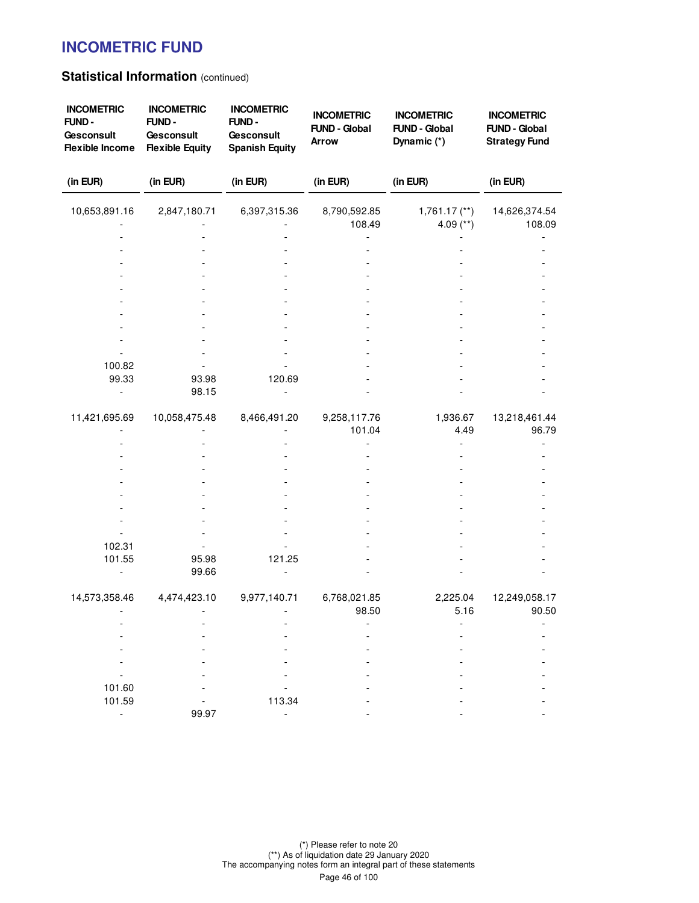### **Statistical Information (continued)**

| <b>INCOMETRIC</b><br>FUND-<br>Gesconsult<br><b>Flexible Income</b> | <b>INCOMETRIC</b><br>FUND-<br>Gesconsult<br><b>Flexible Equity</b> | <b>INCOMETRIC</b><br>FUND-<br>Gesconsult<br><b>Spanish Equity</b> | <b>INCOMETRIC</b><br><b>FUND - Global</b><br><b>Arrow</b> | <b>INCOMETRIC</b><br><b>FUND - Global</b><br>Dynamic (*) | <b>INCOMETRIC</b><br><b>FUND - Global</b><br><b>Strategy Fund</b> |
|--------------------------------------------------------------------|--------------------------------------------------------------------|-------------------------------------------------------------------|-----------------------------------------------------------|----------------------------------------------------------|-------------------------------------------------------------------|
| (in EUR)                                                           | (in EUR)                                                           | (in EUR)                                                          | (in EUR)                                                  | (in EUR)                                                 | (in EUR)                                                          |
| 10,653,891.16                                                      | 2,847,180.71                                                       | 6,397,315.36                                                      | 8,790,592.85                                              | $1,761.17$ $(**)$                                        | 14,626,374.54                                                     |
|                                                                    |                                                                    |                                                                   | 108.49                                                    | 4.09 $(**)$                                              | 108.09                                                            |
|                                                                    |                                                                    |                                                                   |                                                           |                                                          |                                                                   |
|                                                                    |                                                                    |                                                                   |                                                           |                                                          |                                                                   |
|                                                                    |                                                                    |                                                                   |                                                           |                                                          |                                                                   |
|                                                                    |                                                                    |                                                                   |                                                           |                                                          |                                                                   |
|                                                                    |                                                                    |                                                                   |                                                           |                                                          |                                                                   |
|                                                                    |                                                                    |                                                                   |                                                           |                                                          |                                                                   |
|                                                                    |                                                                    |                                                                   |                                                           |                                                          |                                                                   |
|                                                                    |                                                                    |                                                                   |                                                           |                                                          |                                                                   |
| 100.82                                                             |                                                                    |                                                                   |                                                           |                                                          |                                                                   |
| 99.33                                                              | 93.98                                                              | 120.69                                                            |                                                           |                                                          |                                                                   |
|                                                                    | 98.15                                                              |                                                                   |                                                           |                                                          |                                                                   |
| 11,421,695.69                                                      | 10,058,475.48                                                      | 8,466,491.20                                                      | 9,258,117.76                                              | 1,936.67                                                 | 13,218,461.44                                                     |
|                                                                    |                                                                    |                                                                   | 101.04                                                    | 4.49                                                     | 96.79                                                             |
|                                                                    |                                                                    |                                                                   |                                                           |                                                          |                                                                   |
|                                                                    |                                                                    |                                                                   |                                                           |                                                          |                                                                   |
|                                                                    |                                                                    |                                                                   |                                                           |                                                          |                                                                   |
|                                                                    |                                                                    |                                                                   |                                                           |                                                          |                                                                   |
|                                                                    |                                                                    |                                                                   |                                                           |                                                          |                                                                   |
|                                                                    |                                                                    |                                                                   |                                                           |                                                          |                                                                   |
|                                                                    |                                                                    |                                                                   |                                                           |                                                          |                                                                   |
| 102.31<br>101.55                                                   | 95.98                                                              | 121.25                                                            |                                                           |                                                          |                                                                   |
|                                                                    | 99.66                                                              |                                                                   |                                                           |                                                          |                                                                   |
|                                                                    |                                                                    |                                                                   |                                                           |                                                          |                                                                   |
| 14,573,358.46                                                      | 4,474,423.10                                                       | 9,977,140.71                                                      | 6,768,021.85<br>98.50                                     | 2,225.04<br>5.16                                         | 12,249,058.17<br>90.50                                            |
|                                                                    |                                                                    |                                                                   |                                                           |                                                          |                                                                   |
|                                                                    |                                                                    |                                                                   |                                                           |                                                          |                                                                   |
|                                                                    |                                                                    |                                                                   |                                                           |                                                          |                                                                   |
|                                                                    |                                                                    |                                                                   |                                                           |                                                          |                                                                   |
|                                                                    |                                                                    |                                                                   |                                                           |                                                          |                                                                   |
| 101.60<br>101.59                                                   |                                                                    | 113.34                                                            |                                                           |                                                          |                                                                   |
| $\blacksquare$                                                     | 99.97                                                              |                                                                   |                                                           |                                                          |                                                                   |
|                                                                    |                                                                    |                                                                   |                                                           |                                                          |                                                                   |

(\*) Please refer to note 20 (\*\*) As of liquidation date 29 January 2020 The accompanying notes form an integral part of these statements Page 46 of 100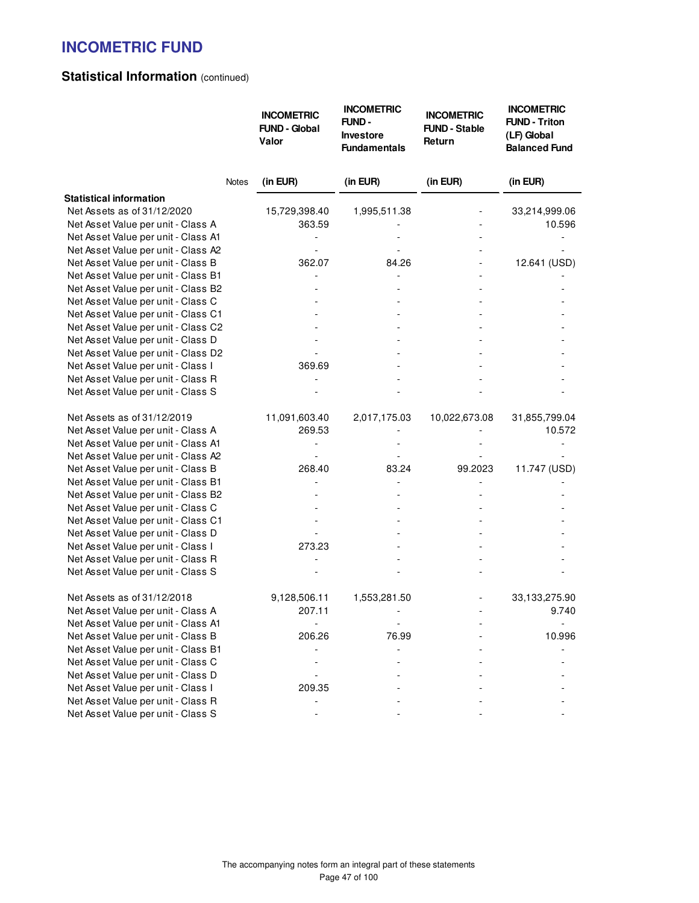# **Statistical Information (continued)**

|                                                                          | <b>INCOMETRIC</b><br><b>FUND - Global</b><br>Valor | <b>INCOMETRIC</b><br>FUND-<br>Investore<br><b>Fundamentals</b> | <b>INCOMETRIC</b><br><b>FUND - Stable</b><br>Return | <b>INCOMETRIC</b><br><b>FUND - Triton</b><br>(LF) Global<br><b>Balanced Fund</b> |
|--------------------------------------------------------------------------|----------------------------------------------------|----------------------------------------------------------------|-----------------------------------------------------|----------------------------------------------------------------------------------|
| Notes                                                                    | (in EUR)                                           | (in EUR)                                                       | (in EUR)                                            | (in EUR)                                                                         |
| <b>Statistical information</b>                                           |                                                    |                                                                |                                                     |                                                                                  |
| Net Assets as of 31/12/2020                                              | 15,729,398.40                                      | 1,995,511.38                                                   |                                                     | 33,214,999.06                                                                    |
| Net Asset Value per unit - Class A                                       | 363.59                                             |                                                                |                                                     | 10.596                                                                           |
| Net Asset Value per unit - Class A1                                      |                                                    |                                                                |                                                     |                                                                                  |
| Net Asset Value per unit - Class A2                                      |                                                    |                                                                |                                                     |                                                                                  |
| Net Asset Value per unit - Class B                                       | 362.07                                             | 84.26                                                          |                                                     | 12.641 (USD)                                                                     |
| Net Asset Value per unit - Class B1                                      |                                                    |                                                                |                                                     |                                                                                  |
| Net Asset Value per unit - Class B2                                      |                                                    |                                                                |                                                     |                                                                                  |
| Net Asset Value per unit - Class C                                       |                                                    |                                                                |                                                     |                                                                                  |
| Net Asset Value per unit - Class C1                                      |                                                    |                                                                |                                                     |                                                                                  |
| Net Asset Value per unit - Class C2                                      |                                                    |                                                                |                                                     |                                                                                  |
| Net Asset Value per unit - Class D                                       |                                                    |                                                                |                                                     |                                                                                  |
| Net Asset Value per unit - Class D2                                      |                                                    |                                                                |                                                     |                                                                                  |
| Net Asset Value per unit - Class I<br>Net Asset Value per unit - Class R | 369.69                                             |                                                                |                                                     |                                                                                  |
| Net Asset Value per unit - Class S                                       |                                                    |                                                                |                                                     |                                                                                  |
|                                                                          |                                                    |                                                                |                                                     |                                                                                  |
| Net Assets as of 31/12/2019                                              | 11,091,603.40                                      | 2,017,175.03                                                   | 10,022,673.08                                       | 31,855,799.04                                                                    |
| Net Asset Value per unit - Class A                                       | 269.53                                             |                                                                |                                                     | 10.572                                                                           |
| Net Asset Value per unit - Class A1                                      |                                                    |                                                                |                                                     |                                                                                  |
| Net Asset Value per unit - Class A2                                      |                                                    |                                                                |                                                     |                                                                                  |
| Net Asset Value per unit - Class B                                       | 268.40                                             | 83.24                                                          | 99.2023                                             | 11.747 (USD)                                                                     |
| Net Asset Value per unit - Class B1                                      |                                                    |                                                                |                                                     |                                                                                  |
| Net Asset Value per unit - Class B2                                      |                                                    |                                                                |                                                     |                                                                                  |
| Net Asset Value per unit - Class C                                       |                                                    |                                                                |                                                     |                                                                                  |
| Net Asset Value per unit - Class C1                                      |                                                    |                                                                |                                                     |                                                                                  |
| Net Asset Value per unit - Class D                                       |                                                    |                                                                |                                                     |                                                                                  |
| Net Asset Value per unit - Class I                                       | 273.23                                             |                                                                |                                                     |                                                                                  |
| Net Asset Value per unit - Class R                                       |                                                    |                                                                |                                                     |                                                                                  |
| Net Asset Value per unit - Class S                                       |                                                    |                                                                |                                                     |                                                                                  |
| Net Assets as of 31/12/2018                                              | 9,128,506.11                                       | 1,553,281.50                                                   |                                                     | 33,133,275.90                                                                    |
| Net Asset Value per unit - Class A                                       | 207.11                                             |                                                                |                                                     | 9.740                                                                            |
| Net Asset Value per unit - Class A1                                      |                                                    |                                                                |                                                     |                                                                                  |
| Net Asset Value per unit - Class B                                       | 206.26                                             | 76.99                                                          |                                                     | 10.996                                                                           |
| Net Asset Value per unit - Class B1                                      |                                                    |                                                                |                                                     |                                                                                  |
| Net Asset Value per unit - Class C                                       |                                                    |                                                                |                                                     |                                                                                  |
| Net Asset Value per unit - Class D                                       |                                                    |                                                                |                                                     |                                                                                  |
| Net Asset Value per unit - Class I                                       | 209.35                                             |                                                                |                                                     |                                                                                  |
| Net Asset Value per unit - Class R                                       |                                                    |                                                                |                                                     |                                                                                  |
| Net Asset Value per unit - Class S                                       |                                                    |                                                                |                                                     |                                                                                  |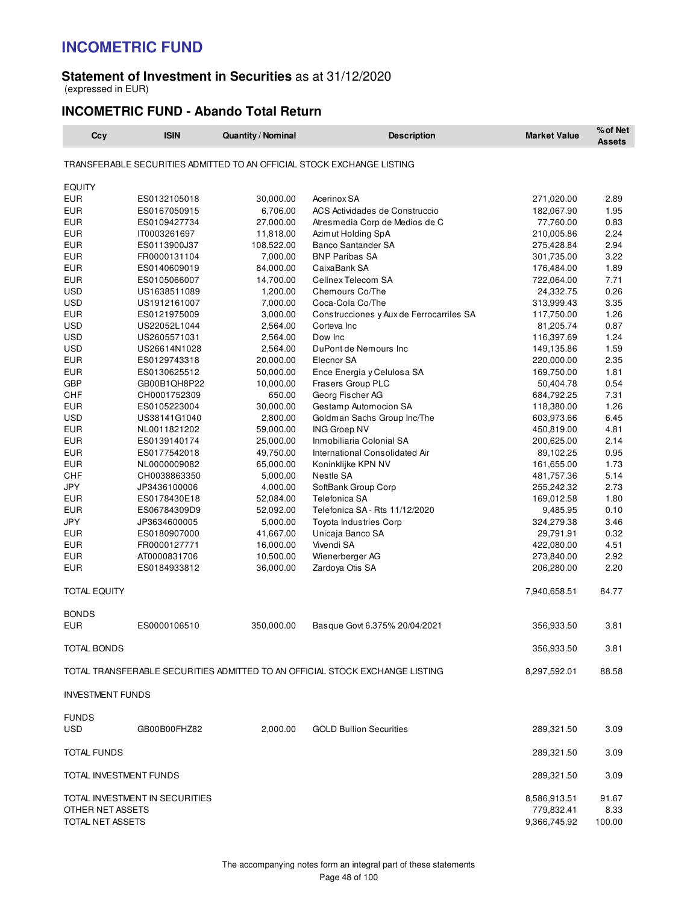#### **Statement of Investment in Securities** as at 31/12/2020 (expressed in EUR)

### **INCOMETRIC FUND - Abando Total Return**

| TRANSFERABLE SECURITIES ADMITTED TO AN OFFICIAL STOCK EXCHANGE LISTING<br><b>EQUITY</b><br><b>EUR</b><br>ES0132105018<br>30,000.00<br>Acerinox SA<br>271,020.00<br>2.89<br><b>EUR</b><br>6,706.00<br>ACS Actividades de Construccio<br>1.95<br>ES0167050915<br>182,067.90<br><b>EUR</b><br>27,000.00<br>77,760.00<br>0.83<br>ES0109427734<br>Atresmedia Corp de Medios de C<br><b>EUR</b><br>11,818.00<br>2.24<br>IT0003261697<br>Azimut Holding SpA<br>210,005.86<br>108,522.00<br><b>Banco Santander SA</b><br>2.94<br>EUR<br>ES0113900J37<br>275,428.84<br><b>EUR</b><br>7,000.00<br><b>BNP Paribas SA</b><br>301,735.00<br>3.22<br>FR0000131104<br><b>EUR</b><br>84,000.00<br>CaixaBank SA<br>1.89<br>ES0140609019<br>176,484.00<br><b>EUR</b><br>Cellnex Telecom SA<br>722,064.00<br>7.71<br>ES0105066007<br>14,700.00<br><b>USD</b><br>Chemours Co/The<br>0.26<br>US1638511089<br>1,200.00<br>24,332.75<br><b>USD</b><br>7,000.00<br>Coca-Cola Co/The<br>3.35<br>US1912161007<br>313,999.43<br>1.26<br>EUR<br>ES0121975009<br>3,000.00<br>Construcciones y Aux de Ferrocarriles SA<br>117,750.00<br><b>USD</b><br>2,564.00<br>0.87<br>US22052L1044<br>Corteva Inc<br>81,205.74<br>USD<br>US2605571031<br>2,564.00<br>Dow Inc<br>116,397.69<br>1.24<br><b>USD</b><br>2,564.00<br>1.59<br>US26614N1028<br>DuPont de Nemours Inc<br>149,135.86<br><b>EUR</b><br>20,000.00<br>Elecnor SA<br>2.35<br>ES0129743318<br>220,000.00<br>Ence Energia y Celulosa SA<br>1.81<br>EUR<br>ES0130625512<br>50,000.00<br>169,750.00<br><b>GBP</b><br>10,000.00<br>Frasers Group PLC<br>0.54<br>GB00B1QH8P22<br>50,404.78<br>CHF<br>650.00<br>Georg Fischer AG<br>7.31<br>CH0001752309<br>684,792.25<br>30,000.00<br>Gestamp Automocion SA<br>1.26<br>EUR<br>ES0105223004<br>118,380.00<br><b>USD</b><br>6.45<br>US38141G1040<br>2,800.00<br>Goldman Sachs Group Inc/The<br>603,973.66<br><b>EUR</b><br>4.81<br>NL0011821202<br>59,000.00<br><b>ING Groep NV</b><br>450,819.00<br><b>EUR</b><br>25,000.00<br>Inmobiliaria Colonial SA<br>2.14<br>ES0139140174<br>200,625.00<br><b>EUR</b><br>49,750.00<br>0.95<br>ES0177542018<br>International Consolidated Air<br>89,102.25<br>1.73<br>EUR<br>NL0000009082<br>65,000.00<br>Koninklijke KPN NV<br>161,655.00<br><b>CHF</b><br>5,000.00<br>5.14<br>CH0038863350<br>Nestle SA<br>481,757.36<br><b>JPY</b><br>4,000.00<br>SoftBank Group Corp<br>2.73<br>JP3436100006<br>255,242.32<br><b>EUR</b><br>169,012.58<br>1.80<br>ES0178430E18<br>52,084.00<br>Telefonica SA<br><b>EUR</b><br>52,092.00<br>Telefonica SA - Rts 11/12/2020<br>0.10<br>ES06784309D9<br>9,485.95<br><b>JPY</b><br>JP3634600005<br>5,000.00<br>Toyota Industries Corp<br>324,279.38<br>3.46<br><b>EUR</b><br>41,667.00<br>0.32<br>ES0180907000<br>Unicaja Banco SA<br>29,791.91<br><b>EUR</b><br>16,000.00<br>Vivendi SA<br>4.51<br>FR0000127771<br>422,080.00<br>2.92<br>EUR<br>AT0000831706<br>10,500.00<br>Wienerberger AG<br>273,840.00<br><b>EUR</b><br>36,000.00<br>2.20<br>ES0184933812<br>Zardoya Otis SA<br>206,280.00<br><b>TOTAL EQUITY</b><br>7,940,658.51<br>84.77<br><b>BONDS</b><br><b>EUR</b><br>ES0000106510<br>350,000.00<br>Basque Govt 6.375% 20/04/2021<br>356,933.50<br>3.81<br>3.81<br>TOTAL BONDS<br>356,933.50<br>88.58<br>TOTAL TRANSFERABLE SECURITIES ADMITTED TO AN OFFICIAL STOCK EXCHANGE LISTING<br>8,297,592.01<br><b>INVESTMENT FUNDS</b><br><b>FUNDS</b><br><b>USD</b><br>GB00B00FHZ82<br>2.000.00<br><b>GOLD Bullion Securities</b><br>289,321.50<br>3.09<br>TOTAL FUNDS<br>289,321.50<br>3.09<br>TOTAL INVESTMENT FUNDS<br>3.09<br>289,321.50<br>TOTAL INVESTMENT IN SECURITIES<br>8,586,913.51<br>91.67<br>OTHER NET ASSETS<br>779,832.41<br>8.33<br>TOTAL NET ASSETS<br>9,366,745.92<br>100.00 | Ccy | <b>ISIN</b> | Quantity / Nominal | <b>Description</b> | <b>Market Value</b> | % of Net<br><b>Assets</b> |
|----------------------------------------------------------------------------------------------------------------------------------------------------------------------------------------------------------------------------------------------------------------------------------------------------------------------------------------------------------------------------------------------------------------------------------------------------------------------------------------------------------------------------------------------------------------------------------------------------------------------------------------------------------------------------------------------------------------------------------------------------------------------------------------------------------------------------------------------------------------------------------------------------------------------------------------------------------------------------------------------------------------------------------------------------------------------------------------------------------------------------------------------------------------------------------------------------------------------------------------------------------------------------------------------------------------------------------------------------------------------------------------------------------------------------------------------------------------------------------------------------------------------------------------------------------------------------------------------------------------------------------------------------------------------------------------------------------------------------------------------------------------------------------------------------------------------------------------------------------------------------------------------------------------------------------------------------------------------------------------------------------------------------------------------------------------------------------------------------------------------------------------------------------------------------------------------------------------------------------------------------------------------------------------------------------------------------------------------------------------------------------------------------------------------------------------------------------------------------------------------------------------------------------------------------------------------------------------------------------------------------------------------------------------------------------------------------------------------------------------------------------------------------------------------------------------------------------------------------------------------------------------------------------------------------------------------------------------------------------------------------------------------------------------------------------------------------------------------------------------------------------------------------------------------------------------------------------------------------------------------------------------------------------------------------------------------------------------------------------------------------------------------------------------------------------------------------------------------------------------------------------------------------------------------------------------------------------------------------------------------------------------------------------------------------------------------------------------------------------------------|-----|-------------|--------------------|--------------------|---------------------|---------------------------|
|                                                                                                                                                                                                                                                                                                                                                                                                                                                                                                                                                                                                                                                                                                                                                                                                                                                                                                                                                                                                                                                                                                                                                                                                                                                                                                                                                                                                                                                                                                                                                                                                                                                                                                                                                                                                                                                                                                                                                                                                                                                                                                                                                                                                                                                                                                                                                                                                                                                                                                                                                                                                                                                                                                                                                                                                                                                                                                                                                                                                                                                                                                                                                                                                                                                                                                                                                                                                                                                                                                                                                                                                                                                                                                                                              |     |             |                    |                    |                     |                           |
|                                                                                                                                                                                                                                                                                                                                                                                                                                                                                                                                                                                                                                                                                                                                                                                                                                                                                                                                                                                                                                                                                                                                                                                                                                                                                                                                                                                                                                                                                                                                                                                                                                                                                                                                                                                                                                                                                                                                                                                                                                                                                                                                                                                                                                                                                                                                                                                                                                                                                                                                                                                                                                                                                                                                                                                                                                                                                                                                                                                                                                                                                                                                                                                                                                                                                                                                                                                                                                                                                                                                                                                                                                                                                                                                              |     |             |                    |                    |                     |                           |
|                                                                                                                                                                                                                                                                                                                                                                                                                                                                                                                                                                                                                                                                                                                                                                                                                                                                                                                                                                                                                                                                                                                                                                                                                                                                                                                                                                                                                                                                                                                                                                                                                                                                                                                                                                                                                                                                                                                                                                                                                                                                                                                                                                                                                                                                                                                                                                                                                                                                                                                                                                                                                                                                                                                                                                                                                                                                                                                                                                                                                                                                                                                                                                                                                                                                                                                                                                                                                                                                                                                                                                                                                                                                                                                                              |     |             |                    |                    |                     |                           |
|                                                                                                                                                                                                                                                                                                                                                                                                                                                                                                                                                                                                                                                                                                                                                                                                                                                                                                                                                                                                                                                                                                                                                                                                                                                                                                                                                                                                                                                                                                                                                                                                                                                                                                                                                                                                                                                                                                                                                                                                                                                                                                                                                                                                                                                                                                                                                                                                                                                                                                                                                                                                                                                                                                                                                                                                                                                                                                                                                                                                                                                                                                                                                                                                                                                                                                                                                                                                                                                                                                                                                                                                                                                                                                                                              |     |             |                    |                    |                     |                           |
|                                                                                                                                                                                                                                                                                                                                                                                                                                                                                                                                                                                                                                                                                                                                                                                                                                                                                                                                                                                                                                                                                                                                                                                                                                                                                                                                                                                                                                                                                                                                                                                                                                                                                                                                                                                                                                                                                                                                                                                                                                                                                                                                                                                                                                                                                                                                                                                                                                                                                                                                                                                                                                                                                                                                                                                                                                                                                                                                                                                                                                                                                                                                                                                                                                                                                                                                                                                                                                                                                                                                                                                                                                                                                                                                              |     |             |                    |                    |                     |                           |
|                                                                                                                                                                                                                                                                                                                                                                                                                                                                                                                                                                                                                                                                                                                                                                                                                                                                                                                                                                                                                                                                                                                                                                                                                                                                                                                                                                                                                                                                                                                                                                                                                                                                                                                                                                                                                                                                                                                                                                                                                                                                                                                                                                                                                                                                                                                                                                                                                                                                                                                                                                                                                                                                                                                                                                                                                                                                                                                                                                                                                                                                                                                                                                                                                                                                                                                                                                                                                                                                                                                                                                                                                                                                                                                                              |     |             |                    |                    |                     |                           |
|                                                                                                                                                                                                                                                                                                                                                                                                                                                                                                                                                                                                                                                                                                                                                                                                                                                                                                                                                                                                                                                                                                                                                                                                                                                                                                                                                                                                                                                                                                                                                                                                                                                                                                                                                                                                                                                                                                                                                                                                                                                                                                                                                                                                                                                                                                                                                                                                                                                                                                                                                                                                                                                                                                                                                                                                                                                                                                                                                                                                                                                                                                                                                                                                                                                                                                                                                                                                                                                                                                                                                                                                                                                                                                                                              |     |             |                    |                    |                     |                           |
|                                                                                                                                                                                                                                                                                                                                                                                                                                                                                                                                                                                                                                                                                                                                                                                                                                                                                                                                                                                                                                                                                                                                                                                                                                                                                                                                                                                                                                                                                                                                                                                                                                                                                                                                                                                                                                                                                                                                                                                                                                                                                                                                                                                                                                                                                                                                                                                                                                                                                                                                                                                                                                                                                                                                                                                                                                                                                                                                                                                                                                                                                                                                                                                                                                                                                                                                                                                                                                                                                                                                                                                                                                                                                                                                              |     |             |                    |                    |                     |                           |
|                                                                                                                                                                                                                                                                                                                                                                                                                                                                                                                                                                                                                                                                                                                                                                                                                                                                                                                                                                                                                                                                                                                                                                                                                                                                                                                                                                                                                                                                                                                                                                                                                                                                                                                                                                                                                                                                                                                                                                                                                                                                                                                                                                                                                                                                                                                                                                                                                                                                                                                                                                                                                                                                                                                                                                                                                                                                                                                                                                                                                                                                                                                                                                                                                                                                                                                                                                                                                                                                                                                                                                                                                                                                                                                                              |     |             |                    |                    |                     |                           |
|                                                                                                                                                                                                                                                                                                                                                                                                                                                                                                                                                                                                                                                                                                                                                                                                                                                                                                                                                                                                                                                                                                                                                                                                                                                                                                                                                                                                                                                                                                                                                                                                                                                                                                                                                                                                                                                                                                                                                                                                                                                                                                                                                                                                                                                                                                                                                                                                                                                                                                                                                                                                                                                                                                                                                                                                                                                                                                                                                                                                                                                                                                                                                                                                                                                                                                                                                                                                                                                                                                                                                                                                                                                                                                                                              |     |             |                    |                    |                     |                           |
|                                                                                                                                                                                                                                                                                                                                                                                                                                                                                                                                                                                                                                                                                                                                                                                                                                                                                                                                                                                                                                                                                                                                                                                                                                                                                                                                                                                                                                                                                                                                                                                                                                                                                                                                                                                                                                                                                                                                                                                                                                                                                                                                                                                                                                                                                                                                                                                                                                                                                                                                                                                                                                                                                                                                                                                                                                                                                                                                                                                                                                                                                                                                                                                                                                                                                                                                                                                                                                                                                                                                                                                                                                                                                                                                              |     |             |                    |                    |                     |                           |
|                                                                                                                                                                                                                                                                                                                                                                                                                                                                                                                                                                                                                                                                                                                                                                                                                                                                                                                                                                                                                                                                                                                                                                                                                                                                                                                                                                                                                                                                                                                                                                                                                                                                                                                                                                                                                                                                                                                                                                                                                                                                                                                                                                                                                                                                                                                                                                                                                                                                                                                                                                                                                                                                                                                                                                                                                                                                                                                                                                                                                                                                                                                                                                                                                                                                                                                                                                                                                                                                                                                                                                                                                                                                                                                                              |     |             |                    |                    |                     |                           |
|                                                                                                                                                                                                                                                                                                                                                                                                                                                                                                                                                                                                                                                                                                                                                                                                                                                                                                                                                                                                                                                                                                                                                                                                                                                                                                                                                                                                                                                                                                                                                                                                                                                                                                                                                                                                                                                                                                                                                                                                                                                                                                                                                                                                                                                                                                                                                                                                                                                                                                                                                                                                                                                                                                                                                                                                                                                                                                                                                                                                                                                                                                                                                                                                                                                                                                                                                                                                                                                                                                                                                                                                                                                                                                                                              |     |             |                    |                    |                     |                           |
|                                                                                                                                                                                                                                                                                                                                                                                                                                                                                                                                                                                                                                                                                                                                                                                                                                                                                                                                                                                                                                                                                                                                                                                                                                                                                                                                                                                                                                                                                                                                                                                                                                                                                                                                                                                                                                                                                                                                                                                                                                                                                                                                                                                                                                                                                                                                                                                                                                                                                                                                                                                                                                                                                                                                                                                                                                                                                                                                                                                                                                                                                                                                                                                                                                                                                                                                                                                                                                                                                                                                                                                                                                                                                                                                              |     |             |                    |                    |                     |                           |
|                                                                                                                                                                                                                                                                                                                                                                                                                                                                                                                                                                                                                                                                                                                                                                                                                                                                                                                                                                                                                                                                                                                                                                                                                                                                                                                                                                                                                                                                                                                                                                                                                                                                                                                                                                                                                                                                                                                                                                                                                                                                                                                                                                                                                                                                                                                                                                                                                                                                                                                                                                                                                                                                                                                                                                                                                                                                                                                                                                                                                                                                                                                                                                                                                                                                                                                                                                                                                                                                                                                                                                                                                                                                                                                                              |     |             |                    |                    |                     |                           |
|                                                                                                                                                                                                                                                                                                                                                                                                                                                                                                                                                                                                                                                                                                                                                                                                                                                                                                                                                                                                                                                                                                                                                                                                                                                                                                                                                                                                                                                                                                                                                                                                                                                                                                                                                                                                                                                                                                                                                                                                                                                                                                                                                                                                                                                                                                                                                                                                                                                                                                                                                                                                                                                                                                                                                                                                                                                                                                                                                                                                                                                                                                                                                                                                                                                                                                                                                                                                                                                                                                                                                                                                                                                                                                                                              |     |             |                    |                    |                     |                           |
|                                                                                                                                                                                                                                                                                                                                                                                                                                                                                                                                                                                                                                                                                                                                                                                                                                                                                                                                                                                                                                                                                                                                                                                                                                                                                                                                                                                                                                                                                                                                                                                                                                                                                                                                                                                                                                                                                                                                                                                                                                                                                                                                                                                                                                                                                                                                                                                                                                                                                                                                                                                                                                                                                                                                                                                                                                                                                                                                                                                                                                                                                                                                                                                                                                                                                                                                                                                                                                                                                                                                                                                                                                                                                                                                              |     |             |                    |                    |                     |                           |
|                                                                                                                                                                                                                                                                                                                                                                                                                                                                                                                                                                                                                                                                                                                                                                                                                                                                                                                                                                                                                                                                                                                                                                                                                                                                                                                                                                                                                                                                                                                                                                                                                                                                                                                                                                                                                                                                                                                                                                                                                                                                                                                                                                                                                                                                                                                                                                                                                                                                                                                                                                                                                                                                                                                                                                                                                                                                                                                                                                                                                                                                                                                                                                                                                                                                                                                                                                                                                                                                                                                                                                                                                                                                                                                                              |     |             |                    |                    |                     |                           |
|                                                                                                                                                                                                                                                                                                                                                                                                                                                                                                                                                                                                                                                                                                                                                                                                                                                                                                                                                                                                                                                                                                                                                                                                                                                                                                                                                                                                                                                                                                                                                                                                                                                                                                                                                                                                                                                                                                                                                                                                                                                                                                                                                                                                                                                                                                                                                                                                                                                                                                                                                                                                                                                                                                                                                                                                                                                                                                                                                                                                                                                                                                                                                                                                                                                                                                                                                                                                                                                                                                                                                                                                                                                                                                                                              |     |             |                    |                    |                     |                           |
|                                                                                                                                                                                                                                                                                                                                                                                                                                                                                                                                                                                                                                                                                                                                                                                                                                                                                                                                                                                                                                                                                                                                                                                                                                                                                                                                                                                                                                                                                                                                                                                                                                                                                                                                                                                                                                                                                                                                                                                                                                                                                                                                                                                                                                                                                                                                                                                                                                                                                                                                                                                                                                                                                                                                                                                                                                                                                                                                                                                                                                                                                                                                                                                                                                                                                                                                                                                                                                                                                                                                                                                                                                                                                                                                              |     |             |                    |                    |                     |                           |
|                                                                                                                                                                                                                                                                                                                                                                                                                                                                                                                                                                                                                                                                                                                                                                                                                                                                                                                                                                                                                                                                                                                                                                                                                                                                                                                                                                                                                                                                                                                                                                                                                                                                                                                                                                                                                                                                                                                                                                                                                                                                                                                                                                                                                                                                                                                                                                                                                                                                                                                                                                                                                                                                                                                                                                                                                                                                                                                                                                                                                                                                                                                                                                                                                                                                                                                                                                                                                                                                                                                                                                                                                                                                                                                                              |     |             |                    |                    |                     |                           |
|                                                                                                                                                                                                                                                                                                                                                                                                                                                                                                                                                                                                                                                                                                                                                                                                                                                                                                                                                                                                                                                                                                                                                                                                                                                                                                                                                                                                                                                                                                                                                                                                                                                                                                                                                                                                                                                                                                                                                                                                                                                                                                                                                                                                                                                                                                                                                                                                                                                                                                                                                                                                                                                                                                                                                                                                                                                                                                                                                                                                                                                                                                                                                                                                                                                                                                                                                                                                                                                                                                                                                                                                                                                                                                                                              |     |             |                    |                    |                     |                           |
|                                                                                                                                                                                                                                                                                                                                                                                                                                                                                                                                                                                                                                                                                                                                                                                                                                                                                                                                                                                                                                                                                                                                                                                                                                                                                                                                                                                                                                                                                                                                                                                                                                                                                                                                                                                                                                                                                                                                                                                                                                                                                                                                                                                                                                                                                                                                                                                                                                                                                                                                                                                                                                                                                                                                                                                                                                                                                                                                                                                                                                                                                                                                                                                                                                                                                                                                                                                                                                                                                                                                                                                                                                                                                                                                              |     |             |                    |                    |                     |                           |
|                                                                                                                                                                                                                                                                                                                                                                                                                                                                                                                                                                                                                                                                                                                                                                                                                                                                                                                                                                                                                                                                                                                                                                                                                                                                                                                                                                                                                                                                                                                                                                                                                                                                                                                                                                                                                                                                                                                                                                                                                                                                                                                                                                                                                                                                                                                                                                                                                                                                                                                                                                                                                                                                                                                                                                                                                                                                                                                                                                                                                                                                                                                                                                                                                                                                                                                                                                                                                                                                                                                                                                                                                                                                                                                                              |     |             |                    |                    |                     |                           |
|                                                                                                                                                                                                                                                                                                                                                                                                                                                                                                                                                                                                                                                                                                                                                                                                                                                                                                                                                                                                                                                                                                                                                                                                                                                                                                                                                                                                                                                                                                                                                                                                                                                                                                                                                                                                                                                                                                                                                                                                                                                                                                                                                                                                                                                                                                                                                                                                                                                                                                                                                                                                                                                                                                                                                                                                                                                                                                                                                                                                                                                                                                                                                                                                                                                                                                                                                                                                                                                                                                                                                                                                                                                                                                                                              |     |             |                    |                    |                     |                           |
|                                                                                                                                                                                                                                                                                                                                                                                                                                                                                                                                                                                                                                                                                                                                                                                                                                                                                                                                                                                                                                                                                                                                                                                                                                                                                                                                                                                                                                                                                                                                                                                                                                                                                                                                                                                                                                                                                                                                                                                                                                                                                                                                                                                                                                                                                                                                                                                                                                                                                                                                                                                                                                                                                                                                                                                                                                                                                                                                                                                                                                                                                                                                                                                                                                                                                                                                                                                                                                                                                                                                                                                                                                                                                                                                              |     |             |                    |                    |                     |                           |
|                                                                                                                                                                                                                                                                                                                                                                                                                                                                                                                                                                                                                                                                                                                                                                                                                                                                                                                                                                                                                                                                                                                                                                                                                                                                                                                                                                                                                                                                                                                                                                                                                                                                                                                                                                                                                                                                                                                                                                                                                                                                                                                                                                                                                                                                                                                                                                                                                                                                                                                                                                                                                                                                                                                                                                                                                                                                                                                                                                                                                                                                                                                                                                                                                                                                                                                                                                                                                                                                                                                                                                                                                                                                                                                                              |     |             |                    |                    |                     |                           |
|                                                                                                                                                                                                                                                                                                                                                                                                                                                                                                                                                                                                                                                                                                                                                                                                                                                                                                                                                                                                                                                                                                                                                                                                                                                                                                                                                                                                                                                                                                                                                                                                                                                                                                                                                                                                                                                                                                                                                                                                                                                                                                                                                                                                                                                                                                                                                                                                                                                                                                                                                                                                                                                                                                                                                                                                                                                                                                                                                                                                                                                                                                                                                                                                                                                                                                                                                                                                                                                                                                                                                                                                                                                                                                                                              |     |             |                    |                    |                     |                           |
|                                                                                                                                                                                                                                                                                                                                                                                                                                                                                                                                                                                                                                                                                                                                                                                                                                                                                                                                                                                                                                                                                                                                                                                                                                                                                                                                                                                                                                                                                                                                                                                                                                                                                                                                                                                                                                                                                                                                                                                                                                                                                                                                                                                                                                                                                                                                                                                                                                                                                                                                                                                                                                                                                                                                                                                                                                                                                                                                                                                                                                                                                                                                                                                                                                                                                                                                                                                                                                                                                                                                                                                                                                                                                                                                              |     |             |                    |                    |                     |                           |
|                                                                                                                                                                                                                                                                                                                                                                                                                                                                                                                                                                                                                                                                                                                                                                                                                                                                                                                                                                                                                                                                                                                                                                                                                                                                                                                                                                                                                                                                                                                                                                                                                                                                                                                                                                                                                                                                                                                                                                                                                                                                                                                                                                                                                                                                                                                                                                                                                                                                                                                                                                                                                                                                                                                                                                                                                                                                                                                                                                                                                                                                                                                                                                                                                                                                                                                                                                                                                                                                                                                                                                                                                                                                                                                                              |     |             |                    |                    |                     |                           |
|                                                                                                                                                                                                                                                                                                                                                                                                                                                                                                                                                                                                                                                                                                                                                                                                                                                                                                                                                                                                                                                                                                                                                                                                                                                                                                                                                                                                                                                                                                                                                                                                                                                                                                                                                                                                                                                                                                                                                                                                                                                                                                                                                                                                                                                                                                                                                                                                                                                                                                                                                                                                                                                                                                                                                                                                                                                                                                                                                                                                                                                                                                                                                                                                                                                                                                                                                                                                                                                                                                                                                                                                                                                                                                                                              |     |             |                    |                    |                     |                           |
|                                                                                                                                                                                                                                                                                                                                                                                                                                                                                                                                                                                                                                                                                                                                                                                                                                                                                                                                                                                                                                                                                                                                                                                                                                                                                                                                                                                                                                                                                                                                                                                                                                                                                                                                                                                                                                                                                                                                                                                                                                                                                                                                                                                                                                                                                                                                                                                                                                                                                                                                                                                                                                                                                                                                                                                                                                                                                                                                                                                                                                                                                                                                                                                                                                                                                                                                                                                                                                                                                                                                                                                                                                                                                                                                              |     |             |                    |                    |                     |                           |
|                                                                                                                                                                                                                                                                                                                                                                                                                                                                                                                                                                                                                                                                                                                                                                                                                                                                                                                                                                                                                                                                                                                                                                                                                                                                                                                                                                                                                                                                                                                                                                                                                                                                                                                                                                                                                                                                                                                                                                                                                                                                                                                                                                                                                                                                                                                                                                                                                                                                                                                                                                                                                                                                                                                                                                                                                                                                                                                                                                                                                                                                                                                                                                                                                                                                                                                                                                                                                                                                                                                                                                                                                                                                                                                                              |     |             |                    |                    |                     |                           |
|                                                                                                                                                                                                                                                                                                                                                                                                                                                                                                                                                                                                                                                                                                                                                                                                                                                                                                                                                                                                                                                                                                                                                                                                                                                                                                                                                                                                                                                                                                                                                                                                                                                                                                                                                                                                                                                                                                                                                                                                                                                                                                                                                                                                                                                                                                                                                                                                                                                                                                                                                                                                                                                                                                                                                                                                                                                                                                                                                                                                                                                                                                                                                                                                                                                                                                                                                                                                                                                                                                                                                                                                                                                                                                                                              |     |             |                    |                    |                     |                           |
|                                                                                                                                                                                                                                                                                                                                                                                                                                                                                                                                                                                                                                                                                                                                                                                                                                                                                                                                                                                                                                                                                                                                                                                                                                                                                                                                                                                                                                                                                                                                                                                                                                                                                                                                                                                                                                                                                                                                                                                                                                                                                                                                                                                                                                                                                                                                                                                                                                                                                                                                                                                                                                                                                                                                                                                                                                                                                                                                                                                                                                                                                                                                                                                                                                                                                                                                                                                                                                                                                                                                                                                                                                                                                                                                              |     |             |                    |                    |                     |                           |
|                                                                                                                                                                                                                                                                                                                                                                                                                                                                                                                                                                                                                                                                                                                                                                                                                                                                                                                                                                                                                                                                                                                                                                                                                                                                                                                                                                                                                                                                                                                                                                                                                                                                                                                                                                                                                                                                                                                                                                                                                                                                                                                                                                                                                                                                                                                                                                                                                                                                                                                                                                                                                                                                                                                                                                                                                                                                                                                                                                                                                                                                                                                                                                                                                                                                                                                                                                                                                                                                                                                                                                                                                                                                                                                                              |     |             |                    |                    |                     |                           |
|                                                                                                                                                                                                                                                                                                                                                                                                                                                                                                                                                                                                                                                                                                                                                                                                                                                                                                                                                                                                                                                                                                                                                                                                                                                                                                                                                                                                                                                                                                                                                                                                                                                                                                                                                                                                                                                                                                                                                                                                                                                                                                                                                                                                                                                                                                                                                                                                                                                                                                                                                                                                                                                                                                                                                                                                                                                                                                                                                                                                                                                                                                                                                                                                                                                                                                                                                                                                                                                                                                                                                                                                                                                                                                                                              |     |             |                    |                    |                     |                           |
|                                                                                                                                                                                                                                                                                                                                                                                                                                                                                                                                                                                                                                                                                                                                                                                                                                                                                                                                                                                                                                                                                                                                                                                                                                                                                                                                                                                                                                                                                                                                                                                                                                                                                                                                                                                                                                                                                                                                                                                                                                                                                                                                                                                                                                                                                                                                                                                                                                                                                                                                                                                                                                                                                                                                                                                                                                                                                                                                                                                                                                                                                                                                                                                                                                                                                                                                                                                                                                                                                                                                                                                                                                                                                                                                              |     |             |                    |                    |                     |                           |
|                                                                                                                                                                                                                                                                                                                                                                                                                                                                                                                                                                                                                                                                                                                                                                                                                                                                                                                                                                                                                                                                                                                                                                                                                                                                                                                                                                                                                                                                                                                                                                                                                                                                                                                                                                                                                                                                                                                                                                                                                                                                                                                                                                                                                                                                                                                                                                                                                                                                                                                                                                                                                                                                                                                                                                                                                                                                                                                                                                                                                                                                                                                                                                                                                                                                                                                                                                                                                                                                                                                                                                                                                                                                                                                                              |     |             |                    |                    |                     |                           |
|                                                                                                                                                                                                                                                                                                                                                                                                                                                                                                                                                                                                                                                                                                                                                                                                                                                                                                                                                                                                                                                                                                                                                                                                                                                                                                                                                                                                                                                                                                                                                                                                                                                                                                                                                                                                                                                                                                                                                                                                                                                                                                                                                                                                                                                                                                                                                                                                                                                                                                                                                                                                                                                                                                                                                                                                                                                                                                                                                                                                                                                                                                                                                                                                                                                                                                                                                                                                                                                                                                                                                                                                                                                                                                                                              |     |             |                    |                    |                     |                           |
|                                                                                                                                                                                                                                                                                                                                                                                                                                                                                                                                                                                                                                                                                                                                                                                                                                                                                                                                                                                                                                                                                                                                                                                                                                                                                                                                                                                                                                                                                                                                                                                                                                                                                                                                                                                                                                                                                                                                                                                                                                                                                                                                                                                                                                                                                                                                                                                                                                                                                                                                                                                                                                                                                                                                                                                                                                                                                                                                                                                                                                                                                                                                                                                                                                                                                                                                                                                                                                                                                                                                                                                                                                                                                                                                              |     |             |                    |                    |                     |                           |
|                                                                                                                                                                                                                                                                                                                                                                                                                                                                                                                                                                                                                                                                                                                                                                                                                                                                                                                                                                                                                                                                                                                                                                                                                                                                                                                                                                                                                                                                                                                                                                                                                                                                                                                                                                                                                                                                                                                                                                                                                                                                                                                                                                                                                                                                                                                                                                                                                                                                                                                                                                                                                                                                                                                                                                                                                                                                                                                                                                                                                                                                                                                                                                                                                                                                                                                                                                                                                                                                                                                                                                                                                                                                                                                                              |     |             |                    |                    |                     |                           |
|                                                                                                                                                                                                                                                                                                                                                                                                                                                                                                                                                                                                                                                                                                                                                                                                                                                                                                                                                                                                                                                                                                                                                                                                                                                                                                                                                                                                                                                                                                                                                                                                                                                                                                                                                                                                                                                                                                                                                                                                                                                                                                                                                                                                                                                                                                                                                                                                                                                                                                                                                                                                                                                                                                                                                                                                                                                                                                                                                                                                                                                                                                                                                                                                                                                                                                                                                                                                                                                                                                                                                                                                                                                                                                                                              |     |             |                    |                    |                     |                           |
|                                                                                                                                                                                                                                                                                                                                                                                                                                                                                                                                                                                                                                                                                                                                                                                                                                                                                                                                                                                                                                                                                                                                                                                                                                                                                                                                                                                                                                                                                                                                                                                                                                                                                                                                                                                                                                                                                                                                                                                                                                                                                                                                                                                                                                                                                                                                                                                                                                                                                                                                                                                                                                                                                                                                                                                                                                                                                                                                                                                                                                                                                                                                                                                                                                                                                                                                                                                                                                                                                                                                                                                                                                                                                                                                              |     |             |                    |                    |                     |                           |
|                                                                                                                                                                                                                                                                                                                                                                                                                                                                                                                                                                                                                                                                                                                                                                                                                                                                                                                                                                                                                                                                                                                                                                                                                                                                                                                                                                                                                                                                                                                                                                                                                                                                                                                                                                                                                                                                                                                                                                                                                                                                                                                                                                                                                                                                                                                                                                                                                                                                                                                                                                                                                                                                                                                                                                                                                                                                                                                                                                                                                                                                                                                                                                                                                                                                                                                                                                                                                                                                                                                                                                                                                                                                                                                                              |     |             |                    |                    |                     |                           |
|                                                                                                                                                                                                                                                                                                                                                                                                                                                                                                                                                                                                                                                                                                                                                                                                                                                                                                                                                                                                                                                                                                                                                                                                                                                                                                                                                                                                                                                                                                                                                                                                                                                                                                                                                                                                                                                                                                                                                                                                                                                                                                                                                                                                                                                                                                                                                                                                                                                                                                                                                                                                                                                                                                                                                                                                                                                                                                                                                                                                                                                                                                                                                                                                                                                                                                                                                                                                                                                                                                                                                                                                                                                                                                                                              |     |             |                    |                    |                     |                           |
|                                                                                                                                                                                                                                                                                                                                                                                                                                                                                                                                                                                                                                                                                                                                                                                                                                                                                                                                                                                                                                                                                                                                                                                                                                                                                                                                                                                                                                                                                                                                                                                                                                                                                                                                                                                                                                                                                                                                                                                                                                                                                                                                                                                                                                                                                                                                                                                                                                                                                                                                                                                                                                                                                                                                                                                                                                                                                                                                                                                                                                                                                                                                                                                                                                                                                                                                                                                                                                                                                                                                                                                                                                                                                                                                              |     |             |                    |                    |                     |                           |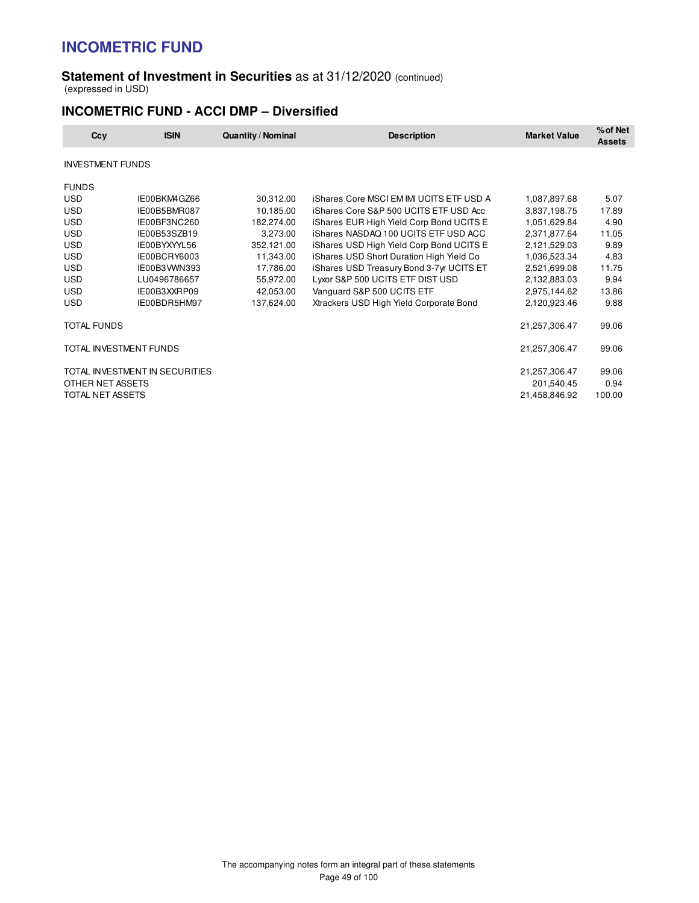#### **Statement of Investment in Securities** as at 31/12/2020 (continued) (expressed in USD)

### **INCOMETRIC FUND - ACCI DMP – Diversified**

| Ccy                     | <b>ISIN</b>                    | <b>Quantity / Nominal</b> | <b>Description</b>                              | <b>Market Value</b> | % of Net<br><b>Assets</b> |
|-------------------------|--------------------------------|---------------------------|-------------------------------------------------|---------------------|---------------------------|
| <b>INVESTMENT FUNDS</b> |                                |                           |                                                 |                     |                           |
| <b>FUNDS</b>            |                                |                           |                                                 |                     |                           |
| <b>USD</b>              | IE00BKM4GZ66                   | 30,312.00                 | <b>iShares Core MSCI EM IMI UCITS ETF USD A</b> | 1,087,897.68        | 5.07                      |
| <b>USD</b>              | IE00B5BMR087                   | 10,185.00                 | iShares Core S&P 500 UCITS ETF USD Acc          | 3,837,198.75        | 17.89                     |
| <b>USD</b>              | IE00BF3NC260                   | 182,274.00                | iShares EUR High Yield Corp Bond UCITS E        | 1,051,629.84        | 4.90                      |
| <b>USD</b>              | IE00B53SZB19                   | 3,273.00                  | iShares NASDAQ 100 UCITS ETF USD ACC            | 2,371,877.64        | 11.05                     |
| <b>USD</b>              | IE00BYXYYL56                   | 352,121.00                | iShares USD High Yield Corp Bond UCITS E        | 2,121,529.03        | 9.89                      |
| <b>USD</b>              | IE00BCRY6003                   | 11,343.00                 | iShares USD Short Duration High Yield Co.       | 1,036,523.34        | 4.83                      |
| <b>USD</b>              | IE00B3WWN393                   | 17,786.00                 | iShares USD Treasury Bond 3-7yr UCITS ET        | 2,521,699.08        | 11.75                     |
| <b>USD</b>              | LU0496786657                   | 55,972.00                 | Lyxor S&P 500 UCITS ETF DIST USD                | 2,132,883.03        | 9.94                      |
| <b>USD</b>              | IE00B3XXRP09                   | 42,053.00                 | Vanguard S&P 500 UCITS ETF                      | 2,975,144.62        | 13.86                     |
| <b>USD</b>              | IE00BDR5HM97                   | 137,624.00                | Xtrackers USD High Yield Corporate Bond         | 2,120,923.46        | 9.88                      |
| <b>TOTAL FUNDS</b>      |                                |                           |                                                 | 21,257,306.47       | 99.06                     |
| TOTAL INVESTMENT FUNDS  |                                |                           |                                                 | 21,257,306.47       | 99.06                     |
|                         | TOTAL INVESTMENT IN SECURITIES |                           |                                                 | 21,257,306.47       | 99.06                     |
| OTHER NET ASSETS        |                                |                           |                                                 | 201,540.45          | 0.94                      |
| TOTAL NET ASSETS        |                                |                           |                                                 | 21,458,846.92       | 100.00                    |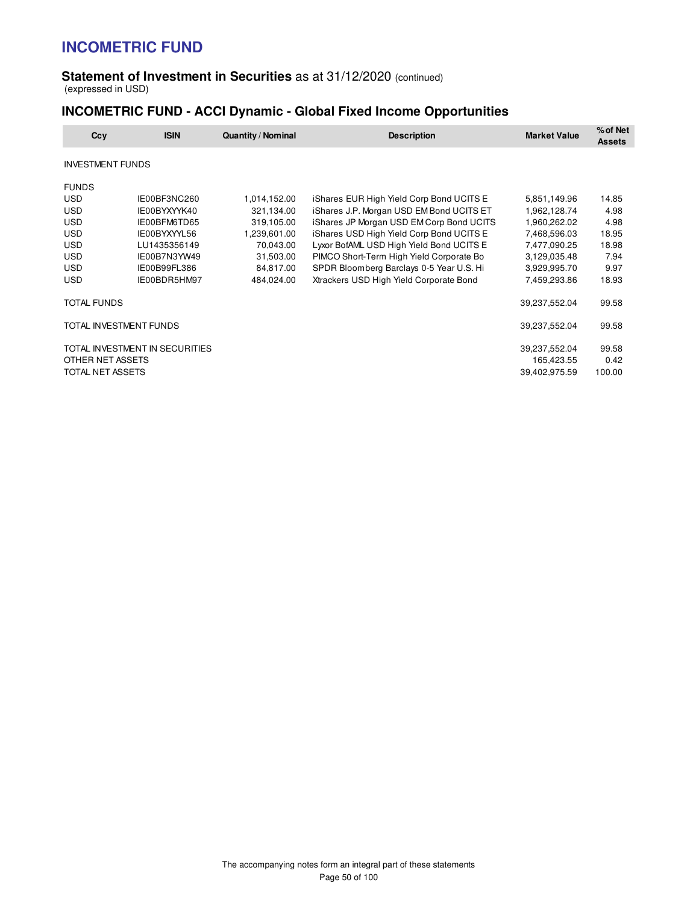#### **Statement of Investment in Securities** as at 31/12/2020 (continued) (expressed in USD)

### **INCOMETRIC FUND - ACCI Dynamic - Global Fixed Income Opportunities**

| Ccy                     | <b>ISIN</b>                    | <b>Quantity / Nominal</b> | <b>Description</b>                       | <b>Market Value</b> | % of Net<br><b>Assets</b> |
|-------------------------|--------------------------------|---------------------------|------------------------------------------|---------------------|---------------------------|
| <b>INVESTMENT FUNDS</b> |                                |                           |                                          |                     |                           |
| <b>FUNDS</b>            |                                |                           |                                          |                     |                           |
| <b>USD</b>              | IE00BF3NC260                   | 1,014,152.00              | iShares EUR High Yield Corp Bond UCITS E | 5,851,149.96        | 14.85                     |
| <b>USD</b>              | IE00BYXYYK40                   | 321,134.00                | iShares J.P. Morgan USD EM Bond UCITS ET | 1,962,128.74        | 4.98                      |
| <b>USD</b>              | IE00BFM6TD65                   | 319,105.00                | iShares JP Morgan USD EM Corp Bond UCITS | 1,960,262.02        | 4.98                      |
| <b>USD</b>              | IE00BYXYYL56                   | 1,239,601.00              | iShares USD High Yield Corp Bond UCITS E | 7,468,596.03        | 18.95                     |
| <b>USD</b>              | LU1435356149                   | 70,043.00                 | Lyxor BofAML USD High Yield Bond UCITS E | 7,477,090.25        | 18.98                     |
| <b>USD</b>              | IE00B7N3YW49                   | 31,503.00                 | PIMCO Short-Term High Yield Corporate Bo | 3,129,035.48        | 7.94                      |
| <b>USD</b>              | IE00B99FL386                   | 84,817.00                 | SPDR Bloomberg Barclays 0-5 Year U.S. Hi | 3,929,995.70        | 9.97                      |
| <b>USD</b>              | IE00BDR5HM97                   | 484,024.00                | Xtrackers USD High Yield Corporate Bond  | 7,459,293.86        | 18.93                     |
| <b>TOTAL FUNDS</b>      |                                |                           |                                          | 39,237,552.04       | 99.58                     |
| TOTAL INVESTMENT FUNDS  |                                |                           |                                          | 39,237,552.04       | 99.58                     |
|                         | TOTAL INVESTMENT IN SECURITIES |                           |                                          | 39,237,552.04       | 99.58                     |
| OTHER NET ASSETS        |                                |                           |                                          | 165,423.55          | 0.42                      |
| TOTAL NET ASSETS        |                                |                           |                                          | 39,402,975.59       | 100.00                    |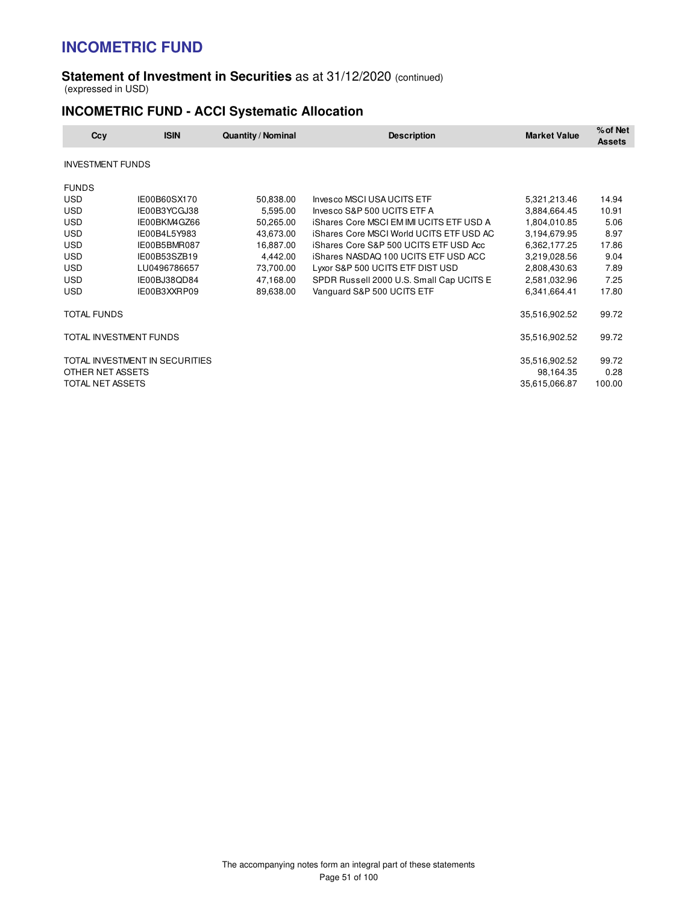#### **Statement of Investment in Securities** as at 31/12/2020 (continued) (expressed in USD)

## **INCOMETRIC FUND - ACCI Systematic Allocation**

| Ccy                     | <b>ISIN</b>                    | <b>Quantity / Nominal</b> | <b>Description</b>                              | <b>Market Value</b> | % of Net<br><b>Assets</b> |
|-------------------------|--------------------------------|---------------------------|-------------------------------------------------|---------------------|---------------------------|
| <b>INVESTMENT FUNDS</b> |                                |                           |                                                 |                     |                           |
| <b>FUNDS</b>            |                                |                           |                                                 |                     |                           |
| <b>USD</b>              | IE00B60SX170                   | 50,838.00                 | Invesco MSCI USA UCITS ETF                      | 5,321,213.46        | 14.94                     |
| <b>USD</b>              | IE00B3YCGJ38                   | 5,595.00                  | Invesco S&P 500 UCITS ETF A                     | 3,884,664.45        | 10.91                     |
| <b>USD</b>              | IE00BKM4GZ66                   | 50,265.00                 | <b>iShares Core MSCI EM IMI UCITS ETF USD A</b> | 1,804,010.85        | 5.06                      |
| <b>USD</b>              | IE00B4L5Y983                   | 43,673.00                 | iShares Core MSCI World UCITS ETF USD AC        | 3,194,679.95        | 8.97                      |
| <b>USD</b>              | IE00B5BMR087                   | 16,887.00                 | iShares Core S&P 500 UCITS ETF USD Acc          | 6,362,177.25        | 17.86                     |
| <b>USD</b>              | IE00B53SZB19                   | 4,442.00                  | iShares NASDAQ 100 UCITS ETF USD ACC            | 3,219,028.56        | 9.04                      |
| <b>USD</b>              | LU0496786657                   | 73,700.00                 | Lyxor S&P 500 UCITS ETF DIST USD                | 2,808,430.63        | 7.89                      |
| <b>USD</b>              | IE00BJ38QD84                   | 47,168.00                 | SPDR Russell 2000 U.S. Small Cap UCITS E        | 2,581,032.96        | 7.25                      |
| USD                     | IE00B3XXRP09                   | 89,638.00                 | Vanguard S&P 500 UCITS ETF                      | 6,341,664.41        | 17.80                     |
| <b>TOTAL FUNDS</b>      |                                |                           |                                                 | 35,516,902.52       | 99.72                     |
|                         | TOTAL INVESTMENT FUNDS         |                           |                                                 | 35,516,902.52       | 99.72                     |
|                         | TOTAL INVESTMENT IN SECURITIES |                           |                                                 | 35,516,902.52       | 99.72                     |
| OTHER NET ASSETS        |                                |                           |                                                 | 98,164.35           | 0.28                      |
| TOTAL NET ASSETS        |                                |                           |                                                 | 35,615,066.87       | 100.00                    |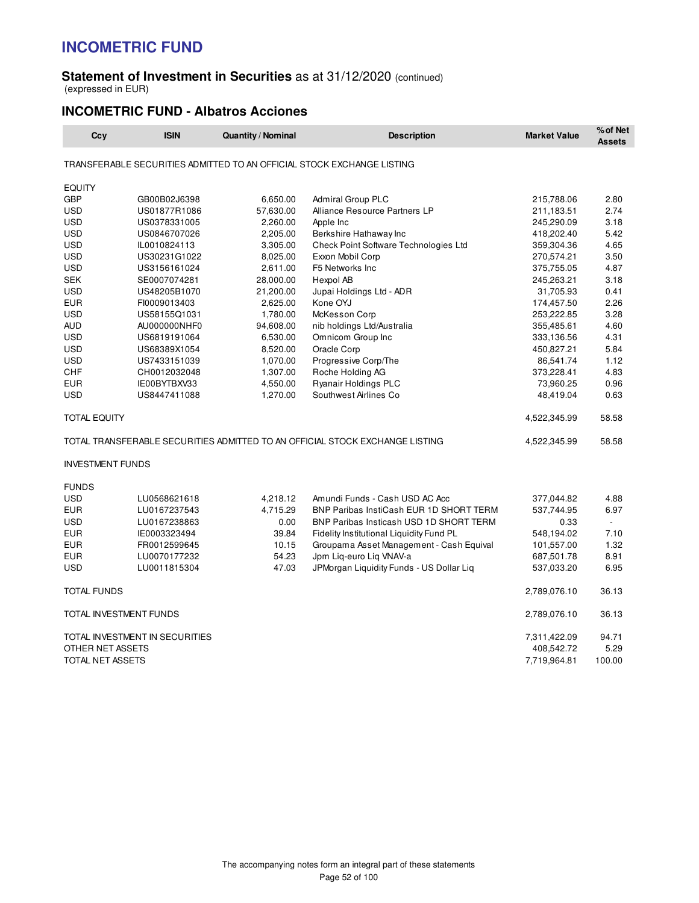#### **Statement of Investment in Securities** as at 31/12/2020 (continued) (expressed in EUR)

### **INCOMETRIC FUND - Albatros Acciones**

| Ccy                     | <b>ISIN</b>                    | <b>Quantity / Nominal</b> | <b>Description</b>                                                           | <b>Market Value</b> | % of Net<br><b>Assets</b> |
|-------------------------|--------------------------------|---------------------------|------------------------------------------------------------------------------|---------------------|---------------------------|
|                         |                                |                           | TRANSFERABLE SECURITIES ADMITTED TO AN OFFICIAL STOCK EXCHANGE LISTING       |                     |                           |
| <b>EQUITY</b>           |                                |                           |                                                                              |                     |                           |
| <b>GBP</b>              | GB00B02J6398                   | 6,650.00                  | <b>Admiral Group PLC</b>                                                     | 215,788.06          | 2.80                      |
| USD                     | US01877R1086                   | 57,630.00                 | Alliance Resource Partners LP                                                | 211,183.51          | 2.74                      |
| <b>USD</b>              | US0378331005                   | 2,260.00                  | Apple Inc                                                                    | 245,290.09          | 3.18                      |
| <b>USD</b>              | US0846707026                   | 2,205.00                  | Berkshire Hathaway Inc                                                       | 418,202.40          | 5.42                      |
| <b>USD</b>              | IL0010824113                   | 3,305.00                  | Check Point Software Technologies Ltd                                        | 359,304.36          | 4.65                      |
| <b>USD</b>              | US30231G1022                   | 8,025.00                  | Exxon Mobil Corp                                                             | 270,574.21          | 3.50                      |
| <b>USD</b>              | US3156161024                   | 2,611.00                  | F5 Networks Inc                                                              | 375,755.05          | 4.87                      |
| <b>SEK</b>              | SE0007074281                   | 28,000.00                 | Hexpol AB                                                                    | 245,263.21          | 3.18                      |
| <b>USD</b>              | US48205B1070                   | 21,200.00                 | Jupai Holdings Ltd - ADR                                                     | 31,705.93           | 0.41                      |
| <b>EUR</b>              | FI0009013403                   | 2,625.00                  | Kone OYJ                                                                     | 174,457.50          | 2.26                      |
| <b>USD</b>              | US58155Q1031                   | 1,780.00                  | McKesson Corp                                                                | 253,222.85          | 3.28                      |
| <b>AUD</b>              | AU000000NHF0                   | 94,608.00                 | nib holdings Ltd/Australia                                                   | 355,485.61          | 4.60                      |
| <b>USD</b>              | US6819191064                   | 6,530.00                  | Omnicom Group Inc                                                            | 333,136.56          | 4.31                      |
| <b>USD</b>              | US68389X1054                   | 8,520.00                  | Oracle Corp                                                                  | 450,827.21          | 5.84                      |
| <b>USD</b>              | US7433151039                   | 1,070.00                  | Progressive Corp/The                                                         | 86,541.74           | 1.12                      |
| <b>CHF</b>              | CH0012032048                   | 1,307.00                  | Roche Holding AG                                                             | 373,228.41          | 4.83                      |
| <b>EUR</b>              | IE00BYTBXV33                   | 4,550.00                  | Ryanair Holdings PLC                                                         | 73,960.25           | 0.96                      |
| <b>USD</b>              | US8447411088                   | 1,270.00                  | Southwest Airlines Co.                                                       | 48,419.04           | 0.63                      |
| <b>TOTAL EQUITY</b>     |                                |                           |                                                                              | 4,522,345.99        | 58.58                     |
|                         |                                |                           | TOTAL TRANSFERABLE SECURITIES ADMITTED TO AN OFFICIAL STOCK EXCHANGE LISTING | 4,522,345.99        | 58.58                     |
| <b>INVESTMENT FUNDS</b> |                                |                           |                                                                              |                     |                           |
| <b>FUNDS</b>            |                                |                           |                                                                              |                     |                           |
| <b>USD</b>              | LU0568621618                   | 4,218.12                  | Amundi Funds - Cash USD AC Acc                                               | 377,044.82          | 4.88                      |
| <b>EUR</b>              | LU0167237543                   | 4,715.29                  | BNP Paribas InstiCash EUR 1D SHORT TERM                                      | 537,744.95          | 6.97                      |
| <b>USD</b>              | LU0167238863                   | 0.00                      | BNP Paribas Insticash USD 1D SHORT TERM                                      | 0.33                | $\blacksquare$            |
| EUR                     | IE0003323494                   | 39.84                     | Fidelity Institutional Liquidity Fund PL                                     | 548,194.02          | 7.10                      |
| <b>EUR</b>              | FR0012599645                   | 10.15                     | Groupama Asset Management - Cash Equival                                     | 101,557.00          | 1.32                      |
| <b>EUR</b>              | LU0070177232                   | 54.23                     | Jpm Lig-euro Lig VNAV-a                                                      | 687,501.78          | 8.91                      |
| <b>USD</b>              | LU0011815304                   | 47.03                     | JPMorgan Liquidity Funds - US Dollar Liq                                     | 537,033.20          | 6.95                      |
| <b>TOTAL FUNDS</b>      |                                |                           |                                                                              | 2,789,076.10        | 36.13                     |
| TOTAL INVESTMENT FUNDS  |                                |                           |                                                                              | 2,789,076.10        | 36.13                     |
|                         | TOTAL INVESTMENT IN SECURITIES |                           |                                                                              | 7,311,422.09        | 94.71                     |
| OTHER NET ASSETS        |                                |                           |                                                                              | 408,542.72          | 5.29                      |
| <b>TOTAL NET ASSETS</b> |                                |                           |                                                                              | 7,719,964.81        | 100.00                    |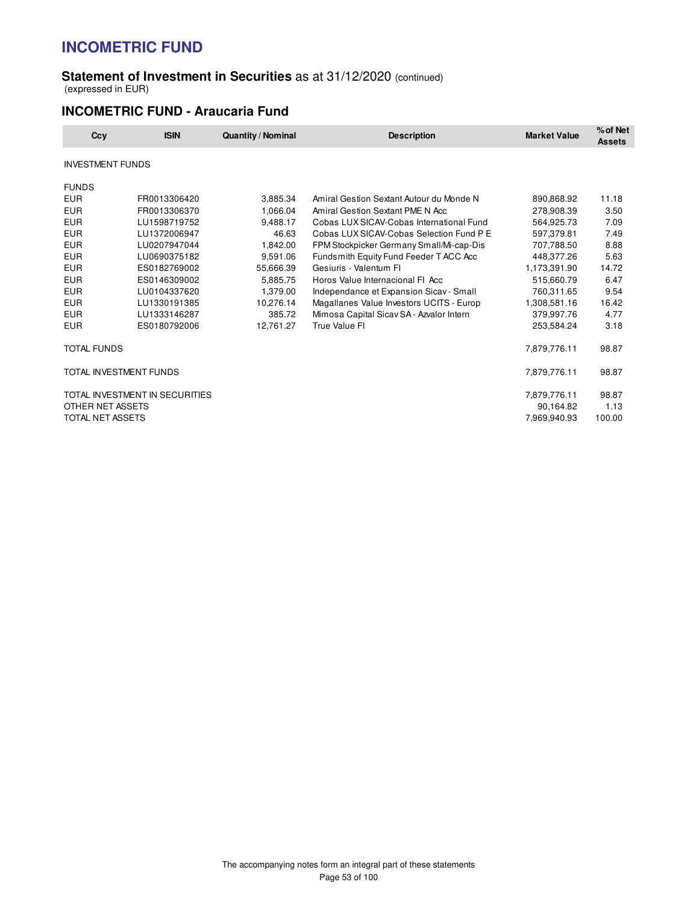#### **Statement of Investment in Securities** as at 31/12/2020 (continued) (expressed in EUR)

### **INCOMETRIC FUND - Araucaria Fund**

| Ccy                     | <b>ISIN</b>                    | <b>Quantity / Nominal</b> | <b>Description</b>                       | <b>Market Value</b> | % of Net<br><b>Assets</b> |
|-------------------------|--------------------------------|---------------------------|------------------------------------------|---------------------|---------------------------|
| <b>INVESTMENT FUNDS</b> |                                |                           |                                          |                     |                           |
| <b>FUNDS</b>            |                                |                           |                                          |                     |                           |
| <b>EUR</b>              | FR0013306420                   | 3,885.34                  | Amiral Gestion Sextant Autour du Monde N | 890,868.92          | 11.18                     |
| <b>EUR</b>              | FR0013306370                   | 1.066.04                  | Amiral Gestion Sextant PME N Acc         | 278,908.39          | 3.50                      |
| <b>EUR</b>              | LU1598719752                   | 9,488.17                  | Cobas LUX SICAV-Cobas International Fund | 564.925.73          | 7.09                      |
| <b>EUR</b>              | LU1372006947                   | 46.63                     | Cobas LUX SICAV-Cobas Selection Fund P E | 597,379.81          | 7.49                      |
| <b>EUR</b>              | LU0207947044                   | 1,842.00                  | FPM Stockpicker Germany Small/Mi-cap-Dis | 707,788.50          | 8.88                      |
| <b>EUR</b>              | LU0690375182                   | 9.591.06                  | Fundsmith Equity Fund Feeder T ACC Acc   | 448,377.26          | 5.63                      |
| <b>EUR</b>              | ES0182769002                   | 55,666.39                 | Gesiuris - Valentum Fl                   | 1,173,391.90        | 14.72                     |
| <b>EUR</b>              | ES0146309002                   | 5.885.75                  | Horos Value Internacional FI Acc         | 515.660.79          | 6.47                      |
| <b>EUR</b>              | LU0104337620                   | 1.379.00                  | Independance et Expansion Sicav - Small  | 760,311.65          | 9.54                      |
| <b>EUR</b>              | LU1330191385                   | 10,276.14                 | Magallanes Value Investors UCITS - Europ | 1,308,581.16        | 16.42                     |
| <b>EUR</b>              | LU1333146287                   | 385.72                    | Mimosa Capital Sicav SA - Azvalor Intern | 379,997.76          | 4.77                      |
| <b>EUR</b>              | ES0180792006                   | 12,761.27                 | True Value FI                            | 253,584.24          | 3.18                      |
| <b>TOTAL FUNDS</b>      |                                |                           |                                          | 7,879,776.11        | 98.87                     |
| TOTAL INVESTMENT FUNDS  |                                |                           |                                          | 7,879,776.11        | 98.87                     |
|                         | TOTAL INVESTMENT IN SECURITIES |                           |                                          | 7,879,776.11        | 98.87                     |
| OTHER NET ASSETS        |                                |                           |                                          | 90,164.82           | 1.13                      |
| TOTAL NET ASSETS        |                                |                           |                                          | 7,969,940.93        | 100.00                    |
|                         |                                |                           |                                          |                     |                           |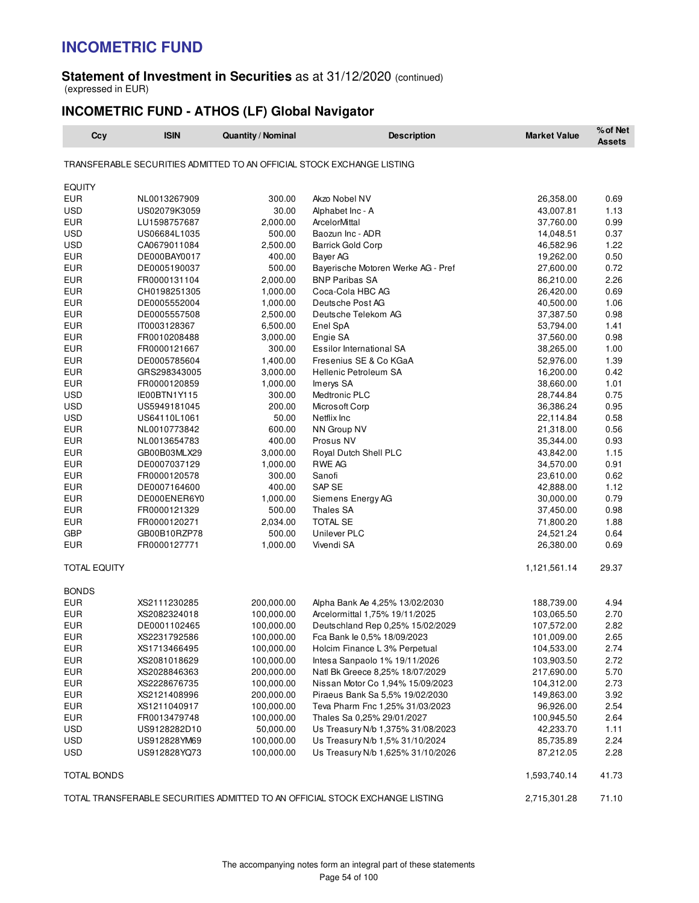#### **Statement of Investment in Securities** as at 31/12/2020 (continued) (expressed in EUR)

## **INCOMETRIC FUND - ATHOS (LF) Global Navigator**

| Ccy                 | <b>ISIN</b>  | <b>Quantity / Nominal</b> | <b>Description</b>                                                           | <b>Market Value</b> | % of Net<br><b>Assets</b> |
|---------------------|--------------|---------------------------|------------------------------------------------------------------------------|---------------------|---------------------------|
|                     |              |                           | TRANSFERABLE SECURITIES ADMITTED TO AN OFFICIAL STOCK EXCHANGE LISTING       |                     |                           |
| <b>EQUITY</b>       |              |                           |                                                                              |                     |                           |
| <b>EUR</b>          | NL0013267909 | 300.00                    | Akzo Nobel NV                                                                | 26,358.00           | 0.69                      |
| <b>USD</b>          | US02079K3059 | 30.00                     | Alphabet Inc - A                                                             | 43,007.81           | 1.13                      |
| EUR                 | LU1598757687 | 2,000.00                  | ArcelorMittal                                                                | 37,760.00           | 0.99                      |
| USD                 | US06684L1035 | 500.00                    | Baozun Inc - ADR                                                             | 14,048.51           | 0.37                      |
| <b>USD</b>          | CA0679011084 | 2,500.00                  | <b>Barrick Gold Corp</b>                                                     | 46,582.96           | 1.22                      |
| <b>EUR</b>          | DE000BAY0017 | 400.00                    | Bayer AG                                                                     | 19,262.00           | 0.50                      |
| <b>EUR</b>          | DE0005190037 | 500.00                    | Bayerische Motoren Werke AG - Pref                                           | 27,600.00           | 0.72                      |
| <b>EUR</b>          | FR0000131104 | 2,000.00                  | <b>BNP Paribas SA</b>                                                        | 86,210.00           | 2.26                      |
| <b>EUR</b>          | CH0198251305 | 1,000.00                  | Coca-Cola HBC AG                                                             | 26,420.00           | 0.69                      |
| <b>EUR</b>          | DE0005552004 | 1,000.00                  | Deutsche Post AG                                                             | 40,500.00           | 1.06                      |
| <b>EUR</b>          | DE0005557508 | 2,500.00                  | Deutsche Telekom AG                                                          | 37,387.50           | 0.98                      |
| EUR                 | IT0003128367 | 6,500.00                  | Enel SpA                                                                     | 53,794.00           | 1.41                      |
| <b>EUR</b>          | FR0010208488 | 3,000.00                  | Engie SA                                                                     | 37,560.00           | 0.98                      |
| <b>EUR</b>          | FR0000121667 | 300.00                    | Essilor International SA                                                     | 38,265.00           | 1.00                      |
| <b>EUR</b>          | DE0005785604 | 1,400.00                  | Fresenius SE & Co KGaA                                                       | 52,976.00           | 1.39                      |
| <b>EUR</b>          | GRS298343005 | 3,000.00                  | <b>Hellenic Petroleum SA</b>                                                 | 16,200.00           | 0.42                      |
| <b>EUR</b>          | FR0000120859 | 1,000.00                  | Imerys SA                                                                    | 38,660.00           | 1.01                      |
| <b>USD</b>          |              |                           |                                                                              | 28,744.84           |                           |
|                     | IE00BTN1Y115 | 300.00                    | Medtronic PLC                                                                |                     | 0.75                      |
| <b>USD</b>          | US5949181045 | 200.00                    | Microsoft Corp                                                               | 36,386.24           | 0.95                      |
| <b>USD</b>          | US64110L1061 | 50.00                     | Netflix Inc                                                                  | 22,114.84           | 0.58                      |
| <b>EUR</b>          | NL0010773842 | 600.00                    | NN Group NV                                                                  | 21,318.00           | 0.56                      |
| <b>EUR</b>          | NL0013654783 | 400.00                    | Prosus NV                                                                    | 35,344.00           | 0.93                      |
| EUR                 | GB00B03MLX29 | 3,000.00                  | Royal Dutch Shell PLC                                                        | 43,842.00           | 1.15                      |
| <b>EUR</b>          | DE0007037129 | 1,000.00                  | RWE AG                                                                       | 34,570.00           | 0.91                      |
| <b>EUR</b>          | FR0000120578 | 300.00                    | Sanofi                                                                       | 23,610.00           | 0.62                      |
| <b>EUR</b>          | DE0007164600 | 400.00                    | SAP SE                                                                       | 42,888.00           | 1.12                      |
| <b>EUR</b>          | DE000ENER6Y0 | 1,000.00                  | Siemens Energy AG                                                            | 30,000.00           | 0.79                      |
| <b>EUR</b>          | FR0000121329 | 500.00                    | <b>Thales SA</b>                                                             | 37,450.00           | 0.98                      |
| <b>EUR</b>          | FR0000120271 | 2,034.00                  | <b>TOTAL SE</b>                                                              | 71,800.20           | 1.88                      |
| <b>GBP</b>          | GB00B10RZP78 | 500.00                    | Unilever PLC                                                                 | 24,521.24           | 0.64                      |
| EUR                 | FR0000127771 | 1,000.00                  | Vivendi SA                                                                   | 26,380.00           | 0.69                      |
| <b>TOTAL EQUITY</b> |              |                           |                                                                              | 1,121,561.14        | 29.37                     |
| <b>BONDS</b>        |              |                           |                                                                              |                     |                           |
| EUR                 | XS2111230285 | 200,000.00                | Alpha Bank Ae 4,25% 13/02/2030                                               | 188,739.00          | 4.94                      |
| <b>EUR</b>          | XS2082324018 | 100,000.00                | Arcelormittal 1,75% 19/11/2025                                               | 103,065.50          | 2.70                      |
| <b>EUR</b>          | DE0001102465 | 100,000.00                | Deutschland Rep 0,25% 15/02/2029                                             | 107,572.00          | 2.82                      |
| <b>EUR</b>          | XS2231792586 | 100,000.00                | Fca Bank le 0,5% 18/09/2023                                                  | 101,009.00          | 2.65                      |
| EUR                 | XS1713466495 | 100,000.00                | Holcim Finance L 3% Perpetual                                                | 104,533.00          | 2.74                      |
| <b>EUR</b>          | XS2081018629 | 100,000.00                | Intesa Sanpaolo 1% 19/11/2026                                                | 103,903.50          | 2.72                      |
| <b>EUR</b>          | XS2028846363 | 200,000.00                | Natl Bk Greece 8,25% 18/07/2029                                              | 217,690.00          | 5.70                      |
| <b>EUR</b>          | XS2228676735 | 100,000.00                | Nissan Motor Co 1,94% 15/09/2023                                             | 104,312.00          | 2.73                      |
| <b>EUR</b>          | XS2121408996 | 200,000.00                | Piraeus Bank Sa 5,5% 19/02/2030                                              | 149,863.00          | 3.92                      |
| <b>EUR</b>          | XS1211040917 | 100,000.00                | Teva Pharm Fnc 1,25% 31/03/2023                                              | 96,926.00           | 2.54                      |
| EUR                 | FR0013479748 | 100,000.00                | Thales Sa 0,25% 29/01/2027                                                   | 100,945.50          | 2.64                      |
| USD                 | US9128282D10 | 50,000.00                 | Us Treasury N/b 1,375% 31/08/2023                                            | 42,233.70           | 1.11                      |
| <b>USD</b>          | US912828YM69 | 100,000.00                | Us Treasury N/b 1,5% 31/10/2024                                              | 85,735.89           | 2.24                      |
| USD                 | US912828YQ73 | 100,000.00                | Us Treasury N/b 1,625% 31/10/2026                                            | 87,212.05           | 2.28                      |
|                     |              |                           |                                                                              |                     |                           |
| TOTAL BONDS         |              |                           |                                                                              | 1,593,740.14        | 41.73                     |
|                     |              |                           | TOTAL TRANSFERABLE SECURITIES ADMITTED TO AN OFFICIAL STOCK EXCHANGE LISTING | 2,715,301.28        | 71.10                     |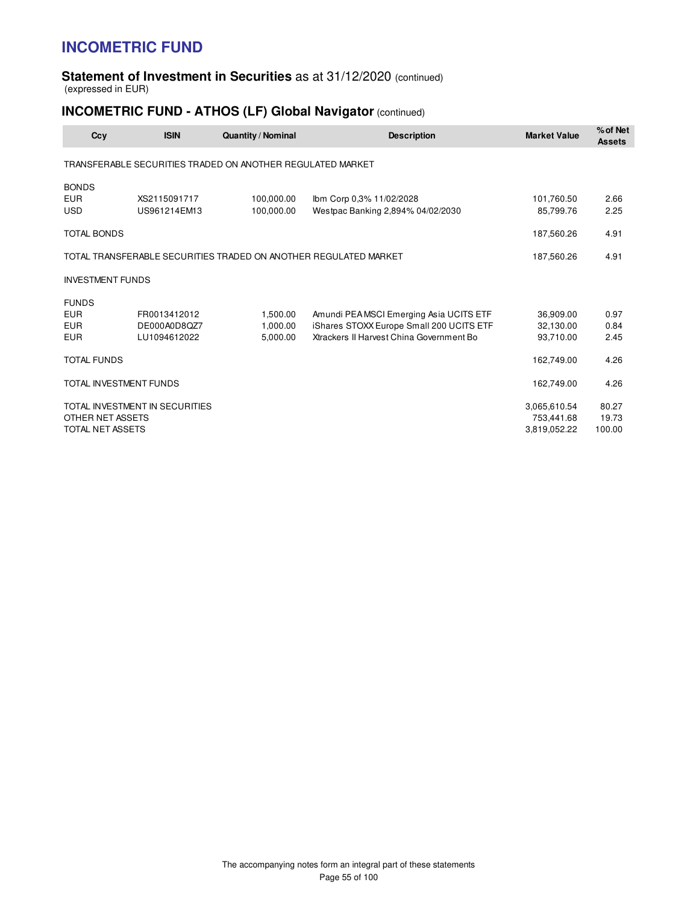#### **Statement of Investment in Securities** as at 31/12/2020 (continued) (expressed in EUR)

## **INCOMETRIC FUND - ATHOS (LF) Global Navigator** (continued)

| <b>ISIN</b><br>Ccy             | <b>Quantity / Nominal</b>                                        | <b>Description</b>                       | <b>Market Value</b> | % of Net<br><b>Assets</b> |
|--------------------------------|------------------------------------------------------------------|------------------------------------------|---------------------|---------------------------|
|                                | TRANSFERABLE SECURITIES TRADED ON ANOTHER REGULATED MARKET       |                                          |                     |                           |
| <b>BONDS</b>                   |                                                                  |                                          |                     |                           |
| <b>EUR</b><br>XS2115091717     | 100,000.00                                                       | Ibm Corp 0,3% 11/02/2028                 | 101,760.50          | 2.66                      |
| <b>USD</b><br>US961214EM13     | 100,000.00                                                       | Westpac Banking 2,894% 04/02/2030        | 85,799.76           | 2.25                      |
| <b>TOTAL BONDS</b>             |                                                                  |                                          | 187,560.26          | 4.91                      |
|                                | TOTAL TRANSFERABLE SECURITIES TRADED ON ANOTHER REGULATED MARKET |                                          | 187,560.26          | 4.91                      |
| <b>INVESTMENT FUNDS</b>        |                                                                  |                                          |                     |                           |
| <b>FUNDS</b>                   |                                                                  |                                          |                     |                           |
| <b>EUR</b><br>FR0013412012     | 1.500.00                                                         | Amundi PEA MSCI Emerging Asia UCITS ETF  | 36.909.00           | 0.97                      |
| <b>EUR</b><br>DE000A0D8QZ7     | 1.000.00                                                         | iShares STOXX Europe Small 200 UCITS ETF | 32.130.00           | 0.84                      |
| <b>EUR</b><br>LU1094612022     | 5,000.00                                                         | Xtrackers II Harvest China Government Bo | 93,710.00           | 2.45                      |
| <b>TOTAL FUNDS</b>             |                                                                  |                                          | 162,749.00          | 4.26                      |
| <b>TOTAL INVESTMENT FUNDS</b>  |                                                                  |                                          | 162,749.00          | 4.26                      |
| TOTAL INVESTMENT IN SECURITIES |                                                                  |                                          | 3,065,610.54        | 80.27                     |
| OTHER NET ASSETS               |                                                                  |                                          | 753,441.68          | 19.73                     |
| TOTAL NET ASSETS               |                                                                  |                                          | 3,819,052.22        | 100.00                    |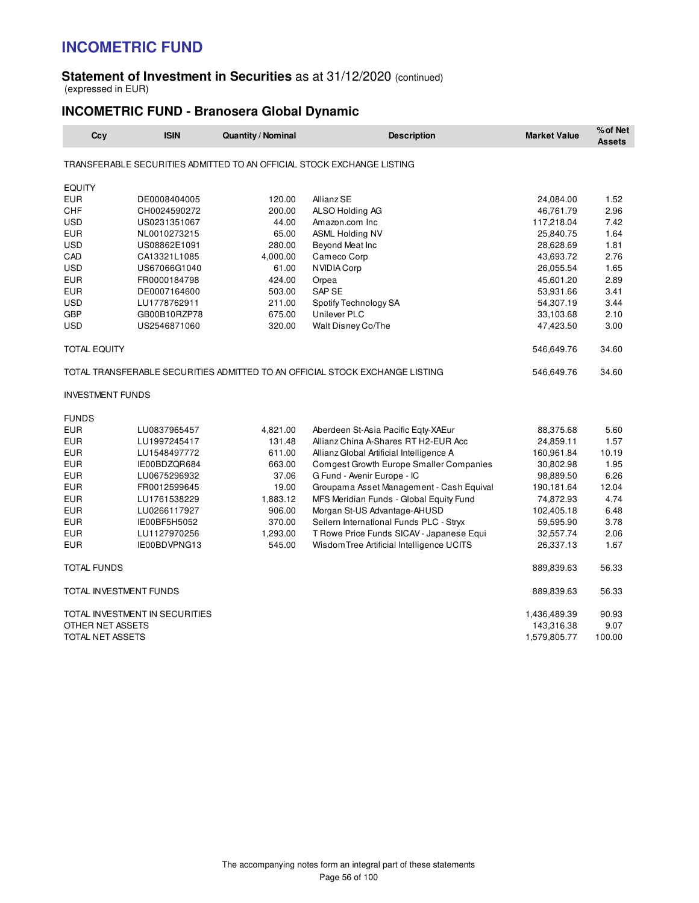#### **Statement of Investment in Securities** as at 31/12/2020 (continued) (expressed in EUR)

### **INCOMETRIC FUND - Branosera Global Dynamic**

| Ccy                     | <b>ISIN</b>                    | Quantity / Nominal | <b>Description</b>                                                           | <b>Market Value</b> | % of Net<br><b>Assets</b> |
|-------------------------|--------------------------------|--------------------|------------------------------------------------------------------------------|---------------------|---------------------------|
|                         |                                |                    | TRANSFERABLE SECURITIES ADMITTED TO AN OFFICIAL STOCK EXCHANGE LISTING       |                     |                           |
| <b>EQUITY</b>           |                                |                    |                                                                              |                     |                           |
| <b>EUR</b>              | DE0008404005                   | 120.00             | Allianz SE                                                                   | 24,084.00           | 1.52                      |
| <b>CHF</b>              | CH0024590272                   | 200.00             | ALSO Holding AG                                                              | 46,761.79           | 2.96                      |
| <b>USD</b>              | US0231351067                   | 44.00              | Amazon.com Inc                                                               | 117,218.04          | 7.42                      |
| <b>EUR</b>              | NL0010273215                   | 65.00              | <b>ASML Holding NV</b>                                                       | 25,840.75           | 1.64                      |
| <b>USD</b>              | US08862E1091                   | 280.00             | Beyond Meat Inc                                                              | 28,628.69           | 1.81                      |
| CAD                     | CA13321L1085                   | 4,000.00           | Cameco Corp                                                                  | 43,693.72           | 2.76                      |
| <b>USD</b>              | US67066G1040                   | 61.00              | NVIDIA Corp                                                                  | 26,055.54           | 1.65                      |
| <b>EUR</b>              | FR0000184798                   | 424.00             | Orpea                                                                        | 45,601.20           | 2.89                      |
| <b>EUR</b>              | DE0007164600                   | 503.00             | SAP SE                                                                       | 53,931.66           | 3.41                      |
| <b>USD</b>              | LU1778762911                   | 211.00             | Spotify Technology SA                                                        | 54,307.19           | 3.44                      |
| <b>GBP</b>              | GB00B10RZP78                   | 675.00             | Unilever PLC                                                                 | 33,103.68           | 2.10                      |
| <b>USD</b>              | US2546871060                   | 320.00             | Walt Disney Co/The                                                           | 47,423.50           | 3.00                      |
| TOTAL EQUITY            |                                |                    |                                                                              | 546,649.76          | 34.60                     |
|                         |                                |                    | TOTAL TRANSFERABLE SECURITIES ADMITTED TO AN OFFICIAL STOCK EXCHANGE LISTING | 546,649.76          | 34.60                     |
| <b>INVESTMENT FUNDS</b> |                                |                    |                                                                              |                     |                           |
| <b>FUNDS</b>            |                                |                    |                                                                              |                     |                           |
| EUR                     | LU0837965457                   | 4,821.00           | Aberdeen St-Asia Pacific Eqty-XAEur                                          | 88,375.68           | 5.60                      |
| <b>EUR</b>              | LU1997245417                   | 131.48             | Allianz China A-Shares RT H2-EUR Acc                                         | 24,859.11           | 1.57                      |
| <b>EUR</b>              | LU1548497772                   | 611.00             | Allianz Global Artificial Intelligence A                                     | 160,961.84          | 10.19                     |
| <b>EUR</b>              | IE00BDZQR684                   | 663.00             | Comgest Growth Europe Smaller Companies                                      | 30,802.98           | 1.95                      |
| <b>EUR</b>              | LU0675296932                   | 37.06              | G Fund - Avenir Europe - IC                                                  | 98,889.50           | 6.26                      |
| <b>EUR</b>              | FR0012599645                   | 19.00              | Groupama Asset Management - Cash Equival                                     | 190,181.64          | 12.04                     |
| <b>EUR</b>              | LU1761538229                   | 1,883.12           | MFS Meridian Funds - Global Equity Fund                                      | 74,872.93           | 4.74                      |
| EUR                     | LU0266117927                   | 906.00             | Morgan St-US Advantage-AHUSD                                                 | 102,405.18          | 6.48                      |
| <b>EUR</b>              | IE00BF5H5052                   | 370.00             | Seilern International Funds PLC - Stryx                                      | 59,595.90           | 3.78                      |
| <b>EUR</b>              | LU1127970256                   | 1,293.00           | T Rowe Price Funds SICAV - Japanese Equi                                     | 32,557.74           | 2.06                      |
| <b>EUR</b>              | IE00BDVPNG13                   | 545.00             | Wisdom Tree Artificial Intelligence UCITS                                    | 26,337.13           | 1.67                      |
| <b>TOTAL FUNDS</b>      |                                |                    |                                                                              | 889,839.63          | 56.33                     |
| TOTAL INVESTMENT FUNDS  |                                |                    |                                                                              | 889,839.63          | 56.33                     |
|                         | TOTAL INVESTMENT IN SECURITIES |                    |                                                                              | 1,436,489.39        | 90.93                     |
| OTHER NET ASSETS        |                                |                    |                                                                              | 143,316.38          | 9.07                      |
| TOTAL NET ASSETS        |                                |                    |                                                                              | 1,579,805.77        | 100.00                    |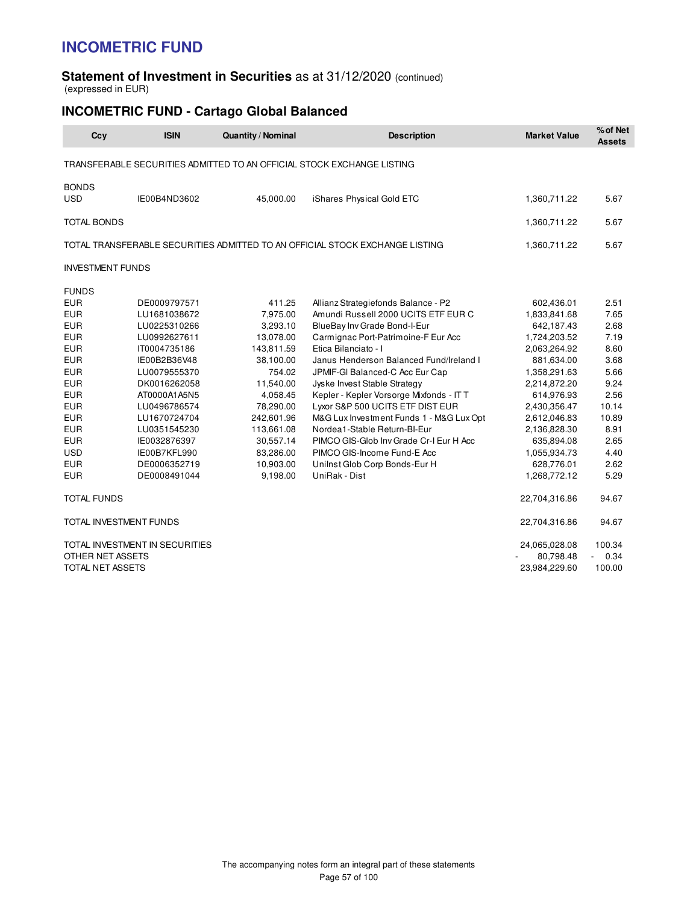#### **Statement of Investment in Securities** as at 31/12/2020 (continued) (expressed in EUR)

## **INCOMETRIC FUND - Cartago Global Balanced**

| Ccy                     | <b>ISIN</b>                    | <b>Quantity / Nominal</b> | <b>Description</b>                                                           | <b>Market Value</b> | % of Net<br><b>Assets</b> |
|-------------------------|--------------------------------|---------------------------|------------------------------------------------------------------------------|---------------------|---------------------------|
|                         |                                |                           | TRANSFERABLE SECURITIES ADMITTED TO AN OFFICIAL STOCK EXCHANGE LISTING       |                     |                           |
| <b>BONDS</b>            |                                |                           |                                                                              |                     |                           |
| <b>USD</b>              | IE00B4ND3602                   | 45,000.00                 | iShares Physical Gold ETC                                                    | 1,360,711.22        | 5.67                      |
| <b>TOTAL BONDS</b>      |                                |                           |                                                                              | 1,360,711.22        | 5.67                      |
|                         |                                |                           | TOTAL TRANSFERABLE SECURITIES ADMITTED TO AN OFFICIAL STOCK EXCHANGE LISTING | 1,360,711.22        | 5.67                      |
| <b>INVESTMENT FUNDS</b> |                                |                           |                                                                              |                     |                           |
| <b>FUNDS</b>            |                                |                           |                                                                              |                     |                           |
| <b>EUR</b>              | DE0009797571                   | 411.25                    | Allianz Strategiefonds Balance - P2                                          | 602,436.01          | 2.51                      |
| <b>EUR</b>              | LU1681038672                   | 7,975.00                  | Amundi Russell 2000 UCITS ETF EUR C                                          | 1,833,841.68        | 7.65                      |
| <b>EUR</b>              | LU0225310266                   | 3,293.10                  | BlueBay Inv Grade Bond-I-Eur                                                 | 642,187.43          | 2.68                      |
| <b>EUR</b>              | LU0992627611                   | 13,078.00                 | Carmignac Port-Patrimoine-F Eur Acc                                          | 1,724,203.52        | 7.19                      |
| <b>EUR</b>              | IT0004735186                   | 143,811.59                | Etica Bilanciato - I                                                         | 2,063,264.92        | 8.60                      |
| <b>EUR</b>              | IE00B2B36V48                   | 38,100.00                 | Janus Henderson Balanced Fund/Ireland I                                      | 881,634.00          | 3.68                      |
| <b>EUR</b>              | LU0079555370                   | 754.02                    | JPMIF-GI Balanced-C Acc Eur Cap                                              | 1,358,291.63        | 5.66                      |
| <b>EUR</b>              | DK0016262058                   | 11,540.00                 | Jyske Invest Stable Strategy                                                 | 2,214,872.20        | 9.24                      |
| <b>EUR</b>              | AT0000A1A5N5                   | 4,058.45                  | Kepler - Kepler Vorsorge Mixfonds - IT T                                     | 614,976.93          | 2.56                      |
| <b>EUR</b>              | LU0496786574                   | 78,290.00                 | Lyxor S&P 500 UCITS ETF DIST EUR                                             | 2,430,356.47        | 10.14                     |
| <b>EUR</b>              | LU1670724704                   | 242,601.96                | M&G Lux Investment Funds 1 - M&G Lux Opt                                     | 2,612,046.83        | 10.89                     |
| <b>EUR</b>              | LU0351545230                   | 113,661.08                | Nordea1-Stable Return-BI-Eur                                                 | 2,136,828.30        | 8.91                      |
| <b>EUR</b>              | IE0032876397                   | 30,557.14                 | PIMCO GIS-Glob Inv Grade Cr-I Eur H Acc                                      | 635,894.08          | 2.65                      |
| <b>USD</b>              | IE00B7KFL990                   | 83,286.00                 | PIMCO GIS-Income Fund-E Acc                                                  | 1,055,934.73        | 4.40                      |
| <b>EUR</b>              | DE0006352719                   | 10,903.00                 | Unilnst Glob Corp Bonds-Eur H                                                | 628,776.01          | 2.62                      |
| <b>EUR</b>              | DE0008491044                   | 9,198.00                  | UniRak - Dist                                                                | 1,268,772.12        | 5.29                      |
| <b>TOTAL FUNDS</b>      |                                |                           |                                                                              | 22,704,316.86       | 94.67                     |
| TOTAL INVESTMENT FUNDS  |                                |                           |                                                                              | 22,704,316.86       | 94.67                     |
|                         | TOTAL INVESTMENT IN SECURITIES |                           |                                                                              | 24,065,028.08       | 100.34                    |
| OTHER NET ASSETS        |                                |                           |                                                                              | 80,798.48           | $-0.34$                   |
| TOTAL NET ASSETS        |                                |                           |                                                                              | 23,984,229.60       | 100.00                    |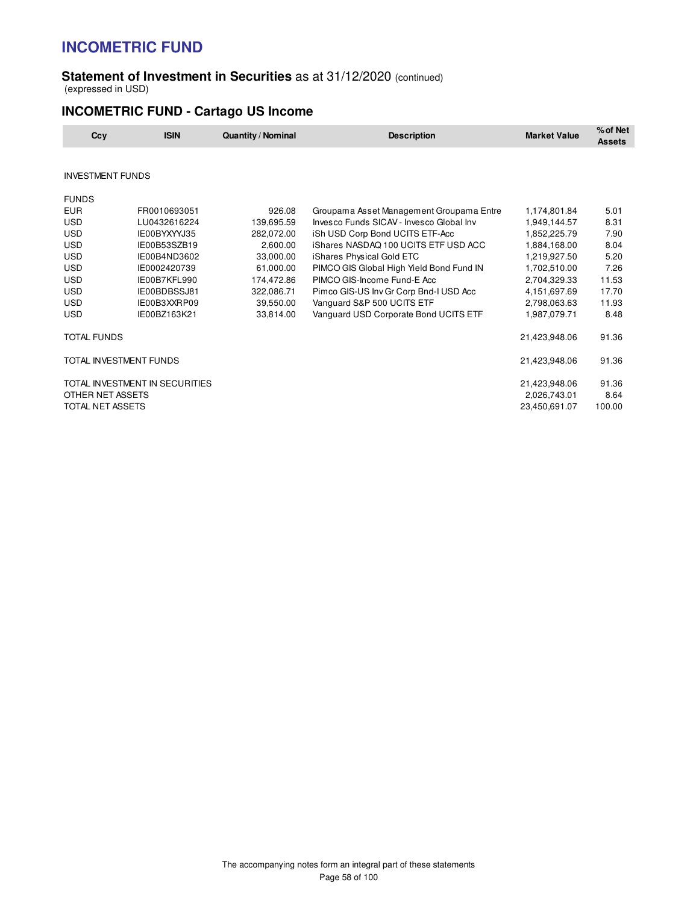#### **Statement of Investment in Securities** as at 31/12/2020 (continued) (expressed in USD)

## **INCOMETRIC FUND - Cartago US Income**

| Ccy                     | <b>ISIN</b>                    | <b>Quantity / Nominal</b> | <b>Description</b>                       | <b>Market Value</b> | % of Net<br><b>Assets</b> |
|-------------------------|--------------------------------|---------------------------|------------------------------------------|---------------------|---------------------------|
|                         |                                |                           |                                          |                     |                           |
| <b>INVESTMENT FUNDS</b> |                                |                           |                                          |                     |                           |
| <b>FUNDS</b>            |                                |                           |                                          |                     |                           |
| <b>EUR</b>              | FR0010693051                   | 926.08                    | Groupama Asset Management Groupama Entre | 1,174,801.84        | 5.01                      |
| <b>USD</b>              | LU0432616224                   | 139,695.59                | Invesco Funds SICAV - Invesco Global Inv | 1,949,144.57        | 8.31                      |
| <b>USD</b>              | IE00BYXYYJ35                   | 282,072.00                | iSh USD Corp Bond UCITS ETF-Acc          | 1,852,225.79        | 7.90                      |
| <b>USD</b>              | IE00B53SZB19                   | 2,600.00                  | iShares NASDAQ 100 UCITS ETF USD ACC     | 1,884,168.00        | 8.04                      |
| <b>USD</b>              | IE00B4ND3602                   | 33,000.00                 | iShares Physical Gold ETC                | 1,219,927.50        | 5.20                      |
| <b>USD</b>              | IE0002420739                   | 61,000.00                 | PIMCO GIS Global High Yield Bond Fund IN | 1,702,510.00        | 7.26                      |
| <b>USD</b>              | IE00B7KFL990                   | 174,472.86                | PIMCO GIS-Income Fund-E Acc              | 2,704,329.33        | 11.53                     |
| <b>USD</b>              | IE00BDBSSJ81                   | 322,086.71                | Pimco GIS-US Inv Gr Corp Bnd-I USD Acc   | 4,151,697.69        | 17.70                     |
| <b>USD</b>              | IE00B3XXRP09                   | 39,550.00                 | Vanguard S&P 500 UCITS ETF               | 2,798,063.63        | 11.93                     |
| <b>USD</b>              | IE00BZ163K21                   | 33,814.00                 | Vanguard USD Corporate Bond UCITS ETF    | 1,987,079.71        | 8.48                      |
| <b>TOTAL FUNDS</b>      |                                |                           |                                          | 21,423,948.06       | 91.36                     |
| TOTAL INVESTMENT FUNDS  |                                |                           |                                          | 21,423,948.06       | 91.36                     |
|                         | TOTAL INVESTMENT IN SECURITIES |                           |                                          | 21,423,948.06       | 91.36                     |
| OTHER NET ASSETS        |                                |                           |                                          | 2,026,743.01        | 8.64                      |
| TOTAL NET ASSETS        |                                |                           |                                          | 23,450,691.07       | 100.00                    |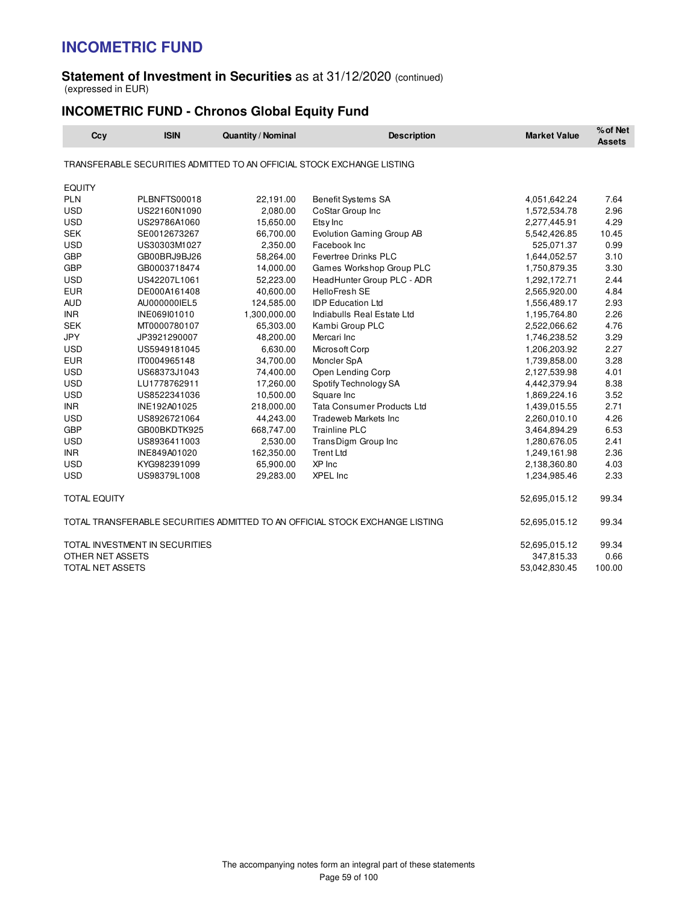#### **Statement of Investment in Securities** as at 31/12/2020 (continued) (expressed in EUR)

## **INCOMETRIC FUND - Chronos Global Equity Fund**

| Ccy                 | <b>ISIN</b>                    | <b>Quantity / Nominal</b> | <b>Description</b>                                                           | <b>Market Value</b> | % of Net<br><b>Assets</b> |
|---------------------|--------------------------------|---------------------------|------------------------------------------------------------------------------|---------------------|---------------------------|
|                     |                                |                           | TRANSFERABLE SECURITIES ADMITTED TO AN OFFICIAL STOCK EXCHANGE LISTING       |                     |                           |
| <b>EQUITY</b>       |                                |                           |                                                                              |                     |                           |
| <b>PLN</b>          | PLBNFTS00018                   | 22,191.00                 | Benefit Systems SA                                                           | 4,051,642.24        | 7.64                      |
| <b>USD</b>          | US22160N1090                   | 2,080.00                  | CoStar Group Inc                                                             | 1,572,534.78        | 2.96                      |
| <b>USD</b>          | US29786A1060                   | 15,650.00                 | Etsy Inc                                                                     | 2,277,445.91        | 4.29                      |
| <b>SEK</b>          | SE0012673267                   | 66,700.00                 | Evolution Gaming Group AB                                                    | 5,542,426.85        | 10.45                     |
| <b>USD</b>          | US30303M1027                   | 2,350.00                  | Facebook Inc                                                                 | 525,071.37          | 0.99                      |
| <b>GBP</b>          | GB00BRJ9BJ26                   | 58,264.00                 | Fevertree Drinks PLC                                                         | 1,644,052.57        | 3.10                      |
| <b>GBP</b>          | GB0003718474                   | 14,000.00                 | Games Workshop Group PLC                                                     | 1,750,879.35        | 3.30                      |
| <b>USD</b>          | US42207L1061                   | 52,223.00                 | HeadHunter Group PLC - ADR                                                   | 1,292,172.71        | 2.44                      |
| <b>EUR</b>          | DE000A161408                   | 40,600.00                 | <b>HelloFresh SE</b>                                                         | 2,565,920.00        | 4.84                      |
| <b>AUD</b>          | AU000000IEL5                   | 124,585.00                | <b>IDP</b> Education Ltd                                                     | 1,556,489.17        | 2.93                      |
| <b>INR</b>          | INE069I01010                   | 1,300,000.00              | Indiabulls Real Estate Ltd                                                   | 1,195,764.80        | 2.26                      |
| <b>SEK</b>          | MT0000780107                   | 65,303.00                 | Kambi Group PLC                                                              | 2,522,066.62        | 4.76                      |
| <b>JPY</b>          | JP3921290007                   | 48,200.00                 | Mercari Inc                                                                  | 1,746,238.52        | 3.29                      |
| <b>USD</b>          | US5949181045                   | 6,630.00                  | Microsoft Corp                                                               | 1,206,203.92        | 2.27                      |
| <b>EUR</b>          | IT0004965148                   | 34,700.00                 | Moncler SpA                                                                  | 1,739,858.00        | 3.28                      |
| <b>USD</b>          | US68373J1043                   | 74,400.00                 | Open Lending Corp                                                            | 2,127,539.98        | 4.01                      |
| <b>USD</b>          | LU1778762911                   | 17,260.00                 | Spotify Technology SA                                                        | 4,442,379.94        | 8.38                      |
| <b>USD</b>          | US8522341036                   | 10,500.00                 | Square Inc                                                                   | 1,869,224.16        | 3.52                      |
| <b>INR</b>          | INE192A01025                   | 218,000.00                | <b>Tata Consumer Products Ltd</b>                                            | 1,439,015.55        | 2.71                      |
| <b>USD</b>          | US8926721064                   | 44,243.00                 | <b>Tradeweb Markets Inc</b>                                                  | 2,260,010.10        | 4.26                      |
| <b>GBP</b>          | GB00BKDTK925                   | 668,747.00                | <b>Trainline PLC</b>                                                         | 3,464,894.29        | 6.53                      |
| <b>USD</b>          | US8936411003                   | 2,530.00                  | TransDigm Group Inc                                                          | 1,280,676.05        | 2.41                      |
| <b>INR</b>          | INE849A01020                   | 162,350.00                | <b>Trent Ltd</b>                                                             | 1,249,161.98        | 2.36                      |
| <b>USD</b>          | KYG982391099                   | 65,900.00                 | XP Inc                                                                       | 2,138,360.80        | 4.03                      |
| <b>USD</b>          | US98379L1008                   | 29,283.00                 | <b>XPEL Inc</b>                                                              | 1,234,985.46        | 2.33                      |
| <b>TOTAL EQUITY</b> |                                |                           |                                                                              | 52,695,015.12       | 99.34                     |
|                     |                                |                           | TOTAL TRANSFERABLE SECURITIES ADMITTED TO AN OFFICIAL STOCK EXCHANGE LISTING | 52,695,015.12       | 99.34                     |
|                     | TOTAL INVESTMENT IN SECURITIES |                           |                                                                              | 52,695,015.12       | 99.34                     |
| OTHER NET ASSETS    |                                |                           |                                                                              | 347,815.33          | 0.66                      |
| TOTAL NET ASSETS    |                                |                           |                                                                              | 53,042,830.45       | 100.00                    |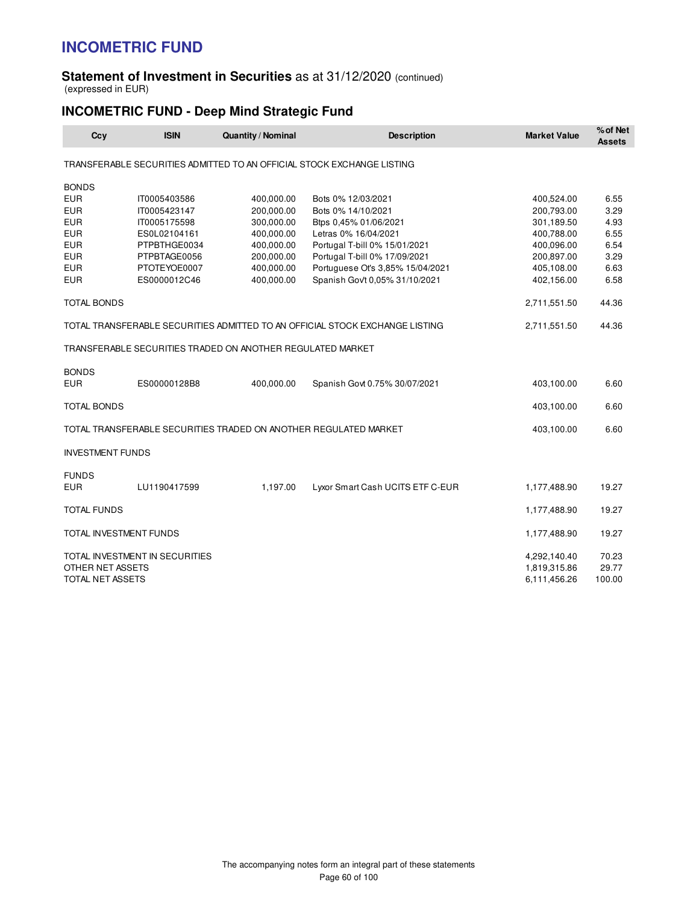#### **Statement of Investment in Securities** as at 31/12/2020 (continued) (expressed in EUR)

## **INCOMETRIC FUND - Deep Mind Strategic Fund**

| Ccy                     | <b>ISIN</b>                    | <b>Quantity / Nominal</b>                                  | <b>Description</b>                                                           | <b>Market Value</b> | % of Net<br><b>Assets</b> |
|-------------------------|--------------------------------|------------------------------------------------------------|------------------------------------------------------------------------------|---------------------|---------------------------|
|                         |                                |                                                            | TRANSFERABLE SECURITIES ADMITTED TO AN OFFICIAL STOCK EXCHANGE LISTING       |                     |                           |
| <b>BONDS</b>            |                                |                                                            |                                                                              |                     |                           |
| <b>EUR</b>              | IT0005403586                   | 400,000.00                                                 | Bots 0% 12/03/2021                                                           | 400,524.00          | 6.55                      |
| <b>EUR</b>              | IT0005423147                   | 200,000.00                                                 | Bots 0% 14/10/2021                                                           | 200,793.00          | 3.29                      |
| <b>EUR</b>              | IT0005175598                   | 300,000.00                                                 | Btps 0,45% 01/06/2021                                                        | 301,189.50          | 4.93                      |
| <b>EUR</b>              | ES0L02104161                   | 400,000.00                                                 | Letras 0% 16/04/2021                                                         | 400,788.00          | 6.55                      |
| <b>EUR</b>              | PTPBTHGE0034                   | 400,000.00                                                 | Portugal T-bill 0% 15/01/2021                                                | 400,096.00          | 6.54                      |
| <b>EUR</b>              | PTPBTAGE0056                   | 200,000.00                                                 | Portugal T-bill 0% 17/09/2021                                                | 200,897.00          | 3.29                      |
| <b>EUR</b>              | PTOTEYOE0007                   | 400,000.00                                                 | Portuguese Ot's 3,85% 15/04/2021                                             | 405,108.00          | 6.63                      |
| <b>EUR</b>              | ES0000012C46                   | 400,000.00                                                 | Spanish Gov't 0,05% 31/10/2021                                               | 402,156.00          | 6.58                      |
| <b>TOTAL BONDS</b>      |                                |                                                            |                                                                              | 2,711,551.50        | 44.36                     |
|                         |                                |                                                            | TOTAL TRANSFERABLE SECURITIES ADMITTED TO AN OFFICIAL STOCK EXCHANGE LISTING | 2,711,551.50        | 44.36                     |
|                         |                                | TRANSFERABLE SECURITIES TRADED ON ANOTHER REGULATED MARKET |                                                                              |                     |                           |
| <b>BONDS</b>            |                                |                                                            |                                                                              |                     |                           |
| <b>EUR</b>              | ES00000128B8                   | 400,000.00                                                 | Spanish Govt 0.75% 30/07/2021                                                | 403,100.00          | 6.60                      |
| <b>TOTAL BONDS</b>      |                                |                                                            |                                                                              | 403,100.00          | 6.60                      |
|                         |                                |                                                            | TOTAL TRANSFERABLE SECURITIES TRADED ON ANOTHER REGULATED MARKET             | 403,100.00          | 6.60                      |
| <b>INVESTMENT FUNDS</b> |                                |                                                            |                                                                              |                     |                           |
| <b>FUNDS</b>            |                                |                                                            |                                                                              |                     |                           |
| <b>EUR</b>              | LU1190417599                   | 1,197.00                                                   | Lyxor Smart Cash UCITS ETF C-EUR                                             | 1,177,488.90        | 19.27                     |
| <b>TOTAL FUNDS</b>      |                                |                                                            |                                                                              | 1,177,488.90        | 19.27                     |
|                         | TOTAL INVESTMENT FUNDS         |                                                            |                                                                              | 1,177,488.90        | 19.27                     |
|                         | TOTAL INVESTMENT IN SECURITIES |                                                            |                                                                              | 4,292,140.40        | 70.23                     |
| OTHER NET ASSETS        |                                |                                                            |                                                                              | 1,819,315.86        | 29.77                     |
| <b>TOTAL NET ASSETS</b> |                                |                                                            |                                                                              | 6,111,456.26        | 100.00                    |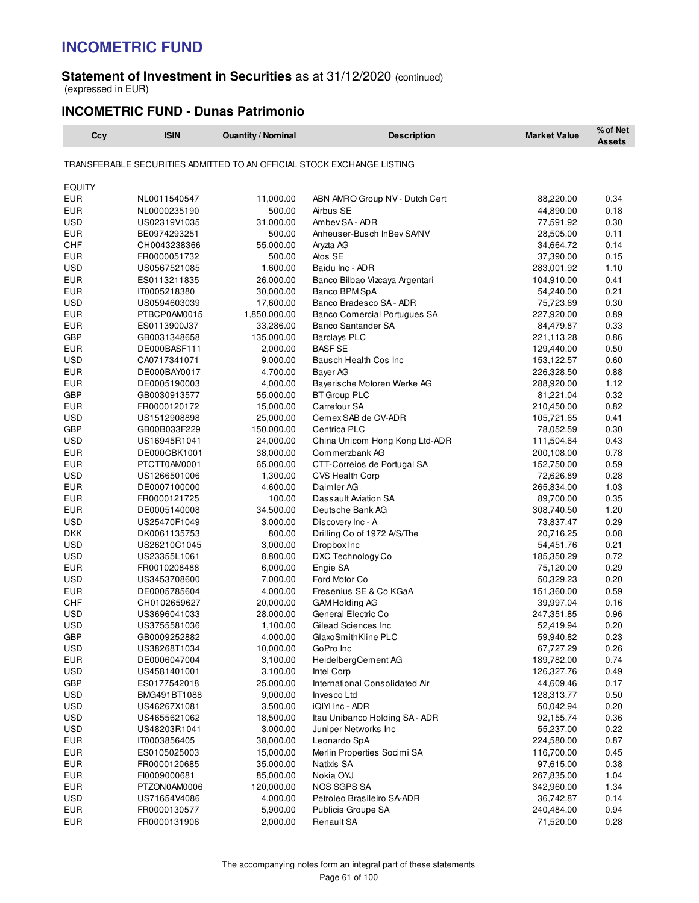#### **Statement of Investment in Securities** as at 31/12/2020 (continued) (expressed in EUR)

### **INCOMETRIC FUND - Dunas Patrimonio**

| Ccy           | <b>ISIN</b>  | Quantity / Nominal | <b>Description</b>                                                     | <b>Market Value</b> | % of Net<br><b>Assets</b> |
|---------------|--------------|--------------------|------------------------------------------------------------------------|---------------------|---------------------------|
|               |              |                    | TRANSFERABLE SECURITIES ADMITTED TO AN OFFICIAL STOCK EXCHANGE LISTING |                     |                           |
|               |              |                    |                                                                        |                     |                           |
| <b>EQUITY</b> |              |                    |                                                                        |                     |                           |
| <b>EUR</b>    | NL0011540547 | 11,000.00          | ABN AMRO Group NV - Dutch Cert                                         | 88,220.00           | 0.34                      |
| <b>EUR</b>    | NL0000235190 | 500.00             | Airbus SE                                                              | 44,890.00           | 0.18                      |
| <b>USD</b>    | US02319V1035 | 31,000.00          | Ambev SA - ADR                                                         | 77,591.92           | 0.30                      |
| <b>EUR</b>    | BE0974293251 | 500.00             | Anheuser-Busch InBev SA/NV                                             | 28,505.00           | 0.11                      |
| CHF           | CH0043238366 | 55,000.00          | Aryzta AG                                                              | 34,664.72           | 0.14                      |
| <b>EUR</b>    | FR0000051732 | 500.00             | Atos SE                                                                | 37,390.00           | 0.15                      |
| <b>USD</b>    | US0567521085 | 1,600.00           | Baidu Inc - ADR                                                        | 283,001.92          | 1.10                      |
| <b>EUR</b>    | ES0113211835 | 26,000.00          | Banco Bilbao Vizcaya Argentari                                         | 104,910.00          | 0.41                      |
| <b>EUR</b>    | IT0005218380 | 30,000.00          | Banco BPM SpA                                                          | 54,240.00           | 0.21                      |
| <b>USD</b>    | US0594603039 | 17,600.00          | Banco Bradesco SA - ADR                                                | 75,723.69           | 0.30                      |
| <b>EUR</b>    | PTBCP0AM0015 | 1,850,000.00       | Banco Comercial Portugues SA                                           | 227,920.00          | 0.89                      |
| <b>EUR</b>    | ES0113900J37 | 33,286.00          | <b>Banco Santander SA</b>                                              | 84,479.87           | 0.33                      |
| <b>GBP</b>    | GB0031348658 | 135,000.00         | <b>Barclays PLC</b>                                                    | 221,113.28          | 0.86                      |
| <b>EUR</b>    | DE000BASF111 | 2,000.00           | <b>BASF SE</b>                                                         | 129,440.00          | 0.50                      |
| <b>USD</b>    | CA0717341071 | 9,000.00           | Bausch Health Cos Inc                                                  | 153,122.57          | 0.60                      |
| EUR           | DE000BAY0017 | 4,700.00           | Bayer AG                                                               | 226,328.50          | 0.88                      |
| <b>EUR</b>    | DE0005190003 | 4,000.00           | Bayerische Motoren Werke AG                                            | 288,920.00          | 1.12                      |
| <b>GBP</b>    | GB0030913577 | 55,000.00          | <b>BT Group PLC</b>                                                    | 81,221.04           | 0.32                      |
| EUR           | FR0000120172 | 15,000.00          | Carrefour SA                                                           | 210,450.00          | 0.82                      |
| <b>USD</b>    | US1512908898 | 25,000.00          | Cemex SAB de CV-ADR                                                    | 105,721.65          | 0.41                      |
| <b>GBP</b>    | GB00B033F229 | 150,000.00         | Centrica PLC                                                           | 78,052.59           | 0.30                      |
| <b>USD</b>    | US16945R1041 | 24,000.00          | China Unicom Hong Kong Ltd-ADR                                         | 111,504.64          | 0.43                      |
| <b>EUR</b>    | DE000CBK1001 | 38,000.00          | Commerzbank AG                                                         | 200,108.00          | 0.78                      |
| EUR           | PTCTT0AM0001 | 65,000.00          | CTT-Correios de Portugal SA                                            | 152,750.00          | 0.59                      |
| <b>USD</b>    | US1266501006 | 1,300.00           | CVS Health Corp                                                        | 72,626.89           | 0.28                      |
| <b>EUR</b>    | DE0007100000 | 4,600.00           | Daimler AG                                                             | 265,834.00          | 1.03                      |
| <b>EUR</b>    | FR0000121725 | 100.00             | Dassault Aviation SA                                                   | 89,700.00           | 0.35                      |
| <b>EUR</b>    | DE0005140008 | 34,500.00          | Deutsche Bank AG                                                       | 308,740.50          | 1.20                      |
| USD           | US25470F1049 | 3,000.00           | Discovery Inc - A                                                      | 73,837.47           | 0.29                      |
| <b>DKK</b>    | DK0061135753 | 800.00             | Drilling Co of 1972 A/S/The                                            | 20,716.25           | 0.08                      |
| <b>USD</b>    | US26210C1045 | 3,000.00           | Dropbox Inc                                                            | 54,451.76           | 0.21                      |
| USD           | US23355L1061 | 8,800.00           | DXC Technology Co                                                      | 185,350.29          | 0.72                      |
| <b>EUR</b>    | FR0010208488 | 6,000.00           | Engie SA                                                               | 75,120.00           | 0.29                      |
| <b>USD</b>    | US3453708600 | 7,000.00           | Ford Motor Co                                                          | 50,329.23           | 0.20                      |
| <b>EUR</b>    | DE0005785604 | 4,000.00           | Fresenius SE & Co KGaA                                                 | 151,360.00          | 0.59                      |
| CHF           | CH0102659627 | 20,000.00          | GAM Holding AG                                                         | 39,997.04           | 0.16                      |
| <b>USD</b>    | US3696041033 | 28,000.00          | General Electric Co                                                    | 247,351.85          | 0.96                      |
| <b>USD</b>    | US3755581036 | 1,100.00           | Gilead Sciences Inc                                                    | 52,419.94           | 0.20                      |
| <b>GBP</b>    | GB0009252882 | 4,000.00           | GlaxoSmithKline PLC                                                    | 59,940.82           | 0.23                      |
| USD           | US38268T1034 | 10,000.00          | GoPro Inc                                                              | 67,727.29           | 0.26                      |
| <b>EUR</b>    | DE0006047004 | 3,100.00           | HeidelbergCement AG                                                    | 189,782.00          | 0.74                      |
| USD           | US4581401001 | 3,100.00           | Intel Corp                                                             | 126,327.76          | 0.49                      |
| <b>GBP</b>    | ES0177542018 | 25,000.00          | International Consolidated Air                                         | 44,609.46           | 0.17                      |
| <b>USD</b>    | BMG491BT1088 | 9,000.00           | Invesco Ltd                                                            | 128,313.77          | 0.50                      |
| USD           | US46267X1081 | 3,500.00           | iQIYI Inc - ADR                                                        | 50,042.94           | 0.20                      |
| USD           | US4655621062 | 18,500.00          | Itau Unibanco Holding SA - ADR                                         | 92,155.74           | 0.36                      |
| USD           | US48203R1041 | 3,000.00           | Juniper Networks Inc                                                   | 55,237.00           | 0.22                      |
| <b>EUR</b>    | IT0003856405 | 38,000.00          | Leonardo SpA                                                           | 224,580.00          | 0.87                      |
| <b>EUR</b>    | ES0105025003 | 15,000.00          | Merlin Properties Socimi SA                                            | 116,700.00          | 0.45                      |
| <b>EUR</b>    | FR0000120685 | 35,000.00          | Natixis SA                                                             | 97,615.00           | 0.38                      |
| <b>EUR</b>    | FI0009000681 | 85,000.00          | Nokia OYJ                                                              | 267,835.00          | 1.04                      |
| <b>EUR</b>    | PTZON0AM0006 | 120,000.00         | NOS SGPS SA                                                            | 342,960.00          | 1.34                      |
| USD           | US71654V4086 | 4,000.00           | Petroleo Brasileiro SA-ADR                                             | 36,742.87           | 0.14                      |
| <b>EUR</b>    | FR0000130577 | 5,900.00           | Publicis Groupe SA                                                     | 240,484.00          | 0.94                      |
| <b>EUR</b>    | FR0000131906 | 2,000.00           | Renault SA                                                             | 71,520.00           | 0.28                      |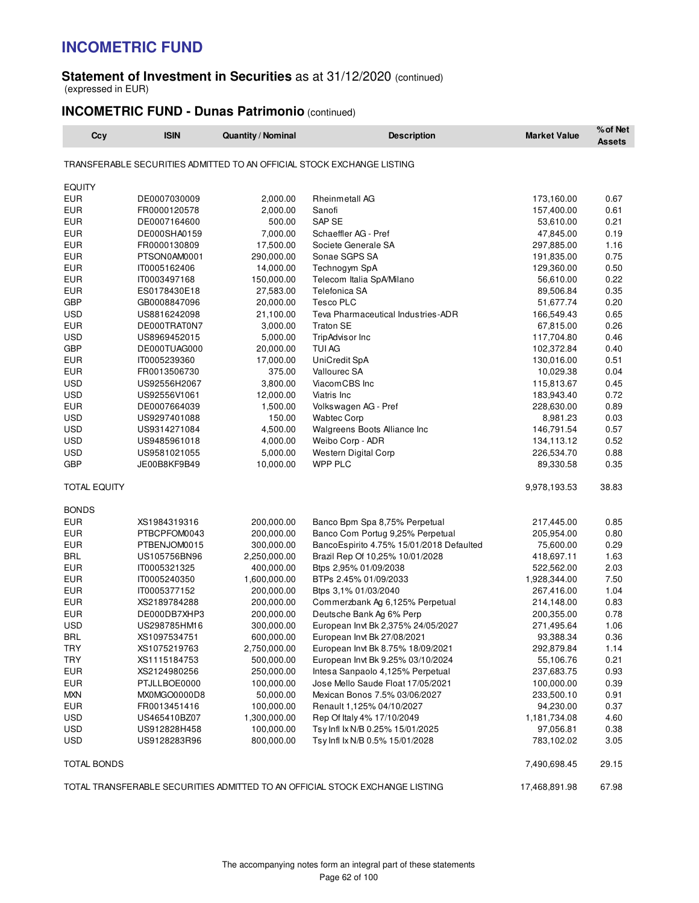#### **Statement of Investment in Securities** as at 31/12/2020 (continued) (expressed in EUR)

### **INCOMETRIC FUND - Dunas Patrimonio** (continued)

| Ccy                 | <b>ISIN</b>  | <b>Quantity / Nominal</b> | <b>Description</b>                                                           | <b>Market Value</b> | % of Net<br><b>Assets</b> |
|---------------------|--------------|---------------------------|------------------------------------------------------------------------------|---------------------|---------------------------|
|                     |              |                           | TRANSFERABLE SECURITIES ADMITTED TO AN OFFICIAL STOCK EXCHANGE LISTING       |                     |                           |
| <b>EQUITY</b>       |              |                           |                                                                              |                     |                           |
| <b>EUR</b>          | DE0007030009 | 2,000.00                  | <b>Rheinmetall AG</b>                                                        | 173,160.00          | 0.67                      |
| <b>EUR</b>          | FR0000120578 | 2,000.00                  | Sanofi                                                                       | 157,400.00          | 0.61                      |
| EUR                 | DE0007164600 | 500.00                    | SAP SE                                                                       | 53,610.00           | 0.21                      |
| <b>EUR</b>          | DE000SHA0159 | 7,000.00                  | Schaeffler AG - Pref                                                         | 47,845.00           | 0.19                      |
| <b>EUR</b>          | FR0000130809 | 17,500.00                 | Societe Generale SA                                                          | 297,885.00          | 1.16                      |
| <b>EUR</b>          | PTSON0AM0001 | 290,000.00                | Sonae SGPS SA                                                                | 191,835.00          | 0.75                      |
| <b>EUR</b>          | IT0005162406 | 14,000.00                 | Technogym SpA                                                                | 129,360.00          | 0.50                      |
| <b>EUR</b>          | IT0003497168 | 150,000.00                | Telecom Italia SpA/Milano                                                    | 56,610.00           | 0.22                      |
| <b>EUR</b>          | ES0178430E18 | 27,583.00                 | Telefonica SA                                                                | 89,506.84           | 0.35                      |
| <b>GBP</b>          | GB0008847096 | 20,000.00                 | <b>Tesco PLC</b>                                                             | 51,677.74           | 0.20                      |
| <b>USD</b>          | US8816242098 | 21,100.00                 | Teva Pharmaceutical Industries-ADR                                           | 166,549.43          | 0.65                      |
| <b>EUR</b>          | DE000TRAT0N7 | 3,000.00                  | <b>Traton SE</b>                                                             | 67,815.00           | 0.26                      |
| <b>USD</b>          | US8969452015 | 5,000.00                  | TripAdvisor Inc                                                              | 117,704.80          | 0.46                      |
| <b>GBP</b>          | DE000TUAG000 | 20,000.00                 | <b>TUI AG</b>                                                                | 102,372.84          | 0.40                      |
| EUR                 | IT0005239360 | 17,000.00                 | UniCredit SpA                                                                | 130,016.00          | 0.51                      |
| <b>EUR</b>          | FR0013506730 | 375.00                    | <b>Vallourec SA</b>                                                          | 10,029.38           | 0.04                      |
| <b>USD</b>          | US92556H2067 | 3,800.00                  | ViacomCBS Inc                                                                | 115,813.67          | 0.45                      |
| <b>USD</b>          | US92556V1061 | 12,000.00                 | Viatris Inc                                                                  | 183,943.40          | 0.72                      |
| <b>EUR</b>          | DE0007664039 | 1,500.00                  | Volkswagen AG - Pref                                                         | 228,630.00          | 0.89                      |
| <b>USD</b>          | US9297401088 | 150.00                    | <b>Wabtec Corp</b>                                                           | 8,981.23            | 0.03                      |
| <b>USD</b>          | US9314271084 | 4,500.00                  | Walgreens Boots Alliance Inc                                                 | 146,791.54          | 0.57                      |
| <b>USD</b>          | US9485961018 | 4,000.00                  | Weibo Corp - ADR                                                             | 134,113.12          | 0.52                      |
| USD                 | US9581021055 | 5,000.00                  | Western Digital Corp                                                         | 226,534.70          | 0.88                      |
| <b>GBP</b>          | JE00B8KF9B49 | 10,000.00                 | WPP PLC                                                                      | 89,330.58           | 0.35                      |
| <b>TOTAL EQUITY</b> |              |                           |                                                                              | 9,978,193.53        | 38.83                     |
| <b>BONDS</b>        |              |                           |                                                                              |                     |                           |
| <b>EUR</b>          | XS1984319316 | 200,000.00                | Banco Bpm Spa 8,75% Perpetual                                                | 217,445.00          | 0.85                      |
| <b>EUR</b>          | PTBCPFOM0043 | 200,000.00                | Banco Com Portug 9,25% Perpetual                                             | 205,954.00          | 0.80                      |
| EUR                 | PTBENJOM0015 | 300,000.00                | BancoEspirito 4.75% 15/01/2018 Defaulted                                     | 75,600.00           | 0.29                      |
| <b>BRL</b>          | US105756BN96 | 2,250,000.00              | Brazil Rep Of 10,25% 10/01/2028                                              | 418,697.11          | 1.63                      |
| <b>EUR</b>          | IT0005321325 | 400,000.00                | Btps 2,95% 01/09/2038                                                        | 522,562.00          | 2.03                      |
| EUR                 | IT0005240350 | 1,600,000.00              | BTPs 2.45% 01/09/2033                                                        | 1,928,344.00        | 7.50                      |
| <b>EUR</b>          | IT0005377152 | 200,000.00                | Btps 3,1% 01/03/2040                                                         | 267,416.00          | 1.04                      |
| <b>EUR</b>          | XS2189784288 | 200,000.00                | Commerzbank Ag 6,125% Perpetual                                              | 214,148.00          | 0.83                      |
| <b>EUR</b>          | DE000DB7XHP3 | 200,000.00                | Deutsche Bank Ag 6% Perp                                                     | 200,355.00          | 0.78                      |
| <b>USD</b>          | US298785HM16 | 300,000.00                | European Invt Bk 2,375% 24/05/2027                                           | 271,495.64          | 1.06                      |
| <b>BRL</b>          | XS1097534751 | 600,000.00                | European Invt Bk 27/08/2021                                                  | 93,388.34           | 0.36                      |
| TRY                 | XS1075219763 | 2,750,000.00              | European Invt Bk 8.75% 18/09/2021                                            | 292,879.84          | 1.14                      |
| <b>TRY</b>          | XS1115184753 | 500,000.00                | European Invt Bk 9.25% 03/10/2024                                            | 55,106.76           | 0.21                      |
| EUR                 | XS2124980256 | 250,000.00                | Intesa Sanpaolo 4,125% Perpetual                                             | 237,683.75          | 0.93                      |
| <b>EUR</b>          | PTJLLBOE0000 | 100,000.00                | Jose Mello Saude Float 17/05/2021                                            | 100,000.00          | 0.39                      |
| <b>MXN</b>          | MX0MGO0000D8 | 50,000.00                 | Mexican Bonos 7.5% 03/06/2027                                                | 233,500.10          | 0.91                      |
| EUR                 | FR0013451416 | 100,000.00                | Renault 1,125% 04/10/2027                                                    | 94,230.00           | 0.37                      |
| USD                 | US465410BZ07 | 1,300,000.00              | Rep Of Italy 4% 17/10/2049                                                   | 1,181,734.08        | 4.60                      |
| <b>USD</b>          | US912828H458 | 100,000.00                | Tsy Infl Ix N/B 0.25% 15/01/2025                                             | 97,056.81           | 0.38                      |
| USD                 | US9128283R96 | 800,000.00                | Tsy Infl Ix N/B 0.5% 15/01/2028                                              | 783,102.02          | 3.05                      |
| <b>TOTAL BONDS</b>  |              |                           |                                                                              | 7,490,698.45        | 29.15                     |
|                     |              |                           | TOTAL TRANSFERABLE SECURITIES ADMITTED TO AN OFFICIAL STOCK EXCHANGE LISTING | 17,468,891.98       | 67.98                     |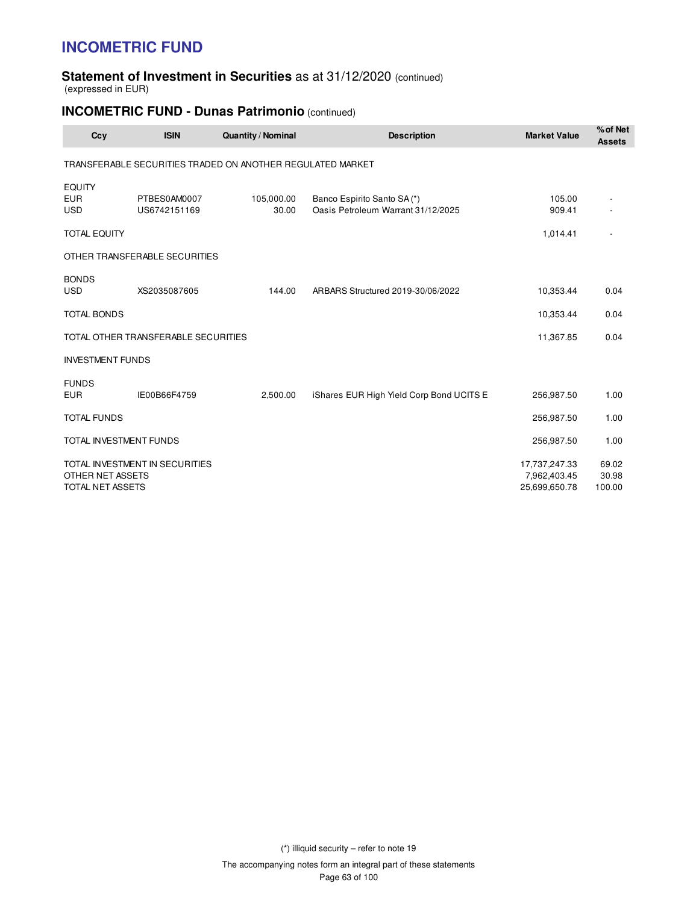#### **Statement of Investment in Securities** as at 31/12/2020 (continued) (expressed in EUR)

### **INCOMETRIC FUND - Dunas Patrimonio** (continued)

| Ccy                                       | <b>ISIN</b>                         | <b>Quantity / Nominal</b>                                  | <b>Description</b>                                               | <b>Market Value</b>                            | % of Net<br><b>Assets</b> |
|-------------------------------------------|-------------------------------------|------------------------------------------------------------|------------------------------------------------------------------|------------------------------------------------|---------------------------|
|                                           |                                     | TRANSFERABLE SECURITIES TRADED ON ANOTHER REGULATED MARKET |                                                                  |                                                |                           |
| <b>EQUITY</b><br><b>EUR</b><br><b>USD</b> | PTBES0AM0007<br>US6742151169        | 105,000.00<br>30.00                                        | Banco Espirito Santo SA(*)<br>Oasis Petroleum Warrant 31/12/2025 | 105.00<br>909.41                               |                           |
| <b>TOTAL EQUITY</b>                       |                                     |                                                            |                                                                  | 1,014.41                                       |                           |
|                                           | OTHER TRANSFERABLE SECURITIES       |                                                            |                                                                  |                                                |                           |
| <b>BONDS</b><br><b>USD</b>                | XS2035087605                        | 144.00                                                     | ARBARS Structured 2019-30/06/2022                                | 10,353.44                                      | 0.04                      |
| <b>TOTAL BONDS</b>                        |                                     |                                                            |                                                                  | 10,353.44                                      | 0.04                      |
|                                           | TOTAL OTHER TRANSFERABLE SECURITIES |                                                            |                                                                  | 11,367.85                                      | 0.04                      |
| <b>INVESTMENT FUNDS</b>                   |                                     |                                                            |                                                                  |                                                |                           |
| <b>FUNDS</b><br><b>EUR</b>                | IE00B66F4759                        | 2,500.00                                                   | iShares EUR High Yield Corp Bond UCITS E                         | 256,987.50                                     | 1.00                      |
| <b>TOTAL FUNDS</b>                        |                                     |                                                            |                                                                  | 256,987.50                                     | 1.00                      |
| TOTAL INVESTMENT FUNDS                    |                                     |                                                            |                                                                  | 256,987.50                                     | 1.00                      |
| OTHER NET ASSETS<br>TOTAL NET ASSETS      | TOTAL INVESTMENT IN SECURITIES      |                                                            |                                                                  | 17,737,247.33<br>7,962,403.45<br>25,699,650.78 | 69.02<br>30.98<br>100.00  |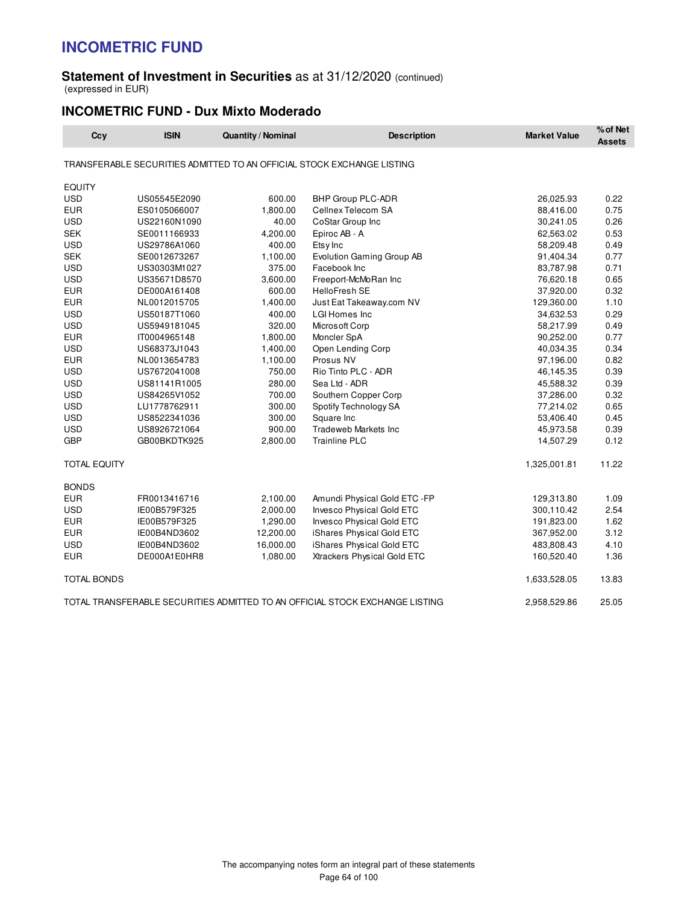#### **Statement of Investment in Securities** as at 31/12/2020 (continued) (expressed in EUR)

### **INCOMETRIC FUND - Dux Mixto Moderado**

| Ccy                 | <b>ISIN</b>  | <b>Quantity / Nominal</b> | <b>Description</b>                                                           | <b>Market Value</b> | % of Net<br><b>Assets</b> |
|---------------------|--------------|---------------------------|------------------------------------------------------------------------------|---------------------|---------------------------|
|                     |              |                           | TRANSFERABLE SECURITIES ADMITTED TO AN OFFICIAL STOCK EXCHANGE LISTING       |                     |                           |
| <b>EQUITY</b>       |              |                           |                                                                              |                     |                           |
| <b>USD</b>          | US05545E2090 | 600.00                    | BHP Group PLC-ADR                                                            | 26,025.93           | 0.22                      |
| <b>EUR</b>          | ES0105066007 | 1,800.00                  | Cellnex Telecom SA                                                           | 88,416.00           | 0.75                      |
| <b>USD</b>          | US22160N1090 | 40.00                     | CoStar Group Inc                                                             | 30,241.05           | 0.26                      |
| <b>SEK</b>          | SE0011166933 | 4,200.00                  | Epiroc AB - A                                                                | 62,563.02           | 0.53                      |
| <b>USD</b>          | US29786A1060 | 400.00                    | Etsy Inc                                                                     | 58,209.48           | 0.49                      |
| <b>SEK</b>          | SE0012673267 | 1,100.00                  | <b>Evolution Gaming Group AB</b>                                             | 91,404.34           | 0.77                      |
| <b>USD</b>          | US30303M1027 | 375.00                    | Facebook Inc                                                                 | 83,787.98           | 0.71                      |
| <b>USD</b>          | US35671D8570 | 3,600.00                  | Freeport-McMoRan Inc                                                         | 76,620.18           | 0.65                      |
| <b>EUR</b>          | DE000A161408 | 600.00                    | <b>HelloFresh SE</b>                                                         | 37,920.00           | 0.32                      |
| <b>EUR</b>          | NL0012015705 | 1,400.00                  | Just Eat Takeaway.com NV                                                     | 129,360.00          | 1.10                      |
| <b>USD</b>          | US50187T1060 | 400.00                    | <b>LGI Homes Inc.</b>                                                        | 34,632.53           | 0.29                      |
| <b>USD</b>          | US5949181045 | 320.00                    | Microsoft Corp                                                               | 58,217.99           | 0.49                      |
| <b>EUR</b>          | IT0004965148 | 1,800.00                  | Moncler SpA                                                                  | 90,252.00           | 0.77                      |
| <b>USD</b>          | US68373J1043 | 1,400.00                  | Open Lending Corp                                                            | 40,034.35           | 0.34                      |
| <b>EUR</b>          | NL0013654783 | 1,100.00                  | Prosus NV                                                                    | 97,196.00           | 0.82                      |
| <b>USD</b>          | US7672041008 | 750.00                    | Rio Tinto PLC - ADR                                                          | 46,145.35           | 0.39                      |
| <b>USD</b>          | US81141R1005 | 280.00                    | Sea Ltd - ADR                                                                | 45,588.32           | 0.39                      |
| <b>USD</b>          | US84265V1052 | 700.00                    | Southern Copper Corp                                                         | 37,286.00           | 0.32                      |
| <b>USD</b>          | LU1778762911 | 300.00                    | Spotify Technology SA                                                        | 77,214.02           | 0.65                      |
| <b>USD</b>          | US8522341036 | 300.00                    | Square Inc                                                                   | 53,406.40           | 0.45                      |
| <b>USD</b>          | US8926721064 | 900.00                    | <b>Tradeweb Markets Inc</b>                                                  | 45,973.58           | 0.39                      |
| <b>GBP</b>          | GB00BKDTK925 | 2,800.00                  | <b>Trainline PLC</b>                                                         | 14,507.29           | 0.12                      |
| <b>TOTAL EQUITY</b> |              |                           |                                                                              | 1,325,001.81        | 11.22                     |
| <b>BONDS</b>        |              |                           |                                                                              |                     |                           |
| <b>EUR</b>          | FR0013416716 | 2,100.00                  | Amundi Physical Gold ETC -FP                                                 | 129,313.80          | 1.09                      |
| <b>USD</b>          | IE00B579F325 | 2,000.00                  | Invesco Physical Gold ETC                                                    | 300,110.42          | 2.54                      |
| <b>EUR</b>          | IE00B579F325 | 1,290.00                  | <b>Invesco Physical Gold ETC</b>                                             | 191,823.00          | 1.62                      |
| <b>EUR</b>          | IE00B4ND3602 | 12,200.00                 | iShares Physical Gold ETC                                                    | 367,952.00          | 3.12                      |
| <b>USD</b>          | IE00B4ND3602 | 16,000.00                 | iShares Physical Gold ETC                                                    | 483,808.43          | 4.10                      |
| <b>EUR</b>          | DE000A1E0HR8 | 1,080.00                  | Xtrackers Physical Gold ETC                                                  | 160,520.40          | 1.36                      |
| <b>TOTAL BONDS</b>  |              |                           |                                                                              | 1,633,528.05        | 13.83                     |
|                     |              |                           | TOTAL TRANSFERABLE SECURITIES ADMITTED TO AN OFFICIAL STOCK EXCHANGE LISTING | 2,958,529.86        | 25.05                     |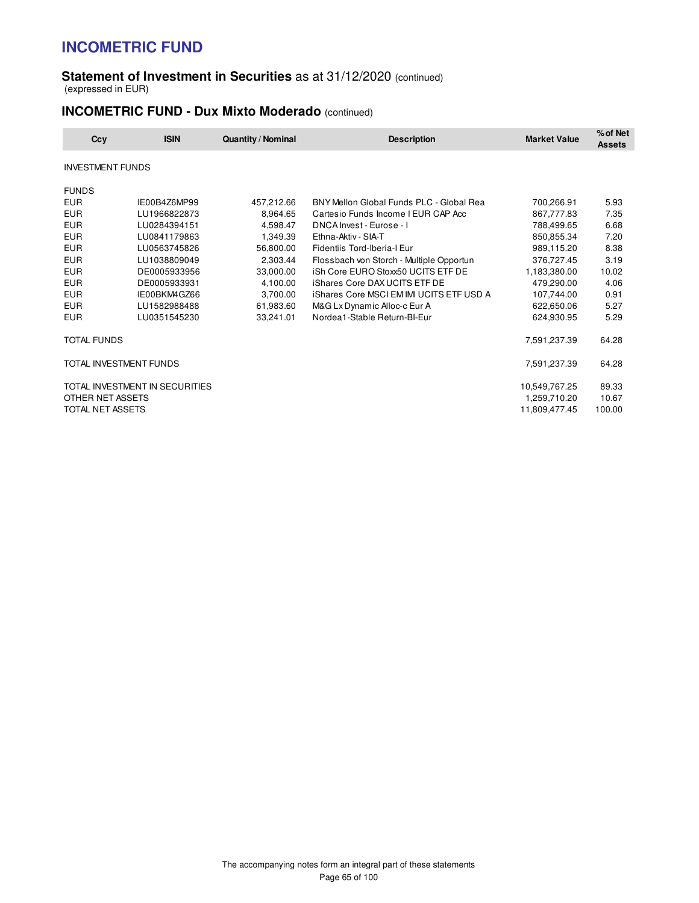#### **Statement of Investment in Securities** as at 31/12/2020 (continued) (expressed in EUR)

### **INCOMETRIC FUND - Dux Mixto Moderado** (continued)

| Ccy                     | <b>ISIN</b>                    | <b>Quantity / Nominal</b> | <b>Description</b>                              | <b>Market Value</b> | % of Net<br><b>Assets</b> |
|-------------------------|--------------------------------|---------------------------|-------------------------------------------------|---------------------|---------------------------|
| <b>INVESTMENT FUNDS</b> |                                |                           |                                                 |                     |                           |
| <b>FUNDS</b>            |                                |                           |                                                 |                     |                           |
| <b>EUR</b>              | IE00B4Z6MP99                   | 457,212.66                | BNY Mellon Global Funds PLC - Global Rea        | 700,266.91          | 5.93                      |
| <b>EUR</b>              | LU1966822873                   | 8,964.65                  | Cartesio Funds Income I EUR CAP Acc             | 867,777.83          | 7.35                      |
| <b>EUR</b>              | LU0284394151                   | 4,598.47                  | DNCA Invest - Eurose - I                        | 788,499.65          | 6.68                      |
| <b>EUR</b>              | LU0841179863                   | 1,349.39                  | Ethna-Aktiv - SIA-T                             | 850,855.34          | 7.20                      |
| <b>EUR</b>              | LU0563745826                   | 56,800.00                 | Fidentiis Tord-Iberia-I Eur                     | 989,115.20          | 8.38                      |
| <b>EUR</b>              | LU1038809049                   | 2,303.44                  | Flossbach von Storch - Multiple Opportun        | 376,727.45          | 3.19                      |
| <b>EUR</b>              | DE0005933956                   | 33,000.00                 | iSh Core EURO Stoxx50 UCITS ETF DE              | 1,183,380.00        | 10.02                     |
| <b>EUR</b>              | DE0005933931                   | 4,100.00                  | <b>iShares Core DAX UCITS ETF DE</b>            | 479,290.00          | 4.06                      |
| <b>EUR</b>              | IE00BKM4GZ66                   | 3,700.00                  | <b>iShares Core MSCI EM IMI UCITS ETF USD A</b> | 107,744.00          | 0.91                      |
| <b>EUR</b>              | LU1582988488                   | 61,983.60                 | M&G Lx Dynamic Alloc-c Eur A                    | 622,650.06          | 5.27                      |
| <b>EUR</b>              | LU0351545230                   | 33,241.01                 | Nordea1-Stable Return-BI-Eur                    | 624,930.95          | 5.29                      |
| <b>TOTAL FUNDS</b>      |                                |                           |                                                 | 7,591,237.39        | 64.28                     |
|                         | TOTAL INVESTMENT FUNDS         |                           |                                                 | 7,591,237.39        | 64.28                     |
|                         | TOTAL INVESTMENT IN SECURITIES |                           |                                                 | 10,549,767.25       | 89.33                     |
| OTHER NET ASSETS        |                                |                           |                                                 | 1,259,710.20        | 10.67                     |
| TOTAL NET ASSETS        |                                |                           |                                                 | 11,809,477.45       | 100.00                    |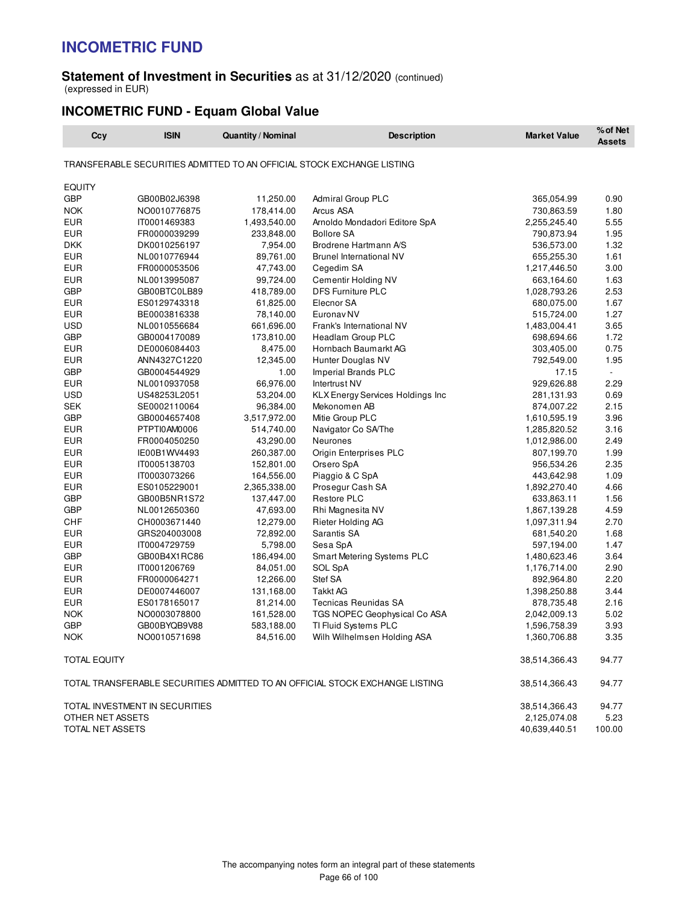#### **Statement of Investment in Securities** as at 31/12/2020 (continued) (expressed in EUR)

### **INCOMETRIC FUND - Equam Global Value**

| Ccy                         | <b>ISIN</b>                    | <b>Quantity / Nominal</b> | <b>Description</b>                                                           | <b>Market Value</b> | % of Net<br><b>Assets</b> |
|-----------------------------|--------------------------------|---------------------------|------------------------------------------------------------------------------|---------------------|---------------------------|
|                             |                                |                           | TRANSFERABLE SECURITIES ADMITTED TO AN OFFICIAL STOCK EXCHANGE LISTING       |                     |                           |
|                             |                                |                           |                                                                              |                     |                           |
| <b>EQUITY</b><br><b>GBP</b> |                                |                           |                                                                              |                     |                           |
| <b>NOK</b>                  | GB00B02J6398                   | 11,250.00                 | <b>Admiral Group PLC</b>                                                     | 365,054.99          | 0.90                      |
| <b>EUR</b>                  | NO0010776875                   | 178,414.00                | Arcus ASA                                                                    | 730,863.59          | 1.80                      |
| <b>EUR</b>                  | IT0001469383                   | 1,493,540.00              | Arnoldo Mondadori Editore SpA<br><b>Bollore SA</b>                           | 2,255,245.40        | 5.55<br>1.95              |
| <b>DKK</b>                  | FR0000039299                   | 233,848.00                | Brodrene Hartmann A/S                                                        | 790,873.94          | 1.32                      |
| <b>EUR</b>                  | DK0010256197                   | 7,954.00<br>89,761.00     |                                                                              | 536,573.00          | 1.61                      |
| <b>EUR</b>                  | NL0010776944<br>FR0000053506   | 47,743.00                 | <b>Brunel International NV</b><br>Cegedim SA                                 | 655,255.30          | 3.00                      |
| <b>EUR</b>                  |                                |                           | Cementir Holding NV                                                          | 1,217,446.50        | 1.63                      |
|                             | NL0013995087                   | 99,724.00                 |                                                                              | 663,164.60          |                           |
| <b>GBP</b>                  | GB00BTC0LB89                   | 418,789.00                | <b>DFS Furniture PLC</b>                                                     | 1,028,793.26        | 2.53                      |
| <b>EUR</b>                  | ES0129743318                   | 61,825.00                 | Elecnor SA                                                                   | 680,075.00          | 1.67                      |
| <b>EUR</b>                  | BE0003816338                   | 78,140.00                 | Euronav <sub>NV</sub>                                                        | 515,724.00          | 1.27                      |
| <b>USD</b>                  | NL0010556684                   | 661,696.00                | Frank's International NV                                                     | 1,483,004.41        | 3.65                      |
| <b>GBP</b>                  | GB0004170089                   | 173,810.00                | Headlam Group PLC                                                            | 698,694.66          | 1.72                      |
| <b>EUR</b>                  | DE0006084403                   | 8,475.00                  | Hornbach Baumarkt AG                                                         | 303,405.00          | 0.75                      |
| <b>EUR</b>                  | ANN4327C1220                   | 12,345.00                 | Hunter Douglas NV                                                            | 792,549.00          | 1.95                      |
| <b>GBP</b>                  | GB0004544929                   | 1.00                      | Imperial Brands PLC                                                          | 17.15               | $\overline{\phantom{a}}$  |
| <b>EUR</b>                  | NL0010937058                   | 66,976.00                 | Intertrust NV                                                                | 929,626.88          | 2.29                      |
| <b>USD</b>                  | US48253L2051                   | 53,204.00                 | <b>KLX Energy Services Holdings Inc</b>                                      | 281,131.93          | 0.69                      |
| <b>SEK</b>                  | SE0002110064                   | 96,384.00                 | Mekonomen AB                                                                 | 874,007.22          | 2.15                      |
| <b>GBP</b>                  | GB0004657408                   | 3,517,972.00              | Mitie Group PLC                                                              | 1,610,595.19        | 3.96                      |
| <b>EUR</b>                  | PTPTI0AM0006                   | 514,740.00                | Navigator Co SA/The                                                          | 1,285,820.52        | 3.16                      |
| <b>EUR</b>                  | FR0004050250                   | 43,290.00                 | Neurones                                                                     | 1,012,986.00        | 2.49                      |
| <b>EUR</b>                  | IE00B1WV4493                   | 260,387.00                | Origin Enterprises PLC                                                       | 807,199.70          | 1.99                      |
| <b>EUR</b>                  | IT0005138703                   | 152,801.00                | Orsero SpA                                                                   | 956,534.26          | 2.35                      |
| <b>EUR</b>                  | IT0003073266                   | 164,556.00                | Piaggio & C SpA                                                              | 443,642.98          | 1.09                      |
| <b>EUR</b>                  | ES0105229001                   | 2,365,338.00              | Prosegur Cash SA                                                             | 1,892,270.40        | 4.66                      |
| <b>GBP</b>                  | GB00B5NR1S72                   | 137,447.00                | <b>Restore PLC</b>                                                           | 633,863.11          | 1.56                      |
| <b>GBP</b>                  | NL0012650360                   | 47,693.00                 | Rhi Magnesita NV                                                             | 1,867,139.28        | 4.59                      |
| <b>CHF</b>                  | CH0003671440                   | 12,279.00                 | Rieter Holding AG                                                            | 1,097,311.94        | 2.70                      |
| <b>EUR</b>                  | GRS204003008                   | 72,892.00                 | Sarantis SA                                                                  | 681,540.20          | 1.68                      |
| <b>EUR</b>                  | IT0004729759                   | 5,798.00                  | Sesa SpA                                                                     | 597,194.00          | 1.47                      |
| <b>GBP</b>                  | GB00B4X1RC86                   | 186,494.00                | Smart Metering Systems PLC                                                   | 1,480,623.46        | 3.64                      |
| <b>EUR</b>                  | IT0001206769                   | 84,051.00                 | SOL SpA                                                                      | 1,176,714.00        | 2.90                      |
| <b>EUR</b>                  | FR0000064271                   | 12,266.00                 | Stef SA                                                                      | 892,964.80          | 2.20                      |
| <b>EUR</b>                  | DE0007446007                   | 131,168.00                | Takkt AG                                                                     | 1,398,250.88        | 3.44                      |
| EUR                         | ES0178165017                   | 81,214.00                 | <b>Tecnicas Reunidas SA</b>                                                  | 878,735.48          | 2.16                      |
| <b>NOK</b>                  | NO0003078800                   | 161,528.00                | TGS NOPEC Geophysical Co ASA                                                 | 2,042,009.13        | 5.02                      |
| <b>GBP</b>                  | GB00BYQB9V88                   | 583,188.00                | TI Fluid Systems PLC                                                         | 1,596,758.39        | 3.93                      |
| <b>NOK</b>                  | NO0010571698                   | 84,516.00                 | Wilh Wilhelmsen Holding ASA                                                  | 1,360,706.88        | 3.35                      |
| TOTAL EQUITY                |                                |                           |                                                                              | 38,514,366.43       | 94.77                     |
|                             |                                |                           | TOTAL TRANSFERABLE SECURITIES ADMITTED TO AN OFFICIAL STOCK EXCHANGE LISTING | 38,514,366.43       | 94.77                     |
|                             | TOTAL INVESTMENT IN SECURITIES |                           |                                                                              | 38,514,366.43       | 94.77                     |
| OTHER NET ASSETS            |                                |                           |                                                                              | 2,125,074.08        | 5.23                      |
| TOTAL NET ASSETS            |                                |                           |                                                                              | 40,639,440.51       | 100.00                    |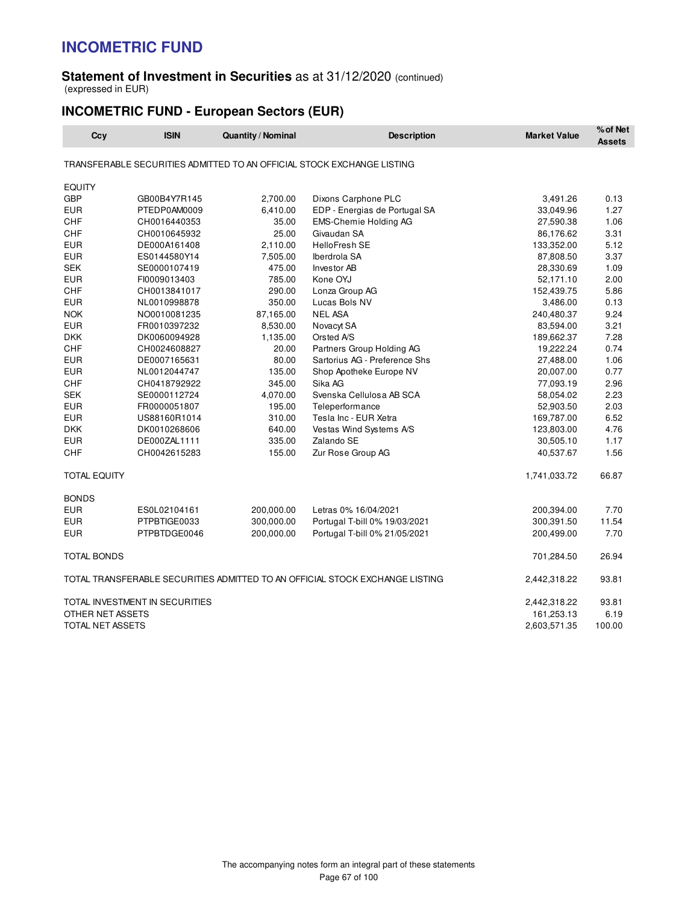#### **Statement of Investment in Securities** as at 31/12/2020 (continued) (expressed in EUR)

## **INCOMETRIC FUND - European Sectors (EUR)**

| Ccy                 | <b>ISIN</b>                    | <b>Quantity / Nominal</b> | <b>Description</b>                                                           | <b>Market Value</b> | % of Net<br><b>Assets</b> |
|---------------------|--------------------------------|---------------------------|------------------------------------------------------------------------------|---------------------|---------------------------|
|                     |                                |                           | TRANSFERABLE SECURITIES ADMITTED TO AN OFFICIAL STOCK EXCHANGE LISTING       |                     |                           |
| <b>EQUITY</b>       |                                |                           |                                                                              |                     |                           |
| <b>GBP</b>          | GB00B4Y7R145                   | 2,700.00                  | Dixons Carphone PLC                                                          | 3,491.26            | 0.13                      |
| <b>EUR</b>          | PTEDP0AM0009                   | 6,410.00                  | EDP - Energias de Portugal SA                                                | 33,049.96           | 1.27                      |
| CHF                 | CH0016440353                   | 35.00                     | <b>EMS-Chemie Holding AG</b>                                                 | 27,590.38           | 1.06                      |
| CHF                 | CH0010645932                   | 25.00                     | Givaudan SA                                                                  | 86,176.62           | 3.31                      |
| <b>EUR</b>          | DE000A161408                   | 2,110.00                  | <b>HelloFresh SE</b>                                                         | 133,352.00          | 5.12                      |
| <b>EUR</b>          | ES0144580Y14                   | 7,505.00                  | Iberdrola SA                                                                 | 87,808.50           | 3.37                      |
| <b>SEK</b>          | SE0000107419                   | 475.00                    | Investor AB                                                                  | 28,330.69           | 1.09                      |
| <b>EUR</b>          | FI0009013403                   | 785.00                    | Kone OYJ                                                                     | 52,171.10           | 2.00                      |
| <b>CHF</b>          | CH0013841017                   | 290.00                    | Lonza Group AG                                                               | 152,439.75          | 5.86                      |
| <b>EUR</b>          | NL0010998878                   | 350.00                    | Lucas Bols NV                                                                | 3,486.00            | 0.13                      |
| <b>NOK</b>          | NO0010081235                   | 87,165.00                 | <b>NEL ASA</b>                                                               | 240,480.37          | 9.24                      |
| <b>EUR</b>          | FR0010397232                   | 8,530.00                  | Novacyt SA                                                                   | 83,594.00           | 3.21                      |
| <b>DKK</b>          | DK0060094928                   | 1,135.00                  | Orsted A/S                                                                   | 189,662.37          | 7.28                      |
| <b>CHF</b>          | CH0024608827                   | 20.00                     | Partners Group Holding AG                                                    | 19,222.24           | 0.74                      |
| <b>EUR</b>          | DE0007165631                   | 80.00                     | Sartorius AG - Preference Shs                                                | 27,488.00           | 1.06                      |
| <b>EUR</b>          | NL0012044747                   | 135.00                    | Shop Apotheke Europe NV                                                      | 20,007.00           | 0.77                      |
| CHF                 | CH0418792922                   | 345.00                    | Sika AG                                                                      | 77,093.19           | 2.96                      |
| <b>SEK</b>          | SE0000112724                   | 4,070.00                  | Svenska Cellulosa AB SCA                                                     | 58,054.02           | 2.23                      |
| <b>EUR</b>          | FR0000051807                   | 195.00                    | Teleperformance                                                              | 52,903.50           | 2.03                      |
| <b>EUR</b>          | US88160R1014                   | 310.00                    | Tesla Inc - EUR Xetra                                                        | 169,787.00          | 6.52                      |
| <b>DKK</b>          | DK0010268606                   | 640.00                    | Vestas Wind Systems A/S                                                      | 123,803.00          | 4.76                      |
| <b>EUR</b>          | DE000ZAL1111                   | 335.00                    | Zalando SE                                                                   | 30,505.10           | 1.17                      |
| <b>CHF</b>          | CH0042615283                   | 155.00                    | Zur Rose Group AG                                                            | 40,537.67           | 1.56                      |
| <b>TOTAL EQUITY</b> |                                |                           |                                                                              | 1,741,033.72        | 66.87                     |
| <b>BONDS</b>        |                                |                           |                                                                              |                     |                           |
| <b>EUR</b>          | ES0L02104161                   | 200,000.00                | Letras 0% 16/04/2021                                                         | 200,394.00          | 7.70                      |
| <b>EUR</b>          | PTPBTIGE0033                   | 300,000.00                | Portugal T-bill 0% 19/03/2021                                                | 300,391.50          | 11.54                     |
| <b>EUR</b>          | PTPBTDGE0046                   | 200,000.00                | Portugal T-bill 0% 21/05/2021                                                | 200,499.00          | 7.70                      |
| <b>TOTAL BONDS</b>  |                                |                           |                                                                              | 701,284.50          | 26.94                     |
|                     |                                |                           | TOTAL TRANSFERABLE SECURITIES ADMITTED TO AN OFFICIAL STOCK EXCHANGE LISTING | 2,442,318.22        | 93.81                     |
|                     | TOTAL INVESTMENT IN SECURITIES |                           |                                                                              | 2,442,318.22        | 93.81                     |
| OTHER NET ASSETS    |                                |                           |                                                                              | 161,253.13          | 6.19                      |
| TOTAL NET ASSETS    |                                |                           |                                                                              | 2,603,571.35        | 100.00                    |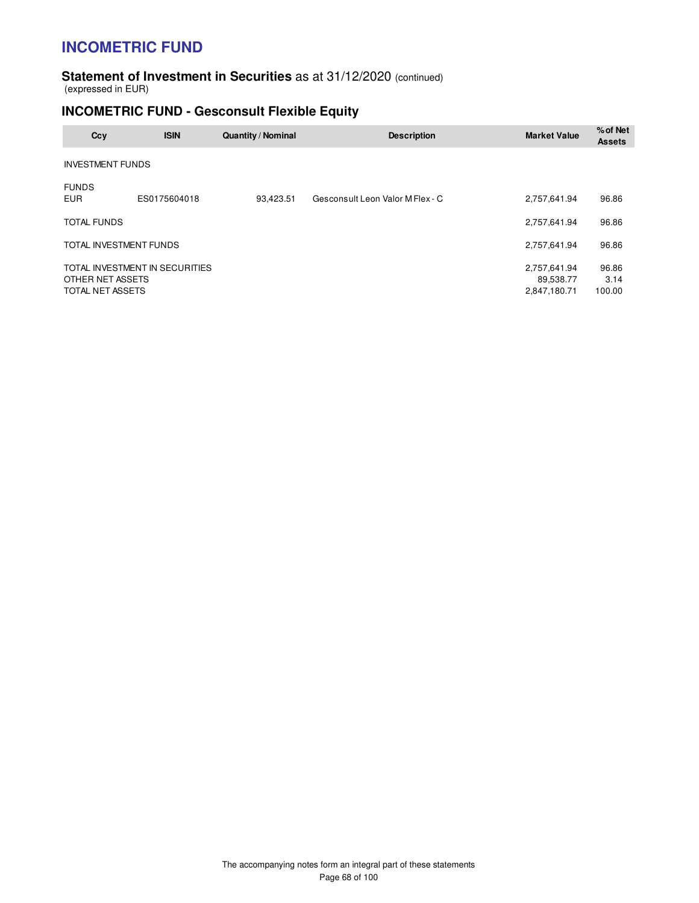#### **Statement of Investment in Securities** as at 31/12/2020 (continued) (expressed in EUR)

## **INCOMETRIC FUND - Gesconsult Flexible Equity**

| Ccy                                  | <b>ISIN</b>                    | Quantity / Nominal | <b>Description</b>               | <b>Market Value</b>                       | % of Net<br><b>Assets</b> |
|--------------------------------------|--------------------------------|--------------------|----------------------------------|-------------------------------------------|---------------------------|
| <b>INVESTMENT FUNDS</b>              |                                |                    |                                  |                                           |                           |
| <b>FUNDS</b><br><b>EUR</b>           | ES0175604018                   | 93,423.51          | Gesconsult Leon Valor M Flex - C | 2,757,641.94                              | 96.86                     |
| <b>TOTAL FUNDS</b>                   |                                |                    |                                  | 2,757,641.94                              | 96.86                     |
| TOTAL INVESTMENT FUNDS               |                                |                    |                                  | 2,757,641.94                              | 96.86                     |
| OTHER NET ASSETS<br>TOTAL NET ASSETS | TOTAL INVESTMENT IN SECURITIES |                    |                                  | 2,757,641.94<br>89,538.77<br>2,847,180.71 | 96.86<br>3.14<br>100.00   |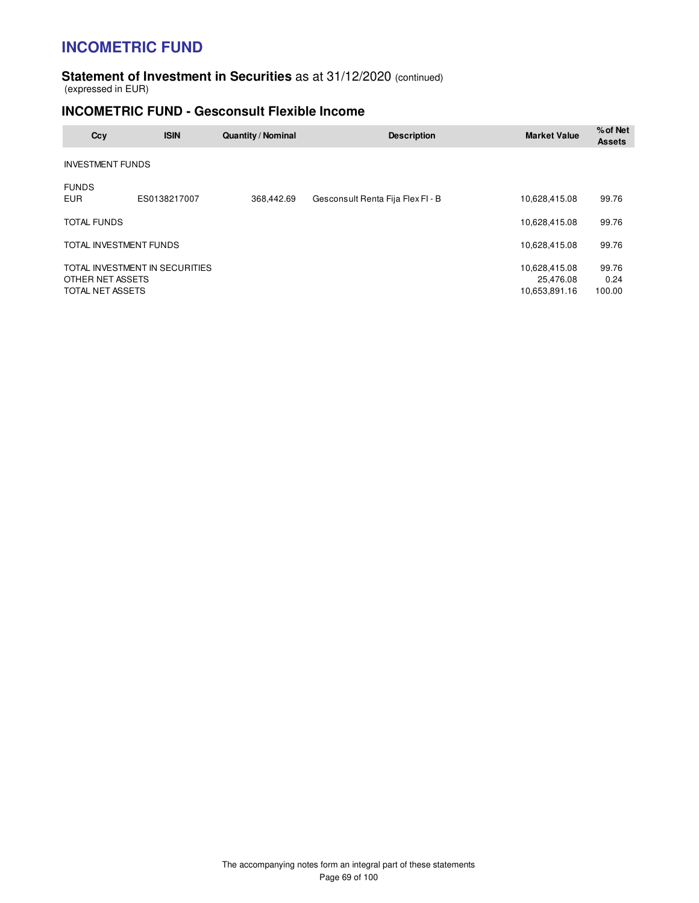#### **Statement of Investment in Securities** as at 31/12/2020 (continued) (expressed in EUR)

### **INCOMETRIC FUND - Gesconsult Flexible Income**

| Ccy                                  | <b>ISIN</b>                    | Quantity / Nominal | <b>Description</b>                | <b>Market Value</b>                         | % of Net<br><b>Assets</b> |
|--------------------------------------|--------------------------------|--------------------|-----------------------------------|---------------------------------------------|---------------------------|
| <b>INVESTMENT FUNDS</b>              |                                |                    |                                   |                                             |                           |
| <b>FUNDS</b><br><b>EUR</b>           | ES0138217007                   | 368.442.69         | Gesconsult Renta Fija Flex FI - B | 10.628.415.08                               | 99.76                     |
| <b>TOTAL FUNDS</b>                   |                                |                    |                                   | 10,628,415.08                               | 99.76                     |
| TOTAL INVESTMENT FUNDS               |                                |                    |                                   | 10,628,415.08                               | 99.76                     |
| OTHER NET ASSETS<br>TOTAL NET ASSETS | TOTAL INVESTMENT IN SECURITIES |                    |                                   | 10,628,415.08<br>25,476.08<br>10,653,891.16 | 99.76<br>0.24<br>100.00   |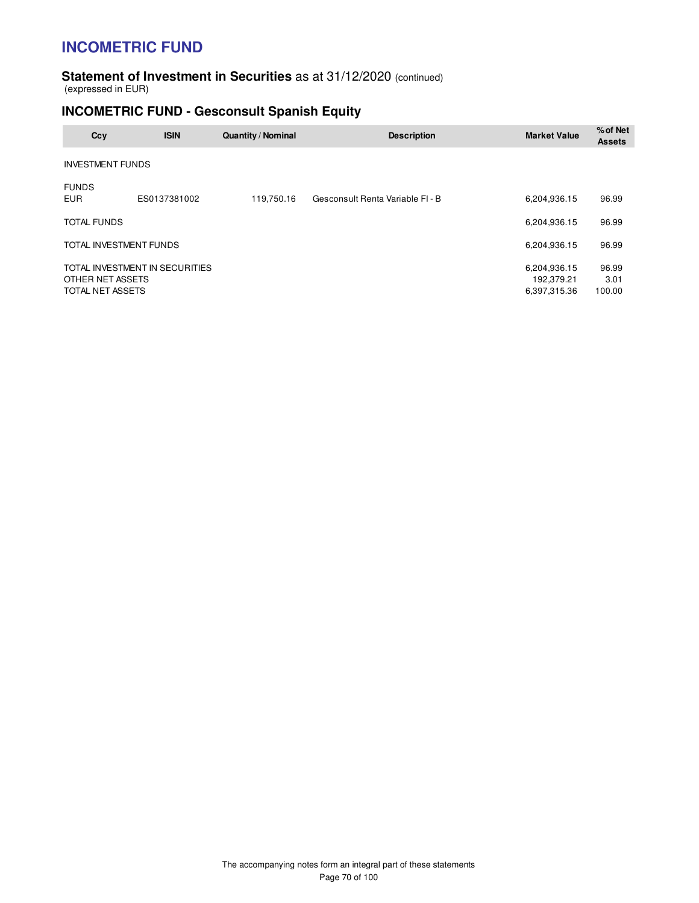#### **Statement of Investment in Securities** as at 31/12/2020 (continued) (expressed in EUR)

## **INCOMETRIC FUND - Gesconsult Spanish Equity**

| Ccy                                  | <b>ISIN</b>                    | <b>Quantity / Nominal</b> | <b>Description</b>               | <b>Market Value</b>                        | % of Net<br><b>Assets</b> |
|--------------------------------------|--------------------------------|---------------------------|----------------------------------|--------------------------------------------|---------------------------|
| <b>INVESTMENT FUNDS</b>              |                                |                           |                                  |                                            |                           |
| <b>FUNDS</b><br><b>EUR</b>           | ES0137381002                   | 119,750.16                | Gesconsult Renta Variable FI - B | 6,204,936.15                               | 96.99                     |
| <b>TOTAL FUNDS</b>                   |                                |                           |                                  | 6,204,936.15                               | 96.99                     |
| TOTAL INVESTMENT FUNDS               |                                |                           |                                  | 6,204,936.15                               | 96.99                     |
| OTHER NET ASSETS<br>TOTAL NET ASSETS | TOTAL INVESTMENT IN SECURITIES |                           |                                  | 6,204,936.15<br>192,379.21<br>6,397,315.36 | 96.99<br>3.01<br>100.00   |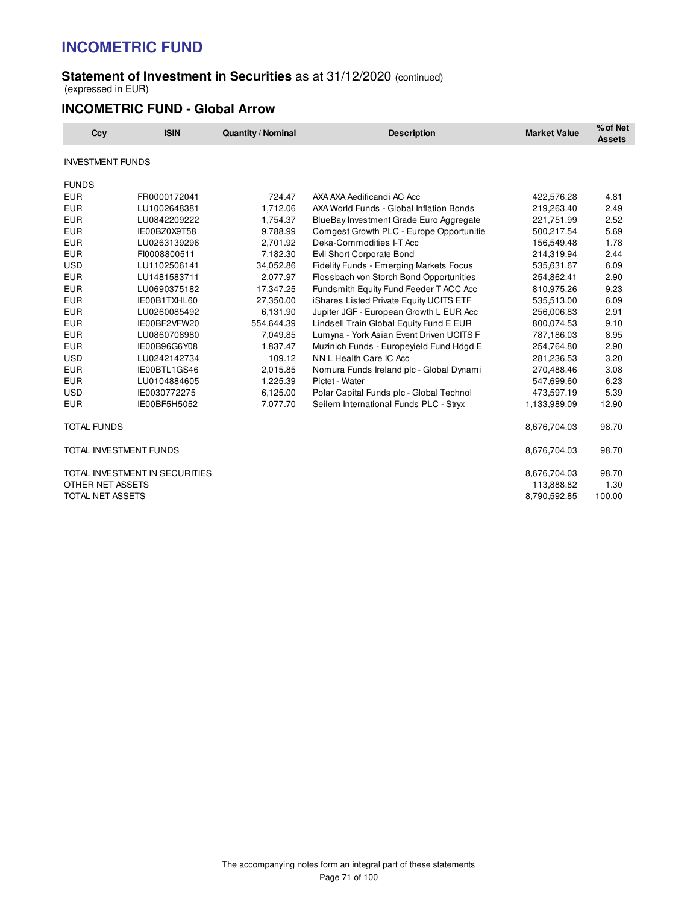### **Statement of Investment in Securities** as at 31/12/2020 (continued) (expressed in EUR)

### **INCOMETRIC FUND - Global Arrow**

| Ccy                           | <b>ISIN</b>                    | <b>Quantity / Nominal</b> | <b>Description</b>                             | <b>Market Value</b> | % of Net<br><b>Assets</b> |
|-------------------------------|--------------------------------|---------------------------|------------------------------------------------|---------------------|---------------------------|
| <b>INVESTMENT FUNDS</b>       |                                |                           |                                                |                     |                           |
| <b>FUNDS</b>                  |                                |                           |                                                |                     |                           |
| <b>EUR</b>                    | FR0000172041                   | 724.47                    | AXA AXA Aedificandi AC Acc                     | 422,576.28          | 4.81                      |
| <b>EUR</b>                    | LU1002648381                   | 1,712.06                  | AXA World Funds - Global Inflation Bonds       | 219,263.40          | 2.49                      |
| <b>EUR</b>                    | LU0842209222                   | 1,754.37                  | BlueBay Investment Grade Euro Aggregate        | 221,751.99          | 2.52                      |
| <b>EUR</b>                    | IE00BZ0X9T58                   | 9,788.99                  | Comgest Growth PLC - Europe Opportunitie       | 500,217.54          | 5.69                      |
| <b>EUR</b>                    | LU0263139296                   | 2.701.92                  | Deka-Commodities I-T Acc                       | 156,549.48          | 1.78                      |
| <b>EUR</b>                    | FI0008800511                   | 7,182.30                  | Evli Short Corporate Bond                      | 214,319.94          | 2.44                      |
| <b>USD</b>                    | LU1102506141                   | 34,052.86                 | <b>Fidelity Funds - Emerging Markets Focus</b> | 535,631.67          | 6.09                      |
| <b>EUR</b>                    | LU1481583711                   | 2,077.97                  | Flossbach von Storch Bond Opportunities        | 254,862.41          | 2.90                      |
| <b>EUR</b>                    | LU0690375182                   | 17,347.25                 | Fundsmith Equity Fund Feeder T ACC Acc         | 810,975.26          | 9.23                      |
| <b>EUR</b>                    | IE00B1TXHL60                   | 27,350.00                 | iShares Listed Private Equity UCITS ETF        | 535,513.00          | 6.09                      |
| <b>EUR</b>                    | LU0260085492                   | 6,131.90                  | Jupiter JGF - European Growth L EUR Acc        | 256,006.83          | 2.91                      |
| <b>EUR</b>                    | IE00BF2VFW20                   | 554,644.39                | Lindsell Train Global Equity Fund E EUR        | 800,074.53          | 9.10                      |
| <b>EUR</b>                    | LU0860708980                   | 7,049.85                  | Lumyna - York Asian Event Driven UCITS F       | 787,186.03          | 8.95                      |
| <b>EUR</b>                    | IE00B96G6Y08                   | 1,837.47                  | Muzinich Funds - Europeyield Fund Hdgd E       | 254,764.80          | 2.90                      |
| <b>USD</b>                    | LU0242142734                   | 109.12                    | NN L Health Care IC Acc                        | 281,236.53          | 3.20                      |
| <b>EUR</b>                    | IE00BTL1GS46                   | 2,015.85                  | Nomura Funds Ireland plc - Global Dynami       | 270,488.46          | 3.08                      |
| <b>EUR</b>                    | LU0104884605                   | 1,225.39                  | Pictet - Water                                 | 547,699.60          | 6.23                      |
| <b>USD</b>                    | IE0030772275                   | 6,125.00                  | Polar Capital Funds plc - Global Technol       | 473,597.19          | 5.39                      |
| <b>EUR</b>                    | IE00BF5H5052                   | 7,077.70                  | Seilern International Funds PLC - Stryx        | 1,133,989.09        | 12.90                     |
| <b>TOTAL FUNDS</b>            |                                |                           |                                                | 8,676,704.03        | 98.70                     |
| <b>TOTAL INVESTMENT FUNDS</b> |                                |                           |                                                | 8,676,704.03        | 98.70                     |
|                               | TOTAL INVESTMENT IN SECURITIES |                           |                                                | 8,676,704.03        | 98.70                     |
| OTHER NET ASSETS              |                                |                           |                                                | 113,888.82          | 1.30                      |
| <b>TOTAL NET ASSETS</b>       |                                |                           |                                                | 8,790,592.85        | 100.00                    |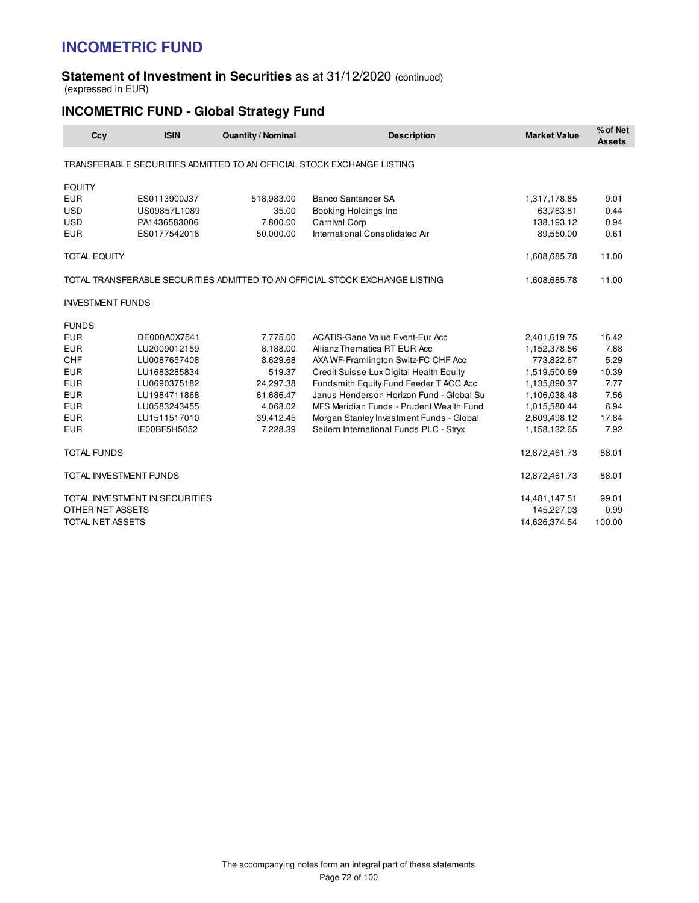#### **Statement of Investment in Securities** as at 31/12/2020 (continued) (expressed in EUR)

## **INCOMETRIC FUND - Global Strategy Fund**

| Ccy                                                                          | <b>ISIN</b>  | <b>Quantity / Nominal</b> | <b>Description</b>                                                     | <b>Market Value</b> | % of Net<br><b>Assets</b> |
|------------------------------------------------------------------------------|--------------|---------------------------|------------------------------------------------------------------------|---------------------|---------------------------|
|                                                                              |              |                           | TRANSFERABLE SECURITIES ADMITTED TO AN OFFICIAL STOCK EXCHANGE LISTING |                     |                           |
| <b>EQUITY</b>                                                                |              |                           |                                                                        |                     |                           |
| <b>EUR</b>                                                                   | ES0113900J37 | 518,983.00                | <b>Banco Santander SA</b>                                              | 1,317,178.85        | 9.01                      |
| <b>USD</b>                                                                   | US09857L1089 | 35.00                     | Booking Holdings Inc                                                   | 63,763.81           | 0.44                      |
| <b>USD</b>                                                                   | PA1436583006 | 7,800.00                  | <b>Carnival Corp</b>                                                   | 138,193.12          | 0.94                      |
| <b>EUR</b>                                                                   | ES0177542018 | 50,000.00                 | International Consolidated Air                                         | 89,550.00           | 0.61                      |
| <b>TOTAL EQUITY</b>                                                          |              |                           |                                                                        | 1,608,685.78        | 11.00                     |
| TOTAL TRANSFERABLE SECURITIES ADMITTED TO AN OFFICIAL STOCK EXCHANGE LISTING |              |                           |                                                                        | 1,608,685.78        | 11.00                     |
| <b>INVESTMENT FUNDS</b>                                                      |              |                           |                                                                        |                     |                           |
| <b>FUNDS</b>                                                                 |              |                           |                                                                        |                     |                           |
| <b>EUR</b>                                                                   | DE000A0X7541 | 7,775.00                  | <b>ACATIS-Gane Value Event-Eur Acc</b>                                 | 2,401,619.75        | 16.42                     |
| <b>EUR</b>                                                                   | LU2009012159 | 8,188.00                  | Allianz Thematica RT EUR Acc                                           | 1,152,378.56        | 7.88                      |
| CHF                                                                          | LU0087657408 | 8,629.68                  | AXA WF-Framlington Switz-FC CHF Acc                                    | 773,822.67          | 5.29                      |
| <b>EUR</b>                                                                   | LU1683285834 | 519.37                    | Credit Suisse Lux Digital Health Equity                                | 1,519,500.69        | 10.39                     |
| <b>EUR</b>                                                                   | LU0690375182 | 24,297.38                 | Fundsmith Equity Fund Feeder T ACC Acc                                 | 1,135,890.37        | 7.77                      |
| <b>EUR</b>                                                                   | LU1984711868 | 61,686.47                 | Janus Henderson Horizon Fund - Global Su                               | 1,106,038.48        | 7.56                      |
| <b>EUR</b>                                                                   | LU0583243455 | 4,068.02                  | MFS Meridian Funds - Prudent Wealth Fund                               | 1,015,580.44        | 6.94                      |
| <b>EUR</b>                                                                   | LU1511517010 | 39,412.45                 | Morgan Stanley Investment Funds - Global                               | 2,609,498.12        | 17.84                     |
| <b>EUR</b>                                                                   | IE00BF5H5052 | 7,228.39                  | Seilern International Funds PLC - Stryx                                | 1,158,132.65        | 7.92                      |
| <b>TOTAL FUNDS</b>                                                           |              |                           |                                                                        | 12,872,461.73       | 88.01                     |
| TOTAL INVESTMENT FUNDS                                                       |              |                           |                                                                        | 12,872,461.73       | 88.01                     |
| TOTAL INVESTMENT IN SECURITIES                                               |              |                           |                                                                        | 14,481,147.51       | 99.01                     |
| OTHER NET ASSETS                                                             |              |                           |                                                                        | 145,227.03          | 0.99                      |
| TOTAL NET ASSETS                                                             |              |                           |                                                                        | 14.626.374.54       | 100.00                    |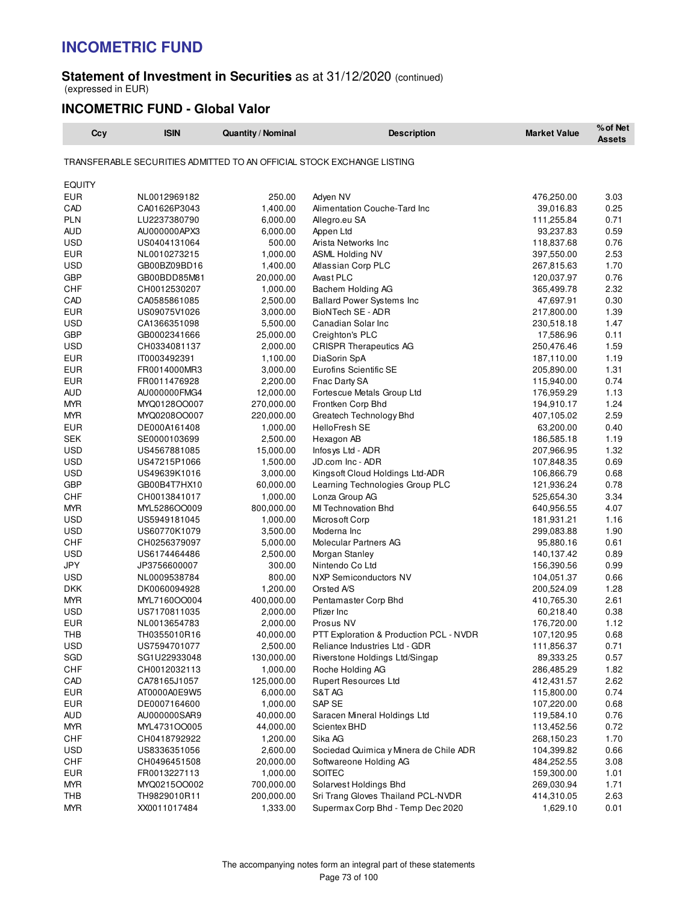## **Statement of Investment in Securities** as at 31/12/2020 (continued) (expressed in EUR)

# **INCOMETRIC FUND - Global Valor**

| Ccy               | <b>ISIN</b>                  | <b>Quantity / Nominal</b> | <b>Description</b>                                                     | <b>Market Value</b>      | % of Net<br><b>Assets</b> |
|-------------------|------------------------------|---------------------------|------------------------------------------------------------------------|--------------------------|---------------------------|
|                   |                              |                           | TRANSFERABLE SECURITIES ADMITTED TO AN OFFICIAL STOCK EXCHANGE LISTING |                          |                           |
| <b>EQUITY</b>     |                              |                           |                                                                        |                          |                           |
| <b>EUR</b>        | NL0012969182                 | 250.00                    | Adyen NV                                                               | 476,250.00               | 3.03                      |
| CAD               | CA01626P3043                 | 1,400.00                  | Alimentation Couche-Tard Inc                                           | 39,016.83                | 0.25                      |
| <b>PLN</b>        | LU2237380790                 | 6,000.00                  | Allegro.eu SA                                                          | 111,255.84               | 0.71                      |
| <b>AUD</b>        | AU000000APX3                 | 6,000.00                  | Appen Ltd                                                              | 93,237.83                | 0.59                      |
| <b>USD</b>        | US0404131064                 | 500.00                    | Arista Networks Inc                                                    | 118,837.68               | 0.76                      |
| <b>EUR</b>        | NL0010273215                 | 1,000.00                  | <b>ASML Holding NV</b>                                                 | 397,550.00               | 2.53                      |
| <b>USD</b>        | GB00BZ09BD16                 | 1,400.00                  | Atlassian Corp PLC                                                     | 267,815.63               | 1.70                      |
| <b>GBP</b>        | GB00BDD85M81                 | 20,000.00                 | Avast PLC                                                              | 120,037.97               | 0.76                      |
| CHF               | CH0012530207                 | 1,000.00                  | Bachem Holding AG                                                      | 365,499.78               | 2.32                      |
| CAD               | CA0585861085                 | 2,500.00                  | <b>Ballard Power Systems Inc</b>                                       | 47,697.91                | 0.30                      |
| <b>EUR</b>        | US09075V1026                 | 3,000.00                  | BioNTech SE - ADR                                                      | 217,800.00               | 1.39                      |
| <b>USD</b>        | CA1366351098                 | 5,500.00                  | Canadian Solar Inc                                                     | 230,518.18               | 1.47                      |
| <b>GBP</b>        | GB0002341666                 | 25,000.00                 | Creighton's PLC                                                        | 17,586.96                | 0.11                      |
| <b>USD</b>        | CH0334081137                 | 2,000.00                  | <b>CRISPR Therapeutics AG</b>                                          | 250,476.46               | 1.59                      |
| <b>EUR</b>        | IT0003492391                 | 1,100.00                  | DiaSorin SpA                                                           | 187,110.00               | 1.19                      |
| <b>EUR</b>        | FR0014000MR3                 | 3,000.00                  | Eurofins Scientific SE                                                 | 205,890.00               | 1.31                      |
| <b>EUR</b>        | FR0011476928                 | 2,200.00                  | Fnac Darty SA                                                          | 115,940.00               | 0.74                      |
| AUD               | AU000000FMG4                 | 12,000.00                 | Fortescue Metals Group Ltd                                             | 176,959.29               | 1.13                      |
| <b>MYR</b>        | MYQ0128OO007                 | 270,000.00                | Frontken Corp Bhd                                                      | 194,910.17               | 1.24                      |
| <b>MYR</b>        | MYQ0208OO007                 | 220,000.00                | Greatech Technology Bhd                                                | 407,105.02               | 2.59                      |
| <b>EUR</b>        | DE000A161408                 | 1,000.00                  | HelloFresh SE                                                          | 63,200.00                | 0.40                      |
| <b>SEK</b>        | SE0000103699                 | 2,500.00                  | Hexagon AB                                                             | 186,585.18               | 1.19                      |
| USD               | US4567881085                 | 15,000.00                 | Infosys Ltd - ADR                                                      | 207,966.95               | 1.32                      |
| <b>USD</b>        | US47215P1066                 | 1,500.00                  | JD.com Inc - ADR                                                       | 107,848.35               | 0.69                      |
| <b>USD</b>        | US49639K1016                 | 3,000.00                  | Kings oft Cloud Holdings Ltd-ADR                                       | 106,866.79               | 0.68                      |
| GBP               | GB00B4T7HX10                 | 60,000.00                 | Learning Technologies Group PLC                                        | 121,936.24               | 0.78                      |
| CHF               | CH0013841017                 | 1,000.00                  | Lonza Group AG                                                         | 525,654.30               | 3.34                      |
| <b>MYR</b>        | MYL5286OO009                 | 800,000.00                | MI Technovation Bhd                                                    | 640,956.55               | 4.07                      |
| USD               | US5949181045                 | 1,000.00                  | Microsoft Corp                                                         | 181,931.21               | 1.16                      |
| <b>USD</b>        | US60770K1079                 | 3,500.00                  | Moderna Inc                                                            | 299,083.88               | 1.90                      |
| CHF               | CH0256379097                 | 5,000.00                  | Molecular Partners AG                                                  | 95,880.16                | 0.61                      |
| USD               | US6174464486                 | 2,500.00                  | Morgan Stanley                                                         | 140,137.42               | 0.89                      |
| JPY<br><b>USD</b> | JP3756600007                 | 300.00<br>800.00          | Nintendo Co Ltd                                                        | 156,390.56               | 0.99<br>0.66              |
| <b>DKK</b>        | NL0009538784                 | 1,200.00                  | NXP Semiconductors NV<br>Orsted A/S                                    | 104,051.37<br>200,524.09 | 1.28                      |
| <b>MYR</b>        | DK0060094928<br>MYL7160OO004 | 400,000.00                | Pentamaster Corp Bhd                                                   | 410,765.30               | 2.61                      |
| USD               | US7170811035                 | 2,000.00                  | Pfizer Inc                                                             | 60,218.40                | 0.38                      |
| <b>EUR</b>        | NL0013654783                 | 2,000.00                  | Prosus NV                                                              | 176,720.00               | 1.12                      |
| IHB               | TH0355010R16                 | 40,000.00                 | PTT Exploration & Production PCL - NVDR                                | 107,120.95               | 0.68                      |
| USD               | US7594701077                 | 2,500.00                  | Reliance Industries Ltd - GDR                                          | 111,856.37               | 0.71                      |
| SGD               | SG1U22933048                 | 130,000.00                | Riverstone Holdings Ltd/Singap                                         | 89,333.25                | 0.57                      |
| CHF               | CH0012032113                 | 1,000.00                  | Roche Holding AG                                                       | 286,485.29               | 1.82                      |
| CAD               | CA78165J1057                 | 125,000.00                | <b>Rupert Resources Ltd</b>                                            | 412,431.57               | 2.62                      |
| <b>EUR</b>        | AT0000A0E9W5                 | 6,000.00                  | S&T AG                                                                 | 115,800.00               | 0.74                      |
| <b>EUR</b>        | DE0007164600                 | 1,000.00                  | SAP SE                                                                 | 107,220.00               | 0.68                      |
| <b>AUD</b>        | AU000000SAR9                 | 40,000.00                 | Saracen Mineral Holdings Ltd                                           | 119,584.10               | 0.76                      |
| <b>MYR</b>        | MYL4731OO005                 | 44,000.00                 | Scientex BHD                                                           | 113,452.56               | 0.72                      |
| CHF               | CH0418792922                 | 1,200.00                  | Sika AG                                                                | 268,150.23               | 1.70                      |
| <b>USD</b>        | US8336351056                 | 2,600.00                  | Sociedad Quimica y Minera de Chile ADR                                 | 104,399.82               | 0.66                      |
| <b>CHF</b>        | CH0496451508                 | 20,000.00                 | Softwareone Holding AG                                                 | 484,252.55               | 3.08                      |
| <b>EUR</b>        | FR0013227113                 | 1,000.00                  | <b>SOITEC</b>                                                          | 159,300.00               | 1.01                      |
| <b>MYR</b>        | MYQ0215OO002                 | 700,000.00                | Solarvest Holdings Bhd                                                 | 269,030.94               | 1.71                      |
| THB               | TH9829010R11                 | 200,000.00                | Sri Trang Gloves Thailand PCL-NVDR                                     | 414,310.05               | 2.63                      |
| <b>MYR</b>        | XX0011017484                 | 1,333.00                  | Supermax Corp Bhd - Temp Dec 2020                                      | 1,629.10                 | 0.01                      |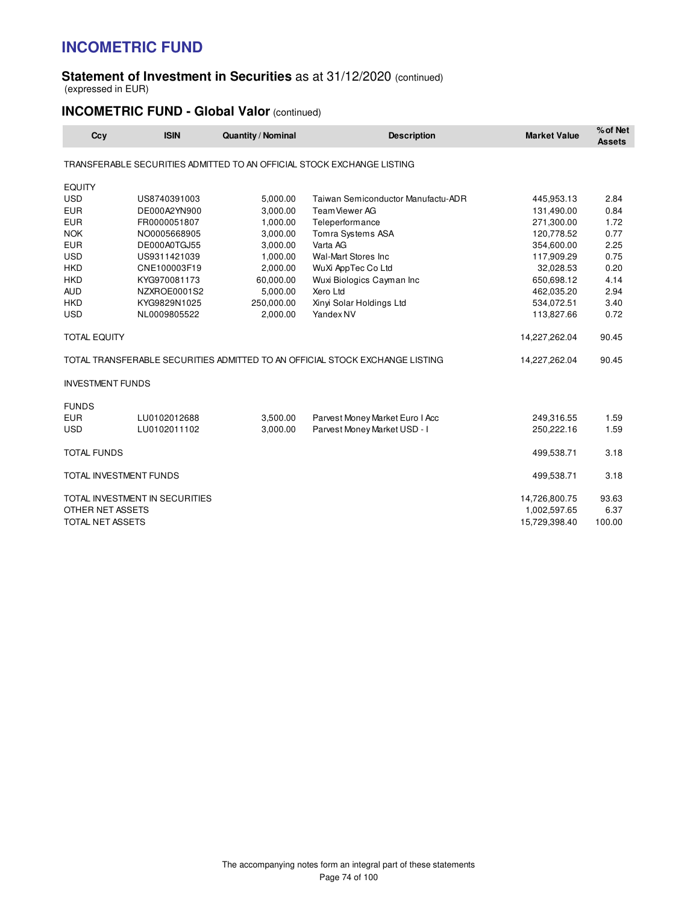## **Statement of Investment in Securities** as at 31/12/2020 (continued) (expressed in EUR)

# **INCOMETRIC FUND - Global Valor (continued)**

| Ccy                     | <b>ISIN</b>                    | <b>Quantity / Nominal</b> | <b>Description</b>                                                           | <b>Market Value</b> | % of Net<br><b>Assets</b> |
|-------------------------|--------------------------------|---------------------------|------------------------------------------------------------------------------|---------------------|---------------------------|
|                         |                                |                           | TRANSFERABLE SECURITIES ADMITTED TO AN OFFICIAL STOCK EXCHANGE LISTING       |                     |                           |
| <b>EQUITY</b>           |                                |                           |                                                                              |                     |                           |
| <b>USD</b>              | US8740391003                   | 5,000.00                  | Taiwan Semiconductor Manufactu-ADR                                           | 445,953.13          | 2.84                      |
| <b>EUR</b>              | DE000A2YN900                   | 3,000.00                  | Team Viewer AG                                                               | 131,490.00          | 0.84                      |
| <b>EUR</b>              | FR0000051807                   | 1,000.00                  | Teleperformance                                                              | 271,300.00          | 1.72                      |
| <b>NOK</b>              | NO0005668905                   | 3,000.00                  | Tomra Systems ASA                                                            | 120,778.52          | 0.77                      |
| <b>EUR</b>              | DE000A0TGJ55                   | 3,000.00                  | Varta AG                                                                     | 354,600.00          | 2.25                      |
| <b>USD</b>              | US9311421039                   | 1,000.00                  | Wal-Mart Stores Inc                                                          | 117,909.29          | 0.75                      |
| <b>HKD</b>              | CNE100003F19                   | 2,000.00                  | WuXi AppTec Co Ltd                                                           | 32,028.53           | 0.20                      |
| <b>HKD</b>              | KYG970081173                   | 60,000.00                 | Wuxi Biologics Cayman Inc                                                    | 650,698.12          | 4.14                      |
| <b>AUD</b>              | NZXROE0001S2                   | 5,000.00                  | Xero Ltd                                                                     | 462,035.20          | 2.94                      |
| <b>HKD</b>              | KYG9829N1025                   | 250,000.00                | Xinyi Solar Holdings Ltd                                                     | 534,072.51          | 3.40                      |
| <b>USD</b>              | NL0009805522                   | 2,000.00                  | Yandex NV                                                                    | 113,827.66          | 0.72                      |
| <b>TOTAL EQUITY</b>     |                                |                           |                                                                              | 14,227,262.04       | 90.45                     |
|                         |                                |                           | TOTAL TRANSFERABLE SECURITIES ADMITTED TO AN OFFICIAL STOCK EXCHANGE LISTING | 14,227,262.04       | 90.45                     |
| <b>INVESTMENT FUNDS</b> |                                |                           |                                                                              |                     |                           |
| <b>FUNDS</b>            |                                |                           |                                                                              |                     |                           |
| <b>EUR</b>              | LU0102012688                   | 3,500.00                  | Parvest Money Market Euro I Acc                                              | 249,316.55          | 1.59                      |
| <b>USD</b>              | LU0102011102                   | 3,000.00                  | Parvest Money Market USD - I                                                 | 250,222.16          | 1.59                      |
| <b>TOTAL FUNDS</b>      |                                |                           |                                                                              | 499,538.71          | 3.18                      |
| TOTAL INVESTMENT FUNDS  |                                |                           |                                                                              | 499,538.71          | 3.18                      |
|                         | TOTAL INVESTMENT IN SECURITIES |                           |                                                                              | 14,726,800.75       | 93.63                     |
| OTHER NET ASSETS        |                                |                           |                                                                              | 1,002,597.65        | 6.37                      |
| TOTAL NET ASSETS        |                                |                           |                                                                              | 15,729,398.40       | 100.00                    |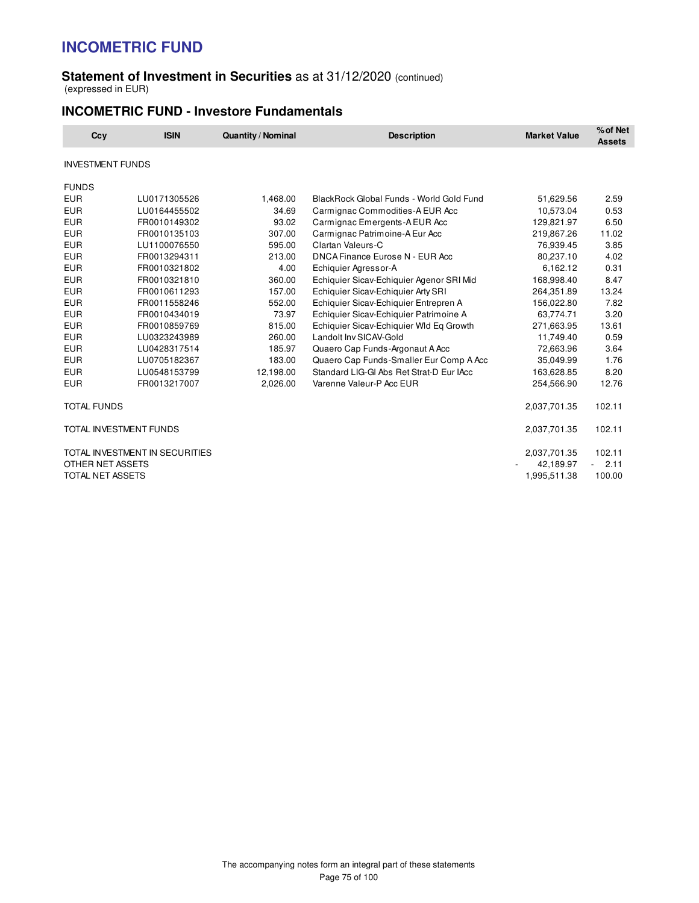## **Statement of Investment in Securities** as at 31/12/2020 (continued) (expressed in EUR)

# **INCOMETRIC FUND - Investore Fundamentals**

| Ccy                     | <b>ISIN</b>                    | <b>Quantity / Nominal</b> | <b>Description</b>                       | <b>Market Value</b> | % of Net<br><b>Assets</b> |
|-------------------------|--------------------------------|---------------------------|------------------------------------------|---------------------|---------------------------|
| <b>INVESTMENT FUNDS</b> |                                |                           |                                          |                     |                           |
| <b>FUNDS</b>            |                                |                           |                                          |                     |                           |
| <b>EUR</b>              | LU0171305526                   | 1,468.00                  | BlackRock Global Funds - World Gold Fund | 51,629.56           | 2.59                      |
| <b>EUR</b>              | LU0164455502                   | 34.69                     | Carmignac Commodities-A EUR Acc          | 10,573.04           | 0.53                      |
| <b>EUR</b>              | FR0010149302                   | 93.02                     | Carmignac Emergents-A EUR Acc            | 129,821.97          | 6.50                      |
| <b>EUR</b>              | FR0010135103                   | 307.00                    | Carmignac Patrimoine-A Eur Acc           | 219,867.26          | 11.02                     |
| <b>EUR</b>              | LU1100076550                   | 595.00                    | Clartan Valeurs-C                        | 76,939.45           | 3.85                      |
| <b>EUR</b>              | FR0013294311                   | 213.00                    | DNCA Finance Eurose N - EUR Acc          | 80,237.10           | 4.02                      |
| <b>EUR</b>              | FR0010321802                   | 4.00                      | Echiquier Agressor-A                     | 6,162.12            | 0.31                      |
| <b>EUR</b>              | FR0010321810                   | 360.00                    | Echiquier Sicav-Echiquier Agenor SRI Mid | 168,998.40          | 8.47                      |
| <b>EUR</b>              | FR0010611293                   | 157.00                    | Echiquier Sicav-Echiquier Arty SRI       | 264,351.89          | 13.24                     |
| <b>EUR</b>              | FR0011558246                   | 552.00                    | Echiquier Sicav-Echiquier Entrepren A    | 156,022.80          | 7.82                      |
| <b>EUR</b>              | FR0010434019                   | 73.97                     | Echiquier Sicav-Echiquier Patrimoine A   | 63,774.71           | 3.20                      |
| <b>EUR</b>              | FR0010859769                   | 815.00                    | Echiquier Sicav-Echiquier Wld Eq Growth  | 271,663.95          | 13.61                     |
| <b>EUR</b>              | LU0323243989                   | 260.00                    | Landolt Inv SICAV-Gold                   | 11,749.40           | 0.59                      |
| <b>EUR</b>              | LU0428317514                   | 185.97                    | Quaero Cap Funds-Argonaut A Acc          | 72,663.96           | 3.64                      |
| <b>EUR</b>              | LU0705182367                   | 183.00                    | Quaero Cap Funds-Smaller Eur Comp A Acc  | 35,049.99           | 1.76                      |
| <b>EUR</b>              | LU0548153799                   | 12,198.00                 | Standard LIG-GI Abs Ret Strat-D Eur IAcc | 163,628.85          | 8.20                      |
| <b>EUR</b>              | FR0013217007                   | 2,026.00                  | Varenne Valeur-P Acc EUR                 | 254,566.90          | 12.76                     |
| <b>TOTAL FUNDS</b>      |                                |                           |                                          | 2,037,701.35        | 102.11                    |
|                         | TOTAL INVESTMENT FUNDS         |                           |                                          | 2,037,701.35        | 102.11                    |
|                         | TOTAL INVESTMENT IN SECURITIES |                           |                                          | 2,037,701.35        | 102.11                    |
| OTHER NET ASSETS        |                                |                           |                                          | 42,189.97           | 2.11                      |
| TOTAL NET ASSETS        |                                |                           |                                          | 1,995,511.38        | 100.00                    |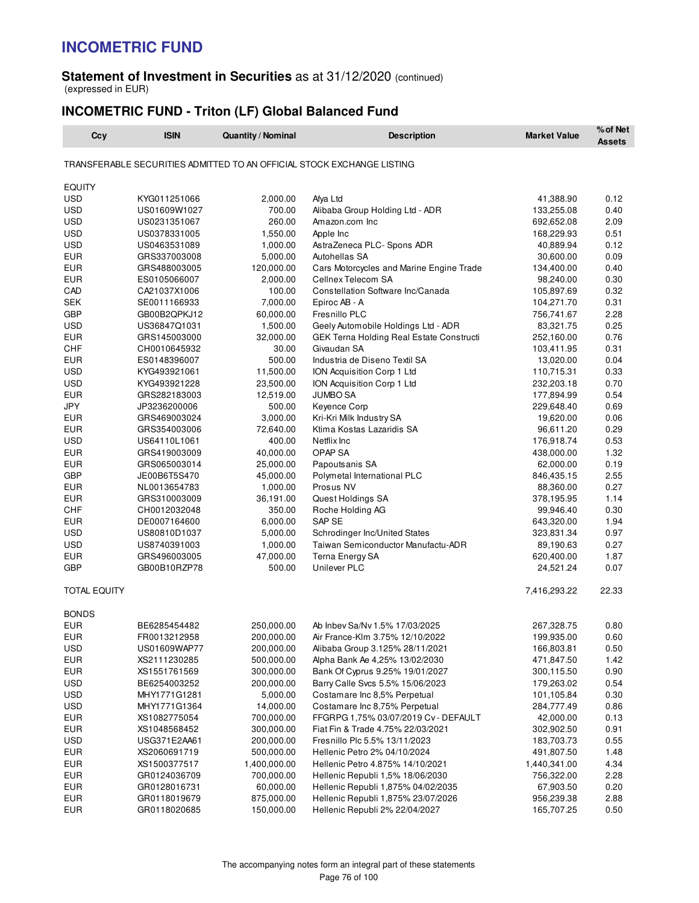## **Statement of Investment in Securities** as at 31/12/2020 (continued) (expressed in EUR)

# **INCOMETRIC FUND - Triton (LF) Global Balanced Fund**

| TRANSFERABLE SECURITIES ADMITTED TO AN OFFICIAL STOCK EXCHANGE LISTING<br><b>EQUITY</b><br><b>USD</b><br>KYG011251066<br>2,000.00<br>Afya Ltd<br>41,388.90<br>0.12<br><b>USD</b><br>700.00<br>133,255.08<br>0.40<br>US01609W1027<br>Alibaba Group Holding Ltd - ADR<br><b>USD</b><br>2.09<br>260.00<br>Amazon.com Inc<br>692,652.08<br>US0231351067<br><b>USD</b><br>1,550.00<br>0.51<br>US0378331005<br>Apple Inc<br>168,229.93<br><b>USD</b><br>AstraZeneca PLC- Spons ADR<br>0.12<br>US0463531089<br>1,000.00<br>40,889.94<br>0.09<br>EUR<br>GRS337003008<br>5,000.00<br>Autohellas SA<br>30,600.00<br><b>EUR</b><br>120,000.00<br>GRS488003005<br>Cars Motorcycles and Marine Engine Trade<br>134,400.00<br>0.40<br><b>EUR</b><br>2,000.00<br>Cellnex Telecom SA<br>0.30<br>ES0105066007<br>98,240.00<br>CAD<br>100.00<br>Constellation Software Inc/Canada<br>0.32<br>CA21037X1006<br>105,897.69<br><b>SEK</b><br>7,000.00<br>0.31<br>SE0011166933<br>Epiroc AB - A<br>104,271.70<br><b>GBP</b><br>60,000.00<br>Fresnillo PLC<br>2.28<br>GB00B2QPKJ12<br>756,741.67<br><b>USD</b><br>1,500.00<br>Geely Automobile Holdings Ltd - ADR<br>83,321.75<br>0.25<br>US36847Q1031<br><b>EUR</b><br>32,000.00<br>GEK Terna Holding Real Estate Constructi<br>0.76<br>GRS145003000<br>252,160.00<br><b>CHF</b><br>CH0010645932<br>30.00<br>Givaudan SA<br>103,411.95<br>0.31<br><b>EUR</b><br>500.00<br>Industria de Diseno Textil SA<br>0.04<br>ES0148396007<br>13,020.00<br><b>USD</b><br>11,500.00<br>0.33<br>KYG493921061<br>ION Acquisition Corp 1 Ltd<br>110,715.31<br><b>USD</b><br>23,500.00<br>232,203.18<br>0.70<br>KYG493921228<br>ION Acquisition Corp 1 Ltd<br>12,519.00<br><b>JUMBO SA</b><br>0.54<br>EUR<br>GRS282183003<br>177,894.99<br><b>JPY</b><br>500.00<br>0.69<br>JP3236200006<br>Keyence Corp<br>229,648.40<br><b>EUR</b><br>3,000.00<br>Kri-Kri Milk Industry SA<br>0.06<br>GRS469003024<br>19,620.00<br><b>EUR</b><br>72,640.00<br>Ktima Kostas Lazaridis SA<br>0.29<br>GRS354003006<br>96,611.20<br>0.53<br>USD<br>US64110L1061<br>400.00<br>Netflix Inc.<br>176,918.74<br><b>EUR</b><br>40,000.00<br>OPAP SA<br>1.32<br>GRS419003009<br>438,000.00<br><b>EUR</b><br>25,000.00<br>0.19<br>GRS065003014<br>Papoutsanis SA<br>62,000.00<br><b>GBP</b><br>Polymetal International PLC<br>2.55<br>JE00B6T5S470<br>45,000.00<br>846,435.15<br>Prosus NV<br>0.27<br>EUR<br>NL0013654783<br>1,000.00<br>88,360.00<br>1.14<br>EUR<br>GRS310003009<br>36,191.00<br>Quest Holdings SA<br>378,195.95<br>CHF<br>350.00<br>99,946.40<br>0.30<br>CH0012032048<br>Roche Holding AG<br><b>EUR</b><br>6,000.00<br>SAP SE<br>1.94<br>DE0007164600<br>643,320.00<br>Schrodinger Inc/United States<br>0.97<br>USD<br>5,000.00<br>US80810D1037<br>323,831.34<br><b>USD</b><br>1,000.00<br>Taiwan Semiconductor Manufactu-ADR<br>0.27<br>US8740391003<br>89,190.63<br>47,000.00<br>Terna Energy SA<br>1.87<br>EUR<br>GRS496003005<br>620,400.00<br>Unilever PLC<br>0.07<br>GBP<br>GB00B10RZP78<br>500.00<br>24,521.24<br><b>TOTAL EQUITY</b><br>7,416,293.22<br>22.33<br><b>BONDS</b><br>EUR<br>BE6285454482<br>250,000.00<br>Ab Inbev Sa/Nv 1.5% 17/03/2025<br>267,328.75<br>0.80<br><b>EUR</b><br>200,000.00<br>Air France-Klm 3.75% 12/10/2022<br>199,935.00<br>0.60<br>FR0013212958<br>USD<br>US01609WAP77<br>200,000.00<br>Alibaba Group 3.125% 28/11/2021<br>166,803.81<br>0.50<br><b>EUR</b><br>500,000.00<br>Alpha Bank Ae 4,25% 13/02/2030<br>471,847.50<br>1.42<br>XS2111230285<br><b>EUR</b><br>300,000.00<br>Bank Of Cyprus 9.25% 19/01/2027<br>0.90<br>XS1551761569<br>300,115.50<br><b>USD</b><br>200,000.00<br>Barry Calle Svcs 5.5% 15/06/2023<br>0.54<br>BE6254003252<br>179,263.02<br>USD<br>MHY1771G1281<br>5,000.00<br>Costamare Inc 8,5% Perpetual<br>101,105.84<br>0.30<br>USD<br>MHY1771G1364<br>14,000.00<br>Costamare Inc 8,75% Perpetual<br>284,777.49<br>0.86<br><b>EUR</b><br>700,000.00<br>0.13<br>XS1082775054<br>FFGRPG 1,75% 03/07/2019 Cv - DEFAULT<br>42,000.00<br><b>EUR</b><br>300,000.00<br>Fiat Fin & Trade 4.75% 22/03/2021<br>302,902.50<br>0.91<br>XS1048568452<br><b>USD</b><br>200,000.00<br>Fresnillo Plc 5.5% 13/11/2023<br>0.55<br>USG371E2AA61<br>183,703.73<br><b>EUR</b><br>500,000.00<br>Hellenic Petro 2% 04/10/2024<br>1.48<br>XS2060691719<br>491,807.50<br><b>EUR</b><br>XS1500377517<br>1,400,000.00<br>Hellenic Petro 4.875% 14/10/2021<br>1,440,341.00<br>4.34<br><b>EUR</b><br>700,000.00<br>Hellenic Republi 1,5% 18/06/2030<br>756,322.00<br>2.28<br>GR0124036709<br><b>EUR</b><br>GR0128016731<br>60,000.00<br>Hellenic Republi 1,875% 04/02/2035<br>67,903.50<br>0.20<br><b>EUR</b><br>GR0118019679<br>875,000.00<br>Hellenic Republi 1,875% 23/07/2026<br>956,239.38<br>2.88<br>GR0118020685<br>150,000.00<br>0.50 | Ccy        | <b>ISIN</b> | Quantity / Nominal | <b>Description</b>             | <b>Market Value</b> | % of Net<br><b>Assets</b> |
|-----------------------------------------------------------------------------------------------------------------------------------------------------------------------------------------------------------------------------------------------------------------------------------------------------------------------------------------------------------------------------------------------------------------------------------------------------------------------------------------------------------------------------------------------------------------------------------------------------------------------------------------------------------------------------------------------------------------------------------------------------------------------------------------------------------------------------------------------------------------------------------------------------------------------------------------------------------------------------------------------------------------------------------------------------------------------------------------------------------------------------------------------------------------------------------------------------------------------------------------------------------------------------------------------------------------------------------------------------------------------------------------------------------------------------------------------------------------------------------------------------------------------------------------------------------------------------------------------------------------------------------------------------------------------------------------------------------------------------------------------------------------------------------------------------------------------------------------------------------------------------------------------------------------------------------------------------------------------------------------------------------------------------------------------------------------------------------------------------------------------------------------------------------------------------------------------------------------------------------------------------------------------------------------------------------------------------------------------------------------------------------------------------------------------------------------------------------------------------------------------------------------------------------------------------------------------------------------------------------------------------------------------------------------------------------------------------------------------------------------------------------------------------------------------------------------------------------------------------------------------------------------------------------------------------------------------------------------------------------------------------------------------------------------------------------------------------------------------------------------------------------------------------------------------------------------------------------------------------------------------------------------------------------------------------------------------------------------------------------------------------------------------------------------------------------------------------------------------------------------------------------------------------------------------------------------------------------------------------------------------------------------------------------------------------------------------------------------------------------------------------------------------------------------------------------------------------------------------------------------------------------------------------------------------------------------------------------------------------------------------------------------------------------------------------------------------------------------------------------------------------------------------------------------------------------------------------------------------------------------------------------------------------------------------------------------------------------------------------------------------------------------------------------------------------------------------------------------------------------------------------------------------------------------------------------------------------------------------------------------------------------------------------------------------------------------------------------------------------------------------------------------------------------|------------|-------------|--------------------|--------------------------------|---------------------|---------------------------|
|                                                                                                                                                                                                                                                                                                                                                                                                                                                                                                                                                                                                                                                                                                                                                                                                                                                                                                                                                                                                                                                                                                                                                                                                                                                                                                                                                                                                                                                                                                                                                                                                                                                                                                                                                                                                                                                                                                                                                                                                                                                                                                                                                                                                                                                                                                                                                                                                                                                                                                                                                                                                                                                                                                                                                                                                                                                                                                                                                                                                                                                                                                                                                                                                                                                                                                                                                                                                                                                                                                                                                                                                                                                                                                                                                                                                                                                                                                                                                                                                                                                                                                                                                                                                                                                                                                                                                                                                                                                                                                                                                                                                                                                                                                                                                                                   |            |             |                    |                                |                     |                           |
|                                                                                                                                                                                                                                                                                                                                                                                                                                                                                                                                                                                                                                                                                                                                                                                                                                                                                                                                                                                                                                                                                                                                                                                                                                                                                                                                                                                                                                                                                                                                                                                                                                                                                                                                                                                                                                                                                                                                                                                                                                                                                                                                                                                                                                                                                                                                                                                                                                                                                                                                                                                                                                                                                                                                                                                                                                                                                                                                                                                                                                                                                                                                                                                                                                                                                                                                                                                                                                                                                                                                                                                                                                                                                                                                                                                                                                                                                                                                                                                                                                                                                                                                                                                                                                                                                                                                                                                                                                                                                                                                                                                                                                                                                                                                                                                   |            |             |                    |                                |                     |                           |
|                                                                                                                                                                                                                                                                                                                                                                                                                                                                                                                                                                                                                                                                                                                                                                                                                                                                                                                                                                                                                                                                                                                                                                                                                                                                                                                                                                                                                                                                                                                                                                                                                                                                                                                                                                                                                                                                                                                                                                                                                                                                                                                                                                                                                                                                                                                                                                                                                                                                                                                                                                                                                                                                                                                                                                                                                                                                                                                                                                                                                                                                                                                                                                                                                                                                                                                                                                                                                                                                                                                                                                                                                                                                                                                                                                                                                                                                                                                                                                                                                                                                                                                                                                                                                                                                                                                                                                                                                                                                                                                                                                                                                                                                                                                                                                                   |            |             |                    |                                |                     |                           |
|                                                                                                                                                                                                                                                                                                                                                                                                                                                                                                                                                                                                                                                                                                                                                                                                                                                                                                                                                                                                                                                                                                                                                                                                                                                                                                                                                                                                                                                                                                                                                                                                                                                                                                                                                                                                                                                                                                                                                                                                                                                                                                                                                                                                                                                                                                                                                                                                                                                                                                                                                                                                                                                                                                                                                                                                                                                                                                                                                                                                                                                                                                                                                                                                                                                                                                                                                                                                                                                                                                                                                                                                                                                                                                                                                                                                                                                                                                                                                                                                                                                                                                                                                                                                                                                                                                                                                                                                                                                                                                                                                                                                                                                                                                                                                                                   |            |             |                    |                                |                     |                           |
|                                                                                                                                                                                                                                                                                                                                                                                                                                                                                                                                                                                                                                                                                                                                                                                                                                                                                                                                                                                                                                                                                                                                                                                                                                                                                                                                                                                                                                                                                                                                                                                                                                                                                                                                                                                                                                                                                                                                                                                                                                                                                                                                                                                                                                                                                                                                                                                                                                                                                                                                                                                                                                                                                                                                                                                                                                                                                                                                                                                                                                                                                                                                                                                                                                                                                                                                                                                                                                                                                                                                                                                                                                                                                                                                                                                                                                                                                                                                                                                                                                                                                                                                                                                                                                                                                                                                                                                                                                                                                                                                                                                                                                                                                                                                                                                   |            |             |                    |                                |                     |                           |
|                                                                                                                                                                                                                                                                                                                                                                                                                                                                                                                                                                                                                                                                                                                                                                                                                                                                                                                                                                                                                                                                                                                                                                                                                                                                                                                                                                                                                                                                                                                                                                                                                                                                                                                                                                                                                                                                                                                                                                                                                                                                                                                                                                                                                                                                                                                                                                                                                                                                                                                                                                                                                                                                                                                                                                                                                                                                                                                                                                                                                                                                                                                                                                                                                                                                                                                                                                                                                                                                                                                                                                                                                                                                                                                                                                                                                                                                                                                                                                                                                                                                                                                                                                                                                                                                                                                                                                                                                                                                                                                                                                                                                                                                                                                                                                                   |            |             |                    |                                |                     |                           |
|                                                                                                                                                                                                                                                                                                                                                                                                                                                                                                                                                                                                                                                                                                                                                                                                                                                                                                                                                                                                                                                                                                                                                                                                                                                                                                                                                                                                                                                                                                                                                                                                                                                                                                                                                                                                                                                                                                                                                                                                                                                                                                                                                                                                                                                                                                                                                                                                                                                                                                                                                                                                                                                                                                                                                                                                                                                                                                                                                                                                                                                                                                                                                                                                                                                                                                                                                                                                                                                                                                                                                                                                                                                                                                                                                                                                                                                                                                                                                                                                                                                                                                                                                                                                                                                                                                                                                                                                                                                                                                                                                                                                                                                                                                                                                                                   |            |             |                    |                                |                     |                           |
|                                                                                                                                                                                                                                                                                                                                                                                                                                                                                                                                                                                                                                                                                                                                                                                                                                                                                                                                                                                                                                                                                                                                                                                                                                                                                                                                                                                                                                                                                                                                                                                                                                                                                                                                                                                                                                                                                                                                                                                                                                                                                                                                                                                                                                                                                                                                                                                                                                                                                                                                                                                                                                                                                                                                                                                                                                                                                                                                                                                                                                                                                                                                                                                                                                                                                                                                                                                                                                                                                                                                                                                                                                                                                                                                                                                                                                                                                                                                                                                                                                                                                                                                                                                                                                                                                                                                                                                                                                                                                                                                                                                                                                                                                                                                                                                   |            |             |                    |                                |                     |                           |
|                                                                                                                                                                                                                                                                                                                                                                                                                                                                                                                                                                                                                                                                                                                                                                                                                                                                                                                                                                                                                                                                                                                                                                                                                                                                                                                                                                                                                                                                                                                                                                                                                                                                                                                                                                                                                                                                                                                                                                                                                                                                                                                                                                                                                                                                                                                                                                                                                                                                                                                                                                                                                                                                                                                                                                                                                                                                                                                                                                                                                                                                                                                                                                                                                                                                                                                                                                                                                                                                                                                                                                                                                                                                                                                                                                                                                                                                                                                                                                                                                                                                                                                                                                                                                                                                                                                                                                                                                                                                                                                                                                                                                                                                                                                                                                                   |            |             |                    |                                |                     |                           |
|                                                                                                                                                                                                                                                                                                                                                                                                                                                                                                                                                                                                                                                                                                                                                                                                                                                                                                                                                                                                                                                                                                                                                                                                                                                                                                                                                                                                                                                                                                                                                                                                                                                                                                                                                                                                                                                                                                                                                                                                                                                                                                                                                                                                                                                                                                                                                                                                                                                                                                                                                                                                                                                                                                                                                                                                                                                                                                                                                                                                                                                                                                                                                                                                                                                                                                                                                                                                                                                                                                                                                                                                                                                                                                                                                                                                                                                                                                                                                                                                                                                                                                                                                                                                                                                                                                                                                                                                                                                                                                                                                                                                                                                                                                                                                                                   |            |             |                    |                                |                     |                           |
|                                                                                                                                                                                                                                                                                                                                                                                                                                                                                                                                                                                                                                                                                                                                                                                                                                                                                                                                                                                                                                                                                                                                                                                                                                                                                                                                                                                                                                                                                                                                                                                                                                                                                                                                                                                                                                                                                                                                                                                                                                                                                                                                                                                                                                                                                                                                                                                                                                                                                                                                                                                                                                                                                                                                                                                                                                                                                                                                                                                                                                                                                                                                                                                                                                                                                                                                                                                                                                                                                                                                                                                                                                                                                                                                                                                                                                                                                                                                                                                                                                                                                                                                                                                                                                                                                                                                                                                                                                                                                                                                                                                                                                                                                                                                                                                   |            |             |                    |                                |                     |                           |
|                                                                                                                                                                                                                                                                                                                                                                                                                                                                                                                                                                                                                                                                                                                                                                                                                                                                                                                                                                                                                                                                                                                                                                                                                                                                                                                                                                                                                                                                                                                                                                                                                                                                                                                                                                                                                                                                                                                                                                                                                                                                                                                                                                                                                                                                                                                                                                                                                                                                                                                                                                                                                                                                                                                                                                                                                                                                                                                                                                                                                                                                                                                                                                                                                                                                                                                                                                                                                                                                                                                                                                                                                                                                                                                                                                                                                                                                                                                                                                                                                                                                                                                                                                                                                                                                                                                                                                                                                                                                                                                                                                                                                                                                                                                                                                                   |            |             |                    |                                |                     |                           |
|                                                                                                                                                                                                                                                                                                                                                                                                                                                                                                                                                                                                                                                                                                                                                                                                                                                                                                                                                                                                                                                                                                                                                                                                                                                                                                                                                                                                                                                                                                                                                                                                                                                                                                                                                                                                                                                                                                                                                                                                                                                                                                                                                                                                                                                                                                                                                                                                                                                                                                                                                                                                                                                                                                                                                                                                                                                                                                                                                                                                                                                                                                                                                                                                                                                                                                                                                                                                                                                                                                                                                                                                                                                                                                                                                                                                                                                                                                                                                                                                                                                                                                                                                                                                                                                                                                                                                                                                                                                                                                                                                                                                                                                                                                                                                                                   |            |             |                    |                                |                     |                           |
|                                                                                                                                                                                                                                                                                                                                                                                                                                                                                                                                                                                                                                                                                                                                                                                                                                                                                                                                                                                                                                                                                                                                                                                                                                                                                                                                                                                                                                                                                                                                                                                                                                                                                                                                                                                                                                                                                                                                                                                                                                                                                                                                                                                                                                                                                                                                                                                                                                                                                                                                                                                                                                                                                                                                                                                                                                                                                                                                                                                                                                                                                                                                                                                                                                                                                                                                                                                                                                                                                                                                                                                                                                                                                                                                                                                                                                                                                                                                                                                                                                                                                                                                                                                                                                                                                                                                                                                                                                                                                                                                                                                                                                                                                                                                                                                   |            |             |                    |                                |                     |                           |
|                                                                                                                                                                                                                                                                                                                                                                                                                                                                                                                                                                                                                                                                                                                                                                                                                                                                                                                                                                                                                                                                                                                                                                                                                                                                                                                                                                                                                                                                                                                                                                                                                                                                                                                                                                                                                                                                                                                                                                                                                                                                                                                                                                                                                                                                                                                                                                                                                                                                                                                                                                                                                                                                                                                                                                                                                                                                                                                                                                                                                                                                                                                                                                                                                                                                                                                                                                                                                                                                                                                                                                                                                                                                                                                                                                                                                                                                                                                                                                                                                                                                                                                                                                                                                                                                                                                                                                                                                                                                                                                                                                                                                                                                                                                                                                                   |            |             |                    |                                |                     |                           |
|                                                                                                                                                                                                                                                                                                                                                                                                                                                                                                                                                                                                                                                                                                                                                                                                                                                                                                                                                                                                                                                                                                                                                                                                                                                                                                                                                                                                                                                                                                                                                                                                                                                                                                                                                                                                                                                                                                                                                                                                                                                                                                                                                                                                                                                                                                                                                                                                                                                                                                                                                                                                                                                                                                                                                                                                                                                                                                                                                                                                                                                                                                                                                                                                                                                                                                                                                                                                                                                                                                                                                                                                                                                                                                                                                                                                                                                                                                                                                                                                                                                                                                                                                                                                                                                                                                                                                                                                                                                                                                                                                                                                                                                                                                                                                                                   |            |             |                    |                                |                     |                           |
|                                                                                                                                                                                                                                                                                                                                                                                                                                                                                                                                                                                                                                                                                                                                                                                                                                                                                                                                                                                                                                                                                                                                                                                                                                                                                                                                                                                                                                                                                                                                                                                                                                                                                                                                                                                                                                                                                                                                                                                                                                                                                                                                                                                                                                                                                                                                                                                                                                                                                                                                                                                                                                                                                                                                                                                                                                                                                                                                                                                                                                                                                                                                                                                                                                                                                                                                                                                                                                                                                                                                                                                                                                                                                                                                                                                                                                                                                                                                                                                                                                                                                                                                                                                                                                                                                                                                                                                                                                                                                                                                                                                                                                                                                                                                                                                   |            |             |                    |                                |                     |                           |
|                                                                                                                                                                                                                                                                                                                                                                                                                                                                                                                                                                                                                                                                                                                                                                                                                                                                                                                                                                                                                                                                                                                                                                                                                                                                                                                                                                                                                                                                                                                                                                                                                                                                                                                                                                                                                                                                                                                                                                                                                                                                                                                                                                                                                                                                                                                                                                                                                                                                                                                                                                                                                                                                                                                                                                                                                                                                                                                                                                                                                                                                                                                                                                                                                                                                                                                                                                                                                                                                                                                                                                                                                                                                                                                                                                                                                                                                                                                                                                                                                                                                                                                                                                                                                                                                                                                                                                                                                                                                                                                                                                                                                                                                                                                                                                                   |            |             |                    |                                |                     |                           |
|                                                                                                                                                                                                                                                                                                                                                                                                                                                                                                                                                                                                                                                                                                                                                                                                                                                                                                                                                                                                                                                                                                                                                                                                                                                                                                                                                                                                                                                                                                                                                                                                                                                                                                                                                                                                                                                                                                                                                                                                                                                                                                                                                                                                                                                                                                                                                                                                                                                                                                                                                                                                                                                                                                                                                                                                                                                                                                                                                                                                                                                                                                                                                                                                                                                                                                                                                                                                                                                                                                                                                                                                                                                                                                                                                                                                                                                                                                                                                                                                                                                                                                                                                                                                                                                                                                                                                                                                                                                                                                                                                                                                                                                                                                                                                                                   |            |             |                    |                                |                     |                           |
|                                                                                                                                                                                                                                                                                                                                                                                                                                                                                                                                                                                                                                                                                                                                                                                                                                                                                                                                                                                                                                                                                                                                                                                                                                                                                                                                                                                                                                                                                                                                                                                                                                                                                                                                                                                                                                                                                                                                                                                                                                                                                                                                                                                                                                                                                                                                                                                                                                                                                                                                                                                                                                                                                                                                                                                                                                                                                                                                                                                                                                                                                                                                                                                                                                                                                                                                                                                                                                                                                                                                                                                                                                                                                                                                                                                                                                                                                                                                                                                                                                                                                                                                                                                                                                                                                                                                                                                                                                                                                                                                                                                                                                                                                                                                                                                   |            |             |                    |                                |                     |                           |
|                                                                                                                                                                                                                                                                                                                                                                                                                                                                                                                                                                                                                                                                                                                                                                                                                                                                                                                                                                                                                                                                                                                                                                                                                                                                                                                                                                                                                                                                                                                                                                                                                                                                                                                                                                                                                                                                                                                                                                                                                                                                                                                                                                                                                                                                                                                                                                                                                                                                                                                                                                                                                                                                                                                                                                                                                                                                                                                                                                                                                                                                                                                                                                                                                                                                                                                                                                                                                                                                                                                                                                                                                                                                                                                                                                                                                                                                                                                                                                                                                                                                                                                                                                                                                                                                                                                                                                                                                                                                                                                                                                                                                                                                                                                                                                                   |            |             |                    |                                |                     |                           |
|                                                                                                                                                                                                                                                                                                                                                                                                                                                                                                                                                                                                                                                                                                                                                                                                                                                                                                                                                                                                                                                                                                                                                                                                                                                                                                                                                                                                                                                                                                                                                                                                                                                                                                                                                                                                                                                                                                                                                                                                                                                                                                                                                                                                                                                                                                                                                                                                                                                                                                                                                                                                                                                                                                                                                                                                                                                                                                                                                                                                                                                                                                                                                                                                                                                                                                                                                                                                                                                                                                                                                                                                                                                                                                                                                                                                                                                                                                                                                                                                                                                                                                                                                                                                                                                                                                                                                                                                                                                                                                                                                                                                                                                                                                                                                                                   |            |             |                    |                                |                     |                           |
|                                                                                                                                                                                                                                                                                                                                                                                                                                                                                                                                                                                                                                                                                                                                                                                                                                                                                                                                                                                                                                                                                                                                                                                                                                                                                                                                                                                                                                                                                                                                                                                                                                                                                                                                                                                                                                                                                                                                                                                                                                                                                                                                                                                                                                                                                                                                                                                                                                                                                                                                                                                                                                                                                                                                                                                                                                                                                                                                                                                                                                                                                                                                                                                                                                                                                                                                                                                                                                                                                                                                                                                                                                                                                                                                                                                                                                                                                                                                                                                                                                                                                                                                                                                                                                                                                                                                                                                                                                                                                                                                                                                                                                                                                                                                                                                   |            |             |                    |                                |                     |                           |
|                                                                                                                                                                                                                                                                                                                                                                                                                                                                                                                                                                                                                                                                                                                                                                                                                                                                                                                                                                                                                                                                                                                                                                                                                                                                                                                                                                                                                                                                                                                                                                                                                                                                                                                                                                                                                                                                                                                                                                                                                                                                                                                                                                                                                                                                                                                                                                                                                                                                                                                                                                                                                                                                                                                                                                                                                                                                                                                                                                                                                                                                                                                                                                                                                                                                                                                                                                                                                                                                                                                                                                                                                                                                                                                                                                                                                                                                                                                                                                                                                                                                                                                                                                                                                                                                                                                                                                                                                                                                                                                                                                                                                                                                                                                                                                                   |            |             |                    |                                |                     |                           |
|                                                                                                                                                                                                                                                                                                                                                                                                                                                                                                                                                                                                                                                                                                                                                                                                                                                                                                                                                                                                                                                                                                                                                                                                                                                                                                                                                                                                                                                                                                                                                                                                                                                                                                                                                                                                                                                                                                                                                                                                                                                                                                                                                                                                                                                                                                                                                                                                                                                                                                                                                                                                                                                                                                                                                                                                                                                                                                                                                                                                                                                                                                                                                                                                                                                                                                                                                                                                                                                                                                                                                                                                                                                                                                                                                                                                                                                                                                                                                                                                                                                                                                                                                                                                                                                                                                                                                                                                                                                                                                                                                                                                                                                                                                                                                                                   |            |             |                    |                                |                     |                           |
|                                                                                                                                                                                                                                                                                                                                                                                                                                                                                                                                                                                                                                                                                                                                                                                                                                                                                                                                                                                                                                                                                                                                                                                                                                                                                                                                                                                                                                                                                                                                                                                                                                                                                                                                                                                                                                                                                                                                                                                                                                                                                                                                                                                                                                                                                                                                                                                                                                                                                                                                                                                                                                                                                                                                                                                                                                                                                                                                                                                                                                                                                                                                                                                                                                                                                                                                                                                                                                                                                                                                                                                                                                                                                                                                                                                                                                                                                                                                                                                                                                                                                                                                                                                                                                                                                                                                                                                                                                                                                                                                                                                                                                                                                                                                                                                   |            |             |                    |                                |                     |                           |
|                                                                                                                                                                                                                                                                                                                                                                                                                                                                                                                                                                                                                                                                                                                                                                                                                                                                                                                                                                                                                                                                                                                                                                                                                                                                                                                                                                                                                                                                                                                                                                                                                                                                                                                                                                                                                                                                                                                                                                                                                                                                                                                                                                                                                                                                                                                                                                                                                                                                                                                                                                                                                                                                                                                                                                                                                                                                                                                                                                                                                                                                                                                                                                                                                                                                                                                                                                                                                                                                                                                                                                                                                                                                                                                                                                                                                                                                                                                                                                                                                                                                                                                                                                                                                                                                                                                                                                                                                                                                                                                                                                                                                                                                                                                                                                                   |            |             |                    |                                |                     |                           |
|                                                                                                                                                                                                                                                                                                                                                                                                                                                                                                                                                                                                                                                                                                                                                                                                                                                                                                                                                                                                                                                                                                                                                                                                                                                                                                                                                                                                                                                                                                                                                                                                                                                                                                                                                                                                                                                                                                                                                                                                                                                                                                                                                                                                                                                                                                                                                                                                                                                                                                                                                                                                                                                                                                                                                                                                                                                                                                                                                                                                                                                                                                                                                                                                                                                                                                                                                                                                                                                                                                                                                                                                                                                                                                                                                                                                                                                                                                                                                                                                                                                                                                                                                                                                                                                                                                                                                                                                                                                                                                                                                                                                                                                                                                                                                                                   |            |             |                    |                                |                     |                           |
|                                                                                                                                                                                                                                                                                                                                                                                                                                                                                                                                                                                                                                                                                                                                                                                                                                                                                                                                                                                                                                                                                                                                                                                                                                                                                                                                                                                                                                                                                                                                                                                                                                                                                                                                                                                                                                                                                                                                                                                                                                                                                                                                                                                                                                                                                                                                                                                                                                                                                                                                                                                                                                                                                                                                                                                                                                                                                                                                                                                                                                                                                                                                                                                                                                                                                                                                                                                                                                                                                                                                                                                                                                                                                                                                                                                                                                                                                                                                                                                                                                                                                                                                                                                                                                                                                                                                                                                                                                                                                                                                                                                                                                                                                                                                                                                   |            |             |                    |                                |                     |                           |
|                                                                                                                                                                                                                                                                                                                                                                                                                                                                                                                                                                                                                                                                                                                                                                                                                                                                                                                                                                                                                                                                                                                                                                                                                                                                                                                                                                                                                                                                                                                                                                                                                                                                                                                                                                                                                                                                                                                                                                                                                                                                                                                                                                                                                                                                                                                                                                                                                                                                                                                                                                                                                                                                                                                                                                                                                                                                                                                                                                                                                                                                                                                                                                                                                                                                                                                                                                                                                                                                                                                                                                                                                                                                                                                                                                                                                                                                                                                                                                                                                                                                                                                                                                                                                                                                                                                                                                                                                                                                                                                                                                                                                                                                                                                                                                                   |            |             |                    |                                |                     |                           |
|                                                                                                                                                                                                                                                                                                                                                                                                                                                                                                                                                                                                                                                                                                                                                                                                                                                                                                                                                                                                                                                                                                                                                                                                                                                                                                                                                                                                                                                                                                                                                                                                                                                                                                                                                                                                                                                                                                                                                                                                                                                                                                                                                                                                                                                                                                                                                                                                                                                                                                                                                                                                                                                                                                                                                                                                                                                                                                                                                                                                                                                                                                                                                                                                                                                                                                                                                                                                                                                                                                                                                                                                                                                                                                                                                                                                                                                                                                                                                                                                                                                                                                                                                                                                                                                                                                                                                                                                                                                                                                                                                                                                                                                                                                                                                                                   |            |             |                    |                                |                     |                           |
|                                                                                                                                                                                                                                                                                                                                                                                                                                                                                                                                                                                                                                                                                                                                                                                                                                                                                                                                                                                                                                                                                                                                                                                                                                                                                                                                                                                                                                                                                                                                                                                                                                                                                                                                                                                                                                                                                                                                                                                                                                                                                                                                                                                                                                                                                                                                                                                                                                                                                                                                                                                                                                                                                                                                                                                                                                                                                                                                                                                                                                                                                                                                                                                                                                                                                                                                                                                                                                                                                                                                                                                                                                                                                                                                                                                                                                                                                                                                                                                                                                                                                                                                                                                                                                                                                                                                                                                                                                                                                                                                                                                                                                                                                                                                                                                   |            |             |                    |                                |                     |                           |
|                                                                                                                                                                                                                                                                                                                                                                                                                                                                                                                                                                                                                                                                                                                                                                                                                                                                                                                                                                                                                                                                                                                                                                                                                                                                                                                                                                                                                                                                                                                                                                                                                                                                                                                                                                                                                                                                                                                                                                                                                                                                                                                                                                                                                                                                                                                                                                                                                                                                                                                                                                                                                                                                                                                                                                                                                                                                                                                                                                                                                                                                                                                                                                                                                                                                                                                                                                                                                                                                                                                                                                                                                                                                                                                                                                                                                                                                                                                                                                                                                                                                                                                                                                                                                                                                                                                                                                                                                                                                                                                                                                                                                                                                                                                                                                                   |            |             |                    |                                |                     |                           |
|                                                                                                                                                                                                                                                                                                                                                                                                                                                                                                                                                                                                                                                                                                                                                                                                                                                                                                                                                                                                                                                                                                                                                                                                                                                                                                                                                                                                                                                                                                                                                                                                                                                                                                                                                                                                                                                                                                                                                                                                                                                                                                                                                                                                                                                                                                                                                                                                                                                                                                                                                                                                                                                                                                                                                                                                                                                                                                                                                                                                                                                                                                                                                                                                                                                                                                                                                                                                                                                                                                                                                                                                                                                                                                                                                                                                                                                                                                                                                                                                                                                                                                                                                                                                                                                                                                                                                                                                                                                                                                                                                                                                                                                                                                                                                                                   |            |             |                    |                                |                     |                           |
|                                                                                                                                                                                                                                                                                                                                                                                                                                                                                                                                                                                                                                                                                                                                                                                                                                                                                                                                                                                                                                                                                                                                                                                                                                                                                                                                                                                                                                                                                                                                                                                                                                                                                                                                                                                                                                                                                                                                                                                                                                                                                                                                                                                                                                                                                                                                                                                                                                                                                                                                                                                                                                                                                                                                                                                                                                                                                                                                                                                                                                                                                                                                                                                                                                                                                                                                                                                                                                                                                                                                                                                                                                                                                                                                                                                                                                                                                                                                                                                                                                                                                                                                                                                                                                                                                                                                                                                                                                                                                                                                                                                                                                                                                                                                                                                   |            |             |                    |                                |                     |                           |
|                                                                                                                                                                                                                                                                                                                                                                                                                                                                                                                                                                                                                                                                                                                                                                                                                                                                                                                                                                                                                                                                                                                                                                                                                                                                                                                                                                                                                                                                                                                                                                                                                                                                                                                                                                                                                                                                                                                                                                                                                                                                                                                                                                                                                                                                                                                                                                                                                                                                                                                                                                                                                                                                                                                                                                                                                                                                                                                                                                                                                                                                                                                                                                                                                                                                                                                                                                                                                                                                                                                                                                                                                                                                                                                                                                                                                                                                                                                                                                                                                                                                                                                                                                                                                                                                                                                                                                                                                                                                                                                                                                                                                                                                                                                                                                                   |            |             |                    |                                |                     |                           |
|                                                                                                                                                                                                                                                                                                                                                                                                                                                                                                                                                                                                                                                                                                                                                                                                                                                                                                                                                                                                                                                                                                                                                                                                                                                                                                                                                                                                                                                                                                                                                                                                                                                                                                                                                                                                                                                                                                                                                                                                                                                                                                                                                                                                                                                                                                                                                                                                                                                                                                                                                                                                                                                                                                                                                                                                                                                                                                                                                                                                                                                                                                                                                                                                                                                                                                                                                                                                                                                                                                                                                                                                                                                                                                                                                                                                                                                                                                                                                                                                                                                                                                                                                                                                                                                                                                                                                                                                                                                                                                                                                                                                                                                                                                                                                                                   |            |             |                    |                                |                     |                           |
|                                                                                                                                                                                                                                                                                                                                                                                                                                                                                                                                                                                                                                                                                                                                                                                                                                                                                                                                                                                                                                                                                                                                                                                                                                                                                                                                                                                                                                                                                                                                                                                                                                                                                                                                                                                                                                                                                                                                                                                                                                                                                                                                                                                                                                                                                                                                                                                                                                                                                                                                                                                                                                                                                                                                                                                                                                                                                                                                                                                                                                                                                                                                                                                                                                                                                                                                                                                                                                                                                                                                                                                                                                                                                                                                                                                                                                                                                                                                                                                                                                                                                                                                                                                                                                                                                                                                                                                                                                                                                                                                                                                                                                                                                                                                                                                   |            |             |                    |                                |                     |                           |
|                                                                                                                                                                                                                                                                                                                                                                                                                                                                                                                                                                                                                                                                                                                                                                                                                                                                                                                                                                                                                                                                                                                                                                                                                                                                                                                                                                                                                                                                                                                                                                                                                                                                                                                                                                                                                                                                                                                                                                                                                                                                                                                                                                                                                                                                                                                                                                                                                                                                                                                                                                                                                                                                                                                                                                                                                                                                                                                                                                                                                                                                                                                                                                                                                                                                                                                                                                                                                                                                                                                                                                                                                                                                                                                                                                                                                                                                                                                                                                                                                                                                                                                                                                                                                                                                                                                                                                                                                                                                                                                                                                                                                                                                                                                                                                                   |            |             |                    |                                |                     |                           |
|                                                                                                                                                                                                                                                                                                                                                                                                                                                                                                                                                                                                                                                                                                                                                                                                                                                                                                                                                                                                                                                                                                                                                                                                                                                                                                                                                                                                                                                                                                                                                                                                                                                                                                                                                                                                                                                                                                                                                                                                                                                                                                                                                                                                                                                                                                                                                                                                                                                                                                                                                                                                                                                                                                                                                                                                                                                                                                                                                                                                                                                                                                                                                                                                                                                                                                                                                                                                                                                                                                                                                                                                                                                                                                                                                                                                                                                                                                                                                                                                                                                                                                                                                                                                                                                                                                                                                                                                                                                                                                                                                                                                                                                                                                                                                                                   |            |             |                    |                                |                     |                           |
|                                                                                                                                                                                                                                                                                                                                                                                                                                                                                                                                                                                                                                                                                                                                                                                                                                                                                                                                                                                                                                                                                                                                                                                                                                                                                                                                                                                                                                                                                                                                                                                                                                                                                                                                                                                                                                                                                                                                                                                                                                                                                                                                                                                                                                                                                                                                                                                                                                                                                                                                                                                                                                                                                                                                                                                                                                                                                                                                                                                                                                                                                                                                                                                                                                                                                                                                                                                                                                                                                                                                                                                                                                                                                                                                                                                                                                                                                                                                                                                                                                                                                                                                                                                                                                                                                                                                                                                                                                                                                                                                                                                                                                                                                                                                                                                   |            |             |                    |                                |                     |                           |
|                                                                                                                                                                                                                                                                                                                                                                                                                                                                                                                                                                                                                                                                                                                                                                                                                                                                                                                                                                                                                                                                                                                                                                                                                                                                                                                                                                                                                                                                                                                                                                                                                                                                                                                                                                                                                                                                                                                                                                                                                                                                                                                                                                                                                                                                                                                                                                                                                                                                                                                                                                                                                                                                                                                                                                                                                                                                                                                                                                                                                                                                                                                                                                                                                                                                                                                                                                                                                                                                                                                                                                                                                                                                                                                                                                                                                                                                                                                                                                                                                                                                                                                                                                                                                                                                                                                                                                                                                                                                                                                                                                                                                                                                                                                                                                                   |            |             |                    |                                |                     |                           |
|                                                                                                                                                                                                                                                                                                                                                                                                                                                                                                                                                                                                                                                                                                                                                                                                                                                                                                                                                                                                                                                                                                                                                                                                                                                                                                                                                                                                                                                                                                                                                                                                                                                                                                                                                                                                                                                                                                                                                                                                                                                                                                                                                                                                                                                                                                                                                                                                                                                                                                                                                                                                                                                                                                                                                                                                                                                                                                                                                                                                                                                                                                                                                                                                                                                                                                                                                                                                                                                                                                                                                                                                                                                                                                                                                                                                                                                                                                                                                                                                                                                                                                                                                                                                                                                                                                                                                                                                                                                                                                                                                                                                                                                                                                                                                                                   |            |             |                    |                                |                     |                           |
|                                                                                                                                                                                                                                                                                                                                                                                                                                                                                                                                                                                                                                                                                                                                                                                                                                                                                                                                                                                                                                                                                                                                                                                                                                                                                                                                                                                                                                                                                                                                                                                                                                                                                                                                                                                                                                                                                                                                                                                                                                                                                                                                                                                                                                                                                                                                                                                                                                                                                                                                                                                                                                                                                                                                                                                                                                                                                                                                                                                                                                                                                                                                                                                                                                                                                                                                                                                                                                                                                                                                                                                                                                                                                                                                                                                                                                                                                                                                                                                                                                                                                                                                                                                                                                                                                                                                                                                                                                                                                                                                                                                                                                                                                                                                                                                   |            |             |                    |                                |                     |                           |
|                                                                                                                                                                                                                                                                                                                                                                                                                                                                                                                                                                                                                                                                                                                                                                                                                                                                                                                                                                                                                                                                                                                                                                                                                                                                                                                                                                                                                                                                                                                                                                                                                                                                                                                                                                                                                                                                                                                                                                                                                                                                                                                                                                                                                                                                                                                                                                                                                                                                                                                                                                                                                                                                                                                                                                                                                                                                                                                                                                                                                                                                                                                                                                                                                                                                                                                                                                                                                                                                                                                                                                                                                                                                                                                                                                                                                                                                                                                                                                                                                                                                                                                                                                                                                                                                                                                                                                                                                                                                                                                                                                                                                                                                                                                                                                                   |            |             |                    |                                |                     |                           |
|                                                                                                                                                                                                                                                                                                                                                                                                                                                                                                                                                                                                                                                                                                                                                                                                                                                                                                                                                                                                                                                                                                                                                                                                                                                                                                                                                                                                                                                                                                                                                                                                                                                                                                                                                                                                                                                                                                                                                                                                                                                                                                                                                                                                                                                                                                                                                                                                                                                                                                                                                                                                                                                                                                                                                                                                                                                                                                                                                                                                                                                                                                                                                                                                                                                                                                                                                                                                                                                                                                                                                                                                                                                                                                                                                                                                                                                                                                                                                                                                                                                                                                                                                                                                                                                                                                                                                                                                                                                                                                                                                                                                                                                                                                                                                                                   |            |             |                    |                                |                     |                           |
|                                                                                                                                                                                                                                                                                                                                                                                                                                                                                                                                                                                                                                                                                                                                                                                                                                                                                                                                                                                                                                                                                                                                                                                                                                                                                                                                                                                                                                                                                                                                                                                                                                                                                                                                                                                                                                                                                                                                                                                                                                                                                                                                                                                                                                                                                                                                                                                                                                                                                                                                                                                                                                                                                                                                                                                                                                                                                                                                                                                                                                                                                                                                                                                                                                                                                                                                                                                                                                                                                                                                                                                                                                                                                                                                                                                                                                                                                                                                                                                                                                                                                                                                                                                                                                                                                                                                                                                                                                                                                                                                                                                                                                                                                                                                                                                   |            |             |                    |                                |                     |                           |
|                                                                                                                                                                                                                                                                                                                                                                                                                                                                                                                                                                                                                                                                                                                                                                                                                                                                                                                                                                                                                                                                                                                                                                                                                                                                                                                                                                                                                                                                                                                                                                                                                                                                                                                                                                                                                                                                                                                                                                                                                                                                                                                                                                                                                                                                                                                                                                                                                                                                                                                                                                                                                                                                                                                                                                                                                                                                                                                                                                                                                                                                                                                                                                                                                                                                                                                                                                                                                                                                                                                                                                                                                                                                                                                                                                                                                                                                                                                                                                                                                                                                                                                                                                                                                                                                                                                                                                                                                                                                                                                                                                                                                                                                                                                                                                                   |            |             |                    |                                |                     |                           |
|                                                                                                                                                                                                                                                                                                                                                                                                                                                                                                                                                                                                                                                                                                                                                                                                                                                                                                                                                                                                                                                                                                                                                                                                                                                                                                                                                                                                                                                                                                                                                                                                                                                                                                                                                                                                                                                                                                                                                                                                                                                                                                                                                                                                                                                                                                                                                                                                                                                                                                                                                                                                                                                                                                                                                                                                                                                                                                                                                                                                                                                                                                                                                                                                                                                                                                                                                                                                                                                                                                                                                                                                                                                                                                                                                                                                                                                                                                                                                                                                                                                                                                                                                                                                                                                                                                                                                                                                                                                                                                                                                                                                                                                                                                                                                                                   |            |             |                    |                                |                     |                           |
|                                                                                                                                                                                                                                                                                                                                                                                                                                                                                                                                                                                                                                                                                                                                                                                                                                                                                                                                                                                                                                                                                                                                                                                                                                                                                                                                                                                                                                                                                                                                                                                                                                                                                                                                                                                                                                                                                                                                                                                                                                                                                                                                                                                                                                                                                                                                                                                                                                                                                                                                                                                                                                                                                                                                                                                                                                                                                                                                                                                                                                                                                                                                                                                                                                                                                                                                                                                                                                                                                                                                                                                                                                                                                                                                                                                                                                                                                                                                                                                                                                                                                                                                                                                                                                                                                                                                                                                                                                                                                                                                                                                                                                                                                                                                                                                   |            |             |                    |                                |                     |                           |
|                                                                                                                                                                                                                                                                                                                                                                                                                                                                                                                                                                                                                                                                                                                                                                                                                                                                                                                                                                                                                                                                                                                                                                                                                                                                                                                                                                                                                                                                                                                                                                                                                                                                                                                                                                                                                                                                                                                                                                                                                                                                                                                                                                                                                                                                                                                                                                                                                                                                                                                                                                                                                                                                                                                                                                                                                                                                                                                                                                                                                                                                                                                                                                                                                                                                                                                                                                                                                                                                                                                                                                                                                                                                                                                                                                                                                                                                                                                                                                                                                                                                                                                                                                                                                                                                                                                                                                                                                                                                                                                                                                                                                                                                                                                                                                                   |            |             |                    |                                |                     |                           |
|                                                                                                                                                                                                                                                                                                                                                                                                                                                                                                                                                                                                                                                                                                                                                                                                                                                                                                                                                                                                                                                                                                                                                                                                                                                                                                                                                                                                                                                                                                                                                                                                                                                                                                                                                                                                                                                                                                                                                                                                                                                                                                                                                                                                                                                                                                                                                                                                                                                                                                                                                                                                                                                                                                                                                                                                                                                                                                                                                                                                                                                                                                                                                                                                                                                                                                                                                                                                                                                                                                                                                                                                                                                                                                                                                                                                                                                                                                                                                                                                                                                                                                                                                                                                                                                                                                                                                                                                                                                                                                                                                                                                                                                                                                                                                                                   |            |             |                    |                                |                     |                           |
|                                                                                                                                                                                                                                                                                                                                                                                                                                                                                                                                                                                                                                                                                                                                                                                                                                                                                                                                                                                                                                                                                                                                                                                                                                                                                                                                                                                                                                                                                                                                                                                                                                                                                                                                                                                                                                                                                                                                                                                                                                                                                                                                                                                                                                                                                                                                                                                                                                                                                                                                                                                                                                                                                                                                                                                                                                                                                                                                                                                                                                                                                                                                                                                                                                                                                                                                                                                                                                                                                                                                                                                                                                                                                                                                                                                                                                                                                                                                                                                                                                                                                                                                                                                                                                                                                                                                                                                                                                                                                                                                                                                                                                                                                                                                                                                   | <b>EUR</b> |             |                    | Hellenic Republi 2% 22/04/2027 | 165,707.25          |                           |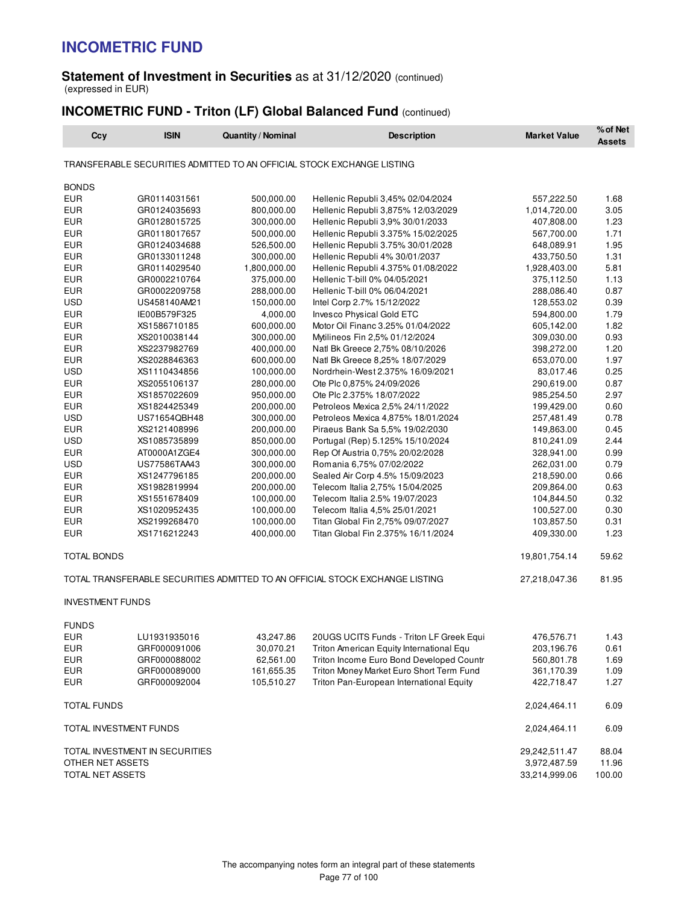## **Statement of Investment in Securities** as at 31/12/2020 (continued) (expressed in EUR)

# **INCOMETRIC FUND - Triton (LF) Global Balanced Fund** (continued)

| Ccy                      | <b>ISIN</b>                    | <b>Quantity / Nominal</b> | <b>Description</b>                                                           | <b>Market Value</b>      | % of Net<br><b>Assets</b> |
|--------------------------|--------------------------------|---------------------------|------------------------------------------------------------------------------|--------------------------|---------------------------|
|                          |                                |                           | TRANSFERABLE SECURITIES ADMITTED TO AN OFFICIAL STOCK EXCHANGE LISTING       |                          |                           |
| <b>BONDS</b>             |                                |                           |                                                                              |                          |                           |
| <b>EUR</b>               | GR0114031561                   | 500,000.00                | Hellenic Republi 3,45% 02/04/2024                                            | 557,222.50               | 1.68                      |
| <b>EUR</b>               | GR0124035693                   | 800,000.00                | Hellenic Republi 3,875% 12/03/2029                                           | 1,014,720.00             | 3.05                      |
| <b>EUR</b>               | GR0128015725                   | 300,000.00                | Hellenic Republi 3,9% 30/01/2033                                             | 407,808.00               | 1.23                      |
| <b>EUR</b>               | GR0118017657                   | 500,000.00                | Hellenic Republi 3.375% 15/02/2025                                           | 567,700.00               | 1.71                      |
| EUR                      | GR0124034688                   | 526,500.00                | Hellenic Republi 3.75% 30/01/2028                                            | 648,089.91               | 1.95                      |
| <b>EUR</b>               | GR0133011248                   | 300,000.00                | Hellenic Republi 4% 30/01/2037                                               | 433,750.50               | 1.31                      |
| <b>EUR</b>               | GR0114029540                   | 1,800,000.00              | Hellenic Republi 4.375% 01/08/2022                                           | 1,928,403.00             | 5.81                      |
| <b>EUR</b>               | GR0002210764                   | 375,000.00                | Hellenic T-bill 0% 04/05/2021                                                | 375,112.50               | 1.13                      |
| <b>EUR</b>               | GR0002209758                   | 288,000.00                | Hellenic T-bill 0% 06/04/2021                                                | 288,086.40               | 0.87                      |
| <b>USD</b>               | US458140AM21                   | 150,000.00                | Intel Corp 2.7% 15/12/2022                                                   | 128,553.02               | 0.39                      |
| <b>EUR</b>               | IE00B579F325                   | 4,000.00                  | Invesco Physical Gold ETC                                                    | 594,800.00               | 1.79                      |
| <b>EUR</b>               | XS1586710185                   | 600,000.00                | Motor Oil Financ 3.25% 01/04/2022                                            | 605,142.00               | 1.82                      |
| <b>EUR</b>               | XS2010038144                   | 300,000.00                | Mytilineos Fin 2,5% 01/12/2024                                               | 309,030.00               | 0.93                      |
| <b>EUR</b>               | XS2237982769                   | 400,000.00                | Natl Bk Greece 2,75% 08/10/2026                                              | 398,272.00               | 1.20                      |
| <b>EUR</b>               | XS2028846363                   | 600,000.00                | Natl Bk Greece 8,25% 18/07/2029                                              | 653,070.00               | 1.97                      |
| <b>USD</b>               | XS1110434856                   | 100,000.00                | Nordrhein-West 2.375% 16/09/2021                                             | 83,017.46                | 0.25                      |
| <b>EUR</b>               | XS2055106137                   | 280,000.00                | Ote Plc 0,875% 24/09/2026                                                    | 290,619.00               | 0.87                      |
| <b>EUR</b>               | XS1857022609                   | 950,000.00                | Ote Plc 2.375% 18/07/2022                                                    | 985,254.50               | 2.97                      |
| <b>EUR</b>               | XS1824425349                   | 200,000.00                | Petroleos Mexica 2,5% 24/11/2022                                             | 199,429.00               | 0.60                      |
| <b>USD</b>               | US71654QBH48                   | 300,000.00                | Petroleos Mexica 4,875% 18/01/2024                                           | 257,481.49               | 0.78                      |
| EUR                      | XS2121408996                   | 200,000.00                | Piraeus Bank Sa 5,5% 19/02/2030                                              | 149,863.00               | 0.45                      |
| <b>USD</b>               | XS1085735899                   | 850,000.00                | Portugal (Rep) 5.125% 15/10/2024                                             | 810,241.09               | 2.44                      |
| <b>EUR</b>               | AT0000A1ZGE4                   | 300,000.00                | Rep Of Austria 0,75% 20/02/2028                                              | 328,941.00               | 0.99                      |
| <b>USD</b>               | US77586TAA43                   | 300,000.00                | Romania 6,75% 07/02/2022                                                     | 262,031.00               | 0.79                      |
| <b>EUR</b>               | XS1247796185                   | 200,000.00                | Sealed Air Corp 4.5% 15/09/2023                                              | 218,590.00               | 0.66                      |
| <b>EUR</b>               | XS1982819994                   | 200,000.00                | Telecom Italia 2,75% 15/04/2025                                              | 209,864.00               | 0.63                      |
| <b>EUR</b><br><b>EUR</b> | XS1551678409                   | 100,000.00<br>100,000.00  | Telecom Italia 2.5% 19/07/2023                                               | 104,844.50               | 0.32<br>0.30              |
| EUR                      | XS1020952435<br>XS2199268470   | 100,000.00                | Telecom Italia 4,5% 25/01/2021<br>Titan Global Fin 2,75% 09/07/2027          | 100,527.00<br>103,857.50 | 0.31                      |
| <b>EUR</b>               | XS1716212243                   | 400,000.00                | Titan Global Fin 2.375% 16/11/2024                                           | 409,330.00               | 1.23                      |
|                          |                                |                           |                                                                              |                          |                           |
| TOTAL BONDS              |                                |                           |                                                                              | 19,801,754.14            | 59.62                     |
|                          |                                |                           | TOTAL TRANSFERABLE SECURITIES ADMITTED TO AN OFFICIAL STOCK EXCHANGE LISTING | 27,218,047.36            | 81.95                     |
| <b>INVESTMENT FUNDS</b>  |                                |                           |                                                                              |                          |                           |
| <b>FUNDS</b>             |                                |                           |                                                                              |                          |                           |
| EUR                      | LU1931935016                   | 43,247.86                 | 20UGS UCITS Funds - Triton LF Greek Equi                                     | 476,576.71               | 1.43                      |
| EUR                      | GRF000091006                   | 30,070.21                 | Triton American Equity International Equ                                     | 203,196.76               | 0.61                      |
| <b>EUR</b>               | GRF000088002                   | 62,561.00                 | Triton Income Euro Bond Developed Countr                                     | 560,801.78               | 1.69                      |
| <b>EUR</b>               | GRF000089000                   | 161,655.35                | Triton Money Market Euro Short Term Fund                                     | 361,170.39               | 1.09                      |
| EUR                      | GRF000092004                   | 105,510.27                | Triton Pan-European International Equity                                     | 422,718.47               | 1.27                      |
| TOTAL FUNDS              |                                |                           |                                                                              | 2,024,464.11             | 6.09                      |
| TOTAL INVESTMENT FUNDS   |                                |                           |                                                                              | 2,024,464.11             | 6.09                      |
|                          | TOTAL INVESTMENT IN SECURITIES |                           |                                                                              | 29,242,511.47            | 88.04                     |
| OTHER NET ASSETS         |                                |                           |                                                                              | 3,972,487.59             | 11.96                     |
| TOTAL NET ASSETS         |                                |                           |                                                                              | 33,214,999.06            | 100.00                    |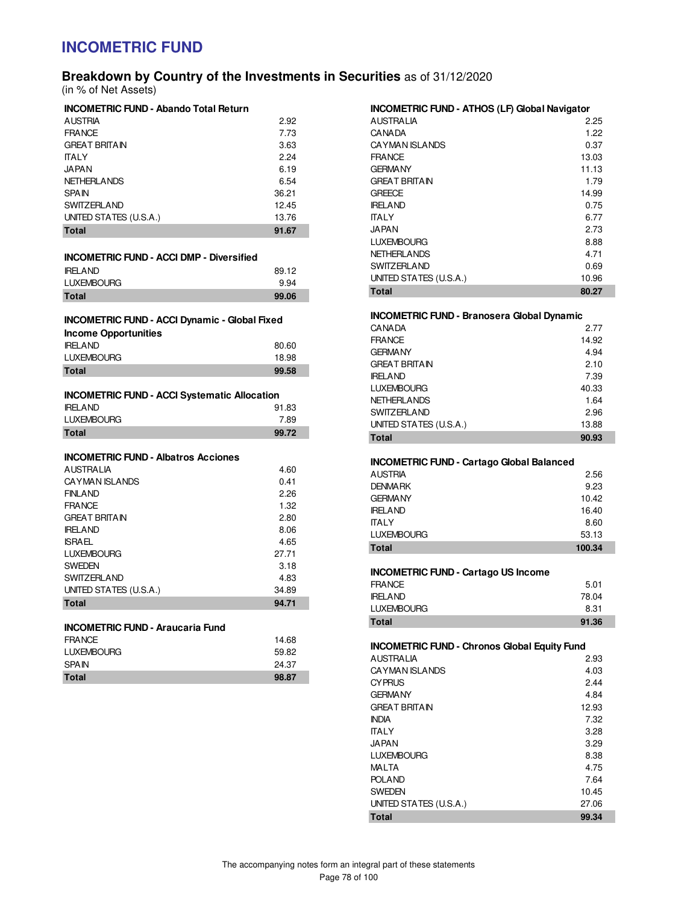# **Breakdown by Country of the Investments in Securities** as of 31/12/2020

(in % of Net Assets)

| <b>INCOMETRIC FUND - Abando Total Return</b> |       |
|----------------------------------------------|-------|
| <b>AUSTRIA</b>                               | 2.92  |
| <b>FRANCE</b>                                | 7.73  |
| <b>GREAT BRITAIN</b>                         | 3.63  |
| <b>TALY</b>                                  | 2.24  |
| <b>JAPAN</b>                                 | 6.19  |
| <b>NETHERLANDS</b>                           | 6.54  |
| <b>SPAIN</b>                                 | 36.21 |
| <b>SWITZERLAND</b>                           | 12.45 |
| UNITED STATES (U.S.A.)                       | 13.76 |
| <b>Total</b>                                 | 91.67 |

| <b>INCOMETRIC FUND - ACCI DMP - Diversified</b> |  |
|-------------------------------------------------|--|
| IDEI AND                                        |  |

| <b>Total</b>      | 99.06 |
|-------------------|-------|
| <b>LUXEMBOURG</b> | 9.94  |
| <b>IRELAND</b>    | 89.12 |

# **INCOMETRIC FUND - ACCI Dynamic - Global Fixed**

| <b>Income Opportunities</b> |       |
|-----------------------------|-------|
| <b>IRELAND</b>              | 80.60 |
| <b>LUXEMBOURG</b>           | 18.98 |
| <b>Total</b>                | 99.58 |

### **INCOMETRIC FUND - ACCI Systematic Allocation**

| <b>IRELAND</b>    | 91.83 |
|-------------------|-------|
| <b>LUXEMBOURG</b> | 7.89  |
| <b>Total</b>      | 99.72 |

### **INCOMETRIC FUND - Albatros Acciones**

| <b>AUSTRALIA</b>       | 4.60  |
|------------------------|-------|
| <b>CAYMAN ISLANDS</b>  | 0.41  |
| <b>FINLAND</b>         | 2.26  |
| <b>FRANCE</b>          | 1.32  |
| <b>GREAT BRITAIN</b>   | 2.80  |
| <b>IRELAND</b>         | 8.06  |
| <b>ISRAEL</b>          | 4.65  |
| <b>LUXEMBOURG</b>      | 27.71 |
| <b>SWEDEN</b>          | 3.18  |
| <b>SWITZERLAND</b>     | 4.83  |
| UNITED STATES (U.S.A.) | 34.89 |
| <b>Total</b>           | 94.71 |

## **INCOMETRIC FUND - Araucaria Fund**

| FRANCE            | 14.68 |
|-------------------|-------|
| <b>LUXEMBOURG</b> | 59.82 |
| <b>SPAIN</b>      | 24.37 |
| Total             | 98.87 |

### **INCOMETRIC FUND - ATHOS (LF) Global Navigator**

| <b>AUSTRALIA</b>       | 2.25  |
|------------------------|-------|
| <b>CANADA</b>          | 1.22  |
| <b>CAYMAN ISLANDS</b>  | 0.37  |
| <b>FRANCE</b>          | 13.03 |
| <b>GERMANY</b>         | 11.13 |
| <b>GREAT BRITAIN</b>   | 1.79  |
| <b>GREECE</b>          | 14.99 |
| <b>IRFI AND</b>        | 0.75  |
| <b>ITALY</b>           | 6.77  |
| <b>JAPAN</b>           | 2.73  |
| <b>LUXEMBOURG</b>      | 8.88  |
| <b>NETHERLANDS</b>     | 4.71  |
| <b>SWITZERLAND</b>     | 0.69  |
| UNITED STATES (U.S.A.) | 10.96 |
| Total                  | 80.27 |

### **INCOMETRIC FUND - Branosera Global Dynamic**

| <b>CANADA</b>          | 2.77  |
|------------------------|-------|
| <b>FRANCE</b>          | 14.92 |
| <b>GERMANY</b>         | 4.94  |
| <b>GREAT BRITAIN</b>   | 2.10  |
| <b>IRFI AND</b>        | 7.39  |
| <b>LUXEMBOURG</b>      | 40.33 |
| <b>NETHERLANDS</b>     | 1.64  |
| <b>SWITZERLAND</b>     | 2.96  |
| UNITED STATES (U.S.A.) | 13.88 |
| Total                  | 90.93 |

### **INCOMETRIC FUND - Cartago Global Balanced**

| --                |        |
|-------------------|--------|
| <b>AUSTRIA</b>    | 2.56   |
| <b>DENMARK</b>    | 9.23   |
| <b>GERMANY</b>    | 10.42  |
| <b>IRELAND</b>    | 16.40  |
| <b>ITALY</b>      | 8.60   |
| <b>LUXEMBOURG</b> | 53.13  |
| Total             | 100.34 |

### **INCOMETRIC FUND - Cartago US Income**

| Total             | 91.36 |
|-------------------|-------|
| <b>LUXEMBOURG</b> | 8.31  |
| IRELAND.          | 78.04 |
| FRANCE            | 5.01  |

### **INCOMETRIC FUND - Chronos Global Equity Fund**

| <b>AUSTRALIA</b>       | 2.93  |
|------------------------|-------|
| <b>CAYMAN ISLANDS</b>  | 4.03  |
| <b>CYPRUS</b>          | 2.44  |
| <b>GERMANY</b>         | 4.84  |
| <b>GREAT BRITAIN</b>   | 12.93 |
| <b>INDIA</b>           | 7.32  |
| <b>ITALY</b>           | 3.28  |
| <b>JAPAN</b>           | 3.29  |
| <b>LUXEMBOURG</b>      | 8.38  |
| MALTA                  | 4.75  |
| <b>POLAND</b>          | 7.64  |
| <b>SWEDEN</b>          | 10.45 |
| UNITED STATES (U.S.A.) | 27.06 |
| <b>Total</b>           | 99.34 |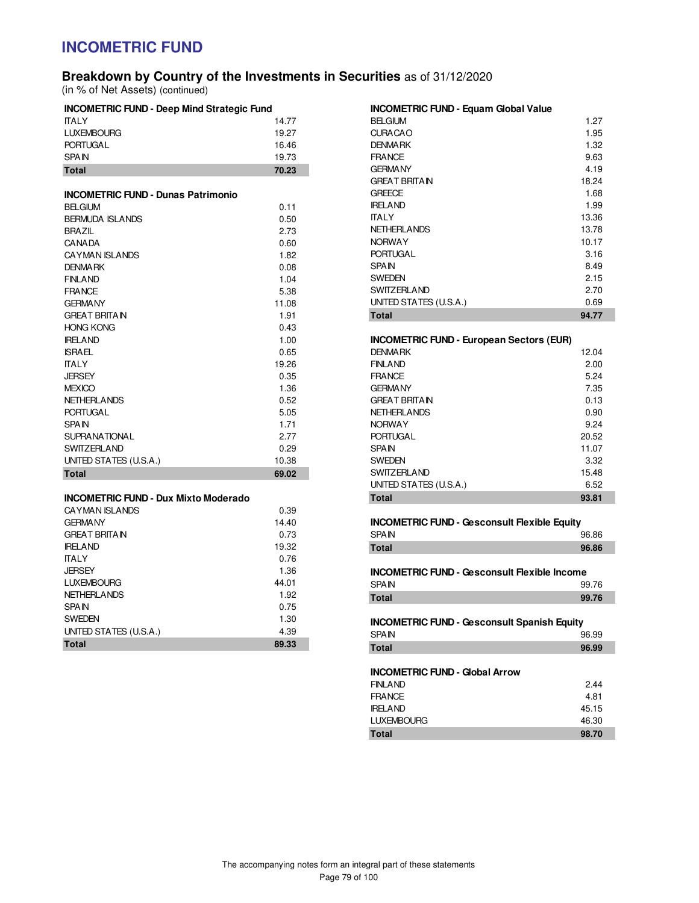# **Breakdown by Country of the Investments in Securities** as of 31/12/2020

(in % of Net Assets) (continued)

| <b>INCOMETRIC FUND - Deep Mind Strategic Fund</b>                        |              |  |
|--------------------------------------------------------------------------|--------------|--|
| <b>ITALY</b>                                                             | 14.77        |  |
| <b>LUXEMBOURG</b>                                                        | 19.27        |  |
| <b>PORTUGAL</b>                                                          | 16.46        |  |
| <b>SPAIN</b>                                                             | 19.73        |  |
| <b>Total</b>                                                             | 70.23        |  |
|                                                                          |              |  |
| <b>INCOMETRIC FUND - Dunas Patrimonio</b>                                |              |  |
| <b>BELGIUM</b>                                                           | 0.11         |  |
| <b>BERMUDA ISLANDS</b>                                                   | 0.50         |  |
| <b>BRAZIL</b>                                                            | 2.73         |  |
| <b>CANADA</b>                                                            | 0.60         |  |
| CAYMAN ISLANDS                                                           | 1.82         |  |
| <b>DENMARK</b>                                                           | 0.08         |  |
| <b>FINLAND</b>                                                           | 1.04         |  |
| <b>FRANCE</b>                                                            | 5.38         |  |
| <b>GERMANY</b>                                                           | 11.08        |  |
| <b>GREAT BRITAIN</b>                                                     | 1.91         |  |
| <b>HONG KONG</b>                                                         | 0.43         |  |
| <b>IRELAND</b>                                                           | 1.00         |  |
| <b>ISRAEL</b>                                                            | 0.65         |  |
| <b>TALY</b>                                                              | 19.26        |  |
| <b>JERSEY</b>                                                            | 0.35         |  |
| <b>MEXICO</b>                                                            | 1.36         |  |
| <b>NETHERLANDS</b>                                                       | 0.52         |  |
| <b>PORTUGAL</b>                                                          | 5.05         |  |
| <b>SPAIN</b>                                                             | 1.71         |  |
| <b>SUPRANATIONAL</b>                                                     | 2.77         |  |
| <b>SWITZERLAND</b>                                                       | 0.29         |  |
| UNITED STATES (U.S.A.)                                                   | 10.38        |  |
| <b>Total</b>                                                             | 69.02        |  |
|                                                                          |              |  |
| <b>INCOMETRIC FUND - Dux Mixto Moderado</b>                              |              |  |
| <b>CAYMAN ISLANDS</b><br>$\cap$ $\cap$ $\cap$ $\wedge$ $\wedge$ $\wedge$ | 0.39<br>1111 |  |

| 19.26 | <b>FINLAND</b>         |
|-------|------------------------|
| 0.35  | <b>FRANCE</b>          |
| 1.36  | <b>GERMANY</b>         |
| 0.52  | <b>GREAT BRITAIN</b>   |
| 5.05  | <b>NETHERLANDS</b>     |
| 1.71  | <b>NORWAY</b>          |
| 2.77  | <b>PORTUGAL</b>        |
| 0.29  | <b>SPAIN</b>           |
| 10.38 | <b>SWEDEN</b>          |
| 69.02 | <b>SWITZERLAND</b>     |
|       | INITER CTATEC /IIC A \ |

| CAYMAN ISLANDS         | 0.39  |
|------------------------|-------|
| <b>GERMANY</b>         | 14.40 |
| <b>GREAT BRITAIN</b>   | 0.73  |
| <b>IRELAND</b>         | 19.32 |
| <b>ITAI Y</b>          | 0.76  |
| <b>JERSEY</b>          | 1.36  |
| <b>LUXEMBOURG</b>      | 44.01 |
| <b>NETHERLANDS</b>     | 1.92  |
| <b>SPAIN</b>           | 0.75  |
| <b>SWEDEN</b>          | 1.30  |
| UNITED STATES (U.S.A.) | 4.39  |
| <b>Total</b>           | 89.33 |

#### **INCOMETRIC FUND - Equam Global Value**

| Total                  | 94.77 |
|------------------------|-------|
| UNITED STATES (U.S.A.) | 0.69  |
| <b>SWITZERLAND</b>     | 2.70  |
| <b>SWEDEN</b>          | 2.15  |
| <b>SPAIN</b>           | 8.49  |
| <b>PORTUGAL</b>        | 3.16  |
| <b>NORWAY</b>          | 10.17 |
| <b>NETHERLANDS</b>     | 13.78 |
| ITALY                  | 13.36 |
| <b>IRELAND</b>         | 1.99  |
| <b>GREECE</b>          | 1.68  |
| <b>GREAT BRITAIN</b>   | 18.24 |
| <b>GERMANY</b>         | 4.19  |
| <b>FRANCE</b>          | 9.63  |
| <b>DENMARK</b>         | 1.32  |
| <b>CURACAO</b>         | 1.95  |
| <b>BELGIUM</b>         | 1.27  |
|                        |       |

### **INCOMETRIC FUND - European Sectors (EUR)**

| <b>DENMARK</b>         | 12.04 |
|------------------------|-------|
| <b>FINLAND</b>         | 2.00  |
| <b>FRANCE</b>          | 5.24  |
| <b>GERMANY</b>         | 7.35  |
| <b>GREAT BRITAIN</b>   | 0.13  |
| NETHERLANDS            | 0.90  |
| <b>NORWAY</b>          | 9.24  |
| <b>PORTUGAL</b>        | 20.52 |
| <b>SPAIN</b>           | 11.07 |
| <b>SWEDEN</b>          | 3.32  |
| <b>SWITZERLAND</b>     | 15.48 |
| UNITED STATES (U.S.A.) | 6.52  |
| Total                  | 93.81 |

| <b>INCOMETRIC FUND - Gesconsult Flexible Equity</b> |       |
|-----------------------------------------------------|-------|
| <b>SPAIN</b>                                        | 96.86 |
| Total                                               | 96.86 |

**INCOMETRIC FUND - Gesconsult Flexible Income**<br>SPAIN 99.76 **SPAIN Total 99.76** 

#### **INCOMETRIC FUND - Gesconsult Spanish Equity** SPAIN 96.99

| Total | 96.99 |
|-------|-------|
| SPAIN | 96.99 |

### **INCOMETRIC FUND - Global Arrow**

| <b>FINLAND</b>    | 2.44  |
|-------------------|-------|
| <b>FRANCE</b>     | 4.81  |
| <b>IRELAND</b>    | 45.15 |
| <b>LUXEMBOURG</b> | 46.30 |
| Total             | 98.70 |
|                   |       |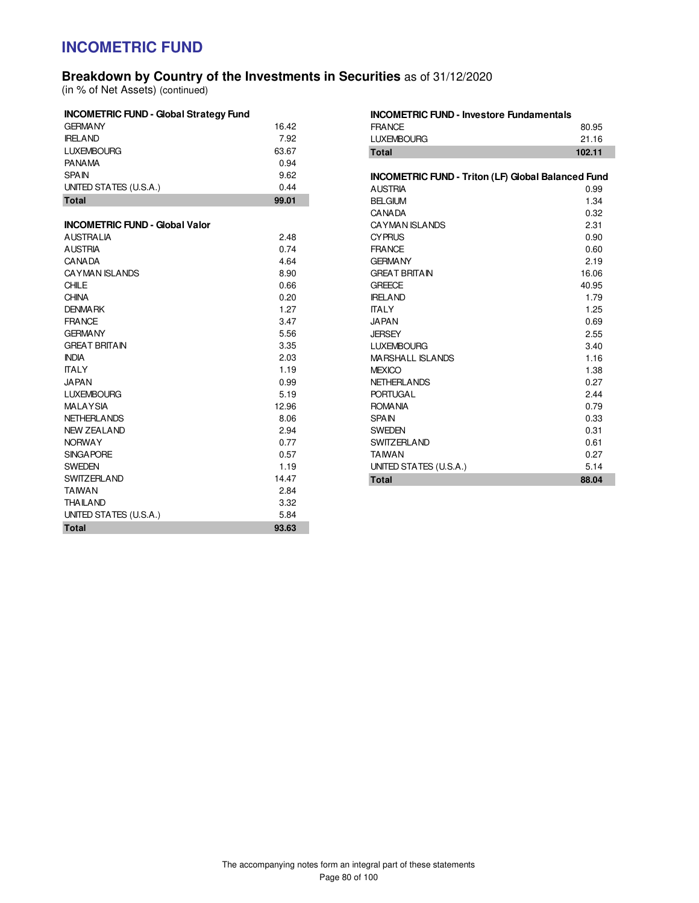## **Breakdown by Country of the Investments in Securities** as of 31/12/2020

(in % of Net Assets) (continued)

| <b>INCOMETRIC FUND - Global Strategy Fund</b> |       |
|-----------------------------------------------|-------|
| <b>GERMANY</b>                                | 16.42 |
| <b>IRELAND</b>                                | 7.92  |
| <b>LUXEMBOURG</b>                             | 63.67 |
| <b>PANAMA</b>                                 | 0.94  |
| <b>SPAIN</b>                                  | 9.62  |
| UNITED STATES (U.S.A.)                        | 0.44  |
| <b>Total</b>                                  | 99.01 |
| <b>INCOMETRIC FUND - Global Valor</b>         |       |
| <b>AUSTRALIA</b>                              | 2.48  |
| <b>AUSTRIA</b>                                | 0.74  |
| <b>CANADA</b>                                 | 4.64  |
| <b>CAYMAN ISLANDS</b>                         | 8.90  |
| CHILE                                         | 0.66  |
| <b>CHINA</b>                                  | 0.20  |
| <b>DENMARK</b>                                | 1.27  |
| <b>FRANCE</b>                                 | 3.47  |
| <b>GERMANY</b>                                | 5.56  |
| <b>GREAT BRITAIN</b>                          | 3.35  |
| <b>INDIA</b>                                  | 2.03  |
| <b>ITALY</b>                                  | 1.19  |
| JAPAN                                         | 0.99  |
| <b>LUXEMBOURG</b>                             | 5.19  |
| <b>MALAYSIA</b>                               | 12.96 |
| <b>NETHERLANDS</b>                            | 8.06  |
| <b>NEW ZEALAND</b>                            | 2.94  |
| <b>NORWAY</b>                                 | 0.77  |
| <b>SINGAPORE</b>                              | 0.57  |
| <b>SWEDEN</b>                                 | 1.19  |
| <b>SWITZERLAND</b>                            | 14.47 |
| <b>TAIWAN</b>                                 | 2.84  |
| THAILAND                                      | 3.32  |
| UNITED STATES (U.S.A.)                        | 5.84  |
| <b>Total</b>                                  | 93.63 |

| <b>INCOMETRIC FUND - Investore Fundamentals</b>           |        |  |
|-----------------------------------------------------------|--------|--|
| <b>FRANCE</b>                                             | 80.95  |  |
| <b>LUXEMBOURG</b>                                         | 21.16  |  |
| <b>Total</b>                                              | 102.11 |  |
|                                                           |        |  |
| <b>INCOMETRIC FUND - Triton (LF) Global Balanced Fund</b> |        |  |
| <b>AUSTRIA</b>                                            | 0.99   |  |
| <b>BELGIUM</b>                                            | 1.34   |  |
| <b>CANADA</b>                                             | 0.32   |  |
| <b>CAYMAN ISLANDS</b>                                     | 2.31   |  |
| <b>CYPRUS</b>                                             | 0.90   |  |
| <b>FRANCE</b>                                             | 0.60   |  |
| <b>GFRMANY</b>                                            | 2.19   |  |
| <b>GREAT BRITAIN</b>                                      | 16.06  |  |
| <b>GREECE</b>                                             | 40.95  |  |
| <b>IRELAND</b>                                            | 1.79   |  |
| <b>ITALY</b>                                              | 1.25   |  |
| <b>JAPAN</b>                                              | 0.69   |  |
| <b>JERSEY</b>                                             | 2.55   |  |
| <b>LUXEMBOURG</b>                                         | 3.40   |  |
| <b>MARSHALL ISLANDS</b>                                   | 1.16   |  |
| <b>MEXICO</b>                                             | 1.38   |  |
| <b>NETHERLANDS</b>                                        | 0.27   |  |
| <b>PORTUGAL</b>                                           | 2.44   |  |
| <b>ROMANIA</b>                                            | 0.79   |  |
| <b>SPAIN</b>                                              | 0.33   |  |
| <b>SWEDEN</b>                                             | 0.31   |  |
| <b>SWITZERLAND</b>                                        | 0.61   |  |
| <b>TAIWAN</b>                                             | 0.27   |  |
| UNITED STATES (U.S.A.)                                    | 5.14   |  |
| <b>Total</b>                                              | 88.04  |  |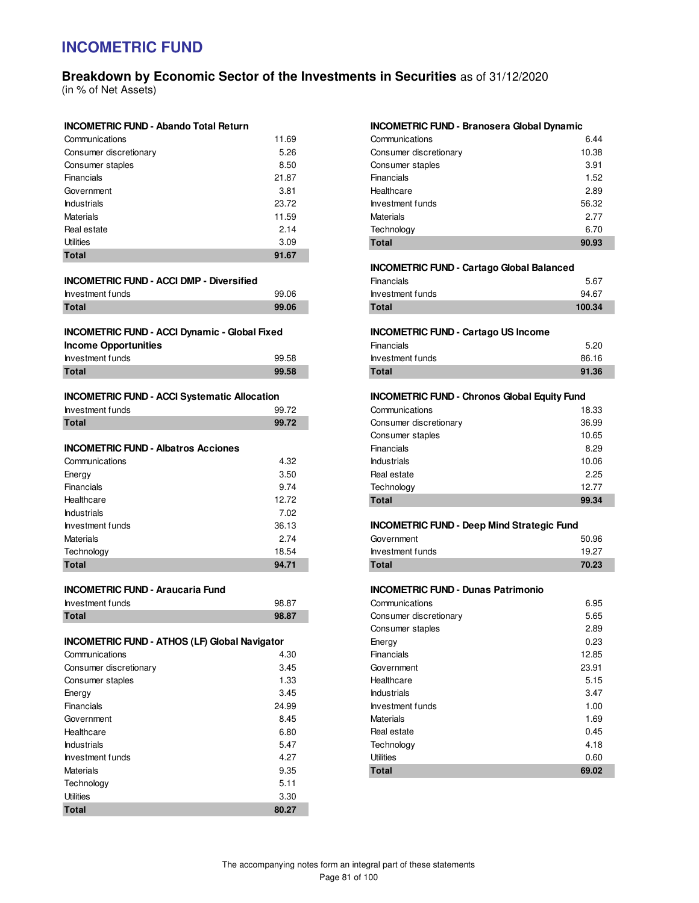# **Breakdown by Economic Sector of the Investments in Securities** as of 31/12/2020

(in % of Net Assets)

| <b>Total</b>           | 91.67 |
|------------------------|-------|
| Utilities              | 3.09  |
| Real estate            | 2.14  |
| <b>Materials</b>       | 11.59 |
| <b>Industrials</b>     | 23.72 |
| Government             | 3.81  |
| <b>Financials</b>      | 21.87 |
| Consumer staples       | 8.50  |
| Consumer discretionary | 5.26  |
| Communications         | 11.69 |

#### **INCOMETRIC FUND - ACCI DMP - Diversified**

| Investment funds | 99.06 |
|------------------|-------|
| Total            | 99.06 |

| <b>INCOMETRIC FUND - ACCI Dynamic - Global Fixed</b> |       |
|------------------------------------------------------|-------|
| <b>Income Opportunities</b>                          |       |
| Investment funds                                     | 99.58 |
| <b>Total</b>                                         | 99.58 |

### **INCOMETRIC FUND - ACCI Systematic Allocation**

| Investment funds | 99.72 |
|------------------|-------|
| <b>Total</b>     | 99.72 |

### **INCOMETRIC FUND - Albatros Acciones**

| Communications     | 4.32  |
|--------------------|-------|
| Energy             | 3.50  |
| Financials         | 9.74  |
| Healthcare         | 12.72 |
| <b>Industrials</b> | 7.02  |
| Investment funds   | 36.13 |
| <b>Materials</b>   | 2.74  |
| Technology         | 18.54 |
| <b>Total</b>       | 94.71 |

### **INCOMETRIC FUND - Araucaria Fund**

| Investment funds | 98.87 |
|------------------|-------|
| Total            | 98.87 |

### **INCOMETRIC FUND - ATHOS (LF) Global Navigator**

| Total                  | 80.27 |
|------------------------|-------|
| Utilities              | 3.30  |
| Technology             | 5.11  |
| Materials              | 9.35  |
| Investment funds       | 4.27  |
| <b>Industrials</b>     | 5.47  |
| Healthcare             | 6.80  |
| Government             | 8.45  |
| Financials             | 24.99 |
| Energy                 | 3.45  |
| Consumer staples       | 1.33  |
| Consumer discretionary | 3.45  |
| Communications         | 4.30  |

### **INCOMETRIC FUND - Branosera Global Dynamic**

| <b>Total</b>           | 90.93 |
|------------------------|-------|
| Technology             | 6.70  |
| <b>Materials</b>       | 2.77  |
| Investment funds       | 56.32 |
| Healthcare             | 2.89  |
| Financials             | 1.52  |
| Consumer staples       | 3.91  |
| Consumer discretionary | 10.38 |
| Communications         | 6.44  |

#### **INCOMETRIC FUND - Cartago Global Balanced**

| Total            | 100.34 |
|------------------|--------|
| Investment funds | 94.67  |
| Financials       | 5.67   |

#### **INCOMETRIC FUND - Cartago US Income**

| Financials       | 5.20  |
|------------------|-------|
| Investment funds | 86.16 |
| Total            | 91.36 |

### **INCOMETRIC FUND - Chronos Global Equity Fund**

| <b>Total</b>           | 99.34 |
|------------------------|-------|
| Technology             | 12.77 |
| Real estate            | 2.25  |
| <b>Industrials</b>     | 10.06 |
| Financials             | 8.29  |
| Consumer staples       | 10.65 |
| Consumer discretionary | 36.99 |
| Communications         | 18.33 |

#### **INCOMETRIC FUND - Deep Mind Strategic Fund**

| Total            | 70.23 |
|------------------|-------|
| Investment funds | 19.27 |
| Government       | 50.96 |

### **INCOMETRIC FUND - Dunas Patrimonio**

| Communications         | 6.95  |
|------------------------|-------|
| Consumer discretionary | 5.65  |
| Consumer staples       | 2.89  |
| Energy                 | 0.23  |
| Financials             | 12.85 |
| Government             | 23.91 |
| Healthcare             | 5.15  |
| <b>Industrials</b>     | 3.47  |
| Investment funds       | 1.00  |
| Materials              | 1.69  |
| Real estate            | 0.45  |
| Technology             | 4.18  |
| <b>Utilities</b>       | 0.60  |
| Total                  | 69.02 |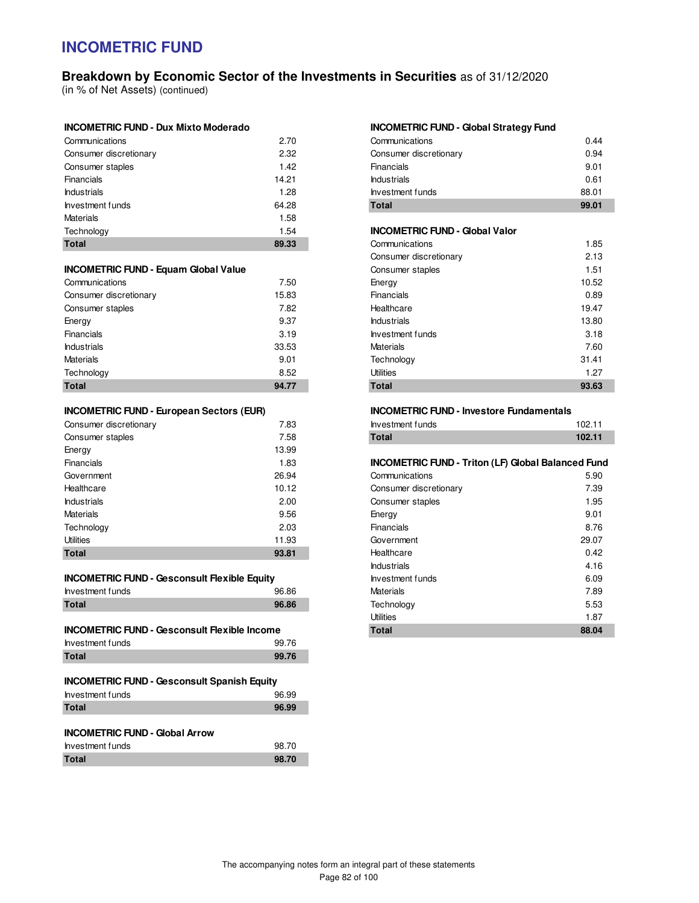# **Breakdown by Economic Sector of the Investments in Securities** as of 31/12/2020

(in % of Net Assets) (continued)

| Communications         | 2.70  |
|------------------------|-------|
| Consumer discretionary | 2.32  |
| Consumer staples       | 1.42  |
| Financials             | 14.21 |
| <b>Industrials</b>     | 1.28  |
| Investment funds       | 64.28 |
| <b>Materials</b>       | 1.58  |
| Technology             | 1.54  |
| <b>Total</b>           | 89.33 |

### **INCOMETRIC FUND - Equam Global Value**

| Communications         | 7.50  |
|------------------------|-------|
| Consumer discretionary | 15.83 |
| Consumer staples       | 7.82  |
| Energy                 | 9.37  |
| Financials             | 3.19  |
| <b>Industrials</b>     | 33.53 |
| <b>Materials</b>       | 9.01  |
| Technology             | 8.52  |
| <b>Total</b>           | 94.77 |

### **INCOMETRIC FUND - European Sectors (EUR)**

| Consumer discretionary | 7.83  |
|------------------------|-------|
| Consumer staples       | 7.58  |
| Energy                 | 13.99 |
| Financials             | 1.83  |
| Government             | 26.94 |
| Healthcare             | 10.12 |
| <b>Industrials</b>     | 2.00  |
| <b>Materials</b>       | 9.56  |
| Technology             | 2.03  |
| <b>Utilities</b>       | 11.93 |
| Total                  | 93.81 |

| <b>INCOMETRIC FUND - Gesconsult Flexible Equity</b> |
|-----------------------------------------------------|
|-----------------------------------------------------|

| Investment funds | 96.86 |
|------------------|-------|
| <b>Total</b>     | 96.86 |

| <b>INCOMETRIC FUND - Gesconsult Flexible Income</b> |       |
|-----------------------------------------------------|-------|
| Investment funds                                    | 99.76 |
| Total                                               | 99.76 |

| <b>INCOMETRIC FUND - Gesconsult Spanish Equity</b> |       |  |  |  |
|----------------------------------------------------|-------|--|--|--|
| Investment funds                                   | 96.99 |  |  |  |
| <b>Total</b>                                       | 96.99 |  |  |  |
|                                                    |       |  |  |  |
| <b>INCOMETRIC FUND - Global Arrow</b>              |       |  |  |  |
| Investment funds                                   | 98.70 |  |  |  |
| Total                                              | 98.70 |  |  |  |

#### **INCOMETRIC FUND - Global Strategy Fund**

| Total                  | 99.01 |
|------------------------|-------|
| Investment funds       | 88.01 |
| <b>Industrials</b>     | 0.61  |
| Financials             | 9.01  |
| Consumer discretionary | 0.94  |
| Communications         | 0.44  |

#### **INCOMETRIC FUND - Global Valor**

| Communications         | 1.85  |
|------------------------|-------|
| Consumer discretionary | 2.13  |
| Consumer staples       | 1.51  |
| Energy                 | 10.52 |
| Financials             | 0.89  |
| Healthcare             | 19.47 |
| <b>Industrials</b>     | 13.80 |
| Investment funds       | 3.18  |
| Materials              | 7.60  |
| Technology             | 31.41 |
| <b>Utilities</b>       | 1.27  |
| Total                  | 93.63 |

#### **INCOMETRIC FUND - Investore Fundamentals**

| <b>Investment funds</b> | 102.11 |
|-------------------------|--------|
| Total                   | 102.11 |

#### **INCOMETRIC FUND - Triton (LF) Global Balanced Fund**

| Total                  | 88.04 |
|------------------------|-------|
| <b>Utilities</b>       | 1.87  |
| Technology             | 5.53  |
| Materials              | 7.89  |
| Investment funds       | 6.09  |
| <b>Industrials</b>     | 4.16  |
| Healthcare             | 0.42  |
| Government             | 29.07 |
| Financials             | 8.76  |
| Energy                 | 9.01  |
| Consumer staples       | 1.95  |
| Consumer discretionary | 7.39  |
| Communications         | 5.90  |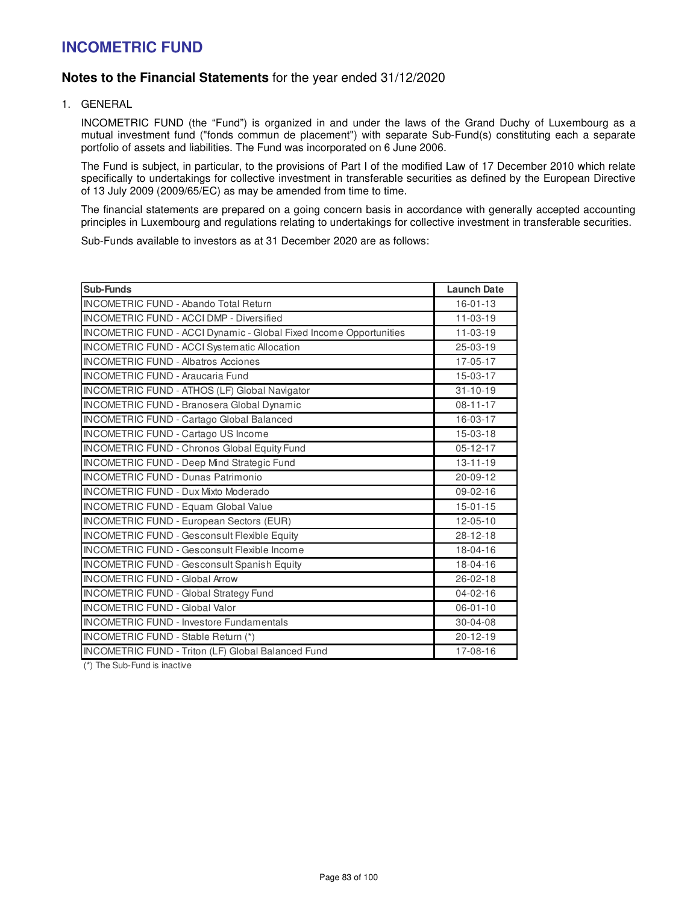## **Notes to the Financial Statements** for the year ended 31/12/2020

1. GENERAL

INCOMETRIC FUND (the "Fund") is organized in and under the laws of the Grand Duchy of Luxembourg as a mutual investment fund ("fonds commun de placement") with separate Sub-Fund(s) constituting each a separate portfolio of assets and liabilities. The Fund was incorporated on 6 June 2006.

The Fund is subject, in particular, to the provisions of Part I of the modified Law of 17 December 2010 which relate specifically to undertakings for collective investment in transferable securities as defined by the European Directive of 13 July 2009 (2009/65/EC) as may be amended from time to time.

The financial statements are prepared on a going concern basis in accordance with generally accepted accounting principles in Luxembourg and regulations relating to undertakings for collective investment in transferable securities.

Sub-Funds available to investors as at 31 December 2020 are as follows:

| <b>Sub-Funds</b>                                                   | <b>Launch Date</b> |
|--------------------------------------------------------------------|--------------------|
| <b>INCOMETRIC FUND - Abando Total Return</b>                       | $16 - 01 - 13$     |
| INCOMETRIC FUND - ACCI DMP - Diversified                           | $11 - 03 - 19$     |
| INCOMETRIC FUND - ACCI Dynamic - Global Fixed Income Opportunities | $11 - 03 - 19$     |
| INCOMETRIC FUND - ACCI Systematic Allocation                       | 25-03-19           |
| <b>INCOMETRIC FUND - Albatros Acciones</b>                         | 17-05-17           |
| <b>INCOMETRIC FUND - Araucaria Fund</b>                            | 15-03-17           |
| INCOMETRIC FUND - ATHOS (LF) Global Navigator                      | $31 - 10 - 19$     |
| <b>INCOMETRIC FUND - Branosera Global Dynamic</b>                  | $08 - 11 - 17$     |
| INCOMETRIC FUND - Cartago Global Balanced                          | 16-03-17           |
| <b>INCOMETRIC FUND - Cartago US Income</b>                         | $15-03-18$         |
| <b>INCOMETRIC FUND - Chronos Global Equity Fund</b>                | $05 - 12 - 17$     |
| <b>INCOMETRIC FUND - Deep Mind Strategic Fund</b>                  | $13 - 11 - 19$     |
| <b>INCOMETRIC FUND - Dunas Patrimonio</b>                          | 20-09-12           |
| <b>INCOMETRIC FUND - Dux Mixto Moderado</b>                        | $09 - 02 - 16$     |
| <b>INCOMETRIC FUND - Equam Global Value</b>                        | $15 - 01 - 15$     |
| <b>INCOMETRIC FUND - European Sectors (EUR)</b>                    | $12 - 05 - 10$     |
| <b>INCOMETRIC FUND - Gesconsult Flexible Equity</b>                | 28-12-18           |
| <b>INCOMETRIC FUND - Gesconsult Flexible Income</b>                | 18-04-16           |
| <b>INCOMETRIC FUND - Gesconsult Spanish Equity</b>                 | 18-04-16           |
| <b>INCOMETRIC FUND - Global Arrow</b>                              | 26-02-18           |
| <b>INCOMETRIC FUND - Global Strategy Fund</b>                      | $04 - 02 - 16$     |
| <b>INCOMETRIC FUND - Global Valor</b>                              | $06 - 01 - 10$     |
| <b>INCOMETRIC FUND - Investore Fundamentals</b>                    | 30-04-08           |
| INCOMETRIC FUND - Stable Return (*)                                | $20 - 12 - 19$     |
| INCOMETRIC FUND - Triton (LF) Global Balanced Fund                 | 17-08-16           |

(\*) The Sub-Fund is inactive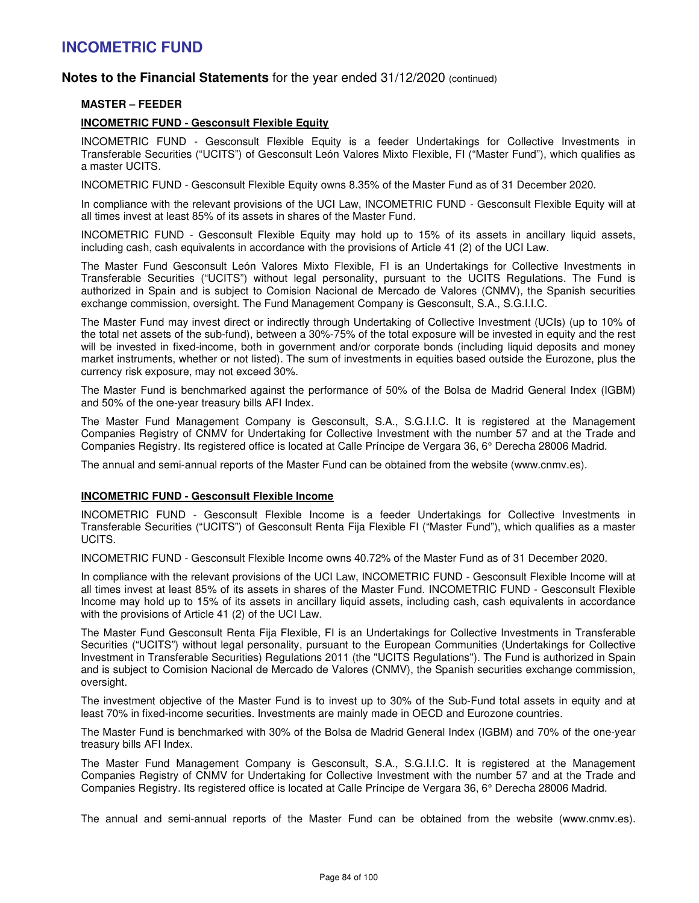## **Notes to the Financial Statements** for the year ended 31/12/2020 (continued)

### **MASTER – FEEDER**

### **INCOMETRIC FUND - Gesconsult Flexible Equity**

INCOMETRIC FUND - Gesconsult Flexible Equity is a feeder Undertakings for Collective Investments in Transferable Securities ("UCITS") of Gesconsult León Valores Mixto Flexible, FI ("Master Fund"), which qualifies as a master UCITS.

INCOMETRIC FUND - Gesconsult Flexible Equity owns 8.35% of the Master Fund as of 31 December 2020.

In compliance with the relevant provisions of the UCI Law, INCOMETRIC FUND - Gesconsult Flexible Equity will at all times invest at least 85% of its assets in shares of the Master Fund.

INCOMETRIC FUND - Gesconsult Flexible Equity may hold up to 15% of its assets in ancillary liquid assets, including cash, cash equivalents in accordance with the provisions of Article 41 (2) of the UCI Law.

The Master Fund Gesconsult León Valores Mixto Flexible, FI is an Undertakings for Collective Investments in Transferable Securities ("UCITS") without legal personality, pursuant to the UCITS Regulations. The Fund is authorized in Spain and is subject to Comision Nacional de Mercado de Valores (CNMV), the Spanish securities exchange commission, oversight. The Fund Management Company is Gesconsult, S.A., S.G.I.I.C.

The Master Fund may invest direct or indirectly through Undertaking of Collective Investment (UCIs) (up to 10% of the total net assets of the sub-fund), between a 30%-75% of the total exposure will be invested in equity and the rest will be invested in fixed-income, both in government and/or corporate bonds (including liquid deposits and money market instruments, whether or not listed). The sum of investments in equities based outside the Eurozone, plus the currency risk exposure, may not exceed 30%.

The Master Fund is benchmarked against the performance of 50% of the Bolsa de Madrid General Index (IGBM) and 50% of the one-year treasury bills AFI Index.

The Master Fund Management Company is Gesconsult, S.A., S.G.I.I.C. It is registered at the Management Companies Registry of CNMV for Undertaking for Collective Investment with the number 57 and at the Trade and Companies Registry. Its registered office is located at Calle Príncipe de Vergara 36, 6° Derecha 28006 Madrid.

The annual and semi-annual reports of the Master Fund can be obtained from the website (www.cnmv.es).

### **INCOMETRIC FUND - Gesconsult Flexible Income**

INCOMETRIC FUND - Gesconsult Flexible Income is a feeder Undertakings for Collective Investments in Transferable Securities ("UCITS") of Gesconsult Renta Fija Flexible FI ("Master Fund"), which qualifies as a master UCITS.

INCOMETRIC FUND - Gesconsult Flexible Income owns 40.72% of the Master Fund as of 31 December 2020.

In compliance with the relevant provisions of the UCI Law, INCOMETRIC FUND - Gesconsult Flexible Income will at all times invest at least 85% of its assets in shares of the Master Fund. INCOMETRIC FUND - Gesconsult Flexible Income may hold up to 15% of its assets in ancillary liquid assets, including cash, cash equivalents in accordance with the provisions of Article 41 (2) of the UCI Law.

The Master Fund Gesconsult Renta Fija Flexible, FI is an Undertakings for Collective Investments in Transferable Securities ("UCITS") without legal personality, pursuant to the European Communities (Undertakings for Collective Investment in Transferable Securities) Regulations 2011 (the "UCITS Regulations"). The Fund is authorized in Spain and is subject to Comision Nacional de Mercado de Valores (CNMV), the Spanish securities exchange commission, oversight.

The investment objective of the Master Fund is to invest up to 30% of the Sub-Fund total assets in equity and at least 70% in fixed-income securities. Investments are mainly made in OECD and Eurozone countries.

The Master Fund is benchmarked with 30% of the Bolsa de Madrid General Index (IGBM) and 70% of the one-year treasury bills AFI Index.

The Master Fund Management Company is Gesconsult, S.A., S.G.I.I.C. It is registered at the Management Companies Registry of CNMV for Undertaking for Collective Investment with the number 57 and at the Trade and Companies Registry. Its registered office is located at Calle Príncipe de Vergara 36, 6° Derecha 28006 Madrid.

The annual and semi-annual reports of the Master Fund can be obtained from the website (www.cnmv.es).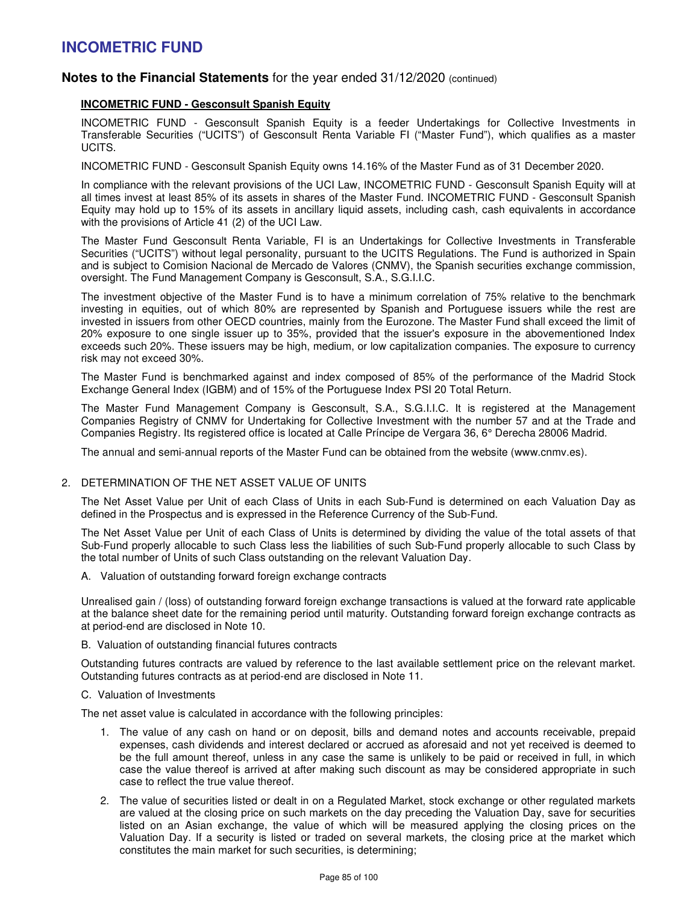## **Notes to the Financial Statements** for the year ended 31/12/2020 (continued)

### **INCOMETRIC FUND - Gesconsult Spanish Equity**

INCOMETRIC FUND - Gesconsult Spanish Equity is a feeder Undertakings for Collective Investments in Transferable Securities ("UCITS") of Gesconsult Renta Variable FI ("Master Fund"), which qualifies as a master UCITS.

INCOMETRIC FUND - Gesconsult Spanish Equity owns 14.16% of the Master Fund as of 31 December 2020.

In compliance with the relevant provisions of the UCI Law, INCOMETRIC FUND - Gesconsult Spanish Equity will at all times invest at least 85% of its assets in shares of the Master Fund. INCOMETRIC FUND - Gesconsult Spanish Equity may hold up to 15% of its assets in ancillary liquid assets, including cash, cash equivalents in accordance with the provisions of Article 41 (2) of the UCI Law.

The Master Fund Gesconsult Renta Variable, FI is an Undertakings for Collective Investments in Transferable Securities ("UCITS") without legal personality, pursuant to the UCITS Regulations. The Fund is authorized in Spain and is subject to Comision Nacional de Mercado de Valores (CNMV), the Spanish securities exchange commission, oversight. The Fund Management Company is Gesconsult, S.A., S.G.I.I.C.

The investment objective of the Master Fund is to have a minimum correlation of 75% relative to the benchmark investing in equities, out of which 80% are represented by Spanish and Portuguese issuers while the rest are invested in issuers from other OECD countries, mainly from the Eurozone. The Master Fund shall exceed the limit of 20% exposure to one single issuer up to 35%, provided that the issuer's exposure in the abovementioned Index exceeds such 20%. These issuers may be high, medium, or low capitalization companies. The exposure to currency risk may not exceed 30%.

The Master Fund is benchmarked against and index composed of 85% of the performance of the Madrid Stock Exchange General Index (IGBM) and of 15% of the Portuguese Index PSI 20 Total Return.

The Master Fund Management Company is Gesconsult, S.A., S.G.I.I.C. It is registered at the Management Companies Registry of CNMV for Undertaking for Collective Investment with the number 57 and at the Trade and Companies Registry. Its registered office is located at Calle Príncipe de Vergara 36, 6° Derecha 28006 Madrid.

The annual and semi-annual reports of the Master Fund can be obtained from the website (www.cnmv.es).

### 2. DETERMINATION OF THE NET ASSET VALUE OF UNITS

The Net Asset Value per Unit of each Class of Units in each Sub-Fund is determined on each Valuation Day as defined in the Prospectus and is expressed in the Reference Currency of the Sub-Fund.

The Net Asset Value per Unit of each Class of Units is determined by dividing the value of the total assets of that Sub-Fund properly allocable to such Class less the liabilities of such Sub-Fund properly allocable to such Class by the total number of Units of such Class outstanding on the relevant Valuation Day.

A. Valuation of outstanding forward foreign exchange contracts

Unrealised gain / (loss) of outstanding forward foreign exchange transactions is valued at the forward rate applicable at the balance sheet date for the remaining period until maturity. Outstanding forward foreign exchange contracts as at period-end are disclosed in Note 10.

#### B. Valuation of outstanding financial futures contracts

Outstanding futures contracts are valued by reference to the last available settlement price on the relevant market. Outstanding futures contracts as at period-end are disclosed in Note 11.

#### C. Valuation of Investments

The net asset value is calculated in accordance with the following principles:

- 1. The value of any cash on hand or on deposit, bills and demand notes and accounts receivable, prepaid expenses, cash dividends and interest declared or accrued as aforesaid and not yet received is deemed to be the full amount thereof, unless in any case the same is unlikely to be paid or received in full, in which case the value thereof is arrived at after making such discount as may be considered appropriate in such case to reflect the true value thereof.
- 2. The value of securities listed or dealt in on a Regulated Market, stock exchange or other regulated markets are valued at the closing price on such markets on the day preceding the Valuation Day, save for securities listed on an Asian exchange, the value of which will be measured applying the closing prices on the Valuation Day. If a security is listed or traded on several markets, the closing price at the market which constitutes the main market for such securities, is determining;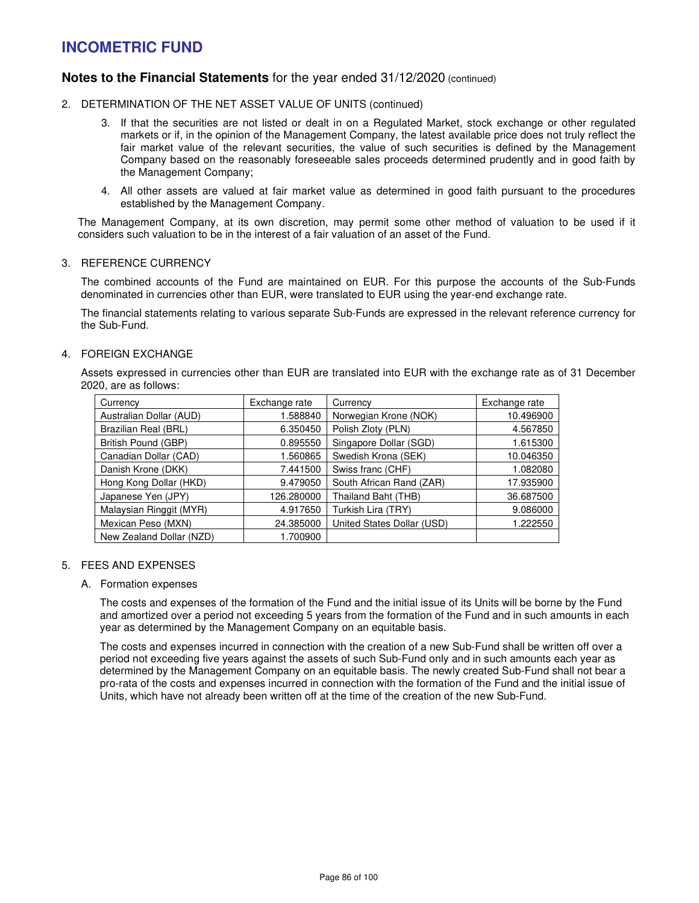## **Notes to the Financial Statements** for the year ended 31/12/2020 (continued)

- 2. DETERMINATION OF THE NET ASSET VALUE OF UNITS (continued)
	- 3. If that the securities are not listed or dealt in on a Regulated Market, stock exchange or other regulated markets or if, in the opinion of the Management Company, the latest available price does not truly reflect the fair market value of the relevant securities, the value of such securities is defined by the Management Company based on the reasonably foreseeable sales proceeds determined prudently and in good faith by the Management Company;
	- 4. All other assets are valued at fair market value as determined in good faith pursuant to the procedures established by the Management Company.

The Management Company, at its own discretion, may permit some other method of valuation to be used if it considers such valuation to be in the interest of a fair valuation of an asset of the Fund.

### 3. REFERENCE CURRENCY

The combined accounts of the Fund are maintained on EUR. For this purpose the accounts of the Sub-Funds denominated in currencies other than EUR, were translated to EUR using the year-end exchange rate.

The financial statements relating to various separate Sub-Funds are expressed in the relevant reference currency for the Sub-Fund.

### 4. FOREIGN EXCHANGE

Assets expressed in currencies other than EUR are translated into EUR with the exchange rate as of 31 December 2020, are as follows:

| Currency                 | Exchange rate | Currency                   | Exchange rate |
|--------------------------|---------------|----------------------------|---------------|
| Australian Dollar (AUD)  | 1.588840      | Norwegian Krone (NOK)      | 10.496900     |
| Brazilian Real (BRL)     | 6.350450      | Polish Zloty (PLN)         | 4.567850      |
| British Pound (GBP)      | 0.895550      | Singapore Dollar (SGD)     | 1.615300      |
| Canadian Dollar (CAD)    | 1.560865      | Swedish Krona (SEK)        | 10.046350     |
| Danish Krone (DKK)       | 7.441500      | Swiss franc (CHF)          | 1.082080      |
| Hong Kong Dollar (HKD)   | 9.479050      | South African Rand (ZAR)   | 17.935900     |
| Japanese Yen (JPY)       | 126.280000    | Thailand Baht (THB)        | 36.687500     |
| Malaysian Ringgit (MYR)  | 4.917650      | Turkish Lira (TRY)         | 9.086000      |
| Mexican Peso (MXN)       | 24.385000     | United States Dollar (USD) | 1.222550      |
| New Zealand Dollar (NZD) | 1.700900      |                            |               |

### 5. FEES AND EXPENSES

A. Formation expenses

The costs and expenses of the formation of the Fund and the initial issue of its Units will be borne by the Fund and amortized over a period not exceeding 5 years from the formation of the Fund and in such amounts in each year as determined by the Management Company on an equitable basis.

The costs and expenses incurred in connection with the creation of a new Sub-Fund shall be written off over a period not exceeding five years against the assets of such Sub-Fund only and in such amounts each year as determined by the Management Company on an equitable basis. The newly created Sub-Fund shall not bear a pro-rata of the costs and expenses incurred in connection with the formation of the Fund and the initial issue of Units, which have not already been written off at the time of the creation of the new Sub-Fund.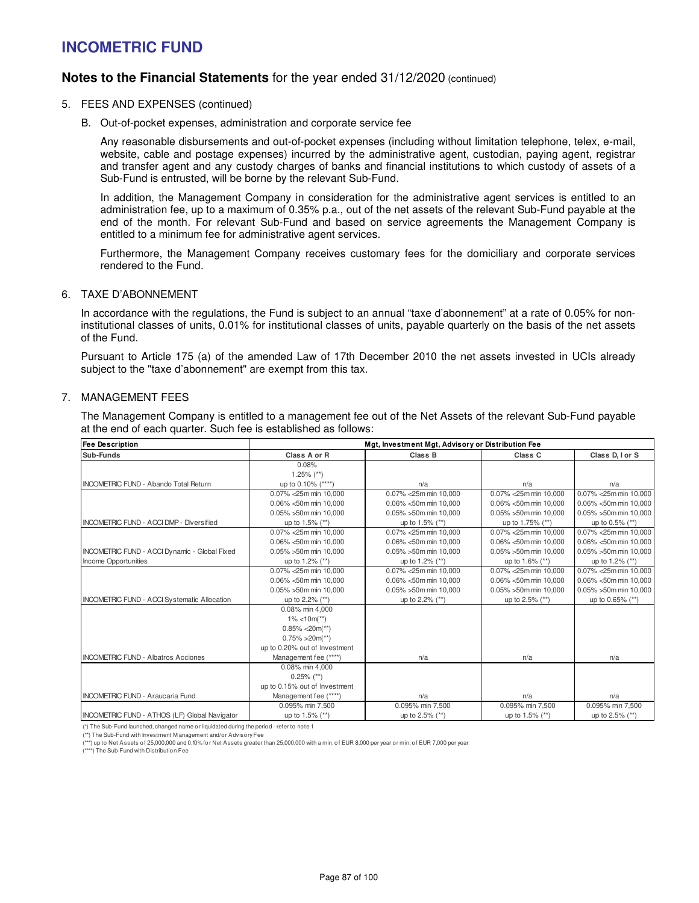## **Notes to the Financial Statements** for the year ended 31/12/2020 (continued)

- 5. FEES AND EXPENSES (continued)
	- B. Out-of-pocket expenses, administration and corporate service fee

Any reasonable disbursements and out-of-pocket expenses (including without limitation telephone, telex, e-mail, website, cable and postage expenses) incurred by the administrative agent, custodian, paying agent, registrar and transfer agent and any custody charges of banks and financial institutions to which custody of assets of a Sub-Fund is entrusted, will be borne by the relevant Sub-Fund.

In addition, the Management Company in consideration for the administrative agent services is entitled to an administration fee, up to a maximum of 0.35% p.a., out of the net assets of the relevant Sub-Fund payable at the end of the month. For relevant Sub-Fund and based on service agreements the Management Company is entitled to a minimum fee for administrative agent services.

Furthermore, the Management Company receives customary fees for the domiciliary and corporate services rendered to the Fund.

### 6. TAXE D'ABONNEMENT

In accordance with the regulations, the Fund is subject to an annual "taxe d'abonnement" at a rate of 0.05% for noninstitutional classes of units, 0.01% for institutional classes of units, payable quarterly on the basis of the net assets of the Fund.

Pursuant to Article 175 (a) of the amended Law of 17th December 2010 the net assets invested in UCIs already subject to the "taxe d'abonnement" are exempt from this tax.

### 7. MANAGEMENT FEES

The Management Company is entitled to a management fee out of the Net Assets of the relevant Sub-Fund payable at the end of each quarter. Such fee is established as follows:

| <b>Fee Description</b>                               | Mgt, Investment Mgt, Advisory or Distribution Fee |                            |                            |                            |  |  |
|------------------------------------------------------|---------------------------------------------------|----------------------------|----------------------------|----------------------------|--|--|
| Sub-Funds                                            | Class A or R<br>Class B                           |                            | Class C                    | Class D, I or S            |  |  |
|                                                      | 0.08%                                             |                            |                            |                            |  |  |
|                                                      | $1.25\%$ (**)                                     |                            |                            |                            |  |  |
| <b>INCOMETRIC FUND - Abando Total Return</b>         | up to 0.10% (****)                                | n/a                        | n/a                        | n/a                        |  |  |
|                                                      | 0.07% < 25m min 10.000                            | 0.07% < 25m min 10.000     | 0.07% < 25m min 10.000     | 0.07% < 25m min 10.000     |  |  |
|                                                      | $0.06\% < 50$ m min 10.000                        | $0.06\% < 50$ m min 10.000 | $0.06\% < 50$ m min 10.000 | $0.06\% < 50$ m min 10.000 |  |  |
|                                                      | $0.05\% > 50$ m min 10.000                        | 0.05% > 50m min 10,000     | 0.05% >50m min 10,000      | 0.05% >50m min 10,000      |  |  |
| <b>INCOMETRIC FUND - ACCI DMP - Diversified</b>      | up to 1.5% (**)                                   | up to 1.5% (**)            | up to 1.75% (**)           | up to 0.5% (**)            |  |  |
|                                                      | 0.07% < 25m min 10.000                            | 0.07% < 25m min 10.000     | 0.07% < 25m min 10.000     | 0.07% < 25m min 10,000     |  |  |
|                                                      | 0.06% <50m min 10,000                             | 0.06% <50m min 10,000      | 0.06% <50m min 10,000      | 0.06% <50m min 10,000      |  |  |
| <b>INCOMETRIC FUND - ACCI Dynamic - Global Fixed</b> | $0.05\% > 50$ m min 10.000                        | $0.05\% > 50$ m min 10.000 | $0.05\% > 50$ m min 10.000 | $0.05\% > 50$ m min 10.000 |  |  |
| Income Opportunities                                 | up to 1.2% (**)                                   | up to 1.2% (**)            | up to 1.6% (**)            | up to 1.2% (**)            |  |  |
|                                                      | 0.07% < 25m min 10,000                            | 0.07% < 25m min 10.000     | 0.07% < 25m min 10,000     | 0.07% < 25m min 10,000     |  |  |
|                                                      | 0.06% <50m min 10,000                             | 0.06% <50m min 10,000      | 0.06% <50m min 10,000      | 0.06% <50m min 10,000      |  |  |
|                                                      | $0.05\% > 50$ m min 10.000                        | $0.05\% > 50$ m min 10.000 | $0.05\% > 50$ m min 10.000 | $0.05\% > 50$ m min 10.000 |  |  |
| <b>INCOMETRIC FUND - ACCI Systematic Allocation</b>  | up to 2.2% (**)                                   | up to 2.2% (**)            | up to 2.5% (**)            | up to 0.65% (**)           |  |  |
|                                                      | 0.08% min 4.000                                   |                            |                            |                            |  |  |
|                                                      | $1\% < 10m$ <sup>**</sup> )                       |                            |                            |                            |  |  |
|                                                      | $0.85\% < 20m(**)$                                |                            |                            |                            |  |  |
|                                                      | $0.75\% > 20m(**)$                                |                            |                            |                            |  |  |
|                                                      | up to 0.20% out of Investment                     |                            |                            |                            |  |  |
| <b>INCOMETRIC FUND - Albatros Acciones</b>           | Management fee (****)                             | n/a                        | n/a                        | n/a                        |  |  |
|                                                      | 0.08% min 4,000                                   |                            |                            |                            |  |  |
|                                                      | $0.25\%$ (**)                                     |                            |                            |                            |  |  |
|                                                      | up to 0.15% out of Investment                     |                            |                            |                            |  |  |
| <b>INCOMETRIC FUND - Araucaria Fund</b>              | Management fee (****)                             | n/a                        | n/a                        | n/a                        |  |  |
|                                                      | 0.095% min 7.500                                  | 0.095% min 7.500           | 0.095% min 7,500           | 0.095% min 7,500           |  |  |
| INCOMETRIC FUND - ATHOS (LF) Global Navigator        | up to 1.5% (**)                                   | up to 2.5% (**)            | up to 1.5% (**)            | up to 2.5% (**)            |  |  |

(\*) The Sub-Fund launched, changed name or liquidated during the period - refer to note 1

(\*\*) The Sub-Fund with Investment M anagement and/or Advisory Fee

<sup>(\*\*\*)</sup> up to Net Assets of 25,000,000 and 0.10% for Net Assets greater than 25,000,000 with a min. of EUR 8,000 per year or min. of EUR 7,000 per year (\*\*\*\*) The Sub-Fund with Distribution Fee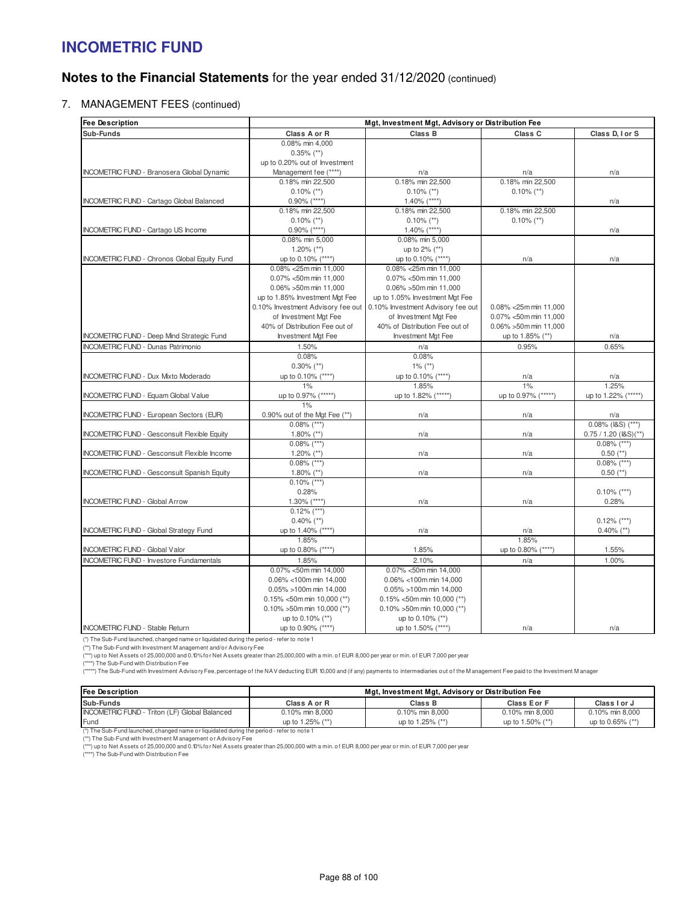# **Notes to the Financial Statements** for the year ended 31/12/2020 (continued)

7. MANAGEMENT FEES (continued)

| <b>Fee Description</b>                              | Mgt, Investment Mgt, Advisory or Distribution Fee |                                   |                        |                             |
|-----------------------------------------------------|---------------------------------------------------|-----------------------------------|------------------------|-----------------------------|
| Sub-Funds                                           | Class A or R                                      | Class B                           | Class C                | Class D, I or S             |
|                                                     | 0.08% min 4,000                                   |                                   |                        |                             |
|                                                     | $0.35\%$ (**)                                     |                                   |                        |                             |
|                                                     | up to 0.20% out of Investment                     |                                   |                        |                             |
| <b>INCOMETRIC FUND - Branosera Global Dynamic</b>   | Management fee (****)                             | n/a                               | n/a                    | n/a                         |
|                                                     | 0.18% min 22,500                                  | 0.18% min 22,500                  | 0.18% min 22,500       |                             |
|                                                     | $0.10\%$ (**)                                     | $0.10\%$ (**)                     | $0.10\%$ (**)          |                             |
| <b>INCOMETRIC FUND - Cartago Global Balanced</b>    | $0.90\%$ (****)                                   | $1.40\%$ (****)                   |                        | n/a                         |
|                                                     | 0.18% min 22,500                                  | 0.18% min 22.500                  | 0.18% min 22.500       |                             |
|                                                     | $0.10\%$ (**)<br>$0.10\%$ (**)                    |                                   | $0.10\%$ (**)          |                             |
| INCOMETRIC FUND - Cartago US Income                 | $0.90\%$ (****)                                   | $1.40\%$ (****)                   |                        | n/a                         |
|                                                     | 0.08% min 5,000                                   | 0.08% min 5,000                   |                        |                             |
|                                                     | $1.20\%$ (**)                                     | up to 2% (**)                     |                        |                             |
| <b>INCOMETRIC FUND - Chronos Global Equity Fund</b> | up to 0.10% (****)                                | up to 0.10% (****)                | n/a                    | n/a                         |
|                                                     | 0.08% < 25m min 11,000                            | 0.08% < 25m min 11,000            |                        |                             |
|                                                     | $0.07\% < 50$ m min 11.000                        | 0.07% <50m min 11.000             |                        |                             |
|                                                     | 0.06% > 50m min 11,000                            | 0.06% >50m min 11,000             |                        |                             |
|                                                     | up to 1.85% Investment Mat Fee                    | up to 1.05% Investment Mgt Fee    |                        |                             |
|                                                     | 0.10% Investment Advisory fee out                 | 0.10% Investment Advisory fee out | 0.08% < 25m min 11,000 |                             |
|                                                     | of Investment Mgt Fee                             | of Investment Mgt Fee             | 0.07% <50m min 11,000  |                             |
|                                                     | 40% of Distribution Fee out of                    | 40% of Distribution Fee out of    | 0.06% > 50m min 11,000 |                             |
| INCOMETRIC FUND - Deep Mind Strategic Fund          | <b>Investment Mgt Fee</b>                         | <b>Investment Mgt Fee</b>         | up to 1.85% (**)       | n/a                         |
| <b>INCOMETRIC FUND - Dunas Patrimonio</b>           | 1.50%                                             | n/a                               | 0.95%                  | 0.65%                       |
|                                                     | 0.08%                                             | 0.08%                             |                        |                             |
|                                                     | $0.30\%$ (**)                                     | $1\%$ (**)                        |                        |                             |
| <b>INCOMETRIC FUND - Dux Mixto Moderado</b>         | up to 0.10% (****)                                | up to 0.10% (****)                | n/a                    | n/a                         |
|                                                     | 1%                                                | 1.85%                             | 1%                     | 1.25%                       |
| <b>INCOMETRIC FUND - Equam Global Value</b>         | up to 0.97% (*****)                               | up to 1.82% (*****)               | up to 0.97% (*****)    | up to 1.22% (*****)         |
|                                                     | 1%                                                |                                   |                        |                             |
| INCOMETRIC FUND - European Sectors (EUR)            | 0.90% out of the Mgt Fee (**)<br>$0.08\%$ (***)   | n/a                               | n/a                    | n/a<br>$0.08\%$ (I&S) (***) |
| <b>INCOMETRIC FUND - Gesconsult Flexible Equity</b> | 1.80% $(**)$                                      | n/a                               | n/a                    | 0.75 / 1.20 (I&S)'          |
|                                                     | $0.08\%$ (***)                                    |                                   |                        | $0.08\%$ (***)              |
| INCOMETRIC FUND - Gesconsult Flexible Income        | $1.20\%$ (**)                                     | n/a                               | n/a                    | $0.50$ (**)                 |
|                                                     | $0.08\%$ (***)                                    |                                   |                        | $0.08\%$ (***)              |
| INCOMETRIC FUND - Gesconsult Spanish Equity         | $1.80\%$ (**)                                     | n/a                               | n/a                    | $0.50$ (**)                 |
|                                                     | $0.10\%$ (***)                                    |                                   |                        |                             |
|                                                     | 0.28%                                             |                                   |                        | $0.10\%$ (***)              |
| <b>INCOMETRIC FUND - Global Arrow</b>               | $1.30\%$ (****)                                   | n/a                               | n/a                    | 0.28%                       |
|                                                     | $0.12\%$ (***)                                    |                                   |                        |                             |
|                                                     | $0.40\%$ (**)                                     |                                   |                        | $0.12\%$ (***)              |
| <b>INCOMETRIC FUND - Global Strategy Fund</b>       | up to 1.40% (****)                                | n/a                               | n/a                    | $0.40\%$ (**)               |
|                                                     | 1.85%                                             |                                   | 1.85%                  |                             |
| <b>INCOMETRIC FUND - Global Valor</b>               | up to 0.80% (****)                                | 1.85%                             | up to 0.80% (****)     | 1.55%                       |
| <b>INCOMETRIC FUND - Investore Fundamentals</b>     | 1.85%                                             | 2.10%                             | n/a                    | 1.00%                       |
|                                                     | 0.07% <50m min 14,000                             | 0.07% <50m min 14,000             |                        |                             |
|                                                     | 0.06% <100m min 14,000                            | 0.06% <100m min 14,000            |                        |                             |
|                                                     | 0.05% >100m min 14,000                            | 0.05% >100m min 14,000            |                        |                             |
|                                                     | $0.15\%$ < 50m min 10,000 (**)                    | $0.15\%$ <50m min 10,000 (**)     |                        |                             |
|                                                     | $0.10\% > 50$ m min 10,000 (**)                   | $0.10\%$ >50m min 10,000 (**)     |                        |                             |
|                                                     | up to 0.10% (**)                                  | up to 0.10% (**)                  |                        |                             |
| <b>INCOMETRIC FUND - Stable Return</b>              | up to 0.90% (****)                                | up to 1.50% (****)                | n/a                    | n/a                         |

(\*) The Sub-Fund launched, changed name or liquidated during the period - refer to note 1

(\*\*) The Sub-Fund with Investment M anagement and/or Advisory Fee

(\*\*\*) up to Net Assets of 25,000,000 and 0.10% for Net Assets greater than 25,000,000 with a min. of EUR 8,000 per year or min. of EUR 7,000 per year

(\*\*\*\*\*) The Sub-Fund with Investment Advisory Fee, percentage of the NAV deducting EUR 10,000 and (if any) payments to intermediaries out of the M anagement Fee paid to the Investment M anager (\*\*\*\*) The Sub-Fund with Distribution Fee

| <b>Fee Description</b>                        | Mgt, Investment Mgt, Advisory or Distribution Fee |                  |                  |                  |
|-----------------------------------------------|---------------------------------------------------|------------------|------------------|------------------|
| Sub-Funds                                     | Class A or R                                      | Class B          | Class Eor F      | Class I or J     |
| INCOMETRIC FUND - Triton (LF) Global Balanced | 0.10% min 8.000                                   | 0.10% min 8.000  | 0.10% min 8.000  | 0.10% min 8.000  |
| <b>Fund</b>                                   | up to 1.25% (**)                                  | up to 1.25% (**) | up to 1.50% (**) | up to 0.65% (**) |

(\*) The Sub-Fund launched, changed name or liquidated during the period - refer to note 1 (\*\*) The Sub-Fund with Investment M anagement or Advisory Fee

(\*\*\*) up to Net Assets of 25,000,000 and 0.10% for Net Assets greater than 25,000,000 with a min. of EUR 8,000 per year or min. of EUR 7,000 per year (\*\*\*\*) The Sub-Fund with Distribution Fee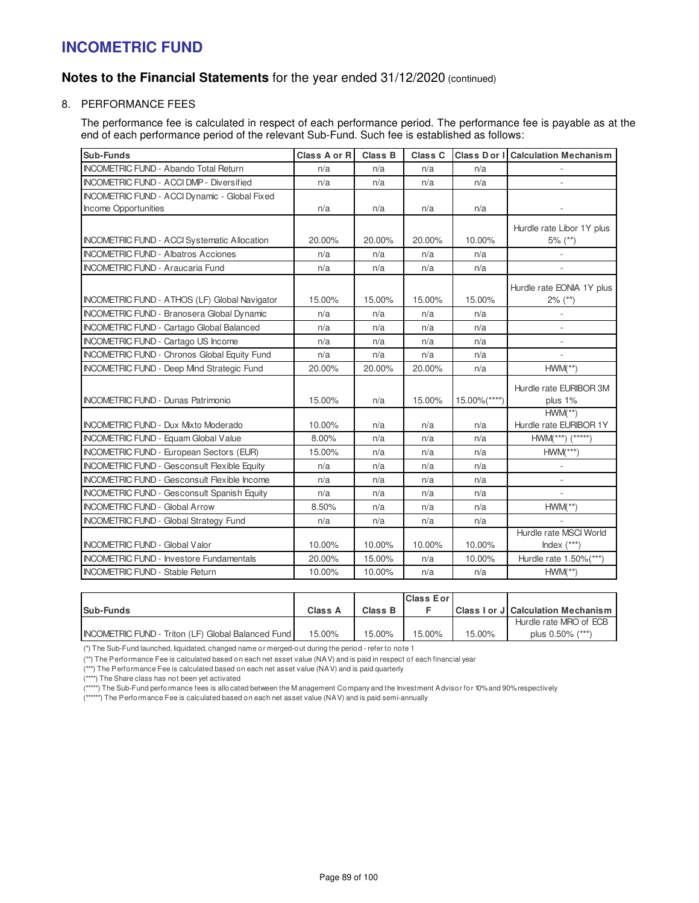# **Notes to the Financial Statements** for the year ended 31/12/2020 (continued)

8. PERFORMANCE FEES

The performance fee is calculated in respect of each performance period. The performance fee is payable as at the end of each performance period of the relevant Sub-Fund. Such fee is established as follows:

| Sub-Funds                                            | Class A or R | <b>Class B</b> | Class C |                  | <b>Class Dor I Calculation Mechanism</b> |
|------------------------------------------------------|--------------|----------------|---------|------------------|------------------------------------------|
| <b>INCOMETRIC FUND - Abando Total Return</b>         | n/a          | n/a            | n/a     | n/a              |                                          |
| <b>INCOMETRIC FUND - ACCI DMP - Diversified</b>      | n/a          | n/a            | n/a     | n/a              |                                          |
| INCOMETRIC FUND - ACCI Dynamic - Global Fixed        |              |                |         |                  |                                          |
| Income Opportunities                                 | n/a          | n/a            | n/a     | n/a              |                                          |
|                                                      |              |                |         |                  | Hurdle rate Libor 1Y plus                |
| <b>INCOMETRIC FUND - ACCI Systematic Allocation</b>  | 20.00%       | 20.00%         | 20.00%  | 10.00%           | $5\%$ (**)                               |
| <b>INCOMETRIC FUND - Albatros Acciones</b>           | n/a          | n/a            | n/a     | n/a              | $\sim$                                   |
| <b>INCOMETRIC FUND - Araucaria Fund</b>              | n/a          | n/a            | n/a     | n/a              |                                          |
|                                                      |              |                |         |                  | Hurdle rate EONIA 1Y plus                |
| <b>INCOMETRIC FUND - ATHOS (LF) Global Navigator</b> | 15.00%       | 15.00%         | 15.00%  | 15.00%           | $2\%$ (**)                               |
| <b>INCOMETRIC FUND - Branosera Global Dynamic</b>    | n/a          | n/a            | n/a     | n/a              | $\overline{\phantom{a}}$                 |
| <b>INCOMETRIC FUND - Cartago Global Balanced</b>     | n/a          | n/a            | n/a     | n/a              |                                          |
| <b>INCOMETRIC FUND - Cartago US Income</b>           | n/a          | n/a            | n/a     | n/a              | $\overline{\phantom{a}}$                 |
| <b>INCOMETRIC FUND - Chronos Global Equity Fund</b>  | n/a          | n/a            | n/a     | n/a              | $\overline{a}$                           |
| <b>INCOMETRIC FUND - Deep Mind Strategic Fund</b>    | 20.00%       | 20.00%         | 20.00%  | n/a              | $HWM(**)$                                |
|                                                      |              |                |         |                  | Hurdle rate EURIBOR 3M                   |
| <b>INCOMETRIC FUND - Dunas Patrimonio</b>            | 15.00%       | n/a            | 15.00%  | $15.00\%$ (****) | plus 1%                                  |
|                                                      |              |                |         |                  | $HWM(**)$                                |
| <b>INCOMETRIC FUND - Dux Mixto Moderado</b>          | 10.00%       | n/a            | n/a     | n/a              | Hurdle rate EURIBOR 1Y                   |
| <b>INCOMETRIC FUND - Equam Global Value</b>          | 8.00%        | n/a            | n/a     | n/a              | $HWM(***)$ $(****)$                      |
| INCOMETRIC FUND - European Sectors (EUR)             | 15.00%       | n/a            | n/a     | n/a              | $HWM(***)$                               |
| <b>INCOMETRIC FUND - Gesconsult Flexible Equity</b>  | n/a          | n/a            | n/a     | n/a              |                                          |
| <b>INCOMETRIC FUND - Gesconsult Flexible Income</b>  | n/a          | n/a            | n/a     | n/a              | $\overline{\phantom{a}}$                 |
| <b>INCOMETRIC FUND - Gesconsult Spanish Equity</b>   | n/a          | n/a            | n/a     | n/a              |                                          |
| <b>INCOMETRIC FUND - Global Arrow</b>                | 8.50%        | n/a            | n/a     | n/a              | $HWM(**)$                                |
| <b>INCOMETRIC FUND - Global Strategy Fund</b>        | n/a          | n/a            | n/a     | n/a              |                                          |
|                                                      |              |                |         |                  | Hurdle rate MSCI World                   |
| <b>INCOMETRIC FUND - Global Valor</b>                | 10.00%       | 10.00%         | 10.00%  | 10.00%           | Index $(***)$                            |
| <b>INCOMETRIC FUND - Investore Fundamentals</b>      | 20.00%       | 15.00%         | n/a     | 10.00%           | Hurdle rate 1.50%(***)                   |
| <b>INCOMETRIC FUND - Stable Return</b>               | 10.00%       | 10.00%         | n/a     | n/a              | $HWM(**)$                                |

|                                                           |         |         | <b>IClass Eorl</b> |        |                                           |
|-----------------------------------------------------------|---------|---------|--------------------|--------|-------------------------------------------|
| Sub-Funds                                                 | Class A | Class B |                    |        | <b>Class I or J Calculation Mechanism</b> |
|                                                           |         |         |                    |        | Hurdle rate MRO of ECB                    |
| <b>INCOMETRIC FUND - Triton (LF) Global Balanced Fund</b> | 15.00%  | 15.00%  | 15.00%             | 15.00% | plus 0.50% (***)                          |

(\*) The Sub-Fund launched, liquidated, changed name or merged-out during the period - refer to note 1

(\*\*) The Performance Fee is calculated based on each net asset value (NAV) and is paid in respect of each financial year

(\*\*\*) The Performance Fee is calculated based on each net asset value (NAV) and is paid quarterly

(\*\*\*\*) The Share class has not been yet activated

(\*\*\*\*\*) The Sub-Fund performance fees is allocated between the M anagement Company and the Investment Advisor for 10% and 90% respectively

(\*\*\*\*\*\*) The Performance Fee is calculated based on each net asset value (NAV) and is paid semi-annually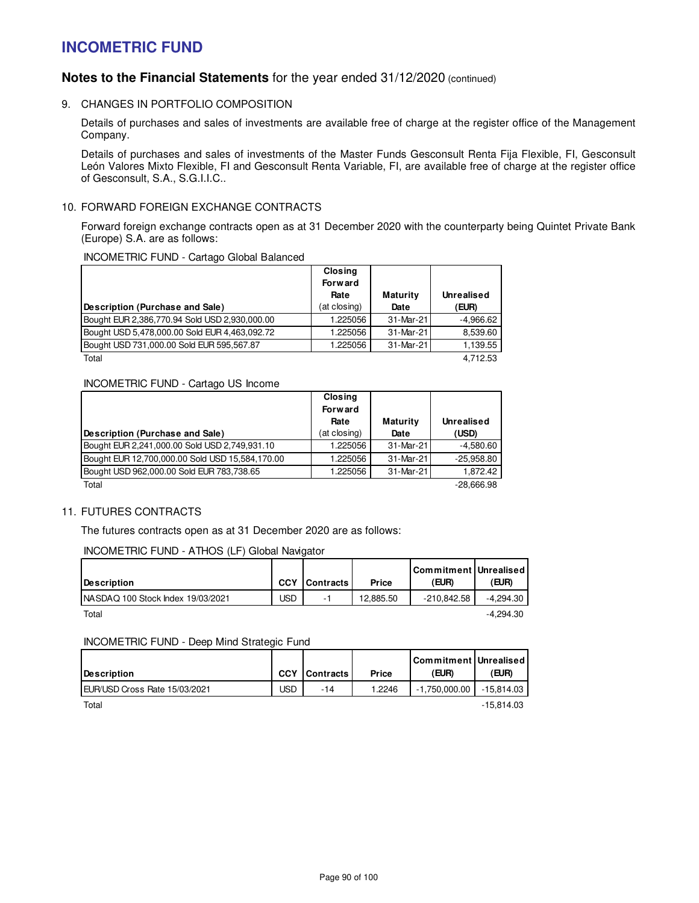## **Notes to the Financial Statements** for the year ended 31/12/2020 (continued)

9. CHANGES IN PORTFOLIO COMPOSITION

Details of purchases and sales of investments are available free of charge at the register office of the Management Company.

Details of purchases and sales of investments of the Master Funds Gesconsult Renta Fija Flexible, FI, Gesconsult León Valores Mixto Flexible, FI and Gesconsult Renta Variable, FI, are available free of charge at the register office of Gesconsult, S.A., S.G.I.I.C..

### 10. FORWARD FOREIGN EXCHANGE CONTRACTS

Forward foreign exchange contracts open as at 31 December 2020 with the counterparty being Quintet Private Bank (Europe) S.A. are as follows:

### INCOMETRIC FUND - Cartago Global Balanced

|                                               | Closing        |                 |                   |
|-----------------------------------------------|----------------|-----------------|-------------------|
|                                               | <b>Forward</b> |                 |                   |
|                                               | Rate           | <b>Maturity</b> | <b>Unrealised</b> |
| Description (Purchase and Sale)               | (at closing)   | Date            | (EUR)             |
| Bought EUR 2,386,770.94 Sold USD 2,930,000.00 | .225056        | 31-Mar-21       | $-4.966.62$       |
| Bought USD 5,478,000.00 Sold EUR 4,463,092.72 | 1.225056       | 31-Mar-21       | 8,539.60          |
| Bought USD 731,000.00 Sold EUR 595,567.87     | .225056        | 31-Mar-21       | 1,139.55          |
| Total                                         |                |                 | 4.712.53          |

### INCOMETRIC FUND - Cartago US Income

|                                                 | Closing<br><b>Forward</b> |                  |                            |
|-------------------------------------------------|---------------------------|------------------|----------------------------|
| Description (Purchase and Sale)                 | Rate<br>(at closing)      | Maturity<br>Date | <b>Unrealised</b><br>(USD) |
| Bought EUR 2,241,000.00 Sold USD 2,749,931.10   | 1.225056                  | 31-Mar-21        | $-4.580.60$                |
| Bought EUR 12,700,000.00 Sold USD 15,584,170.00 | 1.225056                  | 31-Mar-21        | $-25,958.80$               |
| Bought USD 962,000.00 Sold EUR 783,738.65       | 1.225056                  | 31-Mar-21        | 1.872.42                   |
| Total                                           |                           |                  | $-28.666.98$               |

### 11. FUTURES CONTRACTS

The futures contracts open as at 31 December 2020 are as follows:

### INCOMETRIC FUND - ATHOS (LF) Global Navigator

| Description                        | <b>CCY</b> | Contracts | Price     | Commitment   Unrealised<br>(EUR) | (EUR)       |
|------------------------------------|------------|-----------|-----------|----------------------------------|-------------|
| INASDAQ 100 Stock Index 19/03/2021 | USD        | -         | 12.885.50 | $-210.842.58$                    | -4.294.30   |
| Total                              |            |           |           |                                  | $-4.294.30$ |

### INCOMETRIC FUND - Deep Mind Strategic Fund

| Description                   | <b>CCY</b> | Contracts | Price  | Commitment   Unrealised  <br>(EUR) | <b>EUR)</b>  |
|-------------------------------|------------|-----------|--------|------------------------------------|--------------|
| EUR/USD Cross Rate 15/03/2021 | JSD.       | -14       | 1.2246 | $-1.750.000.00$                    | $-15.814.03$ |
| Total                         |            |           |        |                                    | $-15.814.03$ |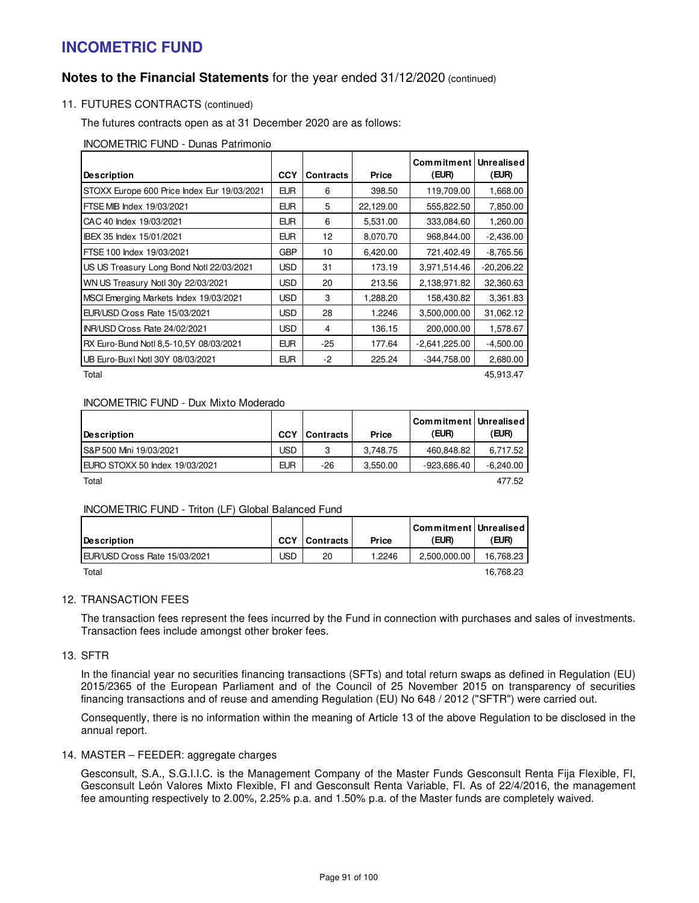## **Notes to the Financial Statements** for the year ended 31/12/2020 (continued)

## 11. FUTURES CONTRACTS (continued)

The futures contracts open as at 31 December 2020 are as follows:

INCOMETRIC FUND - Dunas Patrimonio

| <b>Description</b>                          | <b>CCY</b> | <b>Contracts</b> | <b>Price</b> | Commitment<br>(EUR) | <b>Unrealised</b><br>(EUR) |
|---------------------------------------------|------------|------------------|--------------|---------------------|----------------------------|
| STOXX Europe 600 Price Index Eur 19/03/2021 | <b>EUR</b> | 6                | 398.50       | 119,709.00          | 1,668.00                   |
| FTSE MIB Index 19/03/2021                   | <b>EUR</b> | 5                | 22,129.00    | 555,822.50          | 7,850.00                   |
| CAC 40 Index 19/03/2021                     | <b>EUR</b> | 6                | 5,531.00     | 333,084.60          | 1,260.00                   |
| IBEX 35 Index 15/01/2021                    | <b>EUR</b> | 12               | 8,070.70     | 968,844.00          | $-2,436.00$                |
| FTSE 100 Index 19/03/2021                   | <b>GBP</b> | 10               | 6,420.00     | 721,402.49          | $-8,765.56$                |
| US US Treasury Long Bond Notl 22/03/2021    | <b>USD</b> | 31               | 173.19       | 3,971,514.46        | $-20,206.22$               |
| WN US Treasury Notl 30y 22/03/2021          | <b>USD</b> | 20               | 213.56       | 2,138,971.82        | 32,360.63                  |
| MSCI Emerging Markets Index 19/03/2021      | <b>USD</b> | 3                | 1.288.20     | 158,430.82          | 3,361.83                   |
| EUR/USD Cross Rate 15/03/2021               | <b>USD</b> | 28               | 1.2246       | 3,500,000.00        | 31,062.12                  |
| INR/USD Cross Rate 24/02/2021               | <b>USD</b> | 4                | 136.15       | 200,000.00          | 1,578.67                   |
| RX Euro-Bund Notl 8,5-10,5Y 08/03/2021      | <b>EUR</b> | $-25$            | 177.64       | $-2,641,225.00$     | $-4,500.00$                |
| UB Euro-Buxl Notl 30Y 08/03/2021            | <b>EUR</b> | $-2$             | 225.24       | $-344,758.00$       | 2,680.00                   |
| Total                                       |            |                  |              |                     | 45,913.47                  |

### INCOMETRIC FUND - Dux Mixto Moderado

|                                |            |                  |          | Commitment   Unrealised |             |
|--------------------------------|------------|------------------|----------|-------------------------|-------------|
| <b>IDescription</b>            | <b>CCY</b> | <b>Contracts</b> | Price    | (EUR)                   | (EUR)       |
| IS&P 500 Mini 19/03/2021       | JSD        | 3                | 3.748.75 | 460.848.82              | 6.717.52    |
| EURO STOXX 50 Index 19/03/2021 | <b>EUR</b> | $-26$            | 3.550.00 | $-923.686.40$           | -6.240.00   |
| - - -                          |            |                  |          |                         | $--- - - -$ |

Total 477.52

INCOMETRIC FUND - Triton (LF) Global Balanced Fund

| <b>IDescription</b>                   | <b>CCY</b> | <b>Contracts</b> | Price  | Commitment   Unrealised<br>(EUR) | (EUR)     |
|---------------------------------------|------------|------------------|--------|----------------------------------|-----------|
| <b>IEUR/USD Cross Rate 15/03/2021</b> | USD        | 20               | 1.2246 | 2,500,000.00                     | 16.768.23 |
| Total                                 |            |                  |        |                                  | 16,768.23 |

### 12. TRANSACTION FEES

The transaction fees represent the fees incurred by the Fund in connection with purchases and sales of investments. Transaction fees include amongst other broker fees.

13. SFTR

In the financial year no securities financing transactions (SFTs) and total return swaps as defined in Regulation (EU) 2015/2365 of the European Parliament and of the Council of 25 November 2015 on transparency of securities financing transactions and of reuse and amending Regulation (EU) No 648 / 2012 ("SFTR") were carried out.

Consequently, there is no information within the meaning of Article 13 of the above Regulation to be disclosed in the annual report.

### 14. MASTER – FEEDER: aggregate charges

Gesconsult, S.A., S.G.I.I.C. is the Management Company of the Master Funds Gesconsult Renta Fija Flexible, FI, Gesconsult León Valores Mixto Flexible, FI and Gesconsult Renta Variable, FI. As of 22/4/2016, the management fee amounting respectively to 2.00%, 2.25% p.a. and 1.50% p.a. of the Master funds are completely waived.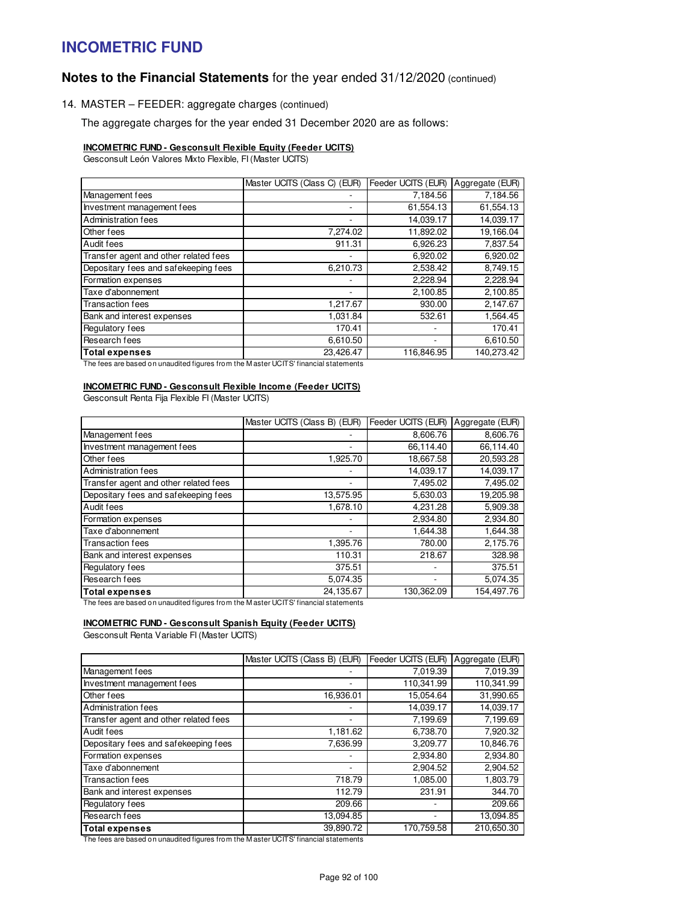# **Notes to the Financial Statements** for the year ended 31/12/2020 (continued)

14. MASTER – FEEDER: aggregate charges (continued)

The aggregate charges for the year ended 31 December 2020 are as follows:

#### **INCOMETRIC FUND - Gesconsult Flexible Equity (Feeder UCITS)**

Gesconsult León Valores Mixto Flexible, FI (Master UCITS)

|                                       | Master UCITS (Class C) (EUR) | Feeder UCITS (EUR) | Aggregate (EUR) |
|---------------------------------------|------------------------------|--------------------|-----------------|
| Management fees                       |                              | 7,184.56           | 7,184.56        |
| Investment management fees            |                              | 61,554.13          | 61,554.13       |
| <b>Administration fees</b>            |                              | 14,039.17          | 14,039.17       |
| <b>Other</b> fees                     | 7,274.02                     | 11,892.02          | 19,166.04       |
| Audit fees                            | 911.31                       | 6,926.23           | 7,837.54        |
| Transfer agent and other related fees |                              | 6,920.02           | 6,920.02        |
| Depositary fees and safekeeping fees  | 6,210.73                     | 2,538.42           | 8,749.15        |
| Formation expenses                    |                              | 2,228.94           | 2,228.94        |
| Taxe d'abonnement                     |                              | 2,100.85           | 2,100.85        |
| Transaction fees                      | 1,217.67                     | 930.00             | 2,147.67        |
| <b>Bank and interest expenses</b>     | 1,031.84                     | 532.61             | 1,564.45        |
| Regulatory fees                       | 170.41                       | ٠                  | 170.41          |
| Research fees                         | 6,610.50                     | ٠                  | 6,610.50        |
| Total expenses                        | 23,426.47                    | 116,846.95         | 140,273.42      |

The fees are based on unaudited figures from the M aster UCITS' financial statements

#### **INCOMETRIC FUND - Gesconsult Flexible Income (Feeder UCITS)**

Gesconsult Renta Fija Flexible FI (Master UCITS)

|                                                              | Master UCITS (Class B) (EUR) | Feeder UCITS (EUR) | Aggregate (EUR) |
|--------------------------------------------------------------|------------------------------|--------------------|-----------------|
| Management fees                                              |                              | 8,606.76           | 8,606.76        |
| Investment management fees                                   | ٠                            | 66,114.40          | 66,114.40       |
| Other fees                                                   | 1,925.70                     | 18,667.58          | 20,593.28       |
| Administration fees                                          | ٠                            | 14,039.17          | 14,039.17       |
| Transfer agent and other related fees                        |                              | 7,495.02           | 7,495.02        |
| Depositary fees and safekeeping fees                         | 13,575.95                    | 5,630.03           | 19,205.98       |
| Audit fees                                                   | 1,678.10                     | 4,231.28           | 5,909.38        |
| Formation expenses                                           |                              | 2,934.80           | 2,934.80        |
| Taxe d'abonnement                                            |                              | 1,644.38           | 1,644.38        |
| <b>Transaction fees</b>                                      | 1,395.76                     | 780.00             | 2,175.76        |
| Bank and interest expenses                                   | 110.31                       | 218.67             | 328.98          |
| Regulatory fees                                              | 375.51                       |                    | 375.51          |
| Research fees                                                | 5,074.35                     |                    | 5,074.35        |
| <b>Total expenses</b><br>$\cdots$ $\cdots$<br>— . <i>.</i> . | 24,135.67<br>1.00078111      | 130,362.09         | 154,497.76      |

The fees are based on unaudited figures from the M aster UCITS' financial statements

### **INCOMETRIC FUND - Gesconsult Spanish Equity (Feeder UCITS)**

Gesconsult Renta Variable FI (Master UCITS)

|                                       | Master UCITS (Class B) (EUR) | Feeder UCITS (EUR) | Aggregate (EUR) |
|---------------------------------------|------------------------------|--------------------|-----------------|
| Management fees                       |                              | 7,019.39           | 7,019.39        |
| Investment management fees            |                              | 110,341.99         | 110,341.99      |
| Other fees                            | 16,936.01                    | 15,054.64          | 31,990.65       |
| Administration fees                   |                              | 14,039.17          | 14,039.17       |
| Transfer agent and other related fees |                              | 7,199.69           | 7,199.69        |
| Audit fees                            | 1,181.62                     | 6,738.70           | 7,920.32        |
| Depositary fees and safekeeping fees  | 7,636.99                     | 3,209.77           | 10,846.76       |
| Formation expenses                    |                              | 2,934.80           | 2,934.80        |
| Taxe d'abonnement                     |                              | 2.904.52           | 2,904.52        |
| Transaction fees                      | 718.79                       | 1,085.00           | 1,803.79        |
| Bank and interest expenses            | 112.79                       | 231.91             | 344.70          |
| Regulatory fees                       | 209.66                       |                    | 209.66          |
| Research fees                         | 13.094.85                    |                    | 13,094.85       |
| <b>Total expenses</b>                 | 39.890.72                    | 170.759.58         | 210.650.30      |

The fees are based on unaudited figures from the M aster UCITS' financial statements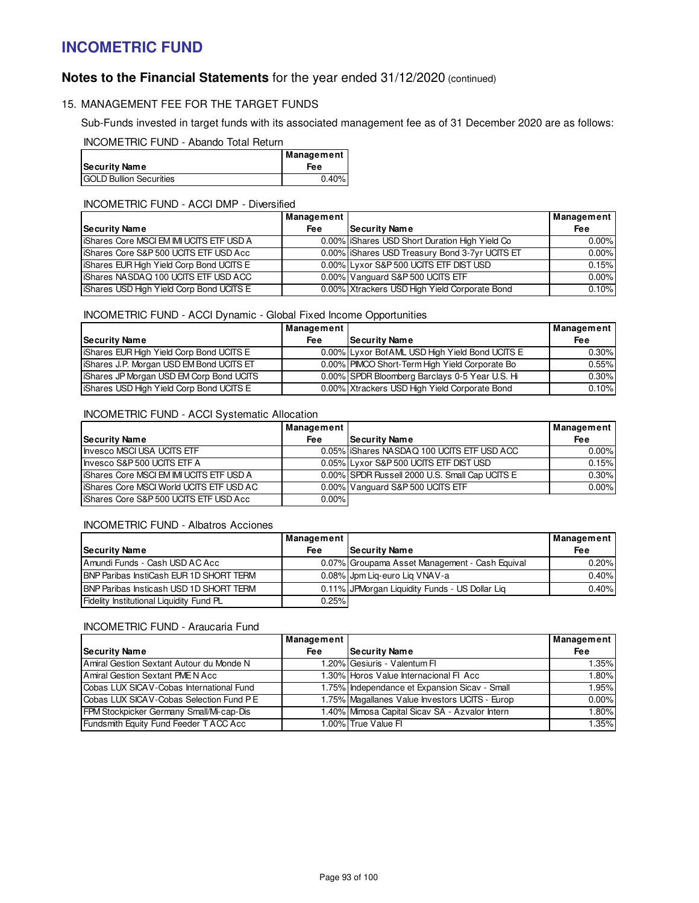# **Notes to the Financial Statements** for the year ended 31/12/2020 (continued)

### 15. MANAGEMENT FEE FOR THE TARGET FUNDS

Sub-Funds invested in target funds with its associated management fee as of 31 December 2020 are as follows:

INCOMETRIC FUND - Abando Total Return

|                                | <b>Management</b> |
|--------------------------------|-------------------|
| <b>Security Name</b>           | Fee               |
| <b>GOLD Bullion Securities</b> | 0.40%             |

### INCOMETRIC FUND - ACCI DMP - Diversified

|                                                  | Management |                                               | <b>Management</b> |
|--------------------------------------------------|------------|-----------------------------------------------|-------------------|
| Security Name                                    | <b>Fee</b> | <b>Security Name</b>                          | Fee               |
| <b>liShares Core MSCI EM IMI UCITS ETF USD A</b> |            | 0.00% Shares USD Short Duration High Yield Co | $0.00\%$          |
| IShares Core S&P 500 UCITS ETF USD Acc           |            | 0.00% Shares USD Treasury Bond 3-7yr UCITS ET | $0.00\%$          |
| <b>IShares EUR High Yield Corp Bond UCITS E</b>  |            | 0.00% Lyxor S&P 500 UCITS ETF DIST USD        | 0.15%             |
| IShares NASDAQ 100 UCITS ETF USD ACC             |            | 0.00% Vanguard S&P 500 UCITS ETF              | $0.00\%$          |
| <b>IShares USD High Yield Corp Bond UCITS E</b>  |            | 0.00% Xtrackers USD High Yield Corporate Bond | 0.10%             |

### INCOMETRIC FUND - ACCI Dynamic - Global Fixed Income Opportunities

|                                                 | Management                                     |                                                 | Management |
|-------------------------------------------------|------------------------------------------------|-------------------------------------------------|------------|
| Security Name                                   | <b>Security Name</b><br>Fee                    |                                                 | Fee        |
| <b>IShares EUR High Yield Corp Bond UCITS E</b> |                                                | 0.00% Lyxor Bof AML USD High Yield Bond UCITS E | $0.30\%$   |
| <b>IShares J.P. Morgan USD EM Bond UCITS ET</b> | 0.00% PIMCO Short-Term High Yield Corporate Bo |                                                 | 0.55%      |
| <b>IShares JP Morgan USD EM Corp Bond UCITS</b> | 0.00% SPDR Bloomberg Barclays 0-5 Year U.S. Hi |                                                 | $0.30\%$   |
| <b>IShares USD High Yield Corp Bond UCITS E</b> |                                                | 0.00% Xtrackers USD High Yield Corporate Bond   | 0.10%      |

## INCOMETRIC FUND - ACCI Systematic Allocation

|                                                  | Management |                                                | Management |
|--------------------------------------------------|------------|------------------------------------------------|------------|
| <b>Security Name</b>                             | <b>Fee</b> | <b>Security Name</b>                           | Fee        |
| Invesco MSCI USA UCITS ETF                       |            | 0.05% IShares NASDAQ 100 UCITS ETF USD ACC     | $0.00\%$   |
| Invesco S&P 500 UCITS ETF A                      |            | 0.05% Lyxor S&P 500 UCITS ETF DIST USD         | 0.15%      |
| <b>liShares Core MSCI EM IMI UCITS ETF USD A</b> |            | 0.00% SPDR Russell 2000 U.S. Small Cap UCITS E | $0.30\%$   |
| <b>liShares Core MSCI World UCITS ETF USD AC</b> |            | 0.00% Vanguard S&P 500 UCITS ETF               | $0.00\%$   |
| I Shares Core S&P 500 UCITS ETF USD Acc          | $0.00\%$   |                                                |            |

#### INCOMETRIC FUND - Albatros Acciones

|                                                 | Management |                                                 | Management |
|-------------------------------------------------|------------|-------------------------------------------------|------------|
| Security Name                                   | <b>Fee</b> | Security Name                                   | <b>Fee</b> |
| Amundi Funds - Cash USD AC Acc                  |            | 0.07% Groupama Asset Management - Cash Equival  | 0.20%      |
| <b>IBNP Paribas InstiCash EUR 1D SHORT TERM</b> |            | 0.08% Jpm Lig-euro Lig VNAV-a                   | 0.40%      |
| <b>IBNP Paribas Insticash USD 1D SHORT TERM</b> |            | 0.11% JPM organ Liquidity Funds - US Dollar Liq | 0.40%      |
| Fidelity Institutional Liquidity Fund PL        | 0.25%      |                                                 |            |

### INCOMETRIC FUND - Araucaria Fund

|                                          | Management |                                                | Management |
|------------------------------------------|------------|------------------------------------------------|------------|
| Security Name                            | <b>Fee</b> | <b>Security Name</b>                           | <b>Fee</b> |
| Amiral Gestion Sextant Autour du Monde N |            | 1.20% Gesiuris - Valentum Fl                   | 1.35%      |
| Amiral Gestion Sextant PME N Acc         |            | 1.30% Horos Value Internacional FI Acc         | $1.80\%$   |
| Cobas LUX SICAV-Cobas International Fund |            | 1.75% Independance et Expansion Sicav - Small  | 1.95%      |
| Cobas LUX SICAV-Cobas Selection Fund PE  |            | 1.75% Magallanes Value Investors UCITS - Europ | $0.00\%$   |
| FPM Stockpicker Germany Small/Mi-cap-Dis |            | 1.40% Mimosa Capital Sicav SA - Azvalor Intern | 1.80%      |
| Fundsmith Equity Fund Feeder T ACC Acc   |            | 1.00% True Value FI                            | 1.35%      |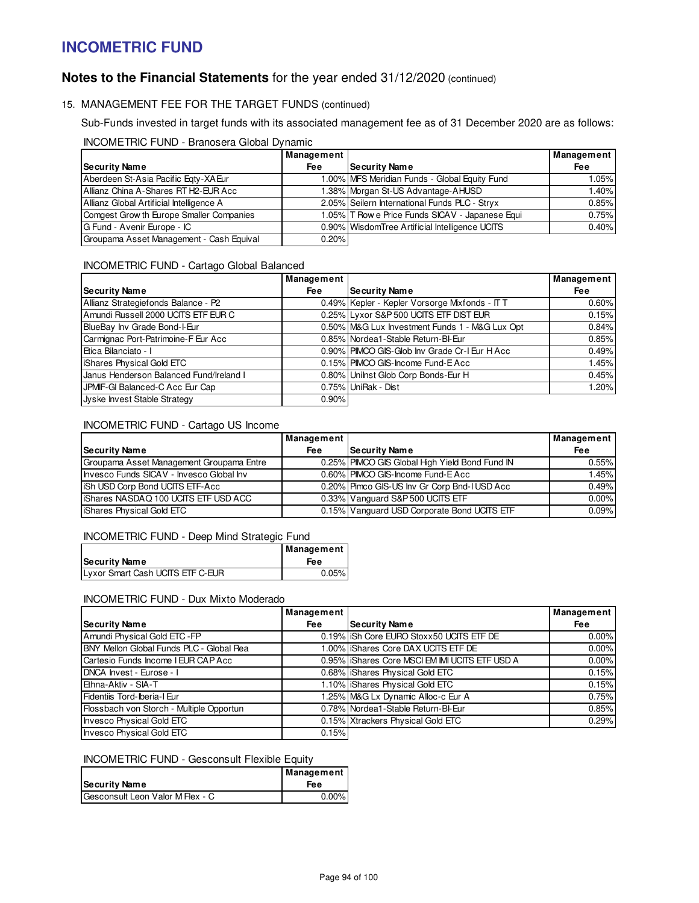# **Notes to the Financial Statements** for the year ended 31/12/2020 (continued)

## 15. MANAGEMENT FEE FOR THE TARGET FUNDS (continued)

Sub-Funds invested in target funds with its associated management fee as of 31 December 2020 are as follows:

#### INCOMETRIC FUND - Branosera Global Dynamic

|                                          | Management |                                                 | Management |
|------------------------------------------|------------|-------------------------------------------------|------------|
| Security Name                            | <b>Fee</b> | Security Name                                   | <b>Fee</b> |
| Aberdeen St-Asia Pacific Egty-XAEur      |            | 1.00% MFS Meridian Funds - Global Equity Fund   | $1.05\%$   |
| Allianz China A-Shares RT H2-EUR Acc     |            | 1.38% Morgan St-US Advantage-AHUSD              | 1.40%      |
| Allianz Global Artificial Intelligence A |            | 2.05% Seilern International Funds PLC - Stryx   | 0.85%      |
| Comgest Grow th Europe Smaller Companies |            | 1.05% T Row e Price Funds SICAV - Japanese Equi | 0.75%      |
| G Fund - Avenir Europe - IC              |            | 0.90% WisdomTree Artificial Intelligence UCITS  | 0.40%      |
| Groupama Asset Management - Cash Equival | 0.20%      |                                                 |            |

### INCOMETRIC FUND - Cartago Global Balanced

|                                         | Management |                                                | Management |
|-----------------------------------------|------------|------------------------------------------------|------------|
| <b>Security Name</b>                    | <b>Fee</b> | Security Name                                  | <b>Fee</b> |
| Allianz Strategiefonds Balance - P2     |            | 0.49% Kepler - Kepler Vorsorge Mixfonds - IT T | 0.60%      |
| Amundi Russell 2000 UCITS ETF EUR C     |            | 0.25% Lyxor S&P 500 UCITS ETF DIST EUR         | 0.15%      |
| BlueBay Inv Grade Bond-I-Eur            |            | 0.50% M&G Lux Investment Funds 1 - M&G Lux Opt | 0.84%      |
| Carmignac Port-Patrimoine-F Eur Acc     |            | 0.85% Nordea1-Stable Return-BI-Eur             | 0.85%      |
| Etica Bilanciato - I                    |            | 0.90% PIMCO GIS-Glob Inv Grade Cr-I Eur H Acc  | 0.49%      |
| <b>IShares Physical Gold ETC</b>        |            | 0.15% PIMCO GIS-Income Fund-E Acc              | 1.45%      |
| Janus Henderson Balanced Fund/Ireland I |            | 0.80% Unilnst Glob Corp Bonds-Eur H            | 0.45%      |
| JPMIF-GI Balanced-C Acc Eur Cap         |            | 0.75% UniRak - Dist                            | 1.20%      |
| Jyske Invest Stable Strategy            | 0.90%      |                                                |            |

#### INCOMETRIC FUND - Cartago US Income

|                                          | Management |                                                | <b>Management</b> |
|------------------------------------------|------------|------------------------------------------------|-------------------|
| <b>Security Name</b>                     | Fee        | <b>Security Name</b>                           | Fee               |
| Groupama Asset Management Groupama Entre |            | 0.25% PIMCO GIS Global High Yield Bond Fund IN | 0.55%             |
| Invesco Funds SICAV - Invesco Global Inv |            | 0.60% PIMCO GIS-Income Fund-E Acc              | 1.45%             |
| ISh USD Corp Bond UCITS ETF-Acc          |            | 0.20% Pimco GIS-US Inv Gr Corp Bnd-I USD Acc   | 0.49%             |
| IShares NASDAQ 100 UCITS ETF USD ACC     |            | 0.33% Vanguard S&P 500 UCITS ETF               | $0.00\%$          |
| <b>IShares Physical Gold ETC</b>         |            | 0.15% Vanguard USD Corporate Bond UCITS ETF    | 0.09%             |

### INCOMETRIC FUND - Deep Mind Strategic Fund

| Security Name                    | Management  <br>Fee |
|----------------------------------|---------------------|
| Lyxor Smart Cash UCITS ETF C-EUR | 0.05%               |

#### INCOMETRIC FUND - Dux Mixto Moderado

|                                          | Management |                                                | Management |
|------------------------------------------|------------|------------------------------------------------|------------|
| <b>Security Name</b>                     | <b>Fee</b> | Security Name                                  | <b>Fee</b> |
| Amundi Physical Gold ETC - FP            |            | 0.19% iSh Core EURO Stoxx50 UCITS ETF DE       | $0.00\%$   |
| BNY Mellon Global Funds PLC - Global Rea |            | 1.00% liShares Core DAX UCITS ETF DE           | 0.00%      |
| Cartesio Funds Income I EUR CAP Acc      |            | 0.95% IShares Core MSCI EM IMI UCITS ETF USD A | $0.00\%$   |
| DNCA Invest - Eurose - I                 |            | 0.68% Shares Physical Gold ETC                 | 0.15%      |
| Ethna-Aktiv - SIA-T                      |            | 1.10%   iShares Physical Gold ETC              | 0.15%      |
| Fidentiis Tord-Iberia-I Eur              |            | 1.25% M&G Lx Dynamic Alloc-c Eur A             | 0.75%      |
| Flossbach von Storch - Multiple Opportun |            | 0.78% Nordea1-Stable Return-BI-Eur             | 0.85%      |
| Invesco Physical Gold ETC                |            | 0.15% Xtrackers Physical Gold ETC              | 0.29%      |
| Invesco Physical Gold ETC                | 0.15%      |                                                |            |

## INCOMETRIC FUND - Gesconsult Flexible Equity

| <b>Security Name</b>             | Management  <br>Fee |
|----------------------------------|---------------------|
| Gesconsult Leon Valor M Flex - C | $0.00\%$            |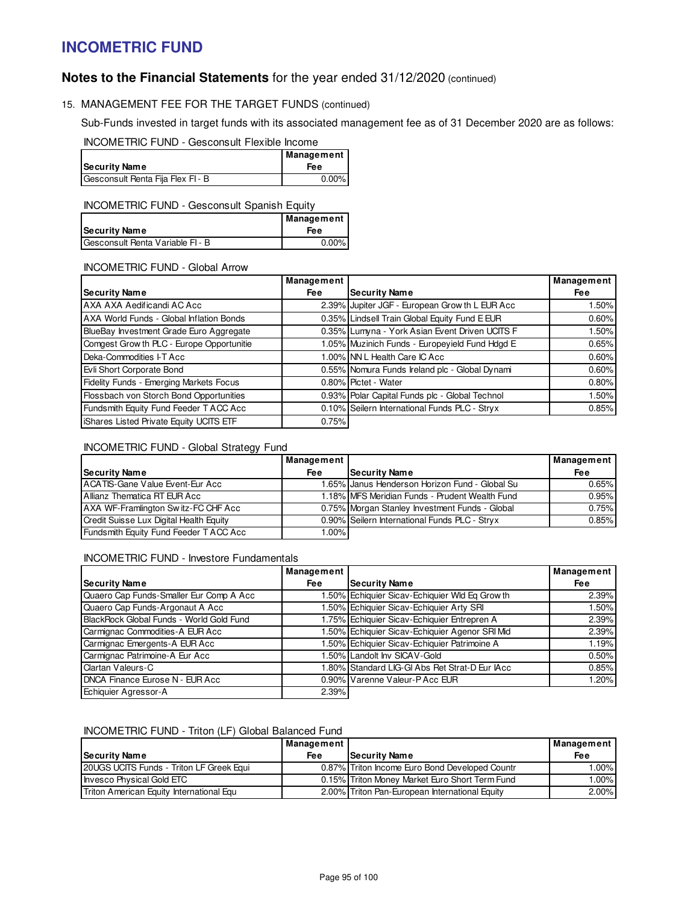# **Notes to the Financial Statements** for the year ended 31/12/2020 (continued)

## 15. MANAGEMENT FEE FOR THE TARGET FUNDS (continued)

Sub-Funds invested in target funds with its associated management fee as of 31 December 2020 are as follows:

INCOMETRIC FUND - Gesconsult Flexible Income

|                                   | Management |
|-----------------------------------|------------|
| <b>Security Name</b>              | Fee        |
| Gesconsult Renta Fija Flex FI - B | 0.00%      |

### INCOMETRIC FUND - Gesconsult Spanish Equity

|                                  | Management |
|----------------------------------|------------|
| Security Name                    | <b>Fee</b> |
| Gesconsult Renta Variable FI - B | $0.00\%$   |

### INCOMETRIC FUND - Global Arrow

|                                                | Management |                                                | Management |
|------------------------------------------------|------------|------------------------------------------------|------------|
| <b>Security Name</b>                           | <b>Fee</b> | <b>Security Name</b>                           | <b>Fee</b> |
| AXA AXA Aedificandi AC Acc                     |            | 2.39% Jupiter JGF - European Grow th L EUR Acc | 1.50%      |
| AXA World Funds - Global Inflation Bonds       |            | 0.35% Lindsell Train Global Equity Fund E EUR  | 0.60%      |
| BlueBay Investment Grade Euro Aggregate        |            | 0.35% Lumyna - York Asian Event Driven UCITS F | $1.50\%$   |
| Comgest Grow th PLC - Europe Opportunitie      |            | 1.05% Muzinich Funds - Europeyield Fund Hdgd E | 0.65%      |
| Deka-Commodities I-T Acc                       |            | 1.00% NN L Health Care IC Acc                  | 0.60%      |
| Evli Short Corporate Bond                      |            | 0.55% Nomura Funds Ireland plc - Global Dynami | 0.60%      |
| Fidelity Funds - Emerging Markets Focus        |            | 0.80% Pictet - Water                           | 0.80%      |
| Flossbach von Storch Bond Opportunities        |            | 0.93% Polar Capital Funds plc - Global Technol | $1.50\%$   |
| Fundsmith Equity Fund Feeder T ACC Acc         |            | 0.10% Seilern International Funds PLC - Stryx  | 0.85%      |
| <b>iShares Listed Private Equity UCITS ETF</b> | 0.75%      |                                                |            |

### INCOMETRIC FUND - Global Strategy Fund

|                                         | Management |                                                | Management |
|-----------------------------------------|------------|------------------------------------------------|------------|
| Security Name                           | <b>Fee</b> | <b>Security Name</b>                           | <b>Fee</b> |
| ACATIS-Gane Value Event-Eur Acc         |            | 1.65% Janus Henderson Horizon Fund - Global Su | 0.65%      |
| Allianz Thematica RT EUR Acc            |            | 1.18% MFS Meridian Funds - Prudent Wealth Fund | 0.95%      |
| AXA WF-Framlington Sw itz-FC CHF Acc    |            | 0.75% Morgan Stanley Investment Funds - Global | 0.75%      |
| Credit Suisse Lux Digital Health Equity |            | 0.90% Seilern International Funds PLC - Stryx  | 0.85%      |
| Fundsmith Equity Fund Feeder T ACC Acc  | 1.00%      |                                                |            |

### INCOMETRIC FUND - Investore Fundamentals

|                                          | Management |                                                | Management |
|------------------------------------------|------------|------------------------------------------------|------------|
| <b>Security Name</b>                     | <b>Fee</b> | <b>Security Name</b>                           | <b>Fee</b> |
| Quaero Cap Funds-Smaller Eur Comp A Acc  |            | 1.50% Echiquier Sicav-Echiquier Wld Eq Grow th | 2.39%      |
| Quaero Cap Funds-Argonaut A Acc          |            | 1.50% Echiquier Sicav-Echiquier Arty SRI       | 1.50%      |
| BlackRock Global Funds - World Gold Fund |            | 1.75% Echiquier Sicav-Echiquier Entrepren A    | 2.39%      |
| Carmignac Commodities-A EUR Acc          |            | 1.50% Echiquier Sicav-Echiquier Agenor SRI Mid | 2.39%      |
| Carmignac Emergents-A EUR Acc            |            | 1.50% Echiquier Sicav-Echiquier Patrimoine A   | 1.19%      |
| Carmignac Patrimoine-A Eur Acc           |            | 1.50% Landolt Inv SICAV-Gold                   | 0.50%      |
| Clartan Valeurs-C                        |            | 1.80% Standard LIG-GI Abs Ret Strat-D Eur IAcc | 0.85%      |
| DNCA Finance Eurose N - EUR Acc          |            | 0.90% Varenne Valeur-PAcc EUR                  | 1.20%      |
| Echiquier Agressor-A                     | 2.39%      |                                                |            |

### INCOMETRIC FUND - Triton (LF) Global Balanced Fund

|                                          | Management |                                                | Management |
|------------------------------------------|------------|------------------------------------------------|------------|
| Security Name                            | Fee        | <b>Security Name</b>                           | <b>Fee</b> |
| 20UGS UCITS Funds - Triton LF Greek Equi |            | 0.87% Triton Income Euro Bond Developed Countr | $.00\%$    |
| Invesco Physical Gold ETC                |            | 0.15% Triton Money Market Euro Short Term Fund | $.00\%$    |
| Triton American Equity International Equ |            | 2.00% Triton Pan-European International Equity | $2.00\%$   |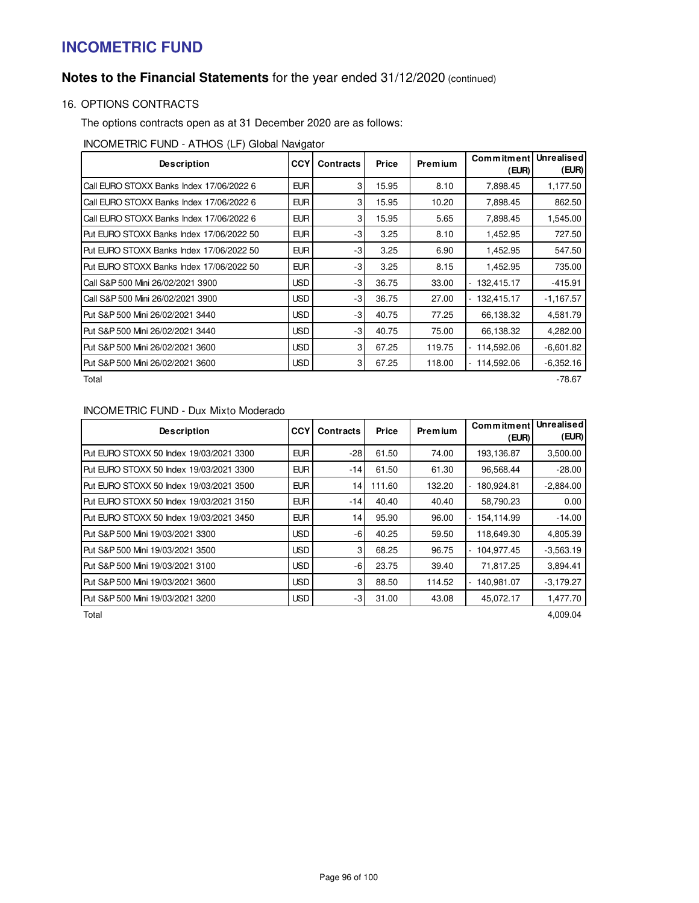# **Notes to the Financial Statements** for the year ended 31/12/2020 (continued)

## 16. OPTIONS CONTRACTS

The options contracts open as at 31 December 2020 are as follows:

INCOMETRIC FUND - ATHOS (LF) Global Navigator

| <b>Description</b>                       | CCY        | <b>Contracts</b> | Price | <b>Premium</b> | Commitment<br>(EUR)          | Unrealised<br>(EUR) |
|------------------------------------------|------------|------------------|-------|----------------|------------------------------|---------------------|
| Call EURO STOXX Banks Index 17/06/2022 6 | <b>EUR</b> | 3                | 15.95 | 8.10           | 7,898.45                     | 1,177.50            |
| Call EURO STOXX Banks Index 17/06/2022 6 | <b>EUR</b> | 3                | 15.95 | 10.20          | 7,898.45                     | 862.50              |
| Call EURO STOXX Banks Index 17/06/2022 6 | <b>EUR</b> | 3                | 15.95 | 5.65           | 7,898.45                     | 1,545.00            |
| Put EURO STOXX Banks Index 17/06/2022 50 | <b>EUR</b> | -3               | 3.25  | 8.10           | 1,452.95                     | 727.50              |
| Put EURO STOXX Banks Index 17/06/2022 50 | <b>EUR</b> | -3               | 3.25  | 6.90           | 1.452.95                     | 547.50              |
| Put EURO STOXX Banks Index 17/06/2022 50 | <b>EUR</b> | -3               | 3.25  | 8.15           | 1.452.95                     | 735.00              |
| Call S&P 500 Mini 26/02/2021 3900        | <b>USD</b> | -3               | 36.75 | 33.00          | 132,415.17<br>$\overline{a}$ | $-415.91$           |
| Call S&P 500 Mini 26/02/2021 3900        | <b>USD</b> | -3               | 36.75 | 27.00          | 132,415.17                   | $-1,167.57$         |
| Put S&P 500 Mini 26/02/2021 3440         | <b>USD</b> | -31              | 40.75 | 77.25          | 66,138.32                    | 4,581.79            |
| Put S&P 500 Mini 26/02/2021 3440         | <b>USD</b> | $-3$             | 40.75 | 75.00          | 66,138.32                    | 4,282.00            |
| Put S&P 500 Mini 26/02/2021 3600         | <b>USD</b> | 3                | 67.25 | 119.75         | 114,592.06                   | $-6,601.82$         |
| Put S&P 500 Mini 26/02/2021 3600         | <b>USD</b> | 3                | 67.25 | 118.00         | 114,592.06                   | $-6,352.16$         |
| Total                                    |            |                  |       |                |                              | -78.67              |

## INCOMETRIC FUND - Dux Mixto Moderado

| <b>Description</b>                      | <b>CCY</b> | <b>Contracts</b> | Price  | Premium | Commitment<br>(EUR)                    | Unrealised<br>(EUR) |
|-----------------------------------------|------------|------------------|--------|---------|----------------------------------------|---------------------|
| Put EURO STOXX 50 Index 19/03/2021 3300 | <b>EUR</b> | $-28$            | 61.50  | 74.00   | 193.136.87                             | 3,500.00            |
| Put EURO STOXX 50 Index 19/03/2021 3300 | <b>EUR</b> | $-14$            | 61.50  | 61.30   | 96.568.44                              | $-28.00$            |
| Put EURO STOXX 50 Index 19/03/2021 3500 | <b>EUR</b> | 14               | 111.60 | 132.20  | 180.924.81<br>۰                        | $-2,884.00$         |
| Put EURO STOXX 50 Index 19/03/2021 3150 | <b>EUR</b> | -141             | 40.40  | 40.40   | 58,790.23                              | 0.00                |
| Put EURO STOXX 50 Index 19/03/2021 3450 | <b>EUR</b> | 4                | 95.90  | 96.00   | 154.114.99                             | $-14.00$            |
| Put S&P 500 Mini 19/03/2021 3300        | <b>USD</b> | -61              | 40.25  | 59.50   | 118,649.30                             | 4,805.39            |
| Put S&P 500 Mini 19/03/2021 3500        | <b>USD</b> | 3                | 68.25  | 96.75   | 104.977.45                             | $-3.563.19$         |
| Put S&P 500 Mini 19/03/2021 3100        | <b>USD</b> | -61              | 23.75  | 39.40   | 71.817.25                              | 3,894.41            |
| Put S&P 500 Mini 19/03/2021 3600        | <b>USD</b> | 31               | 88.50  | 114.52  | 140,981.07<br>$\overline{\phantom{0}}$ | $-3,179.27$         |
| Put S&P 500 Mini 19/03/2021 3200        | <b>USD</b> | -31              | 31.00  | 43.08   | 45.072.17                              | 1,477.70            |

Total 4,009.04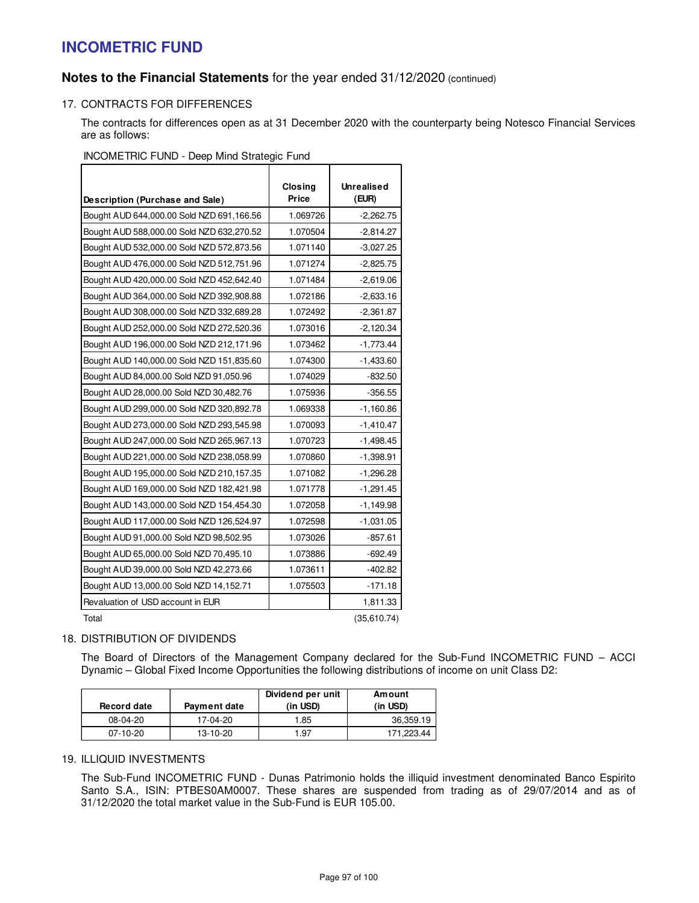## **Notes to the Financial Statements** for the year ended 31/12/2020 (continued)

## 17. CONTRACTS FOR DIFFERENCES

The contracts for differences open as at 31 December 2020 with the counterparty being Notesco Financial Services are as follows:

### INCOMETRIC FUND - Deep Mind Strategic Fund

|                                           | <b>Closing</b> | <b>Unrealised</b> |
|-------------------------------------------|----------------|-------------------|
| Description (Purchase and Sale)           | Price          | (EUR)             |
| Bought AUD 644,000.00 Sold NZD 691,166.56 | 1.069726       | $-2,262.75$       |
| Bought AUD 588,000.00 Sold NZD 632,270.52 | 1.070504       | $-2,814.27$       |
| Bought AUD 532,000.00 Sold NZD 572,873.56 | 1.071140       | $-3,027.25$       |
| Bought AUD 476,000.00 Sold NZD 512,751.96 | 1.071274       | $-2,825.75$       |
| Bought AUD 420,000.00 Sold NZD 452,642.40 | 1.071484       | $-2,619.06$       |
| Bought AUD 364,000.00 Sold NZD 392,908.88 | 1.072186       | $-2,633.16$       |
| Bought AUD 308,000.00 Sold NZD 332,689.28 | 1.072492       | $-2,361.87$       |
| Bought AUD 252,000.00 Sold NZD 272,520.36 | 1.073016       | $-2,120.34$       |
| Bought AUD 196,000.00 Sold NZD 212,171.96 | 1.073462       | $-1,773.44$       |
| Bought AUD 140,000.00 Sold NZD 151,835.60 | 1.074300       | $-1,433.60$       |
| Bought AUD 84,000.00 Sold NZD 91,050.96   | 1.074029       | $-832.50$         |
| Bought AUD 28,000.00 Sold NZD 30,482.76   | 1.075936       | $-356.55$         |
| Bought AUD 299,000.00 Sold NZD 320,892.78 | 1.069338       | $-1,160.86$       |
| Bought AUD 273,000.00 Sold NZD 293,545.98 | 1.070093       | $-1,410.47$       |
| Bought AUD 247,000.00 Sold NZD 265,967.13 | 1.070723       | $-1,498.45$       |
| Bought AUD 221,000.00 Sold NZD 238,058.99 | 1.070860       | $-1,398.91$       |
| Bought AUD 195,000.00 Sold NZD 210,157.35 | 1.071082       | $-1,296.28$       |
| Bought AUD 169,000.00 Sold NZD 182,421.98 | 1.071778       | $-1,291.45$       |
| Bought AUD 143,000.00 Sold NZD 154,454.30 | 1.072058       | $-1,149.98$       |
| Bought AUD 117,000.00 Sold NZD 126,524.97 | 1.072598       | $-1,031.05$       |
| Bought AUD 91,000.00 Sold NZD 98,502.95   | 1.073026       | $-857.61$         |
| Bought AUD 65,000.00 Sold NZD 70,495.10   | 1.073886       | -692.49           |
| Bought AUD 39,000.00 Sold NZD 42,273.66   | 1.073611       | $-402.82$         |
| Bought AUD 13,000.00 Sold NZD 14,152.71   | 1.075503       | $-171.18$         |
| Revaluation of USD account in EUR         |                | 1,811.33          |
| Total                                     |                | (35, 610.74)      |

### 18. DISTRIBUTION OF DIVIDENDS

The Board of Directors of the Management Company declared for the Sub-Fund INCOMETRIC FUND – ACCI Dynamic – Global Fixed Income Opportunities the following distributions of income on unit Class D2:

| <b>Record date</b> | Payment date | Dividend per unit<br>(in USD) | Amount<br>(in USD) |
|--------------------|--------------|-------------------------------|--------------------|
| $08-04-20$         | 17-04-20     | 1.85                          | 36,359.19          |
| $07-10-20$         | 13-10-20     | 1.97                          | 171.223.44         |

## 19. ILLIQUID INVESTMENTS

The Sub-Fund INCOMETRIC FUND - Dunas Patrimonio holds the illiquid investment denominated Banco Espirito Santo S.A., ISIN: PTBES0AM0007. These shares are suspended from trading as of 29/07/2014 and as of 31/12/2020 the total market value in the Sub-Fund is EUR 105.00.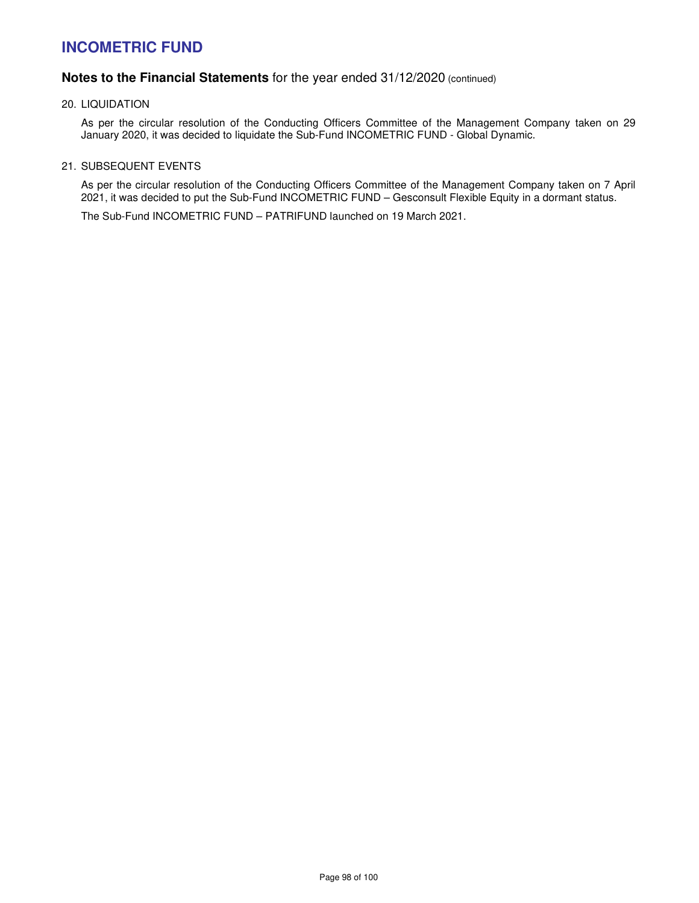# **Notes to the Financial Statements** for the year ended 31/12/2020 (continued)

20. LIQUIDATION

As per the circular resolution of the Conducting Officers Committee of the Management Company taken on 29 January 2020, it was decided to liquidate the Sub-Fund INCOMETRIC FUND - Global Dynamic.

21. SUBSEQUENT EVENTS

As per the circular resolution of the Conducting Officers Committee of the Management Company taken on 7 April 2021, it was decided to put the Sub-Fund INCOMETRIC FUND – Gesconsult Flexible Equity in a dormant status.

The Sub-Fund INCOMETRIC FUND – PATRIFUND launched on 19 March 2021.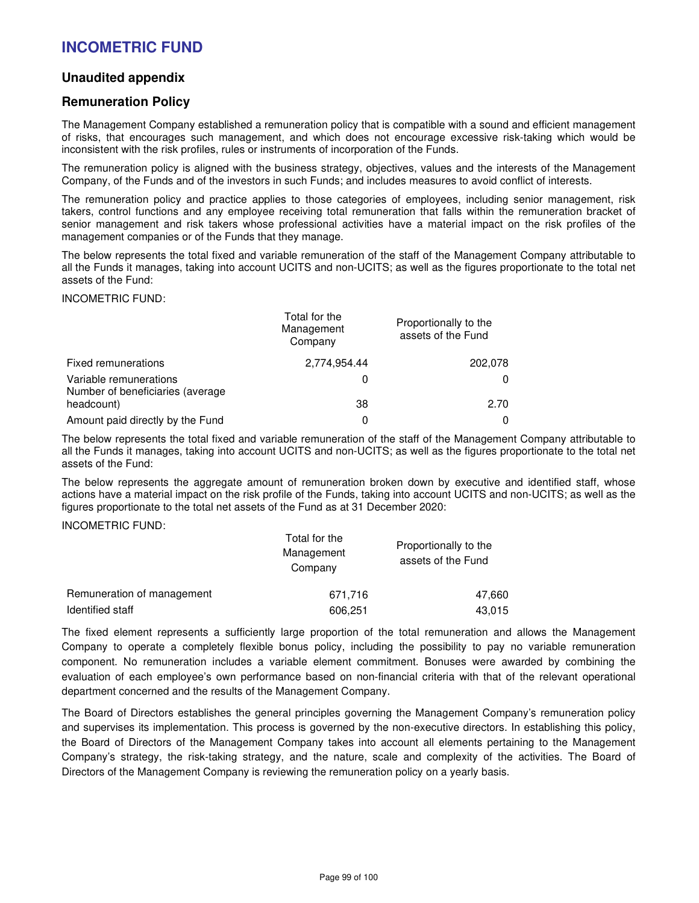## **Unaudited appendix**

## **Remuneration Policy**

The Management Company established a remuneration policy that is compatible with a sound and efficient management of risks, that encourages such management, and which does not encourage excessive risk-taking which would be inconsistent with the risk profiles, rules or instruments of incorporation of the Funds.

The remuneration policy is aligned with the business strategy, objectives, values and the interests of the Management Company, of the Funds and of the investors in such Funds; and includes measures to avoid conflict of interests.

The remuneration policy and practice applies to those categories of employees, including senior management, risk takers, control functions and any employee receiving total remuneration that falls within the remuneration bracket of senior management and risk takers whose professional activities have a material impact on the risk profiles of the management companies or of the Funds that they manage.

The below represents the total fixed and variable remuneration of the staff of the Management Company attributable to all the Funds it manages, taking into account UCITS and non-UCITS; as well as the figures proportionate to the total net assets of the Fund:

#### INCOMETRIC FUND:

|                                                            | Total for the<br>Management<br>Company | Proportionally to the<br>assets of the Fund |  |
|------------------------------------------------------------|----------------------------------------|---------------------------------------------|--|
| Fixed remunerations                                        | 2,774,954.44                           | 202.078                                     |  |
| Variable remunerations<br>Number of beneficiaries (average | 0                                      |                                             |  |
| headcount)                                                 | 38                                     | 2.70                                        |  |
| Amount paid directly by the Fund                           | 0                                      |                                             |  |

The below represents the total fixed and variable remuneration of the staff of the Management Company attributable to all the Funds it manages, taking into account UCITS and non-UCITS; as well as the figures proportionate to the total net assets of the Fund:

The below represents the aggregate amount of remuneration broken down by executive and identified staff, whose actions have a material impact on the risk profile of the Funds, taking into account UCITS and non-UCITS; as well as the figures proportionate to the total net assets of the Fund as at 31 December 2020:

### INCOMETRIC FUND:

|                            | Total for the<br>Management<br>Company | Proportionally to the<br>assets of the Fund |  |
|----------------------------|----------------------------------------|---------------------------------------------|--|
| Remuneration of management | 671.716                                | 47,660                                      |  |
| Identified staff           | 606,251                                | 43,015                                      |  |

The fixed element represents a sufficiently large proportion of the total remuneration and allows the Management Company to operate a completely flexible bonus policy, including the possibility to pay no variable remuneration component. No remuneration includes a variable element commitment. Bonuses were awarded by combining the evaluation of each employee's own performance based on non-financial criteria with that of the relevant operational department concerned and the results of the Management Company.

The Board of Directors establishes the general principles governing the Management Company's remuneration policy and supervises its implementation. This process is governed by the non-executive directors. In establishing this policy, the Board of Directors of the Management Company takes into account all elements pertaining to the Management Company's strategy, the risk-taking strategy, and the nature, scale and complexity of the activities. The Board of Directors of the Management Company is reviewing the remuneration policy on a yearly basis.